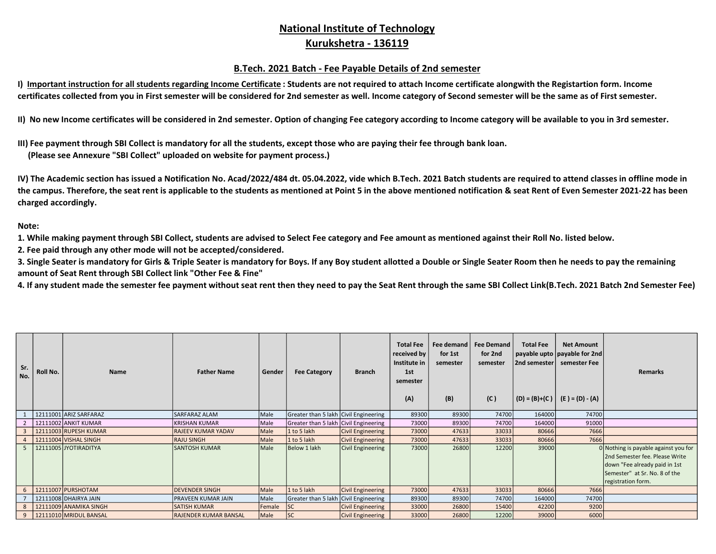## National Institute of Technology Kurukshetra - 136119

## B.Tech. 2021 Batch - Fee Payable Details of 2nd semester

I) Important instruction for all students regarding Income Certificate : Students are not required to attach Income certificate alongwith the Registartion form. Income certificates collected from you in First semester will be considered for 2nd semester as well. Income category of Second semester will be the same as of First semester.

II) No new Income certificates will be considered in 2nd semester. Option of changing Fee category according to Income category will be available to you in 3rd semester.

III) Fee payment through SBI Collect is mandatory for all the students, except those who are paying their fee through bank loan. (Please see Annexure "SBI Collect" uploaded on website for payment process.)

IV) The Academic section has issued a Notification No. Acad/2022/484 dt. 05.04.2022, vide which B.Tech. 2021 Batch students are required to attend classes in offline mode in the campus. Therefore, the seat rent is applicable to the students as mentioned at Point 5 in the above mentioned notification & seat Rent of Even Semester 2021-22 has been charged accordingly.

Note:

1. While making payment through SBI Collect, students are advised to Select Fee category and Fee amount as mentioned against their Roll No. listed below.

2. Fee paid through any other mode will not be accepted/considered.

3. Single Seater is mandatory for Girls & Triple Seater is mandatory for Boys. If any Boy student allotted a Double or Single Seater Room then he needs to pay the remaining amount of Seat Rent through SBI Collect link "Other Fee & Fine"

4. If any student made the semester fee payment without seat rent then they need to pay the Seat Rent through the same SBI Collect Link(B.Tech. 2021 Batch 2nd Semester Fee)

| Sr.<br>No. | Roll No. | <b>Name</b>            | <b>Father Name</b>           | Gender | <b>Fee Category</b>                   | <b>Branch</b>            | <b>Total Fee</b><br>received by<br>Institute in<br>1st<br>semester<br>(A) | Fee demand<br>for 1st<br>semester<br>(B) | <b>Fee Demand</b><br>for 2nd<br>semester<br>(C) | <b>Total Fee</b><br>  2nd semester | <b>Net Amount</b><br>  payable upto   payable for 2nd   <br>semester Fee<br>$  (D) = (B)+(C)   (E) = (D) - (A)$ | <b>Remarks</b>                       |
|------------|----------|------------------------|------------------------------|--------|---------------------------------------|--------------------------|---------------------------------------------------------------------------|------------------------------------------|-------------------------------------------------|------------------------------------|-----------------------------------------------------------------------------------------------------------------|--------------------------------------|
|            |          | 12111001 ARIZ SARFARAZ | <b>SARFARAZ ALAM</b>         | Male   | Greater than 5 lakh Civil Engineering |                          | 89300                                                                     | 89300                                    | 74700                                           | 164000                             | 74700                                                                                                           |                                      |
|            |          | 12111002 ANKIT KUMAR   | <b>KRISHAN KUMAR</b>         | Male   | Greater than 5 lakh Civil Engineering |                          | 73000                                                                     | 89300                                    | 74700                                           | 164000                             | 91000                                                                                                           |                                      |
|            |          | 12111003 RUPESH KUMAR  | <b>RAJEEV KUMAR YADAV</b>    | Male   | 1 to 5 lakh                           | <b>Civil Engineering</b> | 73000                                                                     | 47633                                    | 33033                                           | 80666                              | 7666                                                                                                            |                                      |
|            |          | 12111004 VISHAL SINGH  | <b>RAJU SINGH</b>            | Male   | 1 to 5 lakh                           | <b>Civil Engineering</b> | 73000                                                                     | 47633                                    | 33033                                           | 80666                              | 7666                                                                                                            |                                      |
|            |          | 12111005 JYOTIRADITYA  | <b>SANTOSH KUMAR</b>         | Male   | Below 1 lakh                          | Civil Engineering        | 73000                                                                     | 26800                                    | 12200                                           | 39000                              |                                                                                                                 | 0 Nothing is payable against you for |
|            |          |                        |                              |        |                                       |                          |                                                                           |                                          |                                                 |                                    |                                                                                                                 | 2nd Semester fee. Please Write       |
|            |          |                        |                              |        |                                       |                          |                                                                           |                                          |                                                 |                                    |                                                                                                                 | down "Fee already paid in 1st        |
|            |          |                        |                              |        |                                       |                          |                                                                           |                                          |                                                 |                                    |                                                                                                                 | Semester" at Sr. No. 8 of the        |
|            |          |                        |                              |        |                                       |                          |                                                                           |                                          |                                                 |                                    |                                                                                                                 | registration form.                   |
|            |          | 12111007 PURSHOTAM     | <b>DEVENDER SINGH</b>        | Male   | 1 to 5 lakh                           | <b>Civil Engineering</b> | 73000                                                                     | 47633                                    | 33033                                           | 80666                              | 7666                                                                                                            |                                      |
|            |          | 12111008 DHAIRYA JAIN  | PRAVEEN KUMAR JAIN           | Male   | Greater than 5 lakh Civil Engineering |                          | 89300                                                                     | 89300                                    | 74700                                           | 164000                             | 74700                                                                                                           |                                      |
|            |          | 12111009 ANAMIKA SINGH | <b>SATISH KUMAR</b>          | Female | SC                                    | <b>Civil Engineering</b> | 33000                                                                     | 26800                                    | 15400                                           | 42200                              | 9200                                                                                                            |                                      |
|            |          | 12111010 MRIDUL BANSAL | <b>RAJENDER KUMAR BANSAL</b> | Male   | <b>SC</b>                             | <b>Civil Engineering</b> | 33000                                                                     | 26800                                    | 12200                                           | 39000                              | 6000                                                                                                            |                                      |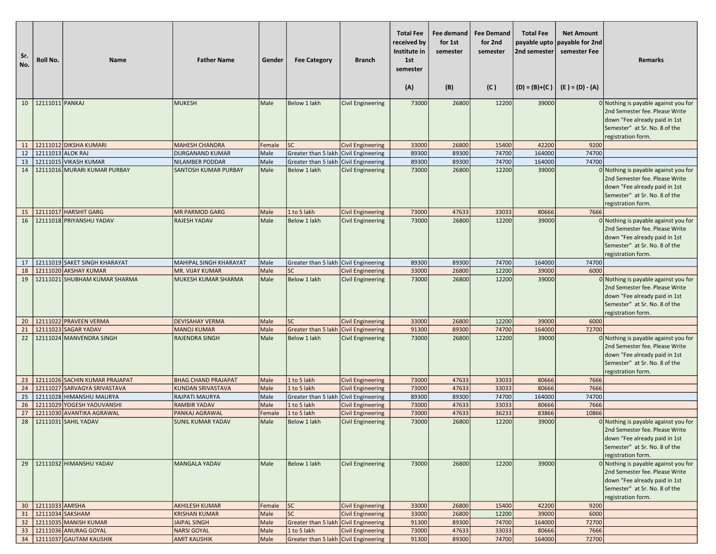| Sr.<br>No. | Roll No.               | <b>Name</b>                                            | <b>Father Name</b>                            | Gender         | <b>Fee Category</b>                                  | <b>Branch</b>                                        | <b>Total Fee</b><br>received by<br>Institute in<br>1st<br>semester<br>(A) | Fee demand<br>for 1st<br>semester<br>(B) | <b>Fee Demand</b><br>for 2nd<br>semester<br>(C) | <b>Total Fee</b><br>2nd semester<br>$(D) = (B)+(C)$ | <b>Net Amount</b><br>payable upto payable for 2nd<br>semester Fee<br>$(E) = (D) - (A)$ | <b>Remarks</b>                                                                                                                                                 |
|------------|------------------------|--------------------------------------------------------|-----------------------------------------------|----------------|------------------------------------------------------|------------------------------------------------------|---------------------------------------------------------------------------|------------------------------------------|-------------------------------------------------|-----------------------------------------------------|----------------------------------------------------------------------------------------|----------------------------------------------------------------------------------------------------------------------------------------------------------------|
| 10         | 12111011 PANKAJ        |                                                        | <b>MUKESH</b>                                 | Male           | Below 1 lakh                                         | <b>Civil Engineering</b>                             | 73000                                                                     | 26800                                    | 12200                                           | 39000                                               |                                                                                        | 0 Nothing is payable against you for                                                                                                                           |
|            |                        |                                                        |                                               |                |                                                      |                                                      |                                                                           |                                          |                                                 |                                                     |                                                                                        | 2nd Semester fee. Please Write<br>down "Fee already paid in 1st<br>Semester" at Sr. No. 8 of the<br>registration form.                                         |
| 11         |                        | 12111012 DIKSHA KUMARI                                 | <b>MAHESH CHANDRA</b>                         | Female         | <b>SC</b>                                            | <b>Civil Engineering</b>                             | 33000                                                                     | 26800                                    | 15400                                           | 42200                                               | 9200                                                                                   |                                                                                                                                                                |
| 12         | 12111013 ALOK RAJ      |                                                        | DURGANAND KUMAR                               | Male           | Greater than 5 lakh Civil Engineering                |                                                      | 89300                                                                     | 89300                                    | 74700                                           | 164000                                              | 74700                                                                                  |                                                                                                                                                                |
| 13         |                        | 12111015 VIKASH KUMAR                                  | NILAMBER PODDAR                               | Male           | Greater than 5 lakh Civil Engineering                |                                                      | 89300                                                                     | 89300                                    | 74700                                           | 164000                                              | 74700                                                                                  |                                                                                                                                                                |
| 14         |                        | 12111016 MURARI KUMAR PURBAY                           | <b>SANTOSH KUMAR PURBAY</b>                   | Male           | Below 1 lakh                                         | <b>Civil Engineering</b>                             | 73000                                                                     | 26800                                    | 12200                                           | 39000                                               |                                                                                        | 0 Nothing is payable against you for<br>2nd Semester fee. Please Write<br>down "Fee already paid in 1st<br>Semester" at Sr. No. 8 of the<br>registration form. |
| 15         |                        | 12111017 HARSHIT GARG                                  | <b>MR PARMOD GARG</b>                         | Male           | 1 to 5 lakh                                          | <b>Civil Engineering</b>                             | 73000                                                                     | 47633                                    | 33033                                           | 80666                                               | 7666                                                                                   |                                                                                                                                                                |
| 16         |                        | 12111018 PRIYANSHU YADAV                               | <b>RAJESH YADAV</b>                           | Male           | Below 1 lakh                                         | <b>Civil Engineering</b>                             | 73000                                                                     | 26800                                    | 12200                                           | 39000                                               |                                                                                        | 0 Nothing is payable against you for<br>2nd Semester fee. Please Write<br>down "Fee already paid in 1st<br>Semester" at Sr. No. 8 of the<br>registration form. |
| 17         |                        | 12111019 SAKET SINGH KHARAYAT                          | <b>MAHIPAL SINGH KHARAYAT</b>                 | Male           | Greater than 5 lakh Civil Engineering                |                                                      | 89300                                                                     | 89300                                    | 74700                                           | 164000                                              | 74700                                                                                  |                                                                                                                                                                |
| 18         |                        | 12111020 AKSHAY KUMAR                                  | <b>MR. VIJAY KUMAR</b>                        | Male           | <b>SC</b>                                            | <b>Civil Engineering</b>                             | 33000                                                                     | 26800                                    | 12200                                           | 39000                                               | 6000                                                                                   |                                                                                                                                                                |
| 19         |                        | 12111021 SHUBHAM KUMAR SHARMA                          | MUKESH KUMAR SHARMA                           | Male           | Below 1 lakh                                         | <b>Civil Engineering</b>                             | 73000                                                                     | 26800                                    | 12200                                           | 39000                                               |                                                                                        | 0 Nothing is payable against you for<br>2nd Semester fee. Please Write<br>down "Fee already paid in 1st<br>Semester" at Sr. No. 8 of the<br>registration form. |
| 20         |                        | 12111022 PRAVEEN VERMA                                 | <b>DEVISAHAY VERMA</b>                        | Male           | <b>SC</b>                                            | <b>Civil Engineering</b>                             | 33000                                                                     | 26800                                    | 12200                                           | 39000                                               | 6000                                                                                   |                                                                                                                                                                |
| 21         |                        | 12111023 SAGAR YADAV                                   | <b>MANOJ KUMAR</b>                            | Male           | Greater than 5 lakh                                  | <b>Civil Engineering</b>                             | 91300                                                                     | 89300                                    | 74700                                           | 164000                                              | 72700                                                                                  |                                                                                                                                                                |
| 22         |                        | 12111024 MANVENDRA SINGH                               | <b>RAJENDRA SINGH</b>                         | Male           | Below 1 lakh                                         | <b>Civil Engineering</b>                             | 73000                                                                     | 26800                                    | 12200                                           | 39000                                               |                                                                                        | 0 Nothing is payable against you for<br>2nd Semester fee. Please Write<br>down "Fee already paid in 1st<br>Semester" at Sr. No. 8 of the<br>registration form. |
| 23         |                        | 12111026 SACHIN KUMAR PRAJAPAT                         | <b>BHAG CHAND PRAJAPAT</b>                    | Male           | 1 to 5 lakh                                          | <b>Civil Engineering</b>                             | 73000                                                                     | 47633                                    | 33033                                           | 80666                                               | 7666                                                                                   |                                                                                                                                                                |
| 24         |                        | 12111027 SARVAGYA SRIVASTAVA                           | <b>KUNDAN SRIVASTAVA</b>                      | Male           | 1 to 5 lakh                                          | <b>Civil Engineering</b>                             | 73000                                                                     | 47633                                    | 33033                                           | 80666                                               | 7666                                                                                   |                                                                                                                                                                |
| 25<br>26   |                        | 12111028 HIMANSHU MAURYA<br>12111029 YOGESH YADUVANSHI | RAJPATI MAURYA<br><b>RAMBIR YADAV</b>         | Male<br>Male   | Greater than 5 lakh Civil Engineering<br>1 to 5 lakh | <b>Civil Engineering</b>                             | 89300<br>73000                                                            | 89300<br>47633                           | 74700<br>33033                                  | 164000<br>80666                                     | 74700<br>7666                                                                          |                                                                                                                                                                |
| 27         |                        | 12111030 AVANTIKA AGRAWAL                              | PANKAJ AGRAWAL                                | Female         | 1 to 5 lakh                                          | <b>Civil Engineering</b>                             | 73000                                                                     | 47633                                    | 36233                                           | 83866                                               | 10866                                                                                  |                                                                                                                                                                |
| 28         |                        | 12111031 SAHIL YADAV                                   | <b>SUNIL KUMAR YADAV</b>                      | Male           | Below 1 lakh                                         | <b>Civil Engineering</b>                             | 73000                                                                     | 26800                                    | 12200                                           | 39000                                               |                                                                                        | 0 Nothing is payable against you for<br>2nd Semester fee. Please Write<br>down "Fee already paid in 1st<br>Semester" at Sr. No. 8 of the<br>registration form. |
| 29         | 30   12111033   AMISHA | 12111032 HIMANSHU YADAV                                | <b>MANGALA YADAV</b><br><b>AKHILESH KUMAR</b> | Male           | Below 1 lakh<br><b>SC</b>                            | <b>Civil Engineering</b><br><b>Civil Engineering</b> | 73000<br>33000                                                            | 26800<br>26800                           | 12200<br>15400                                  | 39000<br>42200                                      | 9200                                                                                   | 0 Nothing is payable against you for<br>2nd Semester fee. Please Write<br>down "Fee already paid in 1st<br>Semester" at Sr. No. 8 of the<br>registration form. |
| 31         | 12111034 SAKSHAM       |                                                        | <b>KRISHAN KUMAR</b>                          | Female<br>Male | <b>SC</b>                                            | <b>Civil Engineering</b>                             | 33000                                                                     | 26800                                    | 12200                                           | 39000                                               | 6000                                                                                   |                                                                                                                                                                |
| 32         |                        | 12111035 MANISH KUMAR                                  | <b>JAIPAL SINGH</b>                           | Male           | Greater than 5 lakh Civil Engineering                |                                                      | 91300                                                                     | 89300                                    | 74700                                           | 164000                                              | 72700                                                                                  |                                                                                                                                                                |
| 33         |                        | 12111036 ANURAG GOYAL                                  | <b>NARSI GOYAL</b>                            | Male           | 1 to 5 lakh                                          | <b>Civil Engineering</b>                             | 73000                                                                     | 47633                                    | 33033                                           | 80666                                               | 7666                                                                                   |                                                                                                                                                                |
|            |                        | 34   12111037 GAUTAM KAUSHIK                           | <b>AMIT KAUSHIK</b>                           | Male           | Greater than 5 lakh Civil Engineering                |                                                      | 91300                                                                     | 89300                                    | 74700                                           | 164000                                              | 72700                                                                                  |                                                                                                                                                                |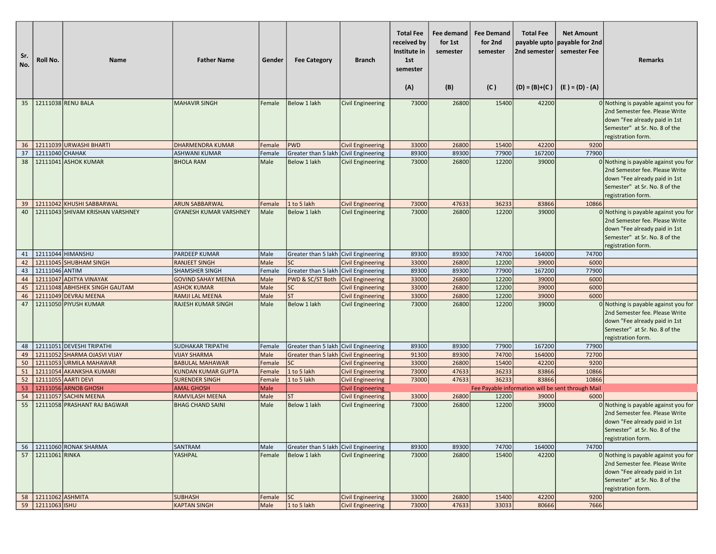| Sr.<br>No. | Roll No.            | Name                                        | <b>Father Name</b>                         | Gender         | <b>Fee Category</b>                     | <b>Branch</b>                                        | <b>Total Fee</b><br>received by<br>Institute in<br>1st<br>semester<br>(A) | Fee demand<br>for 1st<br>semester<br>(B) | <b>Fee Demand</b><br>for 2nd<br>semester<br>(C) | <b>Total Fee</b><br>payable upto<br>2nd semester | <b>Net Amount</b><br>payable for 2nd<br>semester Fee<br>$(D) = (B)+(C)$ $(E) = (D) - (A)$ | <b>Remarks</b>                                                                                                                                                   |
|------------|---------------------|---------------------------------------------|--------------------------------------------|----------------|-----------------------------------------|------------------------------------------------------|---------------------------------------------------------------------------|------------------------------------------|-------------------------------------------------|--------------------------------------------------|-------------------------------------------------------------------------------------------|------------------------------------------------------------------------------------------------------------------------------------------------------------------|
| 35         |                     | 12111038 RENU BALA                          | <b>MAHAVIR SINGH</b>                       | Female         | Below 1 lakh                            | <b>Civil Engineering</b>                             | 73000                                                                     | 26800                                    | 15400                                           | 42200                                            |                                                                                           | 0 Nothing is payable against you for                                                                                                                             |
|            |                     |                                             |                                            |                |                                         |                                                      |                                                                           |                                          |                                                 |                                                  |                                                                                           | 2nd Semester fee. Please Write<br>down "Fee already paid in 1st<br>Semester" at Sr. No. 8 of the<br>registration form.                                           |
| 36         |                     | 12111039 URWASHI BHARTI                     | <b>DHARMENDRA KUMAR</b>                    | Female         | <b>PWD</b>                              | <b>Civil Engineering</b>                             | 33000                                                                     | 26800                                    | 15400                                           | 42200                                            | 9200                                                                                      |                                                                                                                                                                  |
| 37         | 12111040 CHAHAK     |                                             | <b>ASHWANI KUMAR</b>                       | Female         | Greater than 5 lakh   Civil Engineering |                                                      | 89300                                                                     | 89300                                    | 77900                                           | 167200                                           | 77900                                                                                     |                                                                                                                                                                  |
| 38         |                     | 12111041 ASHOK KUMAR                        | <b>BHOLA RAM</b>                           | Male           | Below 1 lakh                            | <b>Civil Engineering</b>                             | 73000                                                                     | 26800                                    | 12200                                           | 39000                                            |                                                                                           | 0 Nothing is payable against you for<br>2nd Semester fee. Please Write<br>down "Fee already paid in 1st<br>Semester" at Sr. No. 8 of the<br>registration form.   |
| 39         |                     | 12111042 KHUSHI SABBARWAL                   | <b>ARUN SABBARWAL</b>                      | Female         | 1 to 5 lakh                             | <b>Civil Engineering</b>                             | 73000                                                                     | 47633                                    | 36233                                           | 83866                                            | 10866                                                                                     |                                                                                                                                                                  |
| 40         |                     | 12111043 SHIVAM KRISHAN VARSHNEY            | <b>GYANESH KUMAR VARSHNEY</b>              | Male           | <b>Below 1 lakh</b>                     | <b>Civil Engineering</b>                             | 73000                                                                     | 26800                                    | 12200                                           | 39000                                            |                                                                                           | 0 Nothing is payable against you for<br>2nd Semester fee. Please Write<br>down "Fee already paid in 1st<br>Semester" at Sr. No. 8 of the<br>registration form.   |
| 41         |                     | 12111044 HIMANSHU                           | <b>PARDEEP KUMAR</b>                       | Male           | Greater than 5 lakh Civil Engineering   |                                                      | 89300                                                                     | 89300                                    | 74700                                           | 164000                                           | 74700                                                                                     |                                                                                                                                                                  |
| 42         |                     | 12111045 SHUBHAM SINGH                      | <b>RANJEET SINGH</b>                       | Male           | <b>SC</b>                               | <b>Civil Engineering</b>                             | 33000                                                                     | 26800                                    | 12200                                           | 39000                                            | 6000                                                                                      |                                                                                                                                                                  |
| 43         | 12111046 ANTIM      |                                             | <b>SHAMSHER SINGH</b>                      | Female         | Greater than 5 lakh Civil Engineering   |                                                      | 89300                                                                     | 89300                                    | 77900                                           | 167200                                           | 77900                                                                                     |                                                                                                                                                                  |
| 44         |                     | 12111047 ADITYA VINAYAK                     | <b>GOVIND SAHAY MEENA</b>                  | Male           | PWD & SC/ST Both                        | <b>Civil Engineering</b>                             | 33000                                                                     | 26800                                    | 12200                                           | 39000                                            | 6000                                                                                      |                                                                                                                                                                  |
| 45         |                     | 12111048 ABHISHEK SINGH GAUTAM              | <b>ASHOK KUMAR</b>                         | Male           | <b>SC</b>                               | <b>Civil Engineering</b>                             | 33000                                                                     | 26800                                    | 12200                                           | 39000                                            | 6000                                                                                      |                                                                                                                                                                  |
| 46         |                     | 12111049 DEVRAJ MEENA                       | <b>RAMJI LAL MEENA</b>                     | Male           | <b>ST</b>                               | <b>Civil Engineering</b>                             | 33000                                                                     | 26800                                    | 12200                                           | 39000                                            | 6000                                                                                      |                                                                                                                                                                  |
| 47         |                     | 12111050 PIYUSH KUMAR                       | <b>RAJESH KUMAR SINGH</b>                  | Male           | Below 1 lakh                            | <b>Civil Engineering</b>                             | 73000                                                                     | 26800                                    | 12200                                           | 39000                                            |                                                                                           | 0 Nothing is payable against you for<br>2nd Semester fee. Please Write<br>down "Fee already paid in 1st<br>Semester" at Sr. No. 8 of the<br>registration form.   |
| 48         |                     | 12111051 DEVESHI TRIPATHI                   | <b>SUDHAKAR TRIPATHI</b>                   | Female         | Greater than 5 lakh Civil Engineering   |                                                      | 89300                                                                     | 89300                                    | 77900                                           | 167200                                           | 77900                                                                                     |                                                                                                                                                                  |
| 49         |                     | 12111052 SHARMA OJASVI VIJAY                | <b>VIJAY SHARMA</b>                        | Male           | Greater than 5 lakh Civil Engineering   |                                                      | 91300                                                                     | 89300                                    | 74700                                           | 164000                                           | 72700                                                                                     |                                                                                                                                                                  |
| 50         |                     | 12111053 URMILA MAHAWAR                     | <b>BABULAL MAHAWAR</b>                     | Female         | <b>SC</b>                               | <b>Civil Engineering</b>                             | 33000                                                                     | 26800                                    | 15400                                           | 42200                                            | 9200                                                                                      |                                                                                                                                                                  |
| 51         |                     | 12111054 AKANKSHA KUMARI                    | <b>KUNDAN KUMAR GUPTA</b>                  | Female         | 1 to 5 lakh                             | <b>Civil Engineering</b>                             | 73000                                                                     | 47633                                    | 36233                                           | 83866                                            | 10866                                                                                     |                                                                                                                                                                  |
| 52<br>53   |                     | 12111055 AARTI DEVI<br>12111056 ARNOB GHOSH | <b>SURENDER SINGH</b><br><b>AMAL GHOSH</b> | Female<br>Male | 1 to 5 lakh                             | <b>Civil Engineering</b><br><b>Civil Engineering</b> | 73000                                                                     | 47633                                    | 36233                                           | 83866                                            | 10866                                                                                     |                                                                                                                                                                  |
| 54         |                     | 12111057 SACHIN MEENA                       | <b>RAMVILASH MEENA</b>                     | Male           | <b>ST</b>                               | <b>Civil Engineering</b>                             | 33000                                                                     | 26800                                    | 12200                                           | 39000                                            | Fee Payable information will be sent through Mail<br>6000                                 |                                                                                                                                                                  |
| 55         |                     | 12111058 PRASHANT RAJ BAGWAR                | <b>BHAG CHAND SAINI</b>                    | Male           | <b>Below 1 lakh</b>                     | <b>Civil Engineering</b>                             | 73000                                                                     | 26800                                    | 12200                                           | 39000                                            |                                                                                           | 0 Nothing is payable against you for                                                                                                                             |
|            |                     |                                             |                                            |                |                                         |                                                      |                                                                           |                                          |                                                 |                                                  |                                                                                           | 2nd Semester fee. Please Write<br>down "Fee already paid in 1st<br>Semester" at Sr. No. 8 of the<br>registration form.                                           |
|            |                     | 56   12111060 RONAK SHARMA                  | SANTRAM                                    | Male           | Greater than 5 lakh Civil Engineering   |                                                      | 89300                                                                     | 89300                                    | 74700                                           | 164000                                           | 74700                                                                                     |                                                                                                                                                                  |
| 57         | 12111061 RINKA      |                                             | YASHPAL                                    | Female         | Below 1 lakh                            | <b>Civil Engineering</b>                             | 73000                                                                     | 26800                                    | 15400                                           | 42200                                            |                                                                                           | $0$ Nothing is payable against you for<br>2nd Semester fee. Please Write<br>down "Fee already paid in 1st<br>Semester" at Sr. No. 8 of the<br>registration form. |
|            | 58 22111062 ASHMITA |                                             | <b>SUBHASH</b>                             | Female         | <b>SC</b>                               | <b>Civil Engineering</b>                             | 33000                                                                     | 26800                                    | 15400                                           | 42200                                            | 9200                                                                                      |                                                                                                                                                                  |
|            | 59 12111063 ISHU    |                                             | <b>KAPTAN SINGH</b>                        | Male           | 1 to 5 lakh                             | Civil Engineering                                    | 73000                                                                     | 47633                                    | 33033                                           | 80666                                            | 7666                                                                                      |                                                                                                                                                                  |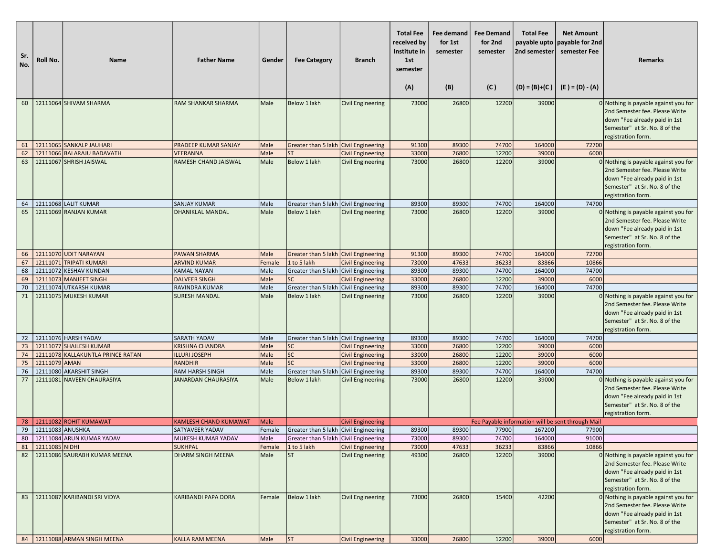| Sr.<br>No. | Roll No.              | <b>Name</b>                                     | <b>Father Name</b>                       | Gender         | <b>Fee Category</b>                                          | <b>Branch</b>            | <b>Total Fee</b><br>received by<br>Institute in<br>1st<br>semester<br>(A) | <b>Fee demand</b><br>for 1st<br>semester<br>(B) | <b>Fee Demand</b><br>for 2nd<br>semester<br>(C) | <b>Total Fee</b><br>2nd semester<br>$(D) = (B)+(C)$ | <b>Net Amount</b><br>payable upto   payable for 2nd<br>semester Fee<br>$(E) = (D) - (A)$ | Remarks                                                                                                                                                          |
|------------|-----------------------|-------------------------------------------------|------------------------------------------|----------------|--------------------------------------------------------------|--------------------------|---------------------------------------------------------------------------|-------------------------------------------------|-------------------------------------------------|-----------------------------------------------------|------------------------------------------------------------------------------------------|------------------------------------------------------------------------------------------------------------------------------------------------------------------|
| 60         |                       | 12111064 SHIVAM SHARMA                          | <b>RAM SHANKAR SHARMA</b>                | Male           | Below 1 lakh                                                 | <b>Civil Engineering</b> | 73000                                                                     | 26800                                           | 12200                                           | 39000                                               |                                                                                          | 0 Nothing is payable against you for                                                                                                                             |
|            |                       |                                                 |                                          |                |                                                              |                          |                                                                           |                                                 |                                                 |                                                     |                                                                                          | 2nd Semester fee. Please Write<br>down "Fee already paid in 1st<br>Semester" at Sr. No. 8 of the<br>registration form.                                           |
| 61         |                       | 12111065 SANKALP JAUHARI                        | PRADEEP KUMAR SANJAY                     | Male           | Greater than 5 lakh Civil Engineering                        |                          | 91300                                                                     | 89300                                           | 74700                                           | 164000                                              | 72700                                                                                    |                                                                                                                                                                  |
| 62         |                       | 12111066 BALARAJU BADAVATH                      | <b>VEERANNA</b>                          | Male           | <b>ST</b>                                                    | <b>Civil Engineering</b> | 33000                                                                     | 26800                                           | 12200                                           | 39000                                               | 6000                                                                                     |                                                                                                                                                                  |
| 63         |                       | 12111067 SHRISH JAISWAL                         | RAMESH CHAND JAISWAL                     | Male           | Below 1 lakh                                                 | <b>Civil Engineering</b> | 73000                                                                     | 26800                                           | 12200                                           | 39000                                               |                                                                                          | 0 Nothing is payable against you for<br>2nd Semester fee. Please Write<br>down "Fee already paid in 1st<br>Semester" at Sr. No. 8 of the<br>registration form.   |
| 64         |                       | 12111068 LALIT KUMAR                            | <b>SANJAY KUMAR</b>                      | Male           | Greater than 5 lakh Civil Engineering                        |                          | 89300                                                                     | 89300                                           | 74700                                           | 164000                                              | 74700                                                                                    |                                                                                                                                                                  |
| 65         |                       | 12111069 RANJAN KUMAR                           | DHANIKLAL MANDAL                         | Male           | Below 1 lakh                                                 | <b>Civil Engineering</b> | 73000                                                                     | 26800                                           | 12200                                           | 39000                                               |                                                                                          | $0$ Nothing is payable against you for<br>2nd Semester fee. Please Write<br>down "Fee already paid in 1st<br>Semester" at Sr. No. 8 of the<br>registration form. |
| 66         |                       | 12111070 UDIT NARAYAN                           | <b>PAWAN SHARMA</b>                      | Male           | Greater than 5 lakh Civil Engineering                        |                          | 91300                                                                     | 89300                                           | 74700                                           | 164000                                              | 72700                                                                                    |                                                                                                                                                                  |
| 67         |                       | 12111071 TRIPATI KUMARI                         | <b>ARVIND KUMAR</b>                      | Female         | 1 to 5 lakh                                                  | <b>Civil Engineering</b> | 73000                                                                     | 47633                                           | 36233                                           | 83866                                               | 10866                                                                                    |                                                                                                                                                                  |
| 68         |                       | 12111072 KESHAV KUNDAN                          | KAMAL NAYAN                              | Male           | Greater than 5 lakh Civil Engineering                        |                          | 89300                                                                     | 89300                                           | 74700                                           | 164000                                              | 74700                                                                                    |                                                                                                                                                                  |
| 69         |                       | 12111073 MANJEET SINGH                          | <b>DALVEER SINGH</b>                     | Male           | <b>SC</b>                                                    | <b>Civil Engineering</b> | 33000<br>89300                                                            | 26800<br>89300                                  | 12200<br>74700                                  | 39000<br>164000                                     | 6000<br>74700                                                                            |                                                                                                                                                                  |
| 70<br>71   |                       | 12111074 UTKARSH KUMAR<br>12111075 MUKESH KUMAR | RAVINDRA KUMAR<br><b>SURESH MANDAL</b>   | Male<br>Male   | Greater than 5 lakh Civil Engineering<br><b>Below 1 lakh</b> | Civil Engineering        | 73000                                                                     | 26800                                           | 12200                                           | 39000                                               |                                                                                          | 0 Nothing is payable against you for<br>2nd Semester fee. Please Write<br>down "Fee already paid in 1st<br>Semester" at Sr. No. 8 of the<br>registration form.   |
| 72         |                       | 12111076 HARSH YADAV                            | SARATH YADAV                             | Male           | Greater than 5 lakh Civil Engineering                        |                          | 89300                                                                     | 89300                                           | 74700                                           | 164000                                              | 74700                                                                                    |                                                                                                                                                                  |
| 73         |                       | 12111077 SHAILESH KUMAR                         | <b>KRISHNA CHANDRA</b>                   | Male           | <b>SC</b>                                                    | <b>Civil Engineering</b> | 33000                                                                     | 26800                                           | 12200                                           | 39000                                               | 6000                                                                                     |                                                                                                                                                                  |
| 74         |                       | 12111078 KALLAKUNTLA PRINCE RATAN               | <b>ILLURI JOSEPH</b>                     | Male           | SC                                                           | <b>Civil Engineering</b> | 33000                                                                     | 26800                                           | 12200                                           | 39000                                               | 6000                                                                                     |                                                                                                                                                                  |
| 75<br>76   | 12111079 AMAN         | 12111080 AKARSHIT SINGH                         | <b>RANDHIR</b><br><b>RAM HARSH SINGH</b> | Male<br>Male   | <b>SC</b><br>Greater than 5 lakh Civil Engineering           | <b>Civil Engineering</b> | 33000<br>89300                                                            | 26800<br>89300                                  | 12200<br>74700                                  | 39000<br>164000                                     | 6000<br>74700                                                                            |                                                                                                                                                                  |
| 77         |                       | 12111081 NAVEEN CHAURASIYA                      | JANARDAN CHAURASIYA                      | Male           | Below 1 lakh                                                 | <b>Civil Engineering</b> | 73000                                                                     | 26800                                           | 12200                                           | 39000                                               |                                                                                          | 0 Nothing is payable against you for<br>2nd Semester fee. Please Write<br>down "Fee already paid in 1st<br>Semester" at Sr. No. 8 of the<br>registration form.   |
|            |                       | 78   12111082 ROHIT KUMAWAT                     | <b>KAMLESH CHAND KUMAWAT</b>             | Male           | Greater than 5 lakh Civil Engineering                        | <b>Civil Engineering</b> |                                                                           |                                                 |                                                 |                                                     | Fee Payable information will be sent through Mail                                        |                                                                                                                                                                  |
| 80         | 79   12111083 ANUSHKA | 12111084 ARUN KUMAR YADAV                       | SATYAVEER YADAV<br>MUKESH KUMAR YADAV    | Female<br>Male | Greater than 5 lakh Civil Engineering                        |                          | 89300<br>73000                                                            | 89300<br>89300                                  | 77900<br>74700                                  | 167200<br>164000                                    | 77900<br>91000                                                                           |                                                                                                                                                                  |
| 81         | 12111085 NIDHI        |                                                 | <b>SUKHPAL</b>                           | Female         | 1 to 5 lakh                                                  | <b>Civil Engineering</b> | 73000                                                                     | 47633                                           | 36233                                           | 83866                                               | 10866                                                                                    |                                                                                                                                                                  |
| 82         |                       | 12111086 SAURABH KUMAR MEENA                    | DHARM SINGH MEENA                        | Male           | <b>ST</b>                                                    | Civil Engineering        | 49300                                                                     | 26800                                           | 12200                                           | 39000                                               |                                                                                          | 0 Nothing is payable against you for<br>2nd Semester fee. Please Write<br>down "Fee already paid in 1st<br>Semester" at Sr. No. 8 of the<br>registration form.   |
| 83         |                       | 12111087 KARIBANDI SRI VIDYA                    | KARIBANDI PAPA DORA                      | Female         | Below 1 lakh                                                 | <b>Civil Engineering</b> | 73000                                                                     | 26800                                           | 15400                                           | 42200                                               |                                                                                          | $0$ Nothing is payable against you for<br>2nd Semester fee. Please Write<br>down "Fee already paid in 1st<br>Semester" at Sr. No. 8 of the<br>registration form. |
|            |                       | 84   12111088 ARMAN SINGH MEENA                 | <b>KALLA RAM MEENA</b>                   | Male           | ST                                                           | <b>Civil Engineering</b> | 33000                                                                     | 26800                                           | 12200                                           | 39000                                               | 6000                                                                                     |                                                                                                                                                                  |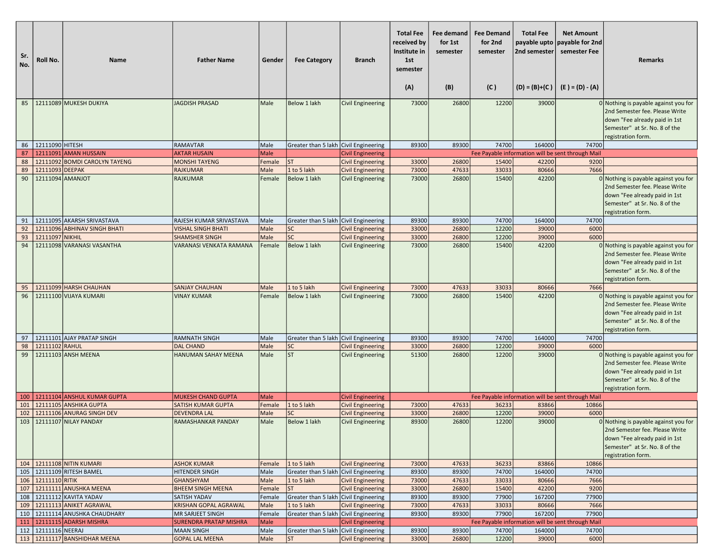| Sr.<br>No. | Roll No.            | Name                                                             | <b>Father Name</b>                                      | Gender         | <b>Fee Category</b>                     | <b>Branch</b>                                        | <b>Total Fee</b><br>received by<br>Institute in<br>1st<br>semester<br>(A) | Fee demand<br>for 1st<br>semester<br>(B) | <b>Fee Demand</b><br>for 2nd<br>semester<br>(C) | <b>Total Fee</b><br>2nd semester<br>$(D) = (B)+(C)$ | <b>Net Amount</b><br>payable upto payable for 2nd<br>semester Fee<br>(E ) = (D) - (A) | <b>Remarks</b>                                                                                                                                                 |
|------------|---------------------|------------------------------------------------------------------|---------------------------------------------------------|----------------|-----------------------------------------|------------------------------------------------------|---------------------------------------------------------------------------|------------------------------------------|-------------------------------------------------|-----------------------------------------------------|---------------------------------------------------------------------------------------|----------------------------------------------------------------------------------------------------------------------------------------------------------------|
| 85         |                     | 12111089 MUKESH DUKIYA                                           | <b>JAGDISH PRASAD</b>                                   | Male           | Below 1 lakh                            | Civil Engineering                                    | 73000                                                                     | 26800                                    | 12200                                           | 39000                                               |                                                                                       | 0 Nothing is payable against you for                                                                                                                           |
|            |                     |                                                                  |                                                         |                |                                         |                                                      |                                                                           |                                          |                                                 |                                                     |                                                                                       | 2nd Semester fee. Please Write<br>down "Fee already paid in 1st<br>Semester" at Sr. No. 8 of the<br>registration form.                                         |
| 86         | 12111090 HITESH     |                                                                  | <b>RAMAVTAR</b>                                         | Male           | Greater than 5 lakh Civil Engineering   |                                                      | 89300                                                                     | 89300                                    | 74700                                           | 164000                                              | 74700                                                                                 |                                                                                                                                                                |
| 87         |                     | 12111091 AMAN HUSSAIN                                            | <b>AKTAR HUSAIN</b>                                     | Male           |                                         | <b>Civil Engineering</b>                             |                                                                           |                                          |                                                 |                                                     | Fee Payable information will be sent through Mail                                     |                                                                                                                                                                |
| 88         |                     | 12111092 BOMDI CAROLYN TAYENG                                    | <b>MONSHI TAYENG</b>                                    | Female         | <b>ST</b>                               | <b>Civil Engineering</b>                             | 33000                                                                     | 26800                                    | 15400                                           | 42200                                               | 9200                                                                                  |                                                                                                                                                                |
| 89         | 12111093 DEEPAK     |                                                                  | <b>RAJKUMAR</b>                                         | Male           | 1 to 5 lakh                             | <b>Civil Engineering</b>                             | 73000                                                                     | 47633                                    | 33033                                           | 80666                                               | 7666                                                                                  |                                                                                                                                                                |
| 90         | 12111094 AMANJOT    |                                                                  | <b>RAJKUMAR</b>                                         | Female         | Below 1 lakh                            | <b>Civil Engineering</b>                             | 73000                                                                     | 26800                                    | 15400                                           | 42200                                               |                                                                                       | 0 Nothing is payable against you for<br>2nd Semester fee. Please Write<br>down "Fee already paid in 1st<br>Semester" at Sr. No. 8 of the<br>registration form. |
| 91         |                     | 12111095 AKARSH SRIVASTAVA                                       | RAJESH KUMAR SRIVASTAVA                                 | Male           | Greater than 5 lakh Civil Engineering   |                                                      | 89300                                                                     | 89300                                    | 74700                                           | 164000                                              | 74700                                                                                 |                                                                                                                                                                |
| 92         |                     | 12111096 ABHINAV SINGH BHATI                                     | <b>VISHAL SINGH BHATI</b>                               | Male           | <b>SC</b>                               | <b>Civil Engineering</b>                             | 33000                                                                     | 26800                                    | 12200                                           | 39000                                               | 6000                                                                                  |                                                                                                                                                                |
| 93         | 12111097 NIKHIL     |                                                                  | <b>SHAMSHER SINGH</b>                                   | Male           | <b>SC</b>                               | <b>Civil Engineering</b>                             | 33000                                                                     | 26800                                    | 12200                                           | 39000                                               | 6000                                                                                  |                                                                                                                                                                |
| 94         |                     | 12111098 VARANASI VASANTHA                                       | VARANASI VENKATA RAMANA                                 | Female         | Below 1 lakh                            | <b>Civil Engineering</b>                             | 73000                                                                     | 26800                                    | 15400                                           | 42200                                               |                                                                                       | 0 Nothing is payable against you for<br>2nd Semester fee. Please Write<br>down "Fee already paid in 1st<br>Semester" at Sr. No. 8 of the<br>registration form. |
| 95         |                     | 12111099 HARSH CHAUHAN                                           | <b>SANJAY CHAUHAN</b>                                   | Male           | 1 to 5 lakh                             | <b>Civil Engineering</b>                             | 73000                                                                     | 47633                                    | 33033                                           | 80666                                               | 7666                                                                                  |                                                                                                                                                                |
| 96         |                     | 12111100 VIJAYA KUMARI                                           | <b>VINAY KUMAR</b>                                      | Female         | Below 1 lakh                            | <b>Civil Engineering</b>                             | 73000                                                                     | 26800                                    | 15400                                           | 42200                                               |                                                                                       | 0 Nothing is payable against you for<br>2nd Semester fee. Please Write<br>down "Fee already paid in 1st<br>Semester" at Sr. No. 8 of the<br>registration form. |
| 97         |                     | 12111101 AJAY PRATAP SINGH                                       | <b>RAMNATH SINGH</b>                                    | Male           | Greater than 5 lakh Civil Engineering   |                                                      | 89300                                                                     | 89300                                    | 74700                                           | 164000                                              | 74700                                                                                 |                                                                                                                                                                |
| 98         | 12111102 RAHUL      |                                                                  | <b>DAL CHAND</b>                                        | Male           | <b>SC</b>                               | <b>Civil Engineering</b>                             | 33000                                                                     | 26800                                    | 12200                                           | 39000                                               | 6000                                                                                  |                                                                                                                                                                |
| 99         |                     | 12111103 ANSH MEENA                                              | <b>HANUMAN SAHAY MEENA</b>                              | Male           | lsт                                     | <b>Civil Engineering</b>                             | 51300                                                                     | 26800                                    | 12200                                           | 39000                                               |                                                                                       | 0 Nothing is payable against you for<br>2nd Semester fee. Please Write<br>down "Fee already paid in 1st<br>Semester" at Sr. No. 8 of the<br>registration form. |
|            |                     | 100   12111104 ANSHUL KUMAR GUPTA                                | <b>MUKESH CHAND GUPTA</b>                               | <b>Male</b>    |                                         | <b>Civil Engineering</b>                             |                                                                           |                                          |                                                 |                                                     | Fee Payable information will be sent through Mail                                     |                                                                                                                                                                |
| 101        |                     | 12111105 ANSHIKA GUPTA                                           | SATISH KUMAR GUPTA                                      | Female         | 1 to 5 lakh                             | <b>Civil Engineering</b>                             | 73000                                                                     | 47633                                    | 36233                                           | 83866                                               | 10866                                                                                 |                                                                                                                                                                |
| 102<br>103 |                     | 12111106 ANURAG SINGH DEV<br>12111107 NILAY PANDAY               | <b>DEVENDRA LAL</b><br><b>RAMASHANKAR PANDAY</b>        | Male<br>Male   | <b>SC</b><br>Below 1 lakh               | <b>Civil Engineering</b><br><b>Civil Engineering</b> | 33000<br>89300                                                            | 26800<br>26800                           | 12200<br>12200                                  | 39000<br>39000                                      | 6000                                                                                  | 0 Nothing is payable against you for<br>2nd Semester fee. Please Write<br>down "Fee already paid in 1st<br>Semester" at Sr. No. 8 of the<br>registration form. |
|            |                     | 104   12111108 NITIN KUMARI                                      | <b>ASHOK KUMAR</b>                                      | Female         | 1 to 5 lakh                             | <b>Civil Engineering</b>                             | 73000                                                                     | 47633                                    | 36233                                           | 83866                                               | 10866                                                                                 |                                                                                                                                                                |
|            |                     | 105   12111109 RITESH BAMEL                                      | <b>HITENDER SINGH</b>                                   | Male           | Greater than 5 lakh Civil Engineering   |                                                      | 89300                                                                     | 89300                                    | 74700                                           | 164000                                              | 74700                                                                                 |                                                                                                                                                                |
|            | 106 12111110 RITIK  |                                                                  | <b>GHANSHYAM</b>                                        | Male           | 1 to 5 lakh                             | <b>Civil Engineering</b>                             | 73000                                                                     | 47633                                    | 33033                                           | 80666                                               | 7666                                                                                  |                                                                                                                                                                |
|            |                     | 107   12111111 ANUSHKA MEENA                                     | <b>BHEEM SINGH MEENA</b>                                | Female         | <b>ST</b>                               | <b>Civil Engineering</b>                             | 33000                                                                     | 26800                                    | 15400                                           | 42200                                               | 9200                                                                                  |                                                                                                                                                                |
|            |                     | 108   12111112 KAVITA YADAV                                      | <b>SATISH YADAV</b>                                     | Female         | Greater than 5 lakh Civil Engineering   |                                                      | 89300                                                                     | 89300                                    | 77900                                           | 167200                                              | 77900                                                                                 |                                                                                                                                                                |
|            |                     | 109   12111113 ANIKET AGRAWAL                                    | <b>KRISHAN GOPAL AGRAWAL</b><br><b>MR SARJEET SINGH</b> | Male           | 1 to 5 lakh                             | <b>Civil Engineering</b>                             | 73000<br>89300                                                            | 47633<br>89300                           | 33033<br>77900                                  | 80666<br>167200                                     | 7666<br>77900                                                                         |                                                                                                                                                                |
|            |                     | 110   12111114 ANUSHKA CHAUDHARY<br>111   12111115 ADARSH MISHRA | <b>SURENDRA PRATAP MISHRA</b>                           | Female<br>Male | Greater than 5 lakh   Civil Engineering | <b>Civil Engineering</b>                             |                                                                           |                                          |                                                 |                                                     | Fee Payable information will be sent through Mail                                     |                                                                                                                                                                |
|            | 112 12111116 NEERAJ |                                                                  | <b>MAAN SINGH</b>                                       | Male           | Greater than 5 lakh Civil Engineering   |                                                      | 89300                                                                     | 89300                                    | 74700                                           | 164000                                              | 74700                                                                                 |                                                                                                                                                                |
|            |                     | 113 12111117 BANSHIDHAR MEENA                                    | <b>GOPAL LAL MEENA</b>                                  | Male           | <b>ST</b>                               | <b>Civil Engineering</b>                             | 33000                                                                     | 26800                                    | 12200                                           | 39000                                               | 6000                                                                                  |                                                                                                                                                                |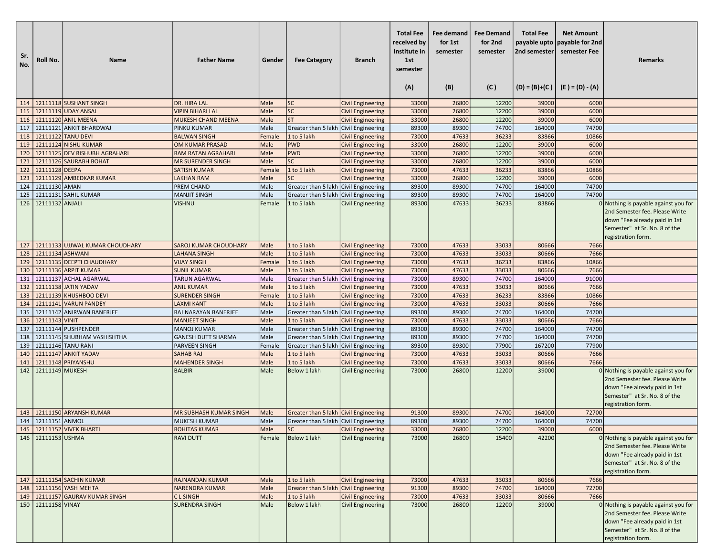| Sr.<br>No. | Roll No.             | <b>Name</b>                                        | <b>Father Name</b>                                | Gender       | <b>Fee Category</b>                                                            | <b>Branch</b>            | <b>Total Fee</b><br>received by<br>Institute in<br>1st<br>semester<br>(A) | Fee demand<br>for 1st<br>semester<br>(B) | <b>Fee Demand</b><br>for 2nd<br>semester<br>(C) | <b>Total Fee</b><br>2nd semester | <b>Net Amount</b><br>payable upto payable for 2nd<br>semester Fee<br>$(D) = (B)+(C)$ $(E) = (D) - (A)$ | Remarks                                                                                                                                                        |
|------------|----------------------|----------------------------------------------------|---------------------------------------------------|--------------|--------------------------------------------------------------------------------|--------------------------|---------------------------------------------------------------------------|------------------------------------------|-------------------------------------------------|----------------------------------|--------------------------------------------------------------------------------------------------------|----------------------------------------------------------------------------------------------------------------------------------------------------------------|
|            |                      | 114   12111118 SUSHANT SINGH                       | DR. HIRA LAL                                      | Male         | SC                                                                             | <b>Civil Engineering</b> | 33000                                                                     | 26800                                    | 12200                                           | 39000                            | 6000                                                                                                   |                                                                                                                                                                |
| 115        |                      | 12111119 UDAY ANSAL                                | <b>VIPIN BIHARI LAL</b>                           | Male         | SC                                                                             | <b>Civil Engineering</b> | 33000                                                                     | 26800                                    | 12200                                           | 39000                            | 6000                                                                                                   |                                                                                                                                                                |
|            |                      | 116 12111120 ANIL MEENA                            | MUKESH CHAND MEENA                                | Male         | <b>ST</b>                                                                      | <b>Civil Engineering</b> | 33000                                                                     | 26800                                    | 12200                                           | 39000                            | 6000                                                                                                   |                                                                                                                                                                |
| 117        |                      | 12111121 ANKIT BHARDWAJ                            | <b>PINKU KUMAR</b>                                | Male         | Greater than 5 lakh                                                            | <b>Civil Engineering</b> | 89300                                                                     | 89300                                    | 74700                                           | 164000                           | 74700                                                                                                  |                                                                                                                                                                |
| 118        |                      | 12111122 TANU DEVI                                 | <b>BALWAN SINGH</b>                               | Female       | 1 to 5 lakh                                                                    | <b>Civil Engineering</b> | 73000                                                                     | 47633                                    | 36233                                           | 83866                            | 10866                                                                                                  |                                                                                                                                                                |
| 119        |                      | 12111124 NISHU KUMAR                               | OM KUMAR PRASAD                                   | Male         | <b>PWD</b>                                                                     | <b>Civil Engineering</b> | 33000                                                                     | 26800                                    | 12200                                           | 39000                            | 6000                                                                                                   |                                                                                                                                                                |
| 120        |                      | 12111125 DEV RISHUBH AGRAHARI                      | <b>RAM RATAN AGRAHARI</b>                         | Male         | <b>PWD</b>                                                                     | <b>Civil Engineering</b> | 33000                                                                     | 26800                                    | 12200                                           | 39000                            | 6000                                                                                                   |                                                                                                                                                                |
| 121        |                      | 12111126 SAURABH BOHAT                             | <b>MR SURENDER SINGH</b>                          | Male         | <b>SC</b>                                                                      | <b>Civil Engineering</b> | 33000                                                                     | 26800                                    | 12200                                           | 39000                            | 6000                                                                                                   |                                                                                                                                                                |
| 122        | 12111128 DEEPA       |                                                    | <b>SATISH KUMAR</b>                               | Female       | 1 to 5 lakh                                                                    | <b>Civil Engineering</b> | 73000                                                                     | 47633                                    | 36233                                           | 83866                            | 10866                                                                                                  |                                                                                                                                                                |
| 123        |                      | 12111129 AMBEDKAR KUMAR                            | <b>LAKHAN RAM</b>                                 | Male         | <b>SC</b>                                                                      | <b>Civil Engineering</b> | 33000                                                                     | 26800                                    | 12200                                           | 39000                            | 6000                                                                                                   |                                                                                                                                                                |
| 124        | 12111130 AMAN        |                                                    | PREM CHAND                                        | Male         | Greater than 5 lakh                                                            | <b>Civil Engineering</b> | 89300                                                                     | 89300                                    | 74700                                           | 164000                           | 74700                                                                                                  |                                                                                                                                                                |
| 125        |                      | 12111131 SAHIL KUMAR                               | <b>MANJIT SINGH</b>                               | Male         | Greater than 5 lakh Civil Engineering                                          |                          | 89300                                                                     | 89300                                    | 74700                                           | 164000                           | 74700                                                                                                  |                                                                                                                                                                |
| 126        | 12111132 ANJALI      |                                                    | <b>VISHNU</b>                                     | Female       | 1 to 5 lakh                                                                    | <b>Civil Engineering</b> | 89300                                                                     | 47633                                    | 36233                                           | 83866                            |                                                                                                        | 0 Nothing is payable against you for<br>2nd Semester fee. Please Write<br>down "Fee already paid in 1st<br>Semester" at Sr. No. 8 of the<br>registration form. |
| 127        |                      | 12111133 UJJWAL KUMAR CHOUDHARY                    | <b>SAROJ KUMAR CHOUDHARY</b>                      | Male         | 1 to 5 lakh                                                                    | <b>Civil Engineering</b> | 73000                                                                     | 47633                                    | 33033                                           | 80666                            | 7666                                                                                                   |                                                                                                                                                                |
| 128        | 12111134 ASHWANI     |                                                    | <b>LAHANA SINGH</b>                               | Male         | 1 to 5 lakh                                                                    | <b>Civil Engineering</b> | 73000                                                                     | 47633                                    | 33033                                           | 80666                            | 7666                                                                                                   |                                                                                                                                                                |
| 129        |                      | 12111135 DEEPTI CHAUDHARY                          | <b>VIJAY SINGH</b>                                | Female       | 1 to 5 lakh                                                                    | <b>Civil Engineering</b> | 73000                                                                     | 47633                                    | 36233                                           | 83866                            | 10866                                                                                                  |                                                                                                                                                                |
| 130        |                      | 12111136 ARPIT KUMAR                               | <b>SUNIL KUMAR</b>                                | Male         | 1 to 5 lakh                                                                    | <b>Civil Engineering</b> | 73000                                                                     | 47633                                    | 33033                                           | 80666                            | 7666                                                                                                   |                                                                                                                                                                |
| 131        |                      | 12111137 ACHAL AGARWAL                             | <b>TARUN AGARWAL</b>                              | Male         | Greater than 5 lakh                                                            | Civil Engineering        | 73000                                                                     | 89300                                    | 74700                                           | 164000                           | 91000                                                                                                  |                                                                                                                                                                |
| 132        |                      | 12111138 JATIN YADAV                               | <b>ANIL KUMAR</b>                                 | Male         | 1 to 5 lakh                                                                    | <b>Civil Engineering</b> | 73000                                                                     | 47633                                    | 33033                                           | 80666                            | 7666                                                                                                   |                                                                                                                                                                |
| 133        |                      | 12111139 KHUSHBOO DEVI                             | <b>SURENDER SINGH</b>                             | Female       | 1 to 5 lakh                                                                    | <b>Civil Engineering</b> | 73000                                                                     | 47633                                    | 36233                                           | 83866                            | 10866                                                                                                  |                                                                                                                                                                |
| 134        |                      | 12111141 VARUN PANDEY                              | <b>LAXMI KANT</b>                                 | Male         | 1 to 5 lakh                                                                    | <b>Civil Engineering</b> | 73000                                                                     | 47633                                    | 33033                                           | 80666                            | 7666                                                                                                   |                                                                                                                                                                |
| 135        |                      | 12111142 ANIRWAN BANERJEE                          | RAJ NARAYAN BANERJEE                              | Male         | Greater than 5 lakh                                                            | Civil Engineering        | 89300                                                                     | 89300                                    | 74700                                           | 164000                           | 74700                                                                                                  |                                                                                                                                                                |
|            | 136 12111143 VINIT   |                                                    | <b>MANJEET SINGH</b>                              | Male         | 1 to 5 lakh                                                                    | <b>Civil Engineering</b> | 73000                                                                     | 47633                                    | 33033                                           | 80666                            | 7666                                                                                                   |                                                                                                                                                                |
| 137<br>138 |                      | 12111144 PUSHPENDER<br>12111145 SHUBHAM VASHISHTHA | <b>MANOJ KUMAR</b>                                | Male<br>Male | Greater than 5 lakh Civil Engineering                                          |                          | 89300<br>89300                                                            | 89300                                    | 74700<br>74700                                  | 164000<br>164000                 | 74700<br>74700                                                                                         |                                                                                                                                                                |
| 139        |                      | 12111146 TANU RANI                                 | <b>GANESH DUTT SHARMA</b><br><b>PARVEEN SINGH</b> | Female       | Greater than 5 lakh Civil Engineering<br>Greater than 5 lakh Civil Engineering |                          | 89300                                                                     | 89300<br>89300                           | 77900                                           | 167200                           | 77900                                                                                                  |                                                                                                                                                                |
| 140        |                      | 12111147 ANKIT YADAV                               | <b>SAHAB RAJ</b>                                  | Male         | 1 to 5 lakh                                                                    | <b>Civil Engineering</b> | 73000                                                                     | 47633                                    | 33033                                           | 80666                            | 7666                                                                                                   |                                                                                                                                                                |
| 141        |                      | 12111148 PRIYANSHU                                 | <b>MAHENDER SINGH</b>                             | Male         | 1 to 5 lakh                                                                    | <b>Civil Engineering</b> | 73000                                                                     | 47633                                    | 33033                                           | 80666                            | 7666                                                                                                   |                                                                                                                                                                |
| 142        | 12111149 MUKESH      |                                                    | <b>BALBIR</b>                                     | Male         | <b>Below 1 lakh</b>                                                            | <b>Civil Engineering</b> | 73000                                                                     | 26800                                    | 12200                                           | 39000                            |                                                                                                        | 0 Nothing is payable against you for                                                                                                                           |
|            |                      |                                                    |                                                   |              |                                                                                |                          |                                                                           |                                          |                                                 |                                  |                                                                                                        | 2nd Semester fee. Please Write<br>down "Fee already paid in 1st<br>Semester" at Sr. No. 8 of the<br>registration form.                                         |
|            |                      | 143 12111150 ARYANSH KUMAR                         | MR SUBHASH KUMAR SINGH                            | Male         | Greater than 5 lakh Civil Engineering                                          |                          | 91300                                                                     | 89300                                    | 74700                                           | 164000                           | 72700                                                                                                  |                                                                                                                                                                |
|            | 144 2111151 ANMOL    |                                                    | <b>MUKESH KUMAR</b>                               | Male         | Greater than 5 lakh Civil Engineering                                          |                          | 89300                                                                     | 89300                                    | 74700                                           | 164000                           | 74700                                                                                                  |                                                                                                                                                                |
|            | 146 12111153 USHMA   | 145 12111152 VIVEK BHARTI                          | ROHITAS KUMAR                                     | Male         | SC                                                                             | Civil Engineering        | 33000                                                                     | 26800                                    | 12200                                           | 39000                            | 6000                                                                                                   |                                                                                                                                                                |
|            |                      |                                                    | <b>RAVI DUTT</b>                                  | Female       | Below 1 lakh                                                                   | <b>Civil Engineering</b> | 73000                                                                     | 26800                                    | 15400                                           | 42200                            |                                                                                                        | 0 Nothing is payable against you for<br>2nd Semester fee. Please Write<br>down "Fee already paid in 1st<br>Semester" at Sr. No. 8 of the<br>registration form. |
|            |                      | 147 12111154 SACHIN KUMAR                          | <b>RAJNANDAN KUMAR</b>                            | Male         | 1 to 5 lakh                                                                    | <b>Civil Engineering</b> | 73000                                                                     | 47633                                    | 33033                                           | 80666                            | 7666                                                                                                   |                                                                                                                                                                |
|            |                      | 148 12111156 YASH MEHTA                            | <b>NARENDRA KUMAR</b>                             | Male         | Greater than 5 lakh                                                            | <b>Civil Engineering</b> | 91300                                                                     | 89300                                    | 74700                                           | 164000                           | 72700                                                                                                  |                                                                                                                                                                |
| 149        |                      | 12111157 GAURAV KUMAR SINGH                        | <b>CLSINGH</b>                                    | Male         | 1 to 5 lakh                                                                    | <b>Civil Engineering</b> | 73000                                                                     | 47633                                    | 33033                                           | 80666                            | 7666                                                                                                   |                                                                                                                                                                |
|            | 150   12111158 VINAY |                                                    | <b>SURENDRA SINGH</b>                             | Male         | Below 1 lakh                                                                   | <b>Civil Engineering</b> | 73000                                                                     | 26800                                    | 12200                                           | 39000                            |                                                                                                        | 0 Nothing is payable against you for<br>2nd Semester fee. Please Write<br>down "Fee already paid in 1st<br>Semester" at Sr. No. 8 of the<br>registration form. |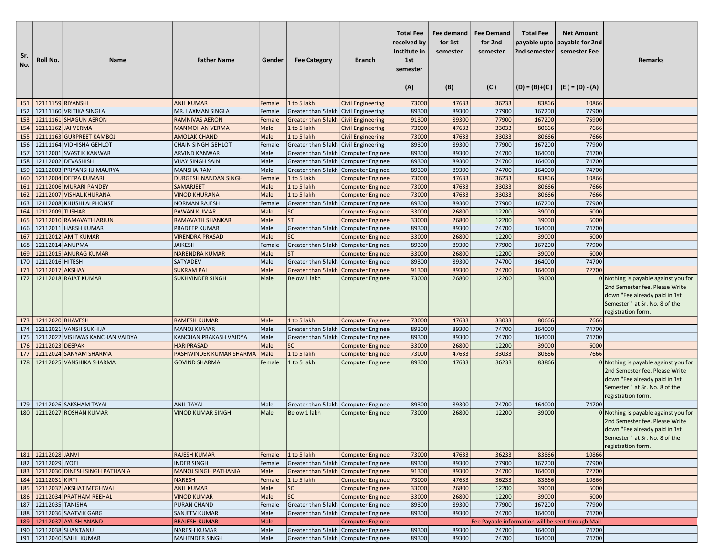| Sr.<br>No. | Roll No.                 | <b>Name</b>                          | <b>Father Name</b>                           | Gender       | <b>Fee Category</b>                        | <b>Branch</b>                               | <b>Total Fee</b><br>received by<br>Institute in<br>1st<br>semester<br>(A) | Fee demand<br>for 1st<br>semester<br>(B) | <b>Fee Demand</b><br>for 2nd<br>semester<br>(C) | <b>Total Fee</b><br>payable upto<br>2nd semester | <b>Net Amount</b><br>payable for 2nd<br>semester Fee<br>$(D) = (B)+(C)$ $(E) = (D) - (A)$ | <b>Remarks</b>                                                                                                                                                  |
|------------|--------------------------|--------------------------------------|----------------------------------------------|--------------|--------------------------------------------|---------------------------------------------|---------------------------------------------------------------------------|------------------------------------------|-------------------------------------------------|--------------------------------------------------|-------------------------------------------------------------------------------------------|-----------------------------------------------------------------------------------------------------------------------------------------------------------------|
|            | 151   12111159 RIYANSHI  |                                      | <b>ANIL KUMAR</b>                            | Female       | 1 to 5 lakh                                | <b>Civil Engineering</b>                    | 73000                                                                     | 47633                                    | 36233                                           | 83866                                            | 10866                                                                                     |                                                                                                                                                                 |
| 152        |                          | 12111160 VRITIKA SINGLA              | MR. LAXMAN SINGLA                            | Female       | Greater than 5 lakh Civil Engineering      |                                             | 89300                                                                     | 89300                                    | 77900                                           | 167200                                           | 77900                                                                                     |                                                                                                                                                                 |
| 153        |                          | 12111161 SHAGUN AERON                | <b>RAMNIVAS AERON</b>                        | Female       | Greater than 5 lakh Civil Engineering      |                                             | 91300                                                                     | 89300                                    | 77900                                           | 167200                                           | 75900                                                                                     |                                                                                                                                                                 |
| 154        |                          | 12111162 JAI VERMA                   | <b>MANMOHAN VERMA</b>                        | Male         | 1 to 5 lakh                                | Civil Engineering                           | 73000                                                                     | 47633                                    | 33033                                           | 80666                                            | 7666                                                                                      |                                                                                                                                                                 |
| 155        |                          | 12111163 GURPREET KAMBOJ             | <b>AMOLAK CHAND</b>                          | Male         | 1 to 5 lakh                                | <b>Civil Engineering</b>                    | 73000                                                                     | 47633                                    | 33033                                           | 80666                                            | 7666                                                                                      |                                                                                                                                                                 |
| 156        |                          | 12111164 VIDHISHA GEHLOT             | <b>CHAIN SINGH GEHLOT</b>                    | Female       | Greater than 5 lakh                        | <b>Civil Engineering</b>                    | 89300                                                                     | 89300                                    | 77900                                           | 167200                                           | 77900                                                                                     |                                                                                                                                                                 |
| 157        |                          | 12112001 SVASTIK KANWAR              | <b>ARVIND KANWAR</b>                         | Male         | Greater than 5 lakh                        | <b>Computer Enginee</b>                     | 89300                                                                     | 89300                                    | 74700                                           | 164000                                           | 74700                                                                                     |                                                                                                                                                                 |
| 158        |                          | 12112002 DEVASHISH                   | <b>VIJAY SINGH SAINI</b>                     | Male         | Greater than 5 lakh Computer Enginee       |                                             | 89300                                                                     | 89300                                    | 74700                                           | 164000                                           | 74700                                                                                     |                                                                                                                                                                 |
| 159        |                          | 12112003 PRIYANSHU MAURYA            | <b>MANSHA RAM</b>                            | Male         | Greater than 5 lakh                        | <b>Computer Enginee</b>                     | 89300                                                                     | 89300                                    | 74700                                           | 164000                                           | 74700                                                                                     |                                                                                                                                                                 |
| 160        |                          | 12112004 DEEPA KUMARI                | <b>DURGESH NANDAN SINGH</b>                  | Female       | 1 to 5 lakh                                | <b>Computer Enginee</b>                     | 73000                                                                     | 47633                                    | 36233                                           | 83866                                            | 10866                                                                                     |                                                                                                                                                                 |
| 161        |                          | 12112006 MURARI PANDEY               | <b>SAMARJEET</b>                             | Male         | 1 to 5 lakh                                | <b>Computer Enginee</b>                     | 73000                                                                     | 47633                                    | 33033                                           | 80666                                            | 7666                                                                                      |                                                                                                                                                                 |
| 162        |                          | 12112007 VISHAL KHURANA              | <b>VINOD KHURANA</b>                         | Male         | 1 to 5 lakh                                | <b>Computer Enginee</b>                     | 73000                                                                     | 47633                                    | 33033                                           | 80666                                            | 7666                                                                                      |                                                                                                                                                                 |
| 163        |                          | 12112008 KHUSHI ALPHONSE             | <b>NORMAN RAJESH</b>                         | Female       | Greater than 5 lakh                        | Computer Enginee                            | 89300                                                                     | 89300                                    | 77900                                           | 167200                                           | 77900                                                                                     |                                                                                                                                                                 |
| 164        | 12112009 TUSHAR          |                                      | <b>PAWAN KUMAR</b>                           | Male         | <b>SC</b>                                  | <b>Computer Enginee</b>                     | 33000                                                                     | 26800                                    | 12200                                           | 39000                                            | 6000                                                                                      |                                                                                                                                                                 |
| 165        |                          | 12112010 RAMAVATH ARJUN              | <b>RAMAVATH SHANKAR</b>                      | Male         | <b>ST</b>                                  | <b>Computer Enginee</b>                     | 33000                                                                     | 26800                                    | 12200                                           | 39000                                            | 6000                                                                                      |                                                                                                                                                                 |
| 166        |                          | 12112011 HARSH KUMAR                 | <b>PRADEEP KUMAR</b>                         | Male         | Greater than 5 lakh Computer Enginee       |                                             | 89300                                                                     | 89300                                    | 74700                                           | 164000                                           | 74700                                                                                     |                                                                                                                                                                 |
| 167        |                          | 12112012 AMIT KUMAR                  | <b>VIRENDRA PRASAD</b>                       | Male         | <b>SC</b>                                  | <b>Computer Enginee</b>                     | 33000                                                                     | 26800                                    | 12200                                           | 39000                                            | 6000                                                                                      |                                                                                                                                                                 |
| 168        | 12112014 ANUPMA          |                                      | <b>JAIKESH</b>                               | Female       | Greater than 5 lakh                        | <b>Computer Enginee</b>                     | 89300                                                                     | 89300                                    | 77900                                           | 167200                                           | 77900                                                                                     |                                                                                                                                                                 |
| 169<br>170 | 12112016 HITESH          | 12112015 ANURAG KUMAR                | <b>NARENDRA KUMAR</b><br><b>SATYADEV</b>     | Male         | <b>ST</b>                                  | <b>Computer Enginee</b>                     | 33000                                                                     | 26800                                    | 12200<br>74700                                  | 39000<br>164000                                  | 6000<br>74700                                                                             |                                                                                                                                                                 |
| 171        | 12112017 AKSHAY          |                                      | <b>SUKRAM PAL</b>                            | Male<br>Male | Greater than 5 lakh<br>Greater than 5 lakh | <b>Computer Enginee</b>                     | 89300<br>91300                                                            | 89300<br>89300                           | 74700                                           | 164000                                           | 72700                                                                                     |                                                                                                                                                                 |
| 172        |                          | 12112018 RAJAT KUMAR                 | <b>SUKHVINDER SINGH</b>                      | Male         | Below 1 lakh                               | <b>Computer Enginee</b><br>Computer Enginee | 73000                                                                     | 26800                                    | 12200                                           | 39000                                            |                                                                                           | 0 Nothing is payable against you for                                                                                                                            |
|            |                          |                                      |                                              |              |                                            |                                             |                                                                           |                                          |                                                 |                                                  |                                                                                           | 2nd Semester fee. Please Write<br>down "Fee already paid in 1st<br>Semester" at Sr. No. 8 of the<br>registration form.                                          |
|            | 173 12112020 BHAVESH     |                                      | <b>RAMESH KUMAR</b>                          | Male         | 1 to 5 lakh                                | <b>Computer Enginee</b>                     | 73000                                                                     | 47633                                    | 33033                                           | 80666                                            | 7666                                                                                      |                                                                                                                                                                 |
| 174        |                          | 12112021 VANSH SUKHIJA               | <b>MANOJ KUMAR</b>                           | Male         | Greater than 5 lakh                        | <b>Computer Enginee</b>                     | 89300                                                                     | 89300                                    | 74700                                           | 164000                                           | 74700                                                                                     |                                                                                                                                                                 |
| 175        |                          | 12112022 VISHWAS KANCHAN VAIDYA      | KANCHAN PRAKASH VAIDYA                       | Male         | Greater than 5 lakh                        | <b>Computer Enginee</b>                     | 89300                                                                     | 89300                                    | 74700                                           | 164000                                           | 74700                                                                                     |                                                                                                                                                                 |
| 176        | 12112023                 | <b>DEEPAK</b>                        | <b>HARIPRASAD</b>                            | Male         | <b>SC</b>                                  | <b>Computer Enginee</b>                     | 33000                                                                     | 26800                                    | 12200                                           | 39000                                            | 6000                                                                                      |                                                                                                                                                                 |
| 177        |                          | 12112024 SANYAM SHARMA               | PASHWINDER KUMAR SHARMA                      | Male         | 1 to 5 lakh                                | <b>Computer Enginee</b>                     | 73000                                                                     | 47633                                    | 33033                                           | 80666                                            | 7666                                                                                      |                                                                                                                                                                 |
| 178        |                          | 12112025 VANSHIKA SHARMA             | <b>GOVIND SHARMA</b>                         | Female       | 1 to 5 lakh                                | <b>Computer Enginee</b>                     | 89300                                                                     | 47633                                    | 36233                                           | 83866                                            |                                                                                           | 0 Nothing is payable against you for<br>2nd Semester fee. Please Write<br>down "Fee already paid in 1st<br>Semester" at Sr. No. 8 of the<br>registration form.  |
|            |                          | 179   12112026 SAKSHAM TAYAL         | <b>ANIL TAYAL</b>                            | Male         | Greater than 5 lakh Computer Enginee       |                                             | 89300                                                                     | 89300                                    | 74700                                           | 164000                                           | 74700                                                                                     |                                                                                                                                                                 |
| 180        |                          | 12112027 ROSHAN KUMAR                | <b>VINOD KUMAR SINGH</b>                     | Male         | Below 1 lakh                               | Computer Enginee                            | 73000                                                                     | 26800                                    | 12200                                           | 39000                                            |                                                                                           | 0 Nothing is payable against you for<br>2nd Semester fee. Please Write<br> down "Fee already paid in 1st<br>Semester" at Sr. No. 8 of the<br>registration form. |
|            | 181 12112028 JANVI       |                                      | <b>RAJESH KUMAR</b>                          | Female       | 1 to 5 lakh                                | <b>Computer Enginee</b>                     | 73000                                                                     | 47633                                    | 36233                                           | 83866                                            | 10866                                                                                     |                                                                                                                                                                 |
|            | 182 2112029 JYOTI        |                                      | <b>INDER SINGH</b>                           | Female       | Greater than 5 lakh Computer Enginee       |                                             | 89300                                                                     | 89300                                    | 77900                                           | 167200                                           | 77900                                                                                     |                                                                                                                                                                 |
|            |                          | 183   12112030 DINESH SINGH PATHANIA | <b>MANOJ SINGH PATHANIA</b>                  | Male         | Greater than 5 lakh   Computer Enginee     |                                             | 91300                                                                     | 89300                                    | 74700                                           | 164000                                           | 72700                                                                                     |                                                                                                                                                                 |
| 184        | 12112031 KIRTI           |                                      | <b>NARESH</b>                                | Female       | 1 to 5 lakh                                | <b>Computer Enginee</b>                     | 73000                                                                     | 47633                                    | 36233                                           | 83866                                            | 10866                                                                                     |                                                                                                                                                                 |
|            |                          | 185 12112032 AKSHAT MEGHWAL          | <b>ANIL KUMAR</b>                            | Male         | <b>SC</b>                                  | <b>Computer Enginee</b>                     | 33000                                                                     | 26800                                    | 12200                                           | 39000                                            | 6000                                                                                      |                                                                                                                                                                 |
|            |                          | 186   12112034 PRATHAM REEHAL        | <b>VINOD KUMAR</b>                           | Male         | <b>SC</b>                                  | <b>Computer Enginee</b>                     | 33000                                                                     | 26800                                    | 12200                                           | 39000                                            | 6000                                                                                      |                                                                                                                                                                 |
|            | 187   12112035   TANISHA | 188   12112036   SAATVIK GARG        | PURAN CHAND                                  | Female       | Greater than 5 lakh Computer Enginee       |                                             | 89300                                                                     | 89300<br>89300                           | 77900<br>74700                                  | 167200<br>164000                                 | 77900<br>74700                                                                            |                                                                                                                                                                 |
|            |                          | 189   12112037 AYUSH ANAND           | <b>SANJEEV KUMAR</b><br><b>BRAJESH KUMAR</b> | Male<br>Male | Greater than 5 lakh   Computer Enginee     | <b>Computer Enginee</b>                     | 89300                                                                     |                                          |                                                 |                                                  | Fee Payable information will be sent through Mail                                         |                                                                                                                                                                 |
|            |                          | 190   12112038 SHANTANU              | <b>NARESH KUMAR</b>                          | Male         | Greater than 5 lakh Computer Enginee       |                                             | 89300                                                                     | 89300                                    | 74700                                           | 164000                                           | 74700                                                                                     |                                                                                                                                                                 |
|            |                          | 191 12112040 SAHIL KUMAR             | <b>MAHENDER SINGH</b>                        | Male         | Greater than 5 lakh   Computer Enginee     |                                             | 89300                                                                     | 89300                                    | 74700                                           | 164000                                           | 74700                                                                                     |                                                                                                                                                                 |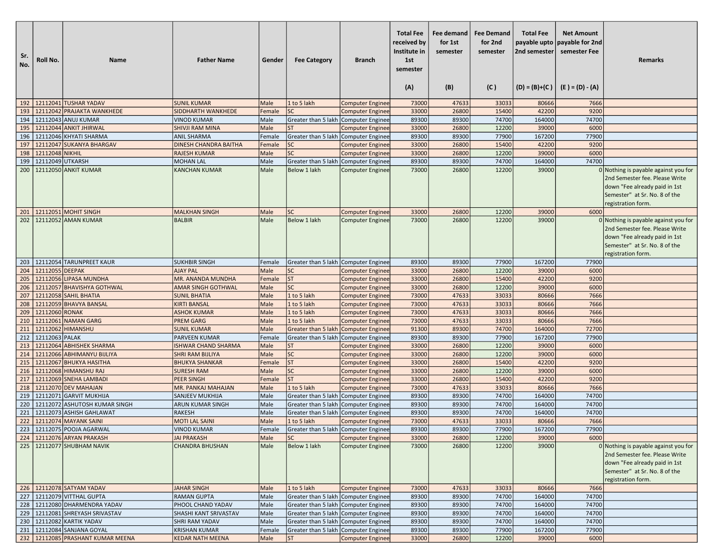| Sr.<br>No. | Roll No.         | <b>Name</b>                                                        | <b>Father Name</b>                         | Gender       | <b>Fee Category</b>                                                              | <b>Branch</b>           | <b>Total Fee</b><br>received by<br>Institute in<br>1st<br>semester<br>(A) | Fee demand<br>for 1st<br>semester<br>(B) | <b>Fee Demand</b><br>for 2nd<br>semester<br>(C) | <b>Total Fee</b><br> 2nd semester | <b>Net Amount</b><br>payable upto   payable for 2nd<br>semester Fee<br>$(D) = (B)+(C)$ $(E) = (D) - (A)$ | <b>Remarks</b>                                                                                                                                                   |
|------------|------------------|--------------------------------------------------------------------|--------------------------------------------|--------------|----------------------------------------------------------------------------------|-------------------------|---------------------------------------------------------------------------|------------------------------------------|-------------------------------------------------|-----------------------------------|----------------------------------------------------------------------------------------------------------|------------------------------------------------------------------------------------------------------------------------------------------------------------------|
|            |                  | 192   12112041 TUSHAR YADAV                                        | <b>SUNIL KUMAR</b>                         | Male         | 1 to 5 lakh                                                                      | <b>Computer Enginee</b> | 73000                                                                     | 47633                                    | 33033                                           | 80666                             | 7666                                                                                                     |                                                                                                                                                                  |
| 193        |                  | 12112042 PRAJAKTA WANKHEDE                                         | SIDDHARTH WANKHEDE                         | Female       | <b>SC</b>                                                                        | <b>Computer Enginee</b> | 33000                                                                     | 26800                                    | 15400                                           | 42200                             | 9200                                                                                                     |                                                                                                                                                                  |
|            |                  | 194 12112043 ANUJ KUMAR                                            | <b>VINOD KUMAR</b>                         | Male         | Greater than 5 lakh Computer Enginee                                             |                         | 89300                                                                     | 89300                                    | 74700                                           | 164000                            | 74700                                                                                                    |                                                                                                                                                                  |
| 195        |                  | 12112044 ANKIT JHIRWAL                                             | <b>SHIVJI RAM MINA</b>                     | Male         | <b>ST</b>                                                                        | <b>Computer Enginee</b> | 33000                                                                     | 26800                                    | 12200                                           | 39000                             | 6000                                                                                                     |                                                                                                                                                                  |
| 196        |                  | 12112046 KHYATI SHARMA                                             | <b>ANIL SHARMA</b>                         | Female       | Greater than 5 lakh                                                              | Computer Enginee        | 89300                                                                     | 89300                                    | 77900                                           | 167200                            | 77900                                                                                                    |                                                                                                                                                                  |
| 197        |                  | 12112047 SUKANYA BHARGAV                                           | DINESH CHANDRA BAITHA                      | Female       | <b>SC</b>                                                                        | <b>Computer Enginee</b> | 33000                                                                     | 26800                                    | 15400                                           | 42200                             | 9200                                                                                                     |                                                                                                                                                                  |
| 198        | 12112048 NIKHIL  |                                                                    | <b>RAJESH KUMAR</b>                        | Male         | <b>SC</b>                                                                        | <b>Computer Enginee</b> | 33000                                                                     | 26800                                    | 12200                                           | 39000                             | 6000                                                                                                     |                                                                                                                                                                  |
| 199        | 12112049 UTKARSH |                                                                    | <b>MOHAN LAL</b>                           | Male         | Greater than 5 lakh                                                              | Computer Enginee        | 89300                                                                     | 89300                                    | 74700                                           | 164000                            | 74700                                                                                                    |                                                                                                                                                                  |
| 200        |                  | 12112050 ANKIT KUMAR                                               | <b>KANCHAN KUMAR</b>                       | Male         | Below 1 lakh                                                                     | <b>Computer Enginee</b> | 73000                                                                     | 26800                                    | 12200                                           | 39000                             |                                                                                                          | 0 Nothing is payable against you for<br>2nd Semester fee. Please Write<br>down "Fee already paid in 1st<br>Semester" at Sr. No. 8 of the<br>registration form.   |
| 201        |                  | 12112051 MOHIT SINGH                                               | <b>MALKHAN SINGH</b>                       | Male         | <b>SC</b>                                                                        | <b>Computer Enginee</b> | 33000                                                                     | 26800                                    | 12200                                           | 39000                             | 6000                                                                                                     |                                                                                                                                                                  |
| 202        |                  | 12112052 AMAN KUMAR                                                | <b>BALBIR</b>                              | Male         | Below 1 lakh                                                                     | <b>Computer Enginee</b> | 73000                                                                     | 26800                                    | 12200                                           | 39000                             |                                                                                                          | $0$ Nothing is payable against you for<br>2nd Semester fee. Please Write<br>down "Fee already paid in 1st<br>Semester" at Sr. No. 8 of the<br>registration form. |
| 203        |                  | 12112054 TARUNPREET KAUR                                           | <b>SUKHBIR SINGH</b>                       | Female       | Greater than 5 lakh Computer Enginee                                             |                         | 89300                                                                     | 89300                                    | 77900                                           | 167200                            | 77900                                                                                                    |                                                                                                                                                                  |
| 204        | 12112055 DEEPAK  |                                                                    | <b>AJAY PAL</b>                            | Male         | SC                                                                               | <b>Computer Enginee</b> | 33000                                                                     | 26800                                    | 12200                                           | 39000                             | 6000                                                                                                     |                                                                                                                                                                  |
| 205        |                  | 12112056 LIPASA MUNDHA                                             | MR. ANANDA MUNDHA                          | Female       | <b>ST</b>                                                                        | <b>Computer Enginee</b> | 33000                                                                     | 26800                                    | 15400                                           | 42200                             | 9200                                                                                                     |                                                                                                                                                                  |
| 206        |                  | 12112057 BHAVISHYA GOTHWAL                                         | <b>AMAR SINGH GOTHWAL</b>                  | Male         | <b>SC</b>                                                                        | <b>Computer Enginee</b> | 33000                                                                     | 26800                                    | 12200                                           | 39000                             | 6000                                                                                                     |                                                                                                                                                                  |
| 207        |                  | 12112058 SAHIL BHATIA                                              | <b>SUNIL BHATIA</b>                        | Male         | 1 to 5 lakh                                                                      | <b>Computer Enginee</b> | 73000                                                                     | 47633                                    | 33033                                           | 80666                             | 7666                                                                                                     |                                                                                                                                                                  |
| 208        |                  | 12112059 BHAVYA BANSAL                                             | <b>KIRTI BANSAL</b>                        | Male         | 1 to 5 lakh                                                                      | <b>Computer Enginee</b> | 73000                                                                     | 47633                                    | 33033                                           | 80666                             | 7666                                                                                                     |                                                                                                                                                                  |
| 209        | 12112060 RONAK   |                                                                    | <b>ASHOK KUMAR</b>                         | Male         | 1 to 5 lakh                                                                      | <b>Computer Enginee</b> | 73000                                                                     | 47633                                    | 33033                                           | 80666                             | 7666                                                                                                     |                                                                                                                                                                  |
| 210        |                  | 12112061 NAMAN GARG                                                | <b>PREM GARG</b>                           | Male         | 1 to 5 lakh                                                                      | <b>Computer Enginee</b> | 73000                                                                     | 47633                                    | 33033                                           | 80666                             | 7666                                                                                                     |                                                                                                                                                                  |
| 211        |                  | 12112062 HIMANSHU                                                  | <b>SUNIL KUMAR</b>                         | Male         | Greater than 5 lakh                                                              | <b>Computer Enginee</b> | 91300                                                                     | 89300                                    | 74700                                           | 164000                            | 72700                                                                                                    |                                                                                                                                                                  |
| 212        | 12112063 PALAK   |                                                                    | PARVEEN KUMAR                              | Female       | Greater than 5 lakh                                                              | <b>Computer Enginee</b> | 89300                                                                     | 89300                                    | 77900                                           | 167200                            | 77900                                                                                                    |                                                                                                                                                                  |
| 213        |                  | 12112064 ABHISHEK SHARMA                                           | <b>ISHWAR CHAND SHARMA</b>                 | Male         | <b>ST</b>                                                                        | <b>Computer Enginee</b> | 33000                                                                     | 26800                                    | 12200                                           | 39000                             | 6000                                                                                                     |                                                                                                                                                                  |
| 214        |                  | 12112066 ABHIMANYU BIJLIYA                                         | <b>SHRI RAM BIJLIYA</b>                    | Male         | SC                                                                               | <b>Computer Enginee</b> | 33000                                                                     | 26800                                    | 12200                                           | 39000                             | 6000                                                                                                     |                                                                                                                                                                  |
| 215        |                  | 12112067 BHUKYA HASITHA                                            | <b>BHUKYA SHANKAR</b>                      | Female       | <b>ST</b>                                                                        | <b>Computer Enginee</b> | 33000                                                                     | 26800                                    | 15400                                           | 42200                             | 9200                                                                                                     |                                                                                                                                                                  |
| 216        |                  | 12112068 HIMANSHU RAJ                                              | <b>SURESH RAM</b>                          | Male         | <b>SC</b>                                                                        | <b>Computer Enginee</b> | 33000                                                                     | 26800                                    | 12200                                           | 39000                             | 6000                                                                                                     |                                                                                                                                                                  |
| 217        |                  | 12112069 SNEHA LAMBADI                                             | <b>PEER SINGH</b>                          | Female       | <b>ST</b>                                                                        | <b>Computer Enginee</b> | 33000                                                                     | 26800                                    | 15400                                           | 42200                             | 9200                                                                                                     |                                                                                                                                                                  |
| 218        |                  | 12112070 DEV MAHAJAN                                               | MR. PANKAJ MAHAJAN                         | Male         | 1 to 5 lakh                                                                      | <b>Computer Enginee</b> | 73000                                                                     | 47633                                    | 33033                                           | 80666                             | 7666                                                                                                     |                                                                                                                                                                  |
| 219        |                  | 12112071 GARVIT MUKHIJA                                            | SANJEEV MUKHIJA                            | Male         | Greater than 5 lakh                                                              | Computer Enginee        | 89300                                                                     | 89300                                    | 74700                                           | 164000                            | 74700                                                                                                    |                                                                                                                                                                  |
| 220        |                  | 12112072 ASHUTOSH KUMAR SINGH                                      | ARUN KUMAR SINGH                           | Male         | Greater than 5 lakh                                                              | Computer Enginee        | 89300                                                                     | 89300                                    | 74700                                           | 164000                            | 74700                                                                                                    |                                                                                                                                                                  |
| 221        |                  | 12112073 ASHISH GAHLAWAT                                           | <b>RAKESH</b>                              | Male         | Greater than 5 lakh   Computer Enginee                                           |                         | 89300                                                                     | 89300                                    | 74700                                           | 164000                            | 74700                                                                                                    |                                                                                                                                                                  |
| 222        |                  | 12112074 MAYANK SAINI                                              | <b>MOTI LAL SAINI</b>                      | Male         | 1 to 5 lakh                                                                      | <b>Computer Enginee</b> | 73000                                                                     | 47633                                    | 33033                                           | 80666                             | 7666                                                                                                     |                                                                                                                                                                  |
|            |                  | 223   12112075 POOJA AGARWAL                                       | VINOD KUMAR                                | Female       | Greater than 5 lakh (Computer Enginee                                            |                         | 89300                                                                     | 89300                                    | 77900                                           | 167200                            | 77900                                                                                                    |                                                                                                                                                                  |
|            |                  | 224   12112076 ARYAN PRAKASH                                       | <b>JAI PRAKASH</b>                         | Male         | <b>SC</b>                                                                        | <b>Computer Enginee</b> | 33000                                                                     | 26800                                    | 12200                                           | 39000                             | 6000                                                                                                     |                                                                                                                                                                  |
|            |                  | 225 22112077 SHUBHAM NAVIK                                         | <b>CHANDRA BHUSHAN</b>                     | Male         | Below 1 lakh                                                                     | <b>Computer Enginee</b> | 73000                                                                     | 26800                                    | 12200                                           | 39000                             |                                                                                                          | 0 Nothing is payable against you for<br>2nd Semester fee. Please Write<br>down "Fee already paid in 1st<br>Semester" at Sr. No. 8 of the<br>registration form.   |
|            |                  | 226 12112078 SATYAM YADAV<br>227 12112079 VITTHAL GUPTA            | <b>JAHAR SINGH</b><br><b>RAMAN GUPTA</b>   | Male         | 1 to 5 lakh                                                                      | <b>Computer Enginee</b> | 73000                                                                     | 47633                                    | 33033                                           | 80666                             | 7666                                                                                                     |                                                                                                                                                                  |
|            |                  |                                                                    |                                            | Male         | Greater than 5 lakh   Computer Enginee                                           |                         | 89300                                                                     | 89300                                    | 74700<br>74700                                  | 164000<br>164000                  | 74700<br>74700                                                                                           |                                                                                                                                                                  |
|            |                  | 228   12112080 DHARMENDRA YADAV<br>229 12112081 SHREYASH SRIVASTAV | PHOOL CHAND YADAV<br>SHASHI KANT SRIVASTAV | Male<br>Male | Greater than 5 lakh   Computer Enginee<br>Greater than 5 lakh   Computer Enginee |                         | 89300<br>89300                                                            | 89300<br>89300                           | 74700                                           | 164000                            | 74700                                                                                                    |                                                                                                                                                                  |
|            |                  | 230   12112082 KARTIK YADAV                                        | SHRI RAM YADAV                             | Male         | Greater than 5 lakh Computer Enginee                                             |                         | 89300                                                                     | 89300                                    | 74700                                           | 164000                            | 74700                                                                                                    |                                                                                                                                                                  |
|            |                  | 231 22112084 SANJANA GOYAL                                         | <b>KRISHAN KUMAR</b>                       | Female       | Greater than 5 lakh   Computer Enginee                                           |                         | 89300                                                                     | 89300                                    | 77900                                           | 167200                            | 77900                                                                                                    |                                                                                                                                                                  |
|            |                  | 232 12112085 PRASHANT KUMAR MEENA                                  | <b>KEDAR NATH MEENA</b>                    | Male         | <b>ST</b>                                                                        | <b>Computer Enginee</b> | 33000                                                                     | 26800                                    | 12200                                           | 39000                             | 6000                                                                                                     |                                                                                                                                                                  |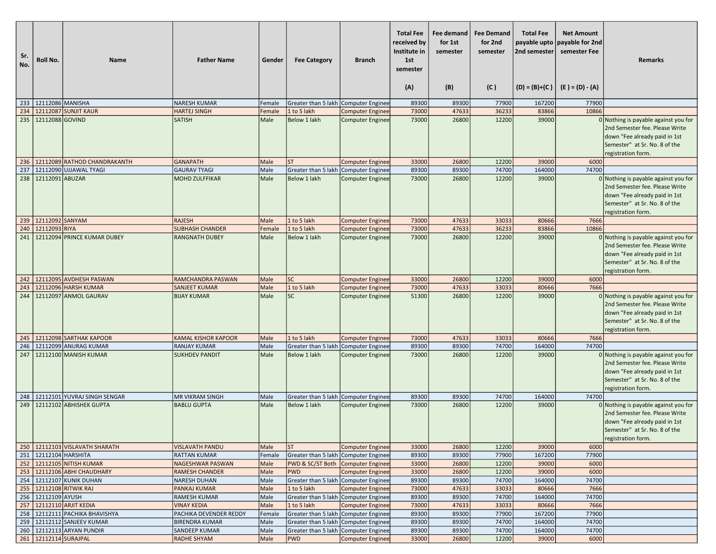| Sr.<br>No. | Roll No.              | <b>Name</b>                                                      | <b>Father Name</b>                           | Gender       | <b>Fee Category</b>                                  | <b>Branch</b>           | <b>Total Fee</b><br>received by<br>Institute in<br>1st<br>semester<br>(A) | Fee demand<br>for 1st<br>semester<br>(B) | <b>Fee Demand</b><br>for 2nd<br>semester<br>(C) | <b>Total Fee</b><br>payable upto<br>2nd semester | <b>Net Amount</b><br>payable for 2nd<br>semester Fee<br>$(D) = (B)+(C)$ $(E) = (D) - (A)$ | <b>Remarks</b>                                                                                                                                                 |
|------------|-----------------------|------------------------------------------------------------------|----------------------------------------------|--------------|------------------------------------------------------|-------------------------|---------------------------------------------------------------------------|------------------------------------------|-------------------------------------------------|--------------------------------------------------|-------------------------------------------------------------------------------------------|----------------------------------------------------------------------------------------------------------------------------------------------------------------|
|            | 233 22112086 MANISHA  |                                                                  | NARESH KUMAR                                 | Female       | Greater than 5 lakh   Computer Enginee               |                         | 89300                                                                     | 89300                                    | 77900                                           | 167200                                           | 77900                                                                                     |                                                                                                                                                                |
| 234        |                       | 12112087 SUNJIT KAUR                                             | <b>HARTEJ SINGH</b>                          | Female       | 1 to 5 lakh                                          | <b>Computer Enginee</b> | 73000                                                                     | 47633                                    | 36233                                           | 83866                                            | 10866                                                                                     |                                                                                                                                                                |
|            | 235 22112088 GOVIND   |                                                                  | <b>SATISH</b>                                | Male         | Below 1 lakh                                         | <b>Computer Enginee</b> | 73000                                                                     | 26800                                    | 12200                                           | 39000                                            |                                                                                           | 0 Nothing is payable against you for<br>2nd Semester fee. Please Write<br>down "Fee already paid in 1st<br>Semester" at Sr. No. 8 of the<br>registration form. |
|            |                       | 236   12112089 RATHOD CHANDRAKANTH                               | <b>GANAPATH</b>                              | Male         | <b>ST</b>                                            | <b>Computer Enginee</b> | 33000                                                                     | 26800                                    | 12200                                           | 39000                                            | 6000                                                                                      |                                                                                                                                                                |
| 237        |                       | 12112090 UJJAWAL TYAGI                                           | <b>GAURAV TYAGI</b>                          | Male         | Greater than 5 lakh Computer Enginee                 |                         | 89300                                                                     | 89300                                    | 74700                                           | 164000                                           | 74700                                                                                     |                                                                                                                                                                |
|            | 238 22112091 ABUZAR   |                                                                  | <b>MOHD ZULFFIKAR</b>                        | Male         | Below 1 lakh                                         | <b>Computer Enginee</b> | 73000                                                                     | 26800                                    | 12200                                           | 39000                                            |                                                                                           | 0 Nothing is payable against you for<br>2nd Semester fee. Please Write<br>down "Fee already paid in 1st<br>Semester" at Sr. No. 8 of the<br>registration form. |
|            | 239 12112092 SANYAM   |                                                                  | <b>RAJESH</b>                                | Male         | 1 to 5 lakh                                          | <b>Computer Enginee</b> | 73000                                                                     | 47633                                    | 33033                                           | 80666                                            | 7666                                                                                      |                                                                                                                                                                |
|            | 240 12112093 RIYA     |                                                                  | <b>SUBHASH CHANDER</b>                       | Female       | 1 to 5 lakh                                          | <b>Computer Enginee</b> | 73000                                                                     | 47633                                    | 36233                                           | 83866                                            | 10866                                                                                     |                                                                                                                                                                |
|            |                       | 241   12112094 PRINCE KUMAR DUBEY                                | <b>RANGNATH DUBEY</b>                        | Male         | Below 1 lakh                                         | <b>Computer Enginee</b> | 73000                                                                     | 26800                                    | 12200                                           | 39000                                            |                                                                                           | 0 Nothing is payable against you for<br>2nd Semester fee. Please Write<br>down "Fee already paid in 1st<br>Semester" at Sr. No. 8 of the<br>registration form. |
|            |                       | 242 21112095 AVDHESH PASWAN                                      | RAMCHANDRA PASWAN                            | Male         | <b>SC</b>                                            | <b>Computer Enginee</b> | 33000                                                                     | 26800                                    | 12200                                           | 39000                                            | 6000                                                                                      |                                                                                                                                                                |
|            |                       | 243 22112096 HARSH KUMAR                                         | <b>SANJEET KUMAR</b>                         | Male         | 1 to 5 lakh                                          | <b>Computer Enginee</b> | 73000                                                                     | 47633                                    | 33033                                           | 80666                                            | 7666                                                                                      |                                                                                                                                                                |
| 244        |                       | 12112097 ANMOL GAURAV                                            | <b>BIJAY KUMAR</b>                           | Male         | <b>SC</b>                                            | <b>Computer Enginee</b> | 51300                                                                     | 26800                                    | 12200                                           | 39000                                            |                                                                                           | 0 Nothing is payable against you for<br>2nd Semester fee. Please Write<br>down "Fee already paid in 1st<br>Semester" at Sr. No. 8 of the<br>registration form. |
|            |                       | 245 21112098 SARTHAK KAPOOR                                      | <b>KAMAL KISHOR KAPOOR</b>                   | Male         | 1 to 5 lakh                                          | <b>Computer Enginee</b> | 73000                                                                     | 47633                                    | 33033                                           | 80666                                            | 7666                                                                                      |                                                                                                                                                                |
| 246<br>247 |                       | 12112099 ANURAG KUMAR<br>12112100 MANISH KUMAR                   | <b>RANJAY KUMAR</b><br><b>SUKHDEV PANDIT</b> | Male<br>Male | Greater than 5 lakh Computer Enginee<br>Below 1 lakh | <b>Computer Enginee</b> | 89300<br>73000                                                            | 89300<br>26800                           | 74700<br>12200                                  | 164000<br>39000                                  | 74700                                                                                     | 0 Nothing is payable against you for                                                                                                                           |
|            |                       |                                                                  |                                              |              |                                                      |                         |                                                                           |                                          |                                                 |                                                  |                                                                                           | 2nd Semester fee. Please Write<br>down "Fee already paid in 1st<br>Semester" at Sr. No. 8 of the<br>registration form.                                         |
|            |                       | 248 212112101 YUVRAJ SINGH SENGAR<br>249 21112102 ABHISHEK GUPTA | <b>MR VIKRAM SINGH</b>                       | Male         | Greater than 5 lakh   Computer Enginee               |                         | 89300                                                                     | 89300                                    | 74700<br>12200                                  | 164000                                           | 74700                                                                                     | $0$ Nothing is payable against you for                                                                                                                         |
|            |                       |                                                                  | <b>BABLU GUPTA</b>                           | Male         | Below 1 lakh                                         | <b>Computer Enginee</b> | 73000                                                                     | 26800                                    |                                                 | 39000                                            |                                                                                           | 2nd Semester fee. Please Write<br>down "Fee already paid in 1st<br>Semester" at Sr. No. 8 of the<br>registration form.                                         |
|            |                       | 250 12112103 VISLAVATH SHARATH                                   | <b>VISLAVATH PANDU</b>                       | Male         | <b>ST</b>                                            | <b>Computer Enginee</b> | 33000                                                                     | 26800                                    | 12200                                           | 39000                                            | 6000                                                                                      |                                                                                                                                                                |
|            | 251 22112104 HARSHITA |                                                                  | <b>RATTAN KUMAR</b>                          | Female       | Greater than 5 lakh Computer Enginee                 |                         | 89300                                                                     | 89300                                    | 77900                                           | 167200                                           | 77900                                                                                     |                                                                                                                                                                |
|            |                       | 252 22112105 NITISH KUMAR                                        | NAGESHWAR PASWAN                             | Male         | PWD & SC/ST Both                                     | Computer Enginee        | 33000                                                                     | 26800                                    | 12200                                           | 39000                                            | 6000                                                                                      |                                                                                                                                                                |
|            |                       | 253 12112106 ABHI CHAUDHARY                                      | <b>RAMESH CHANDER</b>                        | Male         | <b>PWD</b>                                           | <b>Computer Enginee</b> | 33000                                                                     | 26800                                    | 12200<br>74700                                  | 39000<br>164000                                  | 6000                                                                                      |                                                                                                                                                                |
|            |                       | 254   12112107 KUNIK DUHAN<br>255 22112108 RITWIK RAJ            | NARESH DUHAN<br>PANKAJ KUMAR                 | Male<br>Male | Greater than 5 lakh Computer Enginee<br>1 to 5 lakh  | <b>Computer Enginee</b> | 89300<br>73000                                                            | 89300<br>47633                           | 33033                                           | 80666                                            | 74700<br>7666                                                                             |                                                                                                                                                                |
|            | 256 22112109 AYUSH    |                                                                  | <b>RAMESH KUMAR</b>                          | Male         | Greater than 5 lakh   Computer Enginee               |                         | 89300                                                                     | 89300                                    | 74700                                           | 164000                                           | 74700                                                                                     |                                                                                                                                                                |
|            |                       | 257 12112110 ARJIT KEDIA                                         | <b>VINAY KEDIA</b>                           | Male         | 1 to 5 lakh                                          | <b>Computer Enginee</b> | 73000                                                                     | 47633                                    | 33033                                           | 80666                                            | 7666                                                                                      |                                                                                                                                                                |
|            |                       | 258 22112111 PACHIKA BHAVISHYA                                   | PACHIKA DEVENDER REDDY                       | Female       | Greater than 5 lakh Computer Enginee                 |                         | 89300                                                                     | 89300                                    | 77900                                           | 167200                                           | 77900                                                                                     |                                                                                                                                                                |
|            |                       | 259   12112112 SANJEEV KUMAR                                     | <b>BIRENDRA KUMAR</b>                        | Male         | Greater than 5 lakh Computer Enginee                 |                         | 89300                                                                     | 89300                                    | 74700                                           | 164000                                           | 74700                                                                                     |                                                                                                                                                                |
|            |                       | 260   12112113 ARYAN PUNDIR                                      | <b>SANDEEP KUMAR</b>                         | Male         | Greater than 5 lakh Computer Enginee                 |                         | 89300                                                                     | 89300                                    | 74700                                           | 164000                                           | 74700                                                                                     |                                                                                                                                                                |
|            | 261 22112114 SURAJPAL |                                                                  | <b>RADHE SHYAM</b>                           | Male         | <b>PWD</b>                                           | <b>Computer Enginee</b> | 33000                                                                     | 26800                                    | 12200                                           | 39000                                            | 6000                                                                                      |                                                                                                                                                                |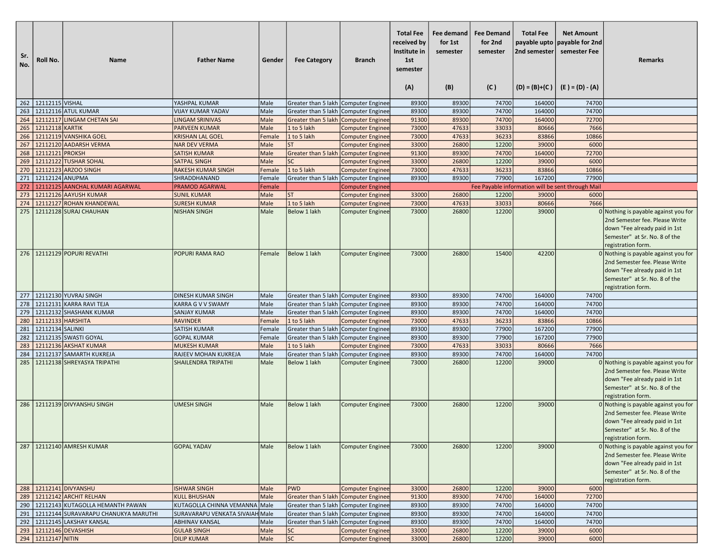| Sr.<br>No. | Roll No.            | <b>Name</b>                            | <b>Father Name</b>                       | Gender       | <b>Fee Category</b>                    | <b>Branch</b>                                      | <b>Total Fee</b><br>received by<br>Institute in<br>1st<br>semester<br>(A) | Fee demand<br>for 1st<br>semester<br>(B) | <b>Fee Demand</b><br>for 2nd<br>semester<br>(C) | <b>Total Fee</b><br>2nd semester | <b>Net Amount</b><br>payable upto   payable for 2nd<br>semester Fee<br>$(D) = (B)+(C)$ $(E) = (D) - (A)$ | <b>Remarks</b>                                                                                                                                                   |
|------------|---------------------|----------------------------------------|------------------------------------------|--------------|----------------------------------------|----------------------------------------------------|---------------------------------------------------------------------------|------------------------------------------|-------------------------------------------------|----------------------------------|----------------------------------------------------------------------------------------------------------|------------------------------------------------------------------------------------------------------------------------------------------------------------------|
|            | 262 22112115 VISHAL |                                        | YASHPAL KUMAR                            | Male         | Greater than 5 lakh Computer Enginee   |                                                    | 89300                                                                     | 89300                                    | 74700                                           | 164000                           | 74700                                                                                                    |                                                                                                                                                                  |
| 263        |                     | 12112116 ATUL KUMAR                    | <b>VIJAY KUMAR YADAV</b>                 | Male         | Greater than 5 lakh Computer Enginee   |                                                    | 89300                                                                     | 89300                                    | 74700                                           | 164000                           | 74700                                                                                                    |                                                                                                                                                                  |
| 264        |                     | 12112117 LINGAM CHETAN SAI             | <b>LINGAM SRINIVAS</b>                   | Male         | Greater than 5 lakh   Computer Enginee |                                                    | 91300                                                                     | 89300                                    | 74700                                           | 164000                           | 72700                                                                                                    |                                                                                                                                                                  |
| 265        | 12112118 KARTIK     |                                        | <b>PARVEEN KUMAR</b>                     | Male         | 1 to 5 lakh                            | <b>Computer Enginee</b>                            | 73000                                                                     | 47633                                    | 33033                                           | 80666                            | 7666                                                                                                     |                                                                                                                                                                  |
| 266        |                     | 12112119 VANSHIKA GOEL                 | <b>KRISHAN LAL GOEL</b>                  | Female       | 1 to 5 lakh                            | <b>Computer Enginee</b>                            | 73000                                                                     | 47633                                    | 36233                                           | 83866                            | 10866                                                                                                    |                                                                                                                                                                  |
| 267        |                     | 12112120 AADARSH VERMA                 | <b>NAR DEV VERMA</b>                     | Male         | <b>ST</b>                              | <b>Computer Enginee</b>                            | 33000                                                                     | 26800                                    | 12200                                           | 39000                            | 6000                                                                                                     |                                                                                                                                                                  |
| 268        | 12112121 PROKSH     |                                        | <b>SATISH KUMAR</b>                      | Male         | Greater than 5 lakh Computer Enginee   |                                                    | 91300                                                                     | 89300                                    | 74700                                           | 164000                           | 72700                                                                                                    |                                                                                                                                                                  |
| 269        |                     | 12112122 TUSHAR SOHAL                  | <b>SATPAL SINGH</b>                      | Male         | <b>SC</b>                              | <b>Computer Enginee</b>                            | 33000                                                                     | 26800                                    | 12200                                           | 39000                            | 6000                                                                                                     |                                                                                                                                                                  |
| 270        |                     | 12112123 ARZOO SINGH                   | <b>RAKESH KUMAR SINGH</b>                | Female       | 1 to 5 lakh                            | <b>Computer Enginee</b>                            | 73000                                                                     | 47633                                    | 36233                                           | 83866                            | 10866                                                                                                    |                                                                                                                                                                  |
| 271        | 12112124 ANUPMA     |                                        | SHRADDHANAND                             | Female       | Greater than 5 lakh   Computer Enginee |                                                    | 89300                                                                     | 89300                                    | 77900                                           | 167200                           | 77900                                                                                                    |                                                                                                                                                                  |
| 272        |                     | 12112125 AANCHAL KUMARI AGARWAL        | PRAMOD AGARWAL                           | Female       |                                        | <b>Computer Enginee</b>                            |                                                                           |                                          |                                                 |                                  | Fee Payable information will be sent through Mail                                                        |                                                                                                                                                                  |
| 273        |                     | 12112126 AAYUSH KUMAR                  | <b>SUNIL KUMAR</b>                       | Male         | ST                                     | <b>Computer Enginee</b>                            | 33000                                                                     | 26800                                    | 12200                                           | 39000                            | 6000                                                                                                     |                                                                                                                                                                  |
| 274        |                     | 12112127 ROHAN KHANDEWAL               | <b>SURESH KUMAR</b>                      | Male         | 1 to 5 lakh                            | <b>Computer Enginee</b>                            | 73000                                                                     | 47633                                    | 33033                                           | 80666                            | 7666                                                                                                     |                                                                                                                                                                  |
| 275        |                     | 12112128 SURAJ CHAUHAN                 | <b>NISHAN SINGH</b>                      | Male         | Below 1 lakh                           | <b>Computer Enginee</b>                            | 73000                                                                     | 26800                                    | 12200                                           | 39000                            |                                                                                                          | 0 Nothing is payable against you for<br>2nd Semester fee. Please Write<br>down "Fee already paid in 1st<br>Semester" at Sr. No. 8 of the<br>registration form.   |
|            |                     | 276   12112129 POPURI REVATHI          | POPURI RAMA RAO                          | Female       | Below 1 lakh                           | <b>Computer Enginee</b>                            | 73000                                                                     | 26800                                    | 15400                                           | 42200                            |                                                                                                          | $0$ Nothing is payable against you for<br>2nd Semester fee. Please Write<br>down "Fee already paid in 1st<br>Semester" at Sr. No. 8 of the<br>registration form. |
|            |                     | 277 12112130 YUVRAJ SINGH              | <b>DINESH KUMAR SINGH</b>                | Male         | Greater than 5 lakh Computer Enginee   |                                                    | 89300                                                                     | 89300                                    | 74700                                           | 164000                           | 74700                                                                                                    |                                                                                                                                                                  |
| 278        |                     | 12112131 KARRA RAVI TEJA               | KARRA G V V SWAMY                        | Male         | Greater than 5 lakh Computer Enginee   |                                                    | 89300                                                                     | 89300                                    | 74700                                           | 164000                           | 74700                                                                                                    |                                                                                                                                                                  |
| 279        |                     | 12112132 SHASHANK KUMAR                | <b>SANJAY KUMAR</b>                      | Male         | Greater than 5 lakh   Computer Enginee |                                                    | 89300                                                                     | 89300                                    | 74700                                           | 164000                           | 74700                                                                                                    |                                                                                                                                                                  |
| 280        | 12112133 HARSHITA   |                                        | <b>RAVINDER</b>                          | Female       | 1 to 5 lakh                            | <b>Computer Enginee</b>                            | 73000                                                                     | 47633                                    | 36233                                           | 83866                            | 10866                                                                                                    |                                                                                                                                                                  |
| 281        | 12112134 SALINKI    |                                        | <b>SATISH KUMAR</b>                      | Female       | Greater than 5 lakh Computer Enginee   |                                                    | 89300                                                                     | 89300                                    | 77900                                           | 167200                           | 77900                                                                                                    |                                                                                                                                                                  |
| 282        |                     | 12112135 SWASTI GOYAL                  | <b>GOPAL KUMAR</b>                       | Female       | Greater than 5 lakh   Computer Enginee |                                                    | 89300                                                                     | 89300                                    | 77900                                           | 167200                           | 77900                                                                                                    |                                                                                                                                                                  |
| 283        |                     | 12112136 AKSHAT KUMAR                  | <b>MUKESH KUMAR</b>                      | Male         | 1 to 5 lakh                            | <b>Computer Enginee</b>                            | 73000                                                                     | 47633                                    | 33033                                           | 80666                            | 7666                                                                                                     |                                                                                                                                                                  |
| 284        |                     | 12112137 SAMARTH KUKREJA               | RAJEEV MOHAN KUKREJA                     | Male         | Greater than 5 lakh Computer Enginee   |                                                    | 89300                                                                     | 89300                                    | 74700                                           | 164000                           | 74700                                                                                                    |                                                                                                                                                                  |
| 285        |                     | 12112138 SHREYASYA TRIPATHI            | <b>SHAILENDRA TRIPATHI</b>               | Male         | Below 1 lakh                           | <b>Computer Enginee</b>                            | 73000                                                                     | 26800                                    | 12200                                           | 39000                            |                                                                                                          | 0 Nothing is payable against you for<br>2nd Semester fee. Please Write<br>down "Fee already paid in 1st<br>Semester" at Sr. No. 8 of the<br>registration form.   |
|            |                     | 286 22112139 DIVYANSHU SINGH           | <b>UMESH SINGH</b>                       | Male         | Below 1 lakh                           | <b>Computer Enginee</b>                            | 73000                                                                     | 26800                                    | 12200                                           | 39000                            |                                                                                                          | 0 Nothing is payable against you for<br>2nd Semester fee. Please Write<br>down "Fee already paid in 1st<br>Semester" at Sr. No. 8 of the<br>registration form.   |
|            |                     | 287   12112140 AMRESH KUMAR            | <b>GOPAL YADAV</b>                       | Male         | Below 1 lakh                           | <b>Computer Enginee</b>                            | 73000                                                                     | 26800                                    | 12200                                           | 39000                            |                                                                                                          | 0 Nothing is payable against you for<br>2nd Semester fee. Please Write<br>down "Fee already paid in 1st<br>Semester" at Sr. No. 8 of the<br>registration form.   |
|            |                     | 288 12112141 DIVYANSHU                 | <b>ISHWAR SINGH</b>                      | Male         | PWD                                    | <b>Computer Enginee</b>                            | 33000                                                                     | 26800                                    | 12200                                           | 39000                            | 6000                                                                                                     |                                                                                                                                                                  |
| 289        |                     | 12112142 ARCHIT RELHAN                 | <b>KULL BHUSHAN</b>                      | Male         | Greater than 5 lakh Computer Enginee   |                                                    | 91300                                                                     | 89300                                    | 74700                                           | 164000                           | 72700                                                                                                    |                                                                                                                                                                  |
|            |                     | 290   12112143 KUTAGOLLA HEMANTH PAWAN | KUTAGOLLA CHINNA VEMANNA Male            |              | Greater than 5 lakh Computer Enginee   |                                                    | 89300                                                                     | 89300                                    | 74700                                           | 164000                           | 74700                                                                                                    |                                                                                                                                                                  |
| 291        |                     | 12112144 SURAVARAPU CHANUKYA MARUTHI   | SURAVARAPU VENKATA SIVAIAH Male          |              | Greater than 5 lakh Computer Enginee   |                                                    | 89300                                                                     | 89300                                    | 74700                                           | 164000                           | 74700                                                                                                    |                                                                                                                                                                  |
| 292        |                     | 12112145 LAKSHAY KANSAL                | <b>ABHINAV KANSAL</b>                    | Male         | Greater than 5 lakh   Computer Enginee |                                                    | 89300                                                                     | 89300                                    | 74700                                           | 164000                           | 74700                                                                                                    |                                                                                                                                                                  |
|            | 294 22112147 NITIN  | 293 12112146 DEVASHISH                 | <b>GULAB SINGH</b><br><b>DILIP KUMAR</b> | Male<br>Male | <b>SC</b><br> sc                       | <b>Computer Enginee</b><br><b>Computer Enginee</b> | 33000<br>33000                                                            | 26800<br>26800                           | 12200<br>12200                                  | 39000<br>39000                   | 6000<br>6000                                                                                             |                                                                                                                                                                  |
|            |                     |                                        |                                          |              |                                        |                                                    |                                                                           |                                          |                                                 |                                  |                                                                                                          |                                                                                                                                                                  |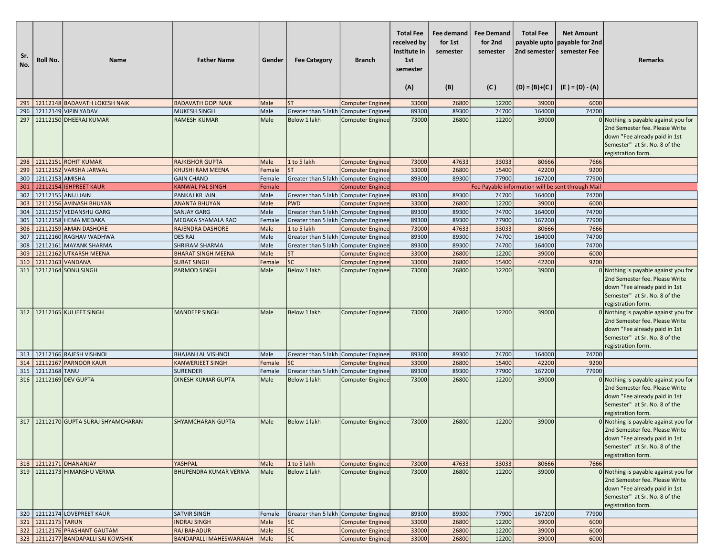| Sr.<br>No. | Roll No.           | <b>Name</b>                            | <b>Father Name</b>                         | Gender       | <b>Fee Category</b>                    | <b>Branch</b>                               | <b>Total Fee</b><br>received by<br>Institute in<br>1st<br>semester<br>(A) | Fee demand<br>for 1st<br>semester<br>(B) | <b>Fee Demand</b><br>for 2nd<br>semester<br>(C) | <b>Total Fee</b><br>payable upto<br>2nd semester<br>$(D) = (B)+(C)$ | <b>Net Amount</b><br>payable for 2nd<br>semester Fee<br>(E ) = (D) - (A) | <b>Remarks</b>                                                                                                                                                 |
|------------|--------------------|----------------------------------------|--------------------------------------------|--------------|----------------------------------------|---------------------------------------------|---------------------------------------------------------------------------|------------------------------------------|-------------------------------------------------|---------------------------------------------------------------------|--------------------------------------------------------------------------|----------------------------------------------------------------------------------------------------------------------------------------------------------------|
| 295        |                    | 12112148 BADAVATH LOKESH NAIK          | <b>BADAVATH GOPI NAIK</b>                  | Male         | <b>ST</b>                              | <b>Computer Enginee</b>                     | 33000                                                                     | 26800                                    | 12200                                           | 39000                                                               | 6000                                                                     |                                                                                                                                                                |
| 296        |                    | 12112149 VIPIN YADAV                   | <b>MUKESH SINGH</b>                        | Male         | Greater than 5 lakh                    | Computer Enginee                            | 89300                                                                     | 89300                                    | 74700                                           | 164000                                                              | 74700                                                                    |                                                                                                                                                                |
| 297        |                    | 12112150 DHEERAJ KUMAR                 | <b>RAMESH KUMAR</b>                        | Male         | Below 1 lakh                           | <b>Computer Enginee</b>                     | 73000                                                                     | 26800                                    | 12200                                           | 39000                                                               |                                                                          | 0 Nothing is payable against you for<br>2nd Semester fee. Please Write<br>down "Fee already paid in 1st<br>Semester" at Sr. No. 8 of the<br>registration form. |
|            |                    | 298 12112151 ROHIT KUMAR               | <b>RAJKISHOR GUPTA</b>                     | Male         | 1 to 5 lakh                            | <b>Computer Enginee</b>                     | 73000                                                                     | 47633                                    | 33033                                           | 80666                                                               | 7666                                                                     |                                                                                                                                                                |
| 299        |                    | 12112152 VARSHA JARWAL                 | <b>KHUSHI RAM MEENA</b>                    | Female       | <b>ST</b>                              | <b>Computer Enginee</b>                     | 33000                                                                     | 26800                                    | 15400                                           | 42200                                                               | 9200                                                                     |                                                                                                                                                                |
| 300        | 12112153 AMISHA    |                                        | <b>GAIN CHAND</b>                          | Female       | Greater than 5 lakh                    | Computer Enginee                            | 89300                                                                     | 89300                                    | 77900                                           | 167200                                                              | 77900                                                                    |                                                                                                                                                                |
| 301        |                    | 12112154 ISHPREET KAUR                 | <b>KANWAL PAL SINGH</b>                    | Female       |                                        | <b>Computer Enginee</b>                     |                                                                           |                                          |                                                 |                                                                     | Fee Payable information will be sent through Mail                        |                                                                                                                                                                |
| 302        | 12112155 ANUJ JAIN | 12112156 AVINASH BHUYAN                | PANKAJ KR JAIN                             | Male         | Greater than 5 lakh   Computer Enginee |                                             | 89300                                                                     | 89300                                    | 74700<br>12200                                  | 164000<br>39000                                                     | 74700<br>6000                                                            |                                                                                                                                                                |
| 303<br>304 |                    | 12112157 VEDANSHU GARG                 | <b>ANANTA BHUYAN</b><br><b>SANJAY GARG</b> | Male<br>Male | <b>PWD</b><br>Greater than 5 lakh      | <b>Computer Enginee</b><br>Computer Enginee | 33000<br>89300                                                            | 26800<br>89300                           | 74700                                           | 164000                                                              | 74700                                                                    |                                                                                                                                                                |
| 305        |                    | 12112158 HEMA MEDAKA                   | MEDAKA SYAMALA RAO                         | Female       | Greater than 5 lakh                    | Computer Enginee                            | 89300                                                                     | 89300                                    | 77900                                           | 167200                                                              | 77900                                                                    |                                                                                                                                                                |
| 306        |                    | 12112159 AMAN DASHORE                  | <b>RAJENDRA DASHORE</b>                    | Male         | 1 to 5 lakh                            | <b>Computer Enginee</b>                     | 73000                                                                     | 47633                                    | 33033                                           | 80666                                                               | 7666                                                                     |                                                                                                                                                                |
| 307        |                    | 12112160 RAGHAV WADHWA                 | <b>DES RAJ</b>                             | Male         | Greater than 5 lakh                    | Computer Enginee                            | 89300                                                                     | 89300                                    | 74700                                           | 164000                                                              | 74700                                                                    |                                                                                                                                                                |
| 308        |                    | 12112161 MAYANK SHARMA                 | <b>SHRIRAM SHARMA</b>                      | Male         | Greater than 5 lakh                    | Computer Enginee                            | 89300                                                                     | 89300                                    | 74700                                           | 164000                                                              | 74700                                                                    |                                                                                                                                                                |
| 309        |                    | 12112162 UTKARSH MEENA                 | <b>BHARAT SINGH MEENA</b>                  | Male         | <b>ST</b>                              | <b>Computer Enginee</b>                     | 33000                                                                     | 26800                                    | 12200                                           | 39000                                                               | 6000                                                                     |                                                                                                                                                                |
| 310        |                    | 12112163 VANDANA                       | <b>SURAT SINGH</b>                         | Female       | <b>SC</b>                              | <b>Computer Enginee</b>                     | 33000                                                                     | 26800                                    | 15400                                           | 42200                                                               | 9200                                                                     |                                                                                                                                                                |
| 311        |                    | 12112164 SONU SINGH                    | <b>PARMOD SINGH</b>                        | Male         | Below 1 lakh                           | <b>Computer Enginee</b>                     | 73000                                                                     | 26800                                    | 12200                                           | 39000                                                               |                                                                          | 0 Nothing is payable against you for<br>2nd Semester fee. Please Write<br>down "Fee already paid in 1st<br>Semester" at Sr. No. 8 of the<br>registration form. |
|            |                    | 312 12112165 KULJEET SINGH             | <b>MANDEEP SINGH</b>                       | Male         | Below 1 lakh                           | <b>Computer Enginee</b>                     | 73000                                                                     | 26800                                    | 12200                                           | 39000                                                               |                                                                          | 0 Nothing is payable against you for<br>2nd Semester fee. Please Write<br>down "Fee already paid in 1st<br>Semester" at Sr. No. 8 of the<br>registration form. |
| 313        |                    | 12112166 RAJESH VISHNOI                | <b>BHAJAN LAL VISHNOI</b>                  | Male         | Greater than 5 lakh   Computer Enginee |                                             | 89300                                                                     | 89300                                    | 74700                                           | 164000                                                              | 74700                                                                    |                                                                                                                                                                |
| 314        |                    | 12112167 PARNOOR KAUR                  | <b>KANWERJEET SINGH</b>                    | Female       | <b>SC</b>                              | <b>Computer Enginee</b>                     | 33000                                                                     | 26800                                    | 15400                                           | 42200                                                               | 9200                                                                     |                                                                                                                                                                |
| 315        | 12112168 TANU      |                                        | <b>SURENDER</b>                            | Female       | Greater than 5 lakh                    | Computer Enginee                            | 89300                                                                     | 89300                                    | 77900                                           | 167200                                                              | 77900                                                                    |                                                                                                                                                                |
|            |                    | 316   12112169 DEV GUPTA               | <b>DINESH KUMAR GUPTA</b>                  | Male         | <b>Below 1 lakh</b>                    | <b>Computer Enginee</b>                     | 73000                                                                     | 26800                                    | 12200                                           | 39000                                                               |                                                                          | 0 Nothing is payable against you for<br>2nd Semester fee. Please Write<br>down "Fee already paid in 1st<br>Semester" at Sr. No. 8 of the<br>registration form. |
|            |                    | 317   12112170 GUPTA SURAJ SHYAMCHARAN | <b>SHYAMCHARAN GUPTA</b>                   | Male         | Below 1 lakh                           | <b>Computer Enginee</b>                     | 73000                                                                     | 26800                                    | 12200                                           | 39000                                                               |                                                                          | 0 Nothing is payable against you for<br>2nd Semester fee. Please Write<br>down "Fee already paid in 1st<br>Semester" at Sr. No. 8 of the<br>registration form. |
|            |                    | 318   12112171   DHANANJAY             | YASHPAL                                    | Male         | 1 to 5 lakh                            | <b>Computer Enginee</b>                     | 73000                                                                     | 47633                                    | 33033                                           | 80666                                                               | 7666                                                                     |                                                                                                                                                                |
|            |                    | 319   12112173   HIMANSHU VERMA        | BHUPENDRA KUMAR VERMA                      | Male         | Below 1 lakh                           | <b>Computer Enginee</b>                     | 73000                                                                     | 26800                                    | 12200                                           | 39000                                                               |                                                                          | 0 Nothing is payable against you for<br>2nd Semester fee. Please Write<br>down "Fee already paid in 1st<br>Semester" at Sr. No. 8 of the<br>registration form. |
|            |                    | 320   12112174 LOVEPREET KAUR          | <b>SATVIR SINGH</b>                        | Female       | Greater than 5 lakh Computer Enginee   |                                             | 89300                                                                     | 89300                                    | 77900                                           | 167200                                                              | 77900                                                                    |                                                                                                                                                                |
|            | 321 12112175 TARUN |                                        | <b>INDRAJ SINGH</b>                        | Male         | SC                                     | <b>Computer Enginee</b>                     | 33000                                                                     | 26800                                    | 12200                                           | 39000                                                               | 6000                                                                     |                                                                                                                                                                |
| 322        |                    | 12112176 PRASHANT GAUTAM               | <b>RAJ BAHADUR</b>                         | Male         | <b>SC</b>                              | <b>Computer Enginee</b>                     | 33000                                                                     | 26800                                    | 12200                                           | 39000                                                               | 6000                                                                     |                                                                                                                                                                |
|            |                    | 323   12112177 BANDAPALLI SAI KOWSHIK  | <b>BANDAPALLI MAHESWARAIAH</b>             | Male         | sc                                     | <b>Computer Enginee</b>                     | 33000                                                                     | 26800                                    | 12200                                           | 39000                                                               | 6000                                                                     |                                                                                                                                                                |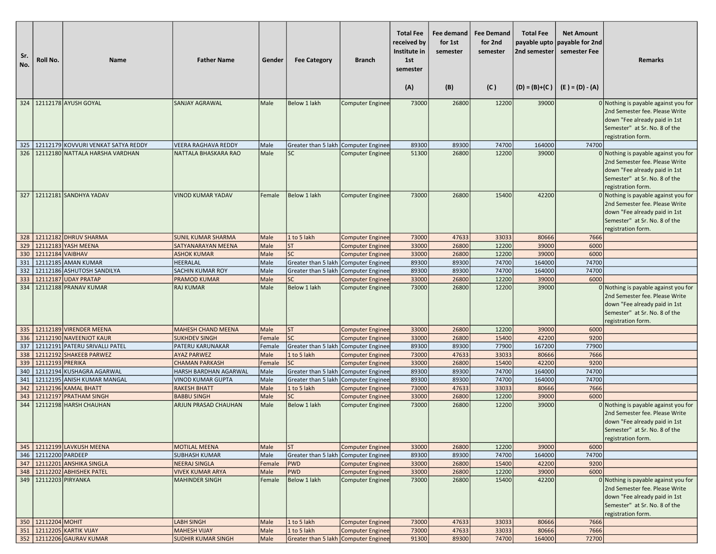| Sr.<br>No. | Roll No.                 | <b>Name</b>                                          | <b>Father Name</b>                                | Gender       | <b>Fee Category</b>                    | <b>Branch</b>                                      | <b>Total Fee</b><br>received by<br>Institute in<br>1st<br>semester<br>(A) | Fee demand<br>for 1st<br>semester<br>(B) | <b>Fee Demand</b><br>for 2nd<br>semester<br>(C) | <b>Total Fee</b><br>2nd semester<br>$(D) = (B)+(C)$ | <b>Net Amount</b><br>payable upto payable for 2nd<br>semester Fee<br>$(E) = (D) - (A)$ | <b>Remarks</b>                                                                                                                                                 |
|------------|--------------------------|------------------------------------------------------|---------------------------------------------------|--------------|----------------------------------------|----------------------------------------------------|---------------------------------------------------------------------------|------------------------------------------|-------------------------------------------------|-----------------------------------------------------|----------------------------------------------------------------------------------------|----------------------------------------------------------------------------------------------------------------------------------------------------------------|
| 324        |                          | 12112178 AYUSH GOYAL                                 | <b>SANJAY AGRAWAL</b>                             | Male         | Below 1 lakh                           | Computer Enginee                                   | 73000                                                                     | 26800                                    | 12200                                           | 39000                                               |                                                                                        | 0 Nothing is payable against you for<br>2nd Semester fee. Please Write<br>down "Fee already paid in 1st                                                        |
|            |                          |                                                      |                                                   |              |                                        |                                                    |                                                                           |                                          |                                                 |                                                     |                                                                                        | Semester" at Sr. No. 8 of the<br>registration form.                                                                                                            |
|            |                          | 325   12112179 KOVVURI VENKAT SATYA REDDY            | <b>VEERA RAGHAVA REDDY</b>                        | Male         | Greater than 5 lakh   Computer Enginee |                                                    | 89300                                                                     | 89300                                    | 74700                                           | 164000                                              | 74700                                                                                  |                                                                                                                                                                |
|            |                          | 326   12112180 NATTALA HARSHA VARDHAN                | <b>NATTALA BHASKARA RAO</b>                       | Male         | <b>SC</b>                              | <b>Computer Enginee</b>                            | 51300                                                                     | 26800                                    | 12200                                           | 39000                                               |                                                                                        | 0 Nothing is payable against you for<br>2nd Semester fee. Please Write<br>down "Fee already paid in 1st<br>Semester" at Sr. No. 8 of the<br>registration form. |
| 327        |                          | 12112181 SANDHYA YADAV                               | <b>VINOD KUMAR YADAV</b>                          | Female       | Below 1 lakh                           | Computer Enginee                                   | 73000                                                                     | 26800                                    | 15400                                           | 42200                                               |                                                                                        | 0 Nothing is payable against you for<br>2nd Semester fee. Please Write<br>down "Fee already paid in 1st<br>Semester" at Sr. No. 8 of the<br>registration form. |
|            |                          | 328 12112182 DHRUV SHARMA                            | <b>SUNIL KUMAR SHARMA</b>                         | Male         | 1 to 5 lakh                            | <b>Computer Enginee</b>                            | 73000                                                                     | 47633                                    | 33033                                           | 80666                                               | 7666                                                                                   |                                                                                                                                                                |
| 329        |                          | 12112183 YASH MEENA                                  | SATYANARAYAN MEENA                                | Male         | <b>ST</b>                              | <b>Computer Enginee</b>                            | 33000                                                                     | 26800                                    | 12200                                           | 39000                                               | 6000                                                                                   |                                                                                                                                                                |
|            | 330 12112184 VAIBHAV     |                                                      | <b>ASHOK KUMAR</b>                                | Male         | <b>SC</b>                              | <b>Computer Enginee</b>                            | 33000                                                                     | 26800                                    | 12200                                           | 39000                                               | 6000                                                                                   |                                                                                                                                                                |
| 331        |                          | 12112185 AMAN KUMAR                                  | HEERALAL                                          | Male         | Greater than 5 lakh   Computer Enginee |                                                    | 89300                                                                     | 89300                                    | 74700                                           | 164000                                              | 74700                                                                                  |                                                                                                                                                                |
|            |                          | 332   12112186 ASHUTOSH SANDILYA                     | SACHIN KUMAR ROY                                  | Male         | Greater than 5 lakh   Computer Enginee |                                                    | 89300                                                                     | 89300                                    | 74700                                           | 164000                                              | 74700                                                                                  |                                                                                                                                                                |
| 333        |                          | 12112187 UDAY PRATAP                                 | <b>PRAMOD KUMAR</b>                               | Male         | <b>SC</b>                              | <b>Computer Enginee</b>                            | 33000                                                                     | 26800                                    | 12200                                           | 39000                                               | 6000                                                                                   |                                                                                                                                                                |
| 334        |                          | 12112188 PRANAV KUMAR                                | <b>RAJ KUMAR</b>                                  | Male         | Below 1 lakh                           | <b>Computer Enginee</b>                            | 73000                                                                     | 26800                                    | 12200                                           | 39000                                               |                                                                                        | 0 Nothing is payable against you for<br>2nd Semester fee. Please Write<br>down "Fee already paid in 1st<br>Semester" at Sr. No. 8 of the<br>registration form. |
|            |                          | 335 12112189 VIRENDER MEENA                          | <b>MAHESH CHAND MEENA</b>                         | Male         | <b>ST</b>                              | <b>Computer Enginee</b>                            | 33000                                                                     | 26800                                    | 12200                                           | 39000                                               | 6000                                                                                   |                                                                                                                                                                |
|            |                          | 336 12112190 NAVEENJOT KAUR                          | <b>SUKHDEV SINGH</b>                              | Female       | <b>SC</b>                              | <b>Computer Enginee</b>                            | 33000                                                                     | 26800                                    | 15400                                           | 42200                                               | 9200                                                                                   |                                                                                                                                                                |
|            |                          | 337   12112191 PATERU SRIVALLI PATEL                 | PATERU KARUNAKAR                                  | Female       | Greater than 5 lakh   Computer Enginee |                                                    | 89300                                                                     | 89300                                    | 77900                                           | 167200                                              | 77900                                                                                  |                                                                                                                                                                |
| 338        |                          | 12112192 SHAKEEB PARWEZ                              | <b>AYAZ PARWEZ</b>                                | Male         | 1 to 5 lakh                            | <b>Computer Enginee</b>                            | 73000                                                                     | 47633                                    | 33033                                           | 80666                                               | 7666                                                                                   |                                                                                                                                                                |
|            | 339   12112193   PRERIKA |                                                      | <b>CHAMAN PARKASH</b>                             | Female       | <b>SC</b>                              | <b>Computer Enginee</b>                            | 33000                                                                     | 26800                                    | 15400                                           | 42200                                               | 9200                                                                                   |                                                                                                                                                                |
|            |                          | 340 12112194 KUSHAGRA AGARWAL                        | HARSH BARDHAN AGARWAL                             | Male         | Greater than 5 lakh   Computer Enginee |                                                    | 89300                                                                     | 89300                                    | 74700                                           | 164000                                              | 74700                                                                                  |                                                                                                                                                                |
|            |                          | 341   12112195 ANISH KUMAR MANGAL                    | <b>VINOD KUMAR GUPTA</b>                          | Male         | Greater than 5 lakh   Computer Enginee |                                                    | 89300                                                                     | 89300                                    | 74700                                           | 164000                                              | 74700                                                                                  |                                                                                                                                                                |
| 342        |                          | 12112196 KAMAL BHATT                                 | <b>RAKESH BHATT</b>                               | Male         | 1 to 5 lakh                            | <b>Computer Enginee</b>                            | 73000                                                                     | 47633                                    | 33033                                           | 80666                                               | 7666                                                                                   |                                                                                                                                                                |
| 343        |                          | 12112197 PRATHAM SINGH<br>344 21112198 HARSH CHAUHAN | <b>BABBU SINGH</b><br><b>ARJUN PRASAD CHAUHAN</b> | Male<br>Male | <b>SC</b><br>Below 1 lakh              | <b>Computer Enginee</b><br><b>Computer Enginee</b> | 33000<br>73000                                                            | 26800<br>26800                           | 12200<br>12200                                  | 39000<br>39000                                      | 6000                                                                                   | 0 Nothing is payable against you for<br>2nd Semester fee. Please Write<br>down "Fee already paid in 1st<br>Semester" at Sr. No. 8 of the<br>registration form. |
|            |                          | 345   12112199 LAVKUSH MEENA                         | <b>MOTILAL MEENA</b>                              | Male         | <b>ST</b>                              | <b>Computer Enginee</b>                            | 33000                                                                     | 26800                                    | 12200                                           | 39000                                               | 6000                                                                                   |                                                                                                                                                                |
|            | 346 22112200 PARDEEP     |                                                      | <b>SUBHASH KUMAR</b>                              | Male         | Greater than 5 lakh   Computer Enginee |                                                    | 89300                                                                     | 89300                                    | 74700                                           | 164000                                              | 74700                                                                                  |                                                                                                                                                                |
|            |                          | 347 12112201 ANSHIKA SINGLA                          | <b>NEERAJ SINGLA</b>                              | Female       | <b>PWD</b>                             | <b>Computer Enginee</b>                            | 33000                                                                     | 26800                                    | 15400                                           | 42200                                               | 9200                                                                                   |                                                                                                                                                                |
|            |                          | 348   12112202 ABHISHEK PATEL                        | <b>VIVEK KUMAR ARYA</b>                           | Male         | <b>PWD</b>                             | <b>Computer Enginee</b>                            | 33000                                                                     | 26800                                    | 12200                                           | 39000                                               | 6000                                                                                   |                                                                                                                                                                |
|            | 349 12112203 PIRYANKA    |                                                      | <b>MAHINDER SINGH</b>                             | Female       | Below 1 lakh                           | <b>Computer Enginee</b>                            | 73000                                                                     | 26800                                    | 15400                                           | 42200                                               |                                                                                        | 0 Nothing is payable against you for<br>2nd Semester fee. Please Write<br>down "Fee already paid in 1st<br>Semester" at Sr. No. 8 of the<br>registration form. |
|            | 350 12112204 MOHIT       |                                                      | LABH SINGH                                        | Male         | 1 to 5 lakh                            | <b>Computer Enginee</b>                            | 73000                                                                     | 47633                                    | 33033                                           | 80666                                               | 7666                                                                                   |                                                                                                                                                                |
|            |                          | 351   12112205 KARTIK VIJAY                          | <b>MAHESH VIJAY</b>                               | Male         | 1 to 5 lakh                            | <b>Computer Enginee</b>                            | 73000                                                                     | 47633                                    | 33033                                           | 80666                                               | 7666                                                                                   |                                                                                                                                                                |
|            |                          | 352 12112206 GAURAV KUMAR                            | <b>SUDHIR KUMAR SINGH</b>                         | Male         | Greater than 5 lakh   Computer Enginee |                                                    | 91300                                                                     | 89300                                    | 74700                                           | 164000                                              | 72700                                                                                  |                                                                                                                                                                |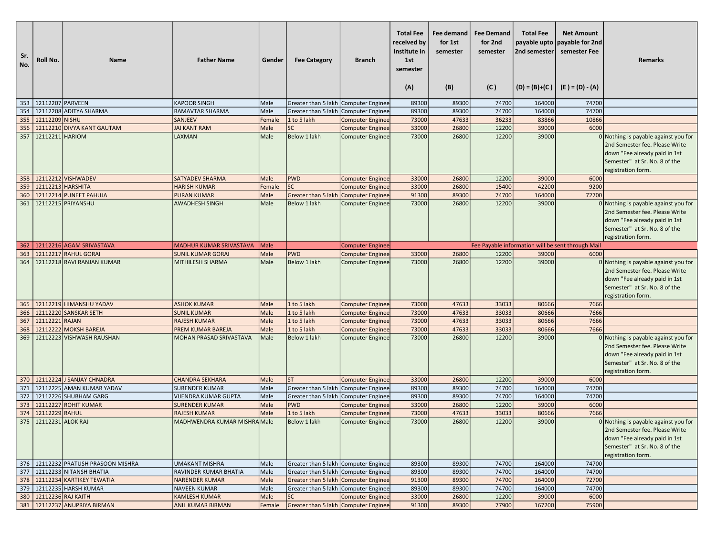| 12112207 PARVEEN<br><b>KAPOOR SINGH</b><br>353<br>Male<br>Greater than 5 lakh Computer Enginee<br>89300<br>89300<br>74700<br>164000<br>74700<br>354<br>12112208 ADITYA SHARMA<br>74700<br>74700<br><b>RAMAVTAR SHARMA</b><br>Male<br>Greater than 5 lakh Computer Enginee<br>89300<br>89300<br>164000<br>12112209 NISHU<br>47633<br>36233<br>83866<br>10866<br>355<br><b>SANJEEV</b><br>Female<br>1 to 5 lakh<br>73000<br><b>Computer Enginee</b><br>356<br>12112210 DIVYA KANT GAUTAM<br><b>SC</b><br>12200<br>6000<br><b>JAI KANT RAM</b><br>Male<br>33000<br>26800<br>39000<br><b>Computer Enginee</b><br>12112211 HARIOM<br>12200<br>357<br>LAXMAN<br>Male<br>Below 1 lakh<br>73000<br>26800<br>39000<br>0 Nothing is payable against you for<br><b>Computer Enginee</b><br>2nd Semester fee. Please Write<br>down "Fee already paid in 1st<br>Semester" at Sr. No. 8 of the<br>registration form.<br>358 12112212 VISHWADEV<br><b>SATYADEV SHARMA</b><br><b>PWD</b><br>26800<br>12200<br>39000<br>Male<br><b>Computer Enginee</b><br>33000<br>6000<br>359<br>12112213 HARSHITA<br><b>SC</b><br>9200<br><b>HARISH KUMAR</b><br><b>Computer Enginee</b><br>33000<br>26800<br>15400<br>42200<br>Female<br>360<br>12112214 PUNEET PAHUJA<br>89300<br>74700<br>72700<br><b>PURAN KUMAR</b><br>Male<br>Greater than 5 lakh Computer Enginee<br>91300<br>164000<br>361<br>12112215 PRIYANSHU<br>Male<br><b>Below 1 lakh</b><br>12200<br><b>AWADHESH SINGH</b><br><b>Computer Enginee</b><br>73000<br>26800<br>39000<br>0 Nothing is payable against you for<br>2nd Semester fee. Please Write<br>down "Fee already paid in 1st<br>Semester" at Sr. No. 8 of the<br>registration form.<br>12112216 AGAM SRIVASTAVA<br><b>MADHUR KUMAR SRIVASTAVA</b><br>Male<br>Fee Payable information will be sent through Mail<br>362<br><b>Computer Enginee</b><br>12112217 RAHUL GORAI<br>Male<br><b>PWD</b><br>33000<br>363<br><b>SUNIL KUMAR GORAI</b><br>Computer Enginee<br>26800<br>12200<br>39000<br>6000<br>26800<br>12200<br>39000<br>$0$ Nothing is payable against you for<br>364<br>12112218 RAVI RANJAN KUMAR<br>MITHILESH SHARMA<br>Male<br>Below 1 lakh<br>73000<br><b>Computer Enginee</b><br>2nd Semester fee. Please Write<br>down "Fee already paid in 1st<br>Semester" at Sr. No. 8 of the<br>registration form.<br>12112219 HIMANSHU YADAV<br>7666<br><b>ASHOK KUMAR</b><br>Male<br>1 to 5 lakh<br>73000<br>47633<br>33033<br>80666<br>365<br><b>Computer Enginee</b><br>12112220 SANSKAR SETH<br>1 to 5 lakh<br>47633<br>33033<br>7666<br>366<br><b>SUNIL KUMAR</b><br>Male<br>73000<br>80666<br><b>Computer Enginee</b><br>33033<br>7666<br>12112221 RAJAN<br>Male<br>1 to 5 lakh<br>73000<br>47633<br>80666<br>367<br><b>RAJESH KUMAR</b><br><b>Computer Enginee</b><br>33033<br>7666<br>12112222 MOKSH BAREJA<br>Male<br>1 to 5 lakh<br>73000<br>47633<br>80666<br>368<br>PREM KUMAR BAREJA<br><b>Computer Enginee</b><br>12112223 VISHWASH RAUSHAN<br>26800<br>12200<br>39000<br>369<br>MOHAN PRASAD SRIVASTAVA<br>Male<br>Below 1 lakh<br>73000<br>0 Nothing is payable against you for<br><b>Computer Enginee</b><br>2nd Semester fee. Please Write<br>down "Fee already paid in 1st<br>Semester" at Sr. No. 8 of the<br>registration form.<br>12112224 J SANJAY CHNADRA<br><b>CHANDRA SEKHARA</b><br>12200<br>370<br>Male<br><b>ST</b><br>33000<br>26800<br>39000<br>6000<br><b>Computer Enginee</b><br>371<br>12112225 AMAN KUMAR YADAV<br>74700<br><b>SURENDER KUMAR</b><br>Male<br>Greater than 5 lakh Computer Enginee<br>89300<br>89300<br>74700<br>164000<br>74700<br>12112226 SHUBHAM GARG<br>89300<br>164000<br>74700<br>372<br><b>VIJENDRA KUMAR GUPTA</b><br>Male<br>Greater than 5 lakh Computer Enginee<br>89300<br>373<br>12112227<br>Male<br><b>PWD</b><br>12200<br>6000<br><b>ROHIT KUMAR</b><br>33000<br>26800<br>39000<br><b>SURENDER KUMAR</b><br><b>Computer Enginee</b><br>33033<br>374<br>12112229 RAHUL<br>Male<br>1 to 5 lakh<br>73000<br>47633<br>80666<br>7666<br><b>RAJESH KUMAR</b><br><b>Computer Enginee</b><br>12112231 ALOK RAJ<br>Below 1 lakh<br>12200<br>375<br>MADHWENDRA KUMAR MISHRA Male<br><b>Computer Enginee</b><br>73000<br>26800<br>39000<br>0 Nothing is payable against you for<br>2nd Semester fee. Please Write<br>down "Fee already paid in 1st<br>Semester" at Sr. No. 8 of the<br>registration form.<br>376 12112232 PRATUSH PRASOON MISHRA<br><b>UMAKANT MISHRA</b><br>Male<br>Greater than 5 lakh Computer Enginee<br>89300<br>89300<br>74700<br>164000<br>74700<br>377 12112233 NITANSH BHATIA<br>RAVINDER KUMAR BHATIA<br>74700<br>74700<br>Male<br>Greater than 5 lakh Computer Enginee<br>89300<br>89300<br>164000<br>378   12112234 KARTIKEY TEWATIA<br>74700<br>72700<br><b>NARENDER KUMAR</b><br>Male<br>Greater than 5 lakh Computer Enginee<br>91300<br>89300<br>164000<br>379   12112235 HARSH KUMAR<br>Greater than 5 lakh Computer Enginee<br>74700<br>164000<br>74700<br><b>NAVEEN KUMAR</b><br>Male<br>89300<br>89300<br>380 12112236 RAJ KAITH<br><b>KAMLESH KUMAR</b><br><b>SC</b><br>12200<br>6000<br>Male<br><b>Computer Enginee</b><br>33000<br>26800<br>39000<br>381   12112237 ANUPRIYA BIRMAN<br>Greater than 5 lakh Computer Enginee<br>91300<br>77900<br>75900<br><b>ANIL KUMAR BIRMAN</b><br>89300<br>167200<br>Female | Sr.<br>No. | Roll No. | <b>Name</b> | <b>Father Name</b> | Gender | <b>Fee Category</b> | <b>Branch</b> | <b>Total Fee</b><br>received by<br>Institute in<br>1st<br>semester<br>(A) | Fee demand<br>for 1st<br>semester<br>(B) | <b>Fee Demand</b><br>for 2nd<br>semester<br>(C) | <b>Total Fee</b><br>2nd semester | <b>Net Amount</b><br>payable upto payable for 2nd<br>semester Fee<br>$  (D) = (B)+(C)   (E) = (D) - (A)$ | <b>Remarks</b> |
|-------------------------------------------------------------------------------------------------------------------------------------------------------------------------------------------------------------------------------------------------------------------------------------------------------------------------------------------------------------------------------------------------------------------------------------------------------------------------------------------------------------------------------------------------------------------------------------------------------------------------------------------------------------------------------------------------------------------------------------------------------------------------------------------------------------------------------------------------------------------------------------------------------------------------------------------------------------------------------------------------------------------------------------------------------------------------------------------------------------------------------------------------------------------------------------------------------------------------------------------------------------------------------------------------------------------------------------------------------------------------------------------------------------------------------------------------------------------------------------------------------------------------------------------------------------------------------------------------------------------------------------------------------------------------------------------------------------------------------------------------------------------------------------------------------------------------------------------------------------------------------------------------------------------------------------------------------------------------------------------------------------------------------------------------------------------------------------------------------------------------------------------------------------------------------------------------------------------------------------------------------------------------------------------------------------------------------------------------------------------------------------------------------------------------------------------------------------------------------------------------------------------------------------------------------------------------------------------------------------------------------------------------------------------------------------------------------------------------------------------------------------------------------------------------------------------------------------------------------------------------------------------------------------------------------------------------------------------------------------------------------------------------------------------------------------------------------------------------------------------------------------------------------------------------------------------------------------------------------------------------------------------------------------------------------------------------------------------------------------------------------------------------------------------------------------------------------------------------------------------------------------------------------------------------------------------------------------------------------------------------------------------------------------------------------------------------------------------------------------------------------------------------------------------------------------------------------------------------------------------------------------------------------------------------------------------------------------------------------------------------------------------------------------------------------------------------------------------------------------------------------------------------------------------------------------------------------------------------------------------------------------------------------------------------------------------------------------------------------------------------------------------------------------------------------------------------------------------------------------------------------------------------------------------------------------------------------------------------------------------------------------------------------------------------------------------------------------------------------------------------------------------------------------------------------------------------------------------------------------------------------------------------------------------------------------------------------------------------------------------------------------------------------------------------------------------------------------------------------------------------------------------------------------------------------------------------------------------------------------------------------------------------------------------------------------------|------------|----------|-------------|--------------------|--------|---------------------|---------------|---------------------------------------------------------------------------|------------------------------------------|-------------------------------------------------|----------------------------------|----------------------------------------------------------------------------------------------------------|----------------|
|                                                                                                                                                                                                                                                                                                                                                                                                                                                                                                                                                                                                                                                                                                                                                                                                                                                                                                                                                                                                                                                                                                                                                                                                                                                                                                                                                                                                                                                                                                                                                                                                                                                                                                                                                                                                                                                                                                                                                                                                                                                                                                                                                                                                                                                                                                                                                                                                                                                                                                                                                                                                                                                                                                                                                                                                                                                                                                                                                                                                                                                                                                                                                                                                                                                                                                                                                                                                                                                                                                                                                                                                                                                                                                                                                                                                                                                                                                                                                                                                                                                                                                                                                                                                                                                                                                                                                                                                                                                                                                                                                                                                                                                                                                                                                                                                                                                                                                                                                                                                                                                                                                                                                                                                                                                                                                                   |            |          |             |                    |        |                     |               |                                                                           |                                          |                                                 |                                  |                                                                                                          |                |
|                                                                                                                                                                                                                                                                                                                                                                                                                                                                                                                                                                                                                                                                                                                                                                                                                                                                                                                                                                                                                                                                                                                                                                                                                                                                                                                                                                                                                                                                                                                                                                                                                                                                                                                                                                                                                                                                                                                                                                                                                                                                                                                                                                                                                                                                                                                                                                                                                                                                                                                                                                                                                                                                                                                                                                                                                                                                                                                                                                                                                                                                                                                                                                                                                                                                                                                                                                                                                                                                                                                                                                                                                                                                                                                                                                                                                                                                                                                                                                                                                                                                                                                                                                                                                                                                                                                                                                                                                                                                                                                                                                                                                                                                                                                                                                                                                                                                                                                                                                                                                                                                                                                                                                                                                                                                                                                   |            |          |             |                    |        |                     |               |                                                                           |                                          |                                                 |                                  |                                                                                                          |                |
|                                                                                                                                                                                                                                                                                                                                                                                                                                                                                                                                                                                                                                                                                                                                                                                                                                                                                                                                                                                                                                                                                                                                                                                                                                                                                                                                                                                                                                                                                                                                                                                                                                                                                                                                                                                                                                                                                                                                                                                                                                                                                                                                                                                                                                                                                                                                                                                                                                                                                                                                                                                                                                                                                                                                                                                                                                                                                                                                                                                                                                                                                                                                                                                                                                                                                                                                                                                                                                                                                                                                                                                                                                                                                                                                                                                                                                                                                                                                                                                                                                                                                                                                                                                                                                                                                                                                                                                                                                                                                                                                                                                                                                                                                                                                                                                                                                                                                                                                                                                                                                                                                                                                                                                                                                                                                                                   |            |          |             |                    |        |                     |               |                                                                           |                                          |                                                 |                                  |                                                                                                          |                |
|                                                                                                                                                                                                                                                                                                                                                                                                                                                                                                                                                                                                                                                                                                                                                                                                                                                                                                                                                                                                                                                                                                                                                                                                                                                                                                                                                                                                                                                                                                                                                                                                                                                                                                                                                                                                                                                                                                                                                                                                                                                                                                                                                                                                                                                                                                                                                                                                                                                                                                                                                                                                                                                                                                                                                                                                                                                                                                                                                                                                                                                                                                                                                                                                                                                                                                                                                                                                                                                                                                                                                                                                                                                                                                                                                                                                                                                                                                                                                                                                                                                                                                                                                                                                                                                                                                                                                                                                                                                                                                                                                                                                                                                                                                                                                                                                                                                                                                                                                                                                                                                                                                                                                                                                                                                                                                                   |            |          |             |                    |        |                     |               |                                                                           |                                          |                                                 |                                  |                                                                                                          |                |
|                                                                                                                                                                                                                                                                                                                                                                                                                                                                                                                                                                                                                                                                                                                                                                                                                                                                                                                                                                                                                                                                                                                                                                                                                                                                                                                                                                                                                                                                                                                                                                                                                                                                                                                                                                                                                                                                                                                                                                                                                                                                                                                                                                                                                                                                                                                                                                                                                                                                                                                                                                                                                                                                                                                                                                                                                                                                                                                                                                                                                                                                                                                                                                                                                                                                                                                                                                                                                                                                                                                                                                                                                                                                                                                                                                                                                                                                                                                                                                                                                                                                                                                                                                                                                                                                                                                                                                                                                                                                                                                                                                                                                                                                                                                                                                                                                                                                                                                                                                                                                                                                                                                                                                                                                                                                                                                   |            |          |             |                    |        |                     |               |                                                                           |                                          |                                                 |                                  |                                                                                                          |                |
|                                                                                                                                                                                                                                                                                                                                                                                                                                                                                                                                                                                                                                                                                                                                                                                                                                                                                                                                                                                                                                                                                                                                                                                                                                                                                                                                                                                                                                                                                                                                                                                                                                                                                                                                                                                                                                                                                                                                                                                                                                                                                                                                                                                                                                                                                                                                                                                                                                                                                                                                                                                                                                                                                                                                                                                                                                                                                                                                                                                                                                                                                                                                                                                                                                                                                                                                                                                                                                                                                                                                                                                                                                                                                                                                                                                                                                                                                                                                                                                                                                                                                                                                                                                                                                                                                                                                                                                                                                                                                                                                                                                                                                                                                                                                                                                                                                                                                                                                                                                                                                                                                                                                                                                                                                                                                                                   |            |          |             |                    |        |                     |               |                                                                           |                                          |                                                 |                                  |                                                                                                          |                |
|                                                                                                                                                                                                                                                                                                                                                                                                                                                                                                                                                                                                                                                                                                                                                                                                                                                                                                                                                                                                                                                                                                                                                                                                                                                                                                                                                                                                                                                                                                                                                                                                                                                                                                                                                                                                                                                                                                                                                                                                                                                                                                                                                                                                                                                                                                                                                                                                                                                                                                                                                                                                                                                                                                                                                                                                                                                                                                                                                                                                                                                                                                                                                                                                                                                                                                                                                                                                                                                                                                                                                                                                                                                                                                                                                                                                                                                                                                                                                                                                                                                                                                                                                                                                                                                                                                                                                                                                                                                                                                                                                                                                                                                                                                                                                                                                                                                                                                                                                                                                                                                                                                                                                                                                                                                                                                                   |            |          |             |                    |        |                     |               |                                                                           |                                          |                                                 |                                  |                                                                                                          |                |
|                                                                                                                                                                                                                                                                                                                                                                                                                                                                                                                                                                                                                                                                                                                                                                                                                                                                                                                                                                                                                                                                                                                                                                                                                                                                                                                                                                                                                                                                                                                                                                                                                                                                                                                                                                                                                                                                                                                                                                                                                                                                                                                                                                                                                                                                                                                                                                                                                                                                                                                                                                                                                                                                                                                                                                                                                                                                                                                                                                                                                                                                                                                                                                                                                                                                                                                                                                                                                                                                                                                                                                                                                                                                                                                                                                                                                                                                                                                                                                                                                                                                                                                                                                                                                                                                                                                                                                                                                                                                                                                                                                                                                                                                                                                                                                                                                                                                                                                                                                                                                                                                                                                                                                                                                                                                                                                   |            |          |             |                    |        |                     |               |                                                                           |                                          |                                                 |                                  |                                                                                                          |                |
|                                                                                                                                                                                                                                                                                                                                                                                                                                                                                                                                                                                                                                                                                                                                                                                                                                                                                                                                                                                                                                                                                                                                                                                                                                                                                                                                                                                                                                                                                                                                                                                                                                                                                                                                                                                                                                                                                                                                                                                                                                                                                                                                                                                                                                                                                                                                                                                                                                                                                                                                                                                                                                                                                                                                                                                                                                                                                                                                                                                                                                                                                                                                                                                                                                                                                                                                                                                                                                                                                                                                                                                                                                                                                                                                                                                                                                                                                                                                                                                                                                                                                                                                                                                                                                                                                                                                                                                                                                                                                                                                                                                                                                                                                                                                                                                                                                                                                                                                                                                                                                                                                                                                                                                                                                                                                                                   |            |          |             |                    |        |                     |               |                                                                           |                                          |                                                 |                                  |                                                                                                          |                |
|                                                                                                                                                                                                                                                                                                                                                                                                                                                                                                                                                                                                                                                                                                                                                                                                                                                                                                                                                                                                                                                                                                                                                                                                                                                                                                                                                                                                                                                                                                                                                                                                                                                                                                                                                                                                                                                                                                                                                                                                                                                                                                                                                                                                                                                                                                                                                                                                                                                                                                                                                                                                                                                                                                                                                                                                                                                                                                                                                                                                                                                                                                                                                                                                                                                                                                                                                                                                                                                                                                                                                                                                                                                                                                                                                                                                                                                                                                                                                                                                                                                                                                                                                                                                                                                                                                                                                                                                                                                                                                                                                                                                                                                                                                                                                                                                                                                                                                                                                                                                                                                                                                                                                                                                                                                                                                                   |            |          |             |                    |        |                     |               |                                                                           |                                          |                                                 |                                  |                                                                                                          |                |
|                                                                                                                                                                                                                                                                                                                                                                                                                                                                                                                                                                                                                                                                                                                                                                                                                                                                                                                                                                                                                                                                                                                                                                                                                                                                                                                                                                                                                                                                                                                                                                                                                                                                                                                                                                                                                                                                                                                                                                                                                                                                                                                                                                                                                                                                                                                                                                                                                                                                                                                                                                                                                                                                                                                                                                                                                                                                                                                                                                                                                                                                                                                                                                                                                                                                                                                                                                                                                                                                                                                                                                                                                                                                                                                                                                                                                                                                                                                                                                                                                                                                                                                                                                                                                                                                                                                                                                                                                                                                                                                                                                                                                                                                                                                                                                                                                                                                                                                                                                                                                                                                                                                                                                                                                                                                                                                   |            |          |             |                    |        |                     |               |                                                                           |                                          |                                                 |                                  |                                                                                                          |                |
|                                                                                                                                                                                                                                                                                                                                                                                                                                                                                                                                                                                                                                                                                                                                                                                                                                                                                                                                                                                                                                                                                                                                                                                                                                                                                                                                                                                                                                                                                                                                                                                                                                                                                                                                                                                                                                                                                                                                                                                                                                                                                                                                                                                                                                                                                                                                                                                                                                                                                                                                                                                                                                                                                                                                                                                                                                                                                                                                                                                                                                                                                                                                                                                                                                                                                                                                                                                                                                                                                                                                                                                                                                                                                                                                                                                                                                                                                                                                                                                                                                                                                                                                                                                                                                                                                                                                                                                                                                                                                                                                                                                                                                                                                                                                                                                                                                                                                                                                                                                                                                                                                                                                                                                                                                                                                                                   |            |          |             |                    |        |                     |               |                                                                           |                                          |                                                 |                                  |                                                                                                          |                |
|                                                                                                                                                                                                                                                                                                                                                                                                                                                                                                                                                                                                                                                                                                                                                                                                                                                                                                                                                                                                                                                                                                                                                                                                                                                                                                                                                                                                                                                                                                                                                                                                                                                                                                                                                                                                                                                                                                                                                                                                                                                                                                                                                                                                                                                                                                                                                                                                                                                                                                                                                                                                                                                                                                                                                                                                                                                                                                                                                                                                                                                                                                                                                                                                                                                                                                                                                                                                                                                                                                                                                                                                                                                                                                                                                                                                                                                                                                                                                                                                                                                                                                                                                                                                                                                                                                                                                                                                                                                                                                                                                                                                                                                                                                                                                                                                                                                                                                                                                                                                                                                                                                                                                                                                                                                                                                                   |            |          |             |                    |        |                     |               |                                                                           |                                          |                                                 |                                  |                                                                                                          |                |
|                                                                                                                                                                                                                                                                                                                                                                                                                                                                                                                                                                                                                                                                                                                                                                                                                                                                                                                                                                                                                                                                                                                                                                                                                                                                                                                                                                                                                                                                                                                                                                                                                                                                                                                                                                                                                                                                                                                                                                                                                                                                                                                                                                                                                                                                                                                                                                                                                                                                                                                                                                                                                                                                                                                                                                                                                                                                                                                                                                                                                                                                                                                                                                                                                                                                                                                                                                                                                                                                                                                                                                                                                                                                                                                                                                                                                                                                                                                                                                                                                                                                                                                                                                                                                                                                                                                                                                                                                                                                                                                                                                                                                                                                                                                                                                                                                                                                                                                                                                                                                                                                                                                                                                                                                                                                                                                   |            |          |             |                    |        |                     |               |                                                                           |                                          |                                                 |                                  |                                                                                                          |                |
|                                                                                                                                                                                                                                                                                                                                                                                                                                                                                                                                                                                                                                                                                                                                                                                                                                                                                                                                                                                                                                                                                                                                                                                                                                                                                                                                                                                                                                                                                                                                                                                                                                                                                                                                                                                                                                                                                                                                                                                                                                                                                                                                                                                                                                                                                                                                                                                                                                                                                                                                                                                                                                                                                                                                                                                                                                                                                                                                                                                                                                                                                                                                                                                                                                                                                                                                                                                                                                                                                                                                                                                                                                                                                                                                                                                                                                                                                                                                                                                                                                                                                                                                                                                                                                                                                                                                                                                                                                                                                                                                                                                                                                                                                                                                                                                                                                                                                                                                                                                                                                                                                                                                                                                                                                                                                                                   |            |          |             |                    |        |                     |               |                                                                           |                                          |                                                 |                                  |                                                                                                          |                |
|                                                                                                                                                                                                                                                                                                                                                                                                                                                                                                                                                                                                                                                                                                                                                                                                                                                                                                                                                                                                                                                                                                                                                                                                                                                                                                                                                                                                                                                                                                                                                                                                                                                                                                                                                                                                                                                                                                                                                                                                                                                                                                                                                                                                                                                                                                                                                                                                                                                                                                                                                                                                                                                                                                                                                                                                                                                                                                                                                                                                                                                                                                                                                                                                                                                                                                                                                                                                                                                                                                                                                                                                                                                                                                                                                                                                                                                                                                                                                                                                                                                                                                                                                                                                                                                                                                                                                                                                                                                                                                                                                                                                                                                                                                                                                                                                                                                                                                                                                                                                                                                                                                                                                                                                                                                                                                                   |            |          |             |                    |        |                     |               |                                                                           |                                          |                                                 |                                  |                                                                                                          |                |
|                                                                                                                                                                                                                                                                                                                                                                                                                                                                                                                                                                                                                                                                                                                                                                                                                                                                                                                                                                                                                                                                                                                                                                                                                                                                                                                                                                                                                                                                                                                                                                                                                                                                                                                                                                                                                                                                                                                                                                                                                                                                                                                                                                                                                                                                                                                                                                                                                                                                                                                                                                                                                                                                                                                                                                                                                                                                                                                                                                                                                                                                                                                                                                                                                                                                                                                                                                                                                                                                                                                                                                                                                                                                                                                                                                                                                                                                                                                                                                                                                                                                                                                                                                                                                                                                                                                                                                                                                                                                                                                                                                                                                                                                                                                                                                                                                                                                                                                                                                                                                                                                                                                                                                                                                                                                                                                   |            |          |             |                    |        |                     |               |                                                                           |                                          |                                                 |                                  |                                                                                                          |                |
|                                                                                                                                                                                                                                                                                                                                                                                                                                                                                                                                                                                                                                                                                                                                                                                                                                                                                                                                                                                                                                                                                                                                                                                                                                                                                                                                                                                                                                                                                                                                                                                                                                                                                                                                                                                                                                                                                                                                                                                                                                                                                                                                                                                                                                                                                                                                                                                                                                                                                                                                                                                                                                                                                                                                                                                                                                                                                                                                                                                                                                                                                                                                                                                                                                                                                                                                                                                                                                                                                                                                                                                                                                                                                                                                                                                                                                                                                                                                                                                                                                                                                                                                                                                                                                                                                                                                                                                                                                                                                                                                                                                                                                                                                                                                                                                                                                                                                                                                                                                                                                                                                                                                                                                                                                                                                                                   |            |          |             |                    |        |                     |               |                                                                           |                                          |                                                 |                                  |                                                                                                          |                |
|                                                                                                                                                                                                                                                                                                                                                                                                                                                                                                                                                                                                                                                                                                                                                                                                                                                                                                                                                                                                                                                                                                                                                                                                                                                                                                                                                                                                                                                                                                                                                                                                                                                                                                                                                                                                                                                                                                                                                                                                                                                                                                                                                                                                                                                                                                                                                                                                                                                                                                                                                                                                                                                                                                                                                                                                                                                                                                                                                                                                                                                                                                                                                                                                                                                                                                                                                                                                                                                                                                                                                                                                                                                                                                                                                                                                                                                                                                                                                                                                                                                                                                                                                                                                                                                                                                                                                                                                                                                                                                                                                                                                                                                                                                                                                                                                                                                                                                                                                                                                                                                                                                                                                                                                                                                                                                                   |            |          |             |                    |        |                     |               |                                                                           |                                          |                                                 |                                  |                                                                                                          |                |
|                                                                                                                                                                                                                                                                                                                                                                                                                                                                                                                                                                                                                                                                                                                                                                                                                                                                                                                                                                                                                                                                                                                                                                                                                                                                                                                                                                                                                                                                                                                                                                                                                                                                                                                                                                                                                                                                                                                                                                                                                                                                                                                                                                                                                                                                                                                                                                                                                                                                                                                                                                                                                                                                                                                                                                                                                                                                                                                                                                                                                                                                                                                                                                                                                                                                                                                                                                                                                                                                                                                                                                                                                                                                                                                                                                                                                                                                                                                                                                                                                                                                                                                                                                                                                                                                                                                                                                                                                                                                                                                                                                                                                                                                                                                                                                                                                                                                                                                                                                                                                                                                                                                                                                                                                                                                                                                   |            |          |             |                    |        |                     |               |                                                                           |                                          |                                                 |                                  |                                                                                                          |                |
|                                                                                                                                                                                                                                                                                                                                                                                                                                                                                                                                                                                                                                                                                                                                                                                                                                                                                                                                                                                                                                                                                                                                                                                                                                                                                                                                                                                                                                                                                                                                                                                                                                                                                                                                                                                                                                                                                                                                                                                                                                                                                                                                                                                                                                                                                                                                                                                                                                                                                                                                                                                                                                                                                                                                                                                                                                                                                                                                                                                                                                                                                                                                                                                                                                                                                                                                                                                                                                                                                                                                                                                                                                                                                                                                                                                                                                                                                                                                                                                                                                                                                                                                                                                                                                                                                                                                                                                                                                                                                                                                                                                                                                                                                                                                                                                                                                                                                                                                                                                                                                                                                                                                                                                                                                                                                                                   |            |          |             |                    |        |                     |               |                                                                           |                                          |                                                 |                                  |                                                                                                          |                |
|                                                                                                                                                                                                                                                                                                                                                                                                                                                                                                                                                                                                                                                                                                                                                                                                                                                                                                                                                                                                                                                                                                                                                                                                                                                                                                                                                                                                                                                                                                                                                                                                                                                                                                                                                                                                                                                                                                                                                                                                                                                                                                                                                                                                                                                                                                                                                                                                                                                                                                                                                                                                                                                                                                                                                                                                                                                                                                                                                                                                                                                                                                                                                                                                                                                                                                                                                                                                                                                                                                                                                                                                                                                                                                                                                                                                                                                                                                                                                                                                                                                                                                                                                                                                                                                                                                                                                                                                                                                                                                                                                                                                                                                                                                                                                                                                                                                                                                                                                                                                                                                                                                                                                                                                                                                                                                                   |            |          |             |                    |        |                     |               |                                                                           |                                          |                                                 |                                  |                                                                                                          |                |
|                                                                                                                                                                                                                                                                                                                                                                                                                                                                                                                                                                                                                                                                                                                                                                                                                                                                                                                                                                                                                                                                                                                                                                                                                                                                                                                                                                                                                                                                                                                                                                                                                                                                                                                                                                                                                                                                                                                                                                                                                                                                                                                                                                                                                                                                                                                                                                                                                                                                                                                                                                                                                                                                                                                                                                                                                                                                                                                                                                                                                                                                                                                                                                                                                                                                                                                                                                                                                                                                                                                                                                                                                                                                                                                                                                                                                                                                                                                                                                                                                                                                                                                                                                                                                                                                                                                                                                                                                                                                                                                                                                                                                                                                                                                                                                                                                                                                                                                                                                                                                                                                                                                                                                                                                                                                                                                   |            |          |             |                    |        |                     |               |                                                                           |                                          |                                                 |                                  |                                                                                                          |                |
|                                                                                                                                                                                                                                                                                                                                                                                                                                                                                                                                                                                                                                                                                                                                                                                                                                                                                                                                                                                                                                                                                                                                                                                                                                                                                                                                                                                                                                                                                                                                                                                                                                                                                                                                                                                                                                                                                                                                                                                                                                                                                                                                                                                                                                                                                                                                                                                                                                                                                                                                                                                                                                                                                                                                                                                                                                                                                                                                                                                                                                                                                                                                                                                                                                                                                                                                                                                                                                                                                                                                                                                                                                                                                                                                                                                                                                                                                                                                                                                                                                                                                                                                                                                                                                                                                                                                                                                                                                                                                                                                                                                                                                                                                                                                                                                                                                                                                                                                                                                                                                                                                                                                                                                                                                                                                                                   |            |          |             |                    |        |                     |               |                                                                           |                                          |                                                 |                                  |                                                                                                          |                |
|                                                                                                                                                                                                                                                                                                                                                                                                                                                                                                                                                                                                                                                                                                                                                                                                                                                                                                                                                                                                                                                                                                                                                                                                                                                                                                                                                                                                                                                                                                                                                                                                                                                                                                                                                                                                                                                                                                                                                                                                                                                                                                                                                                                                                                                                                                                                                                                                                                                                                                                                                                                                                                                                                                                                                                                                                                                                                                                                                                                                                                                                                                                                                                                                                                                                                                                                                                                                                                                                                                                                                                                                                                                                                                                                                                                                                                                                                                                                                                                                                                                                                                                                                                                                                                                                                                                                                                                                                                                                                                                                                                                                                                                                                                                                                                                                                                                                                                                                                                                                                                                                                                                                                                                                                                                                                                                   |            |          |             |                    |        |                     |               |                                                                           |                                          |                                                 |                                  |                                                                                                          |                |
|                                                                                                                                                                                                                                                                                                                                                                                                                                                                                                                                                                                                                                                                                                                                                                                                                                                                                                                                                                                                                                                                                                                                                                                                                                                                                                                                                                                                                                                                                                                                                                                                                                                                                                                                                                                                                                                                                                                                                                                                                                                                                                                                                                                                                                                                                                                                                                                                                                                                                                                                                                                                                                                                                                                                                                                                                                                                                                                                                                                                                                                                                                                                                                                                                                                                                                                                                                                                                                                                                                                                                                                                                                                                                                                                                                                                                                                                                                                                                                                                                                                                                                                                                                                                                                                                                                                                                                                                                                                                                                                                                                                                                                                                                                                                                                                                                                                                                                                                                                                                                                                                                                                                                                                                                                                                                                                   |            |          |             |                    |        |                     |               |                                                                           |                                          |                                                 |                                  |                                                                                                          |                |
|                                                                                                                                                                                                                                                                                                                                                                                                                                                                                                                                                                                                                                                                                                                                                                                                                                                                                                                                                                                                                                                                                                                                                                                                                                                                                                                                                                                                                                                                                                                                                                                                                                                                                                                                                                                                                                                                                                                                                                                                                                                                                                                                                                                                                                                                                                                                                                                                                                                                                                                                                                                                                                                                                                                                                                                                                                                                                                                                                                                                                                                                                                                                                                                                                                                                                                                                                                                                                                                                                                                                                                                                                                                                                                                                                                                                                                                                                                                                                                                                                                                                                                                                                                                                                                                                                                                                                                                                                                                                                                                                                                                                                                                                                                                                                                                                                                                                                                                                                                                                                                                                                                                                                                                                                                                                                                                   |            |          |             |                    |        |                     |               |                                                                           |                                          |                                                 |                                  |                                                                                                          |                |
|                                                                                                                                                                                                                                                                                                                                                                                                                                                                                                                                                                                                                                                                                                                                                                                                                                                                                                                                                                                                                                                                                                                                                                                                                                                                                                                                                                                                                                                                                                                                                                                                                                                                                                                                                                                                                                                                                                                                                                                                                                                                                                                                                                                                                                                                                                                                                                                                                                                                                                                                                                                                                                                                                                                                                                                                                                                                                                                                                                                                                                                                                                                                                                                                                                                                                                                                                                                                                                                                                                                                                                                                                                                                                                                                                                                                                                                                                                                                                                                                                                                                                                                                                                                                                                                                                                                                                                                                                                                                                                                                                                                                                                                                                                                                                                                                                                                                                                                                                                                                                                                                                                                                                                                                                                                                                                                   |            |          |             |                    |        |                     |               |                                                                           |                                          |                                                 |                                  |                                                                                                          |                |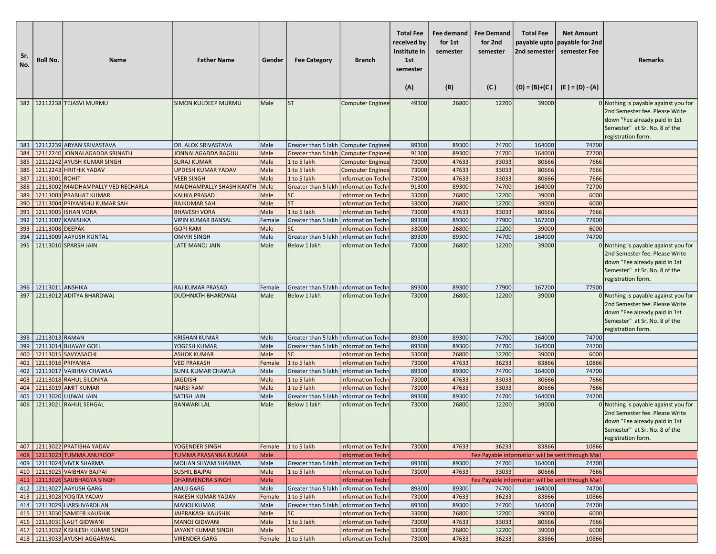| Sr.<br>No. | Roll No.                             | Name                                                         | <b>Father Name</b>                              | Gender       | <b>Fee Category</b>                                  | <b>Branch</b>                                        | <b>Total Fee</b><br>received by<br>Institute in<br>1st<br>semester<br>(A) | Fee demand<br>for 1st<br>semester<br>(B) | <b>Fee Demand</b><br>for 2nd<br>semester<br>(C) | <b>Total Fee</b><br>2nd semester | <b>Net Amount</b><br>payable upto payable for 2nd<br>semester Fee<br>$(D) = (B)+(C)$ $(E) = (D) - (A)$ | <b>Remarks</b>                                                                                                                                                 |
|------------|--------------------------------------|--------------------------------------------------------------|-------------------------------------------------|--------------|------------------------------------------------------|------------------------------------------------------|---------------------------------------------------------------------------|------------------------------------------|-------------------------------------------------|----------------------------------|--------------------------------------------------------------------------------------------------------|----------------------------------------------------------------------------------------------------------------------------------------------------------------|
|            |                                      | 382   12112238 TEJASVI MURMU                                 | <b>SIMON KULDEEP MURMU</b>                      | Male         | <b>ST</b>                                            | Computer Enginee                                     | 49300                                                                     | 26800                                    | 12200                                           | 39000                            |                                                                                                        | 0 Nothing is payable against you for                                                                                                                           |
|            |                                      |                                                              |                                                 |              |                                                      |                                                      |                                                                           |                                          |                                                 |                                  |                                                                                                        | 2nd Semester fee. Please Write<br>down "Fee already paid in 1st<br>Semester" at Sr. No. 8 of the<br>registration form.                                         |
|            |                                      | 383 12112239 ARYAN SRIVASTAVA                                | DR. ALOK SRIVASTAVA                             | Male         | Greater than 5 lakh   Computer Enginee               |                                                      | 89300                                                                     | 89300                                    | 74700                                           | 164000                           | 74700                                                                                                  |                                                                                                                                                                |
|            |                                      | 384   12112240 JONNALAGADDA SRINATH                          | JONNALAGADDA RAGHU                              | Male         | Greater than 5 lakh Computer Enginee                 |                                                      | 91300                                                                     | 89300                                    | 74700                                           | 164000                           | 72700                                                                                                  |                                                                                                                                                                |
| 385        |                                      | 12112242 AYUSH KUMAR SINGH                                   | <b>SURAJ KUMAR</b>                              | Male         | 1 to 5 lakh                                          | <b>Computer Enginee</b>                              | 73000                                                                     | 47633                                    | 33033                                           | 80666                            | 7666                                                                                                   |                                                                                                                                                                |
| 386        |                                      | 12112243 HRITHIK YADAV                                       | <b>UPDESH KUMAR YADAV</b>                       | Male         | 1 to 5 lakh                                          | <b>Computer Enginee</b>                              | 73000                                                                     | 47633                                    | 33033                                           | 80666                            | 7666                                                                                                   |                                                                                                                                                                |
| 387        | 12113001 ROHIT                       |                                                              | <b>VEER SINGH</b>                               | Male         | 1 to 5 lakh                                          | <b>Information Techr</b>                             | 73000                                                                     | 47633                                    | 33033                                           | 80666                            | 7666                                                                                                   |                                                                                                                                                                |
| 388        |                                      | 12113002 MAIDHAMPALLY VED RECHARLA                           | MAIDHAMPALLY SHASHIKANTH                        | Male         | Greater than 5 lakh                                  | <b>Information Techn</b>                             | 91300                                                                     | 89300                                    | 74700                                           | 164000                           | 72700                                                                                                  |                                                                                                                                                                |
| 389        |                                      | 12113003 PRABHAT KUMAR                                       | KALIKA PRASAD                                   | Male         | <b>SC</b>                                            | <b>Information Techn</b>                             | 33000                                                                     | 26800                                    | 12200                                           | 39000                            | 6000                                                                                                   |                                                                                                                                                                |
| 390        |                                      | 12113004 PRIYANSHU KUMAR SAH                                 | <b>RAJKUMAR SAH</b>                             | Male         | <b>ST</b>                                            | <b>Information Techn</b>                             | 33000                                                                     | 26800                                    | 12200                                           | 39000                            | 6000                                                                                                   |                                                                                                                                                                |
|            |                                      | 391 12113005 ISHAN VORA                                      | <b>BHAVESH VORA</b>                             | Male         | 1 to 5 lakh                                          | <b>Information Techn</b>                             | 73000                                                                     | 47633                                    | 33033                                           | 80666                            | 7666                                                                                                   |                                                                                                                                                                |
| 392        | 12113007 KANISHKA<br>12113008 DEEPAK |                                                              | <b>VIPIN KUMAR BANSAL</b>                       | Female       | Greater than 5 lakh Information Techn                |                                                      | 89300                                                                     | 89300                                    | 77900                                           | 167200                           | 77900                                                                                                  |                                                                                                                                                                |
| 393<br>394 |                                      | 12113009 AAYUSH KUNTAL                                       | <b>GOPI RAM</b><br><b>OMVIR SINGH</b>           | Male<br>Male | <b>SC</b><br>Greater than 5 lakh Information Techn   | <b>Information Techn</b>                             | 33000<br>89300                                                            | 26800<br>89300                           | 12200<br>74700                                  | 39000<br>164000                  | 6000<br>74700                                                                                          |                                                                                                                                                                |
| 395        |                                      | 12113010 SPARSH JAIN                                         | LATE MANOJ JAIN                                 | Male         | Below 1 lakh                                         | <b>Information Techn</b>                             | 73000                                                                     | 26800                                    | 12200                                           | 39000                            |                                                                                                        | 0 Nothing is payable against you for<br>2nd Semester fee. Please Write                                                                                         |
|            |                                      |                                                              |                                                 |              |                                                      |                                                      |                                                                           |                                          |                                                 |                                  |                                                                                                        | down "Fee already paid in 1st<br>Semester" at Sr. No. 8 of the<br>registration form.                                                                           |
|            | 396   12113011 ANSHIKA               |                                                              | <b>RAJ KUMAR PRASAD</b>                         | Female       | Greater than 5 lakh Information Techn                |                                                      | 89300                                                                     | 89300                                    | 77900                                           | 167200                           | 77900                                                                                                  |                                                                                                                                                                |
| 397        |                                      | 12113012 ADITYA BHARDWAJ                                     | <b>DUDHNATH BHARDWAJ</b>                        | Male         | Below 1 lakh                                         | Information Techn                                    | 73000                                                                     | 26800                                    | 12200                                           | 39000                            |                                                                                                        | 0 Nothing is payable against you for<br>2nd Semester fee. Please Write<br>down "Fee already paid in 1st<br>Semester" at Sr. No. 8 of the<br>registration form. |
|            | 398 22113013 RAMAN                   |                                                              | <b>KRISHAN KUMAR</b>                            | Male         | Greater than 5 lakh   Information Techn              |                                                      | 89300                                                                     | 89300                                    | 74700                                           | 164000                           | 74700                                                                                                  |                                                                                                                                                                |
| 399        |                                      | 12113014 BHAVAY GOEL                                         | YOGESH KUMAR                                    | Male         | Greater than 5 lakh   Information Techn              |                                                      | 89300                                                                     | 89300                                    | 74700                                           | 164000                           | 74700                                                                                                  |                                                                                                                                                                |
|            |                                      | 400   12113015   SAVYASACHI                                  | <b>ASHOK KUMAR</b>                              | Male         | <b>SC</b>                                            | <b>Information Techn</b>                             | 33000                                                                     | 26800                                    | 12200                                           | 39000                            | 6000                                                                                                   |                                                                                                                                                                |
| 401        | 12113016 PRIYANKA                    |                                                              | <b>VED PRAKASH</b>                              | Female       | 1 to 5 lakh                                          | <b>Information Techn</b>                             | 73000                                                                     | 47633                                    | 36233                                           | 83866                            | 10866                                                                                                  |                                                                                                                                                                |
| 402        |                                      | 12113017 VAIBHAV CHAWLA                                      | SUNIL KUMAR CHAWLA                              | Male         | Greater than 5 lakh   Information Techn              |                                                      | 89300                                                                     | 89300                                    | 74700                                           | 164000                           | 74700                                                                                                  |                                                                                                                                                                |
| 403        |                                      | 12113018 RAHUL SILONIYA                                      | <b>JAGDISH</b>                                  | Male         | 1 to 5 lakh                                          | <b>Information Techn</b>                             | 73000                                                                     | 47633                                    | 33033                                           | 80666                            | 7666                                                                                                   |                                                                                                                                                                |
| 404        |                                      | 12113019 AMIT KUMAR                                          | <b>NARSI RAM</b>                                | Male         | 1 to 5 lakh                                          | <b>Information Techn</b>                             | 73000                                                                     | 47633                                    | 33033                                           | 80666                            | 7666                                                                                                   |                                                                                                                                                                |
| 405<br>406 |                                      | 12113020 UJJWAL JAIN<br>12113021 RAHUL SEHGAL                | SATISH JAIN<br><b>BANWARI LAL</b>               | Male<br>Male | Greater than 5 lakh<br>Below 1 lakh                  | <b>Information Techn</b><br><b>Information Techn</b> | 89300<br>73000                                                            | 89300<br>26800                           | 74700<br>12200                                  | 164000<br>39000                  | 74700                                                                                                  | 0 Nothing is payable against you for<br>2nd Semester fee. Please Write<br>down "Fee already paid in 1st<br>Semester" at Sr. No. 8 of the<br>registration form. |
|            |                                      | 407   12113022 PRATIBHA YADAV                                | YOGENDER SINGH                                  | Female       | 1 to 5 lakh                                          | <b>Information Techn</b>                             | 73000                                                                     | 47633                                    | 36233                                           | 83866                            | 10866                                                                                                  |                                                                                                                                                                |
|            |                                      | 408   12113023 TUMMA ANUROOP                                 | <b>TUMMA PRASANNA KUMAR</b>                     | <b>Male</b>  |                                                      | <b>Information Techn</b>                             |                                                                           |                                          |                                                 |                                  | Fee Payable information will be sent through Mail                                                      |                                                                                                                                                                |
|            |                                      | 409   12113024 VIVEK SHARMA                                  | <b>MOHAN SHYAM SHARMA</b>                       | Male         | Greater than 5 lakh   Information Techn              |                                                      | 89300                                                                     | 89300                                    | 74700                                           | 164000                           | 74700                                                                                                  |                                                                                                                                                                |
|            |                                      | 410   12113025 VAIBHAV BAJPAI                                | <b>SUSHIL BAJPAI</b>                            | Male         | 1 to 5 lakh                                          | <b>Information Techn</b>                             | 73000                                                                     | 47633                                    | 33033                                           | 80666                            | 7666                                                                                                   |                                                                                                                                                                |
|            |                                      | 411 2113026 SAUBHAGYA SINGH                                  | <b>DHARMENDRA SINGH</b>                         | Male         |                                                      | <b>Information Techn</b>                             |                                                                           |                                          |                                                 |                                  | Fee Payable information will be sent through Mail                                                      |                                                                                                                                                                |
|            |                                      | 412   12113027 AAYUSH GARG                                   | ANUJ GARG                                       | Male         | Greater than 5 lakh Information Techn                |                                                      | 89300                                                                     | 89300                                    | 74700                                           | 164000                           | 74700                                                                                                  |                                                                                                                                                                |
|            |                                      | 413 12113028 YOGITA YADAV                                    | RAKESH KUMAR YADAV                              | Female       | 1 to 5 lakh                                          | <b>Information Techn</b>                             | 73000                                                                     | 47633                                    | 36233                                           | 83866                            | 10866                                                                                                  |                                                                                                                                                                |
|            |                                      | 414   12113029 HARSHVARDHAN<br>415   12113030 SAMEER KAUSHIK | <b>MANOJ KUMAR</b><br><b>JAIPRAKASH KAUSHIK</b> | Male<br>Male | Greater than 5 lakh   Information Techn<br><b>SC</b> | <b>Information Techn</b>                             | 89300<br>33000                                                            | 89300<br>26800                           | 74700<br>12200                                  | 164000<br>39000                  | 74700<br>6000                                                                                          |                                                                                                                                                                |
|            |                                      | 416 12113031 LALIT GIDWANI                                   | <b>MANOJ GIDWANI</b>                            | Male         | 1 to 5 lakh                                          | <b>Information Techn</b>                             | 73000                                                                     | 47633                                    | 33033                                           | 80666                            | 7666                                                                                                   |                                                                                                                                                                |
|            |                                      | 417   12113032 KISHLESH KUMAR SINGH                          | <b>JAYANT KUMAR SINGH</b>                       | Male         | <b>SC</b>                                            | <b>Information Techn</b>                             | 33000                                                                     | 26800                                    | 12200                                           | 39000                            | 6000                                                                                                   |                                                                                                                                                                |
|            |                                      | 418   12113033 AYUSHI AGGARWAL                               | <b>VIRENDER GARG</b>                            | Female       | $1$ to 5 lakh                                        | <b>Information Techn</b>                             | 73000                                                                     | 47633                                    | 36233                                           | 83866                            | 10866                                                                                                  |                                                                                                                                                                |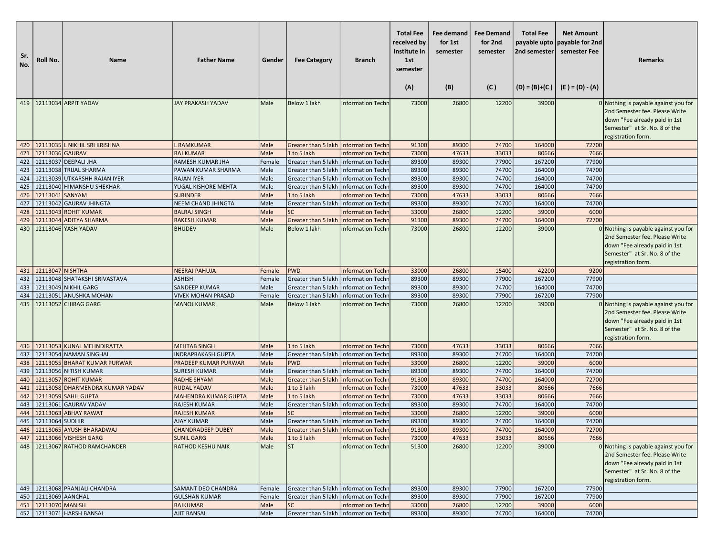| Sr.<br>No. | Roll No.               | Name                                | <b>Father Name</b>                            | Gender       | <b>Fee Category</b>                                                            | <b>Branch</b>                                 | <b>Total Fee</b><br>received by<br>Institute in<br>1st<br>semester<br>(A) | Fee demand<br>for 1st<br>semester<br>(B) | <b>Fee Demand</b><br>for 2nd<br>semester<br>(C) | <b>Total Fee</b><br>payable upto<br>2nd semester | <b>Net Amount</b><br>payable for 2nd<br>semester Fee<br>$(D) = (B)+(C)$ $(E) = (D) - (A)$ | Remarks                                                                                                                                                        |
|------------|------------------------|-------------------------------------|-----------------------------------------------|--------------|--------------------------------------------------------------------------------|-----------------------------------------------|---------------------------------------------------------------------------|------------------------------------------|-------------------------------------------------|--------------------------------------------------|-------------------------------------------------------------------------------------------|----------------------------------------------------------------------------------------------------------------------------------------------------------------|
|            |                        | 419   12113034 ARPIT YADAV          | <b>JAY PRAKASH YADAV</b>                      | Male         | Below 1 lakh                                                                   | <b>Information Techn</b>                      | 73000                                                                     | 26800                                    | 12200                                           | 39000                                            |                                                                                           | 0 Nothing is payable against you for                                                                                                                           |
|            |                        |                                     |                                               |              |                                                                                |                                               |                                                                           |                                          |                                                 |                                                  |                                                                                           | 2nd Semester fee. Please Write<br>down "Fee already paid in 1st<br>Semester" at Sr. No. 8 of the<br>registration form.                                         |
|            |                        | 420 12113035 L NIKHIL SRI KRISHNA   | L RAMKUMAR                                    | Male         | Greater than 5 lakh Information Techn                                          |                                               | 91300                                                                     | 89300                                    | 74700                                           | 164000                                           | 72700                                                                                     |                                                                                                                                                                |
|            | 421 2113036 GAURAV     |                                     | <b>RAJ KUMAR</b>                              | Male         | 1 to 5 lakh                                                                    | <b>Information Techn</b>                      | 73000                                                                     | 47633                                    | 33033                                           | 80666                                            | 7666                                                                                      |                                                                                                                                                                |
|            |                        | 422 12113037 DEEPALI JHA            | RAMESH KUMAR JHA                              | Female       | Greater than 5 lakh Information Techn                                          |                                               | 89300                                                                     | 89300                                    | 77900                                           | 167200                                           | 77900                                                                                     |                                                                                                                                                                |
|            |                        | 423   12113038 TRIJAL SHARMA        | PAWAN KUMAR SHARMA                            | Male         | Greater than 5 lakh   Information Techn                                        |                                               | 89300                                                                     | 89300                                    | 74700                                           | 164000                                           | 74700                                                                                     |                                                                                                                                                                |
| 424        |                        | 12113039 UTKARSHH RAJAN IYER        | <b>RAJAN IYER</b>                             | Male         | Greater than 5 lakh Information Techn                                          |                                               | 89300                                                                     | 89300                                    | 74700                                           | 164000                                           | 74700                                                                                     |                                                                                                                                                                |
|            |                        | 425   12113040 HIMANSHU SHEKHAR     | YUGAL KISHORE MEHTA                           | Male         | Greater than 5 lakh Information Techn                                          |                                               | 89300                                                                     | 89300                                    | 74700                                           | 164000                                           | 74700                                                                                     |                                                                                                                                                                |
|            | 426   12113041 SANYAM  |                                     | <b>SURINDER</b>                               | Male         | 1 to 5 lakh                                                                    | <b>Information Techn</b>                      | 73000                                                                     | 47633                                    | 33033                                           | 80666                                            | 7666                                                                                      |                                                                                                                                                                |
|            |                        | 427   12113042 GAURAV JHINGTA       | NEEM CHAND JHINGTA                            | Male         | Greater than 5 lakh Information Techn                                          |                                               | 89300                                                                     | 89300                                    | 74700                                           | 164000                                           | 74700                                                                                     |                                                                                                                                                                |
|            |                        | 428 12113043 ROHIT KUMAR            | <b>BALRAJ SINGH</b>                           | Male         | <b>SC</b>                                                                      | <b>Information Techn</b>                      | 33000                                                                     | 26800                                    | 12200                                           | 39000                                            | 6000                                                                                      |                                                                                                                                                                |
| 429        |                        | 12113044 ADITYA SHARMA              | <b>RAKESH KUMAR</b>                           | Male         | Greater than 5 lakh                                                            | Information Techn                             | 91300                                                                     | 89300                                    | 74700                                           | 164000                                           | 72700                                                                                     |                                                                                                                                                                |
| 430        |                        | 12113046 YASH YADAV                 | <b>BHUDEV</b>                                 | Male         | Below 1 lakh                                                                   | <b>Information Techn</b>                      | 73000                                                                     | 26800                                    | 12200                                           | 39000                                            |                                                                                           | 0 Nothing is payable against you for<br>2nd Semester fee. Please Write<br>down "Fee already paid in 1st<br>Semester" at Sr. No. 8 of the<br>registration form. |
|            | 431 12113047 NISHTHA   |                                     | <b>NEERAJ PAHUJA</b>                          | Female       | <b>PWD</b>                                                                     | Information Techn                             | 33000                                                                     | 26800                                    | 15400                                           | 42200                                            | 9200                                                                                      |                                                                                                                                                                |
|            |                        | 432   12113048 SHATAKSHI SRIVASTAVA | <b>ASHISH</b>                                 | Female       | Greater than 5 lakh Information Techn                                          |                                               | 89300                                                                     | 89300                                    | 77900                                           | 167200                                           | 77900                                                                                     |                                                                                                                                                                |
| 433        |                        | 12113049 NIKHIL GARG                | SANDEEP KUMAR                                 | Male         | Greater than 5 lakh   Information Techn                                        |                                               | 89300                                                                     | 89300                                    | 74700                                           | 164000                                           | 74700                                                                                     |                                                                                                                                                                |
| 434        |                        | 12113051 ANUSHKA MOHAN              | <b>VIVEK MOHAN PRASAD</b>                     | Female       | Greater than 5 lakh                                                            | Information Techn                             | 89300                                                                     | 89300                                    | 77900                                           | 167200                                           | 77900                                                                                     |                                                                                                                                                                |
|            |                        | 435   12113052 CHIRAG GARG          | <b>MANOJ KUMAR</b>                            | Male         | Below 1 lakh                                                                   | <b>Information Techn</b>                      | 73000                                                                     | 26800                                    | 12200                                           | 39000                                            |                                                                                           | 0 Nothing is payable against you for<br>2nd Semester fee. Please Write<br>down "Fee already paid in 1st<br>Semester" at Sr. No. 8 of the<br>registration form. |
|            |                        | 436   12113053 KUNAL MEHNDIRATTA    | <b>MEHTAB SINGH</b>                           | Male         | 1 to 5 lakh                                                                    | <b>Information Techn</b>                      | 73000                                                                     | 47633                                    | 33033                                           | 80666                                            | 7666                                                                                      |                                                                                                                                                                |
|            |                        | 437   12113054 NAMAN SINGHAL        | <b>INDRAPRAKASH GUPTA</b>                     | Male         | Greater than 5 lakh Information Techn                                          |                                               | 89300                                                                     | 89300                                    | 74700                                           | 164000                                           | 74700                                                                                     |                                                                                                                                                                |
|            |                        | 438   12113055 BHARAT KUMAR PURWAR  | PRADEEP KUMAR PURWAR                          | Male         | <b>PWD</b>                                                                     | <b>Information Techn</b>                      | 33000                                                                     | 26800                                    | 12200                                           | 39000                                            | 6000                                                                                      |                                                                                                                                                                |
|            |                        | 439   12113056 NITISH KUMAR         | <b>SURESH KUMAR</b>                           | Male         | Greater than 5 lakh Information Techn                                          |                                               | 89300                                                                     | 89300                                    | 74700                                           | 164000                                           | 74700                                                                                     |                                                                                                                                                                |
| 440        |                        | 12113057 ROHIT KUMAR                | <b>RADHE SHYAM</b>                            | Male         | Greater than 5 lakh                                                            | <b>Information Techn</b>                      | 91300                                                                     | 89300                                    | 74700                                           | 164000                                           | 72700                                                                                     |                                                                                                                                                                |
| 441        |                        | 12113058 DHARMENDRA KUMAR YADAV     | <b>RUDAL YADAV</b>                            | Male         | 1 to 5 lakh                                                                    | <b>Information Techn</b>                      | 73000                                                                     | 47633                                    | 33033                                           | 80666                                            | 7666                                                                                      |                                                                                                                                                                |
|            |                        | 442 12113059 SAHIL GUPTA            | <b>MAHENDRA KUMAR GUPTA</b>                   | Male         | 1 to 5 lakh                                                                    | <b>Information Techn</b>                      | 73000                                                                     | 47633                                    | 33033                                           | 80666                                            | 7666                                                                                      |                                                                                                                                                                |
|            |                        | 443   12113061 GAURAV YADAV         | <b>RAJESH KUMAR</b>                           | Male         | Greater than 5 lakh Information Techn                                          |                                               | 89300                                                                     | 89300                                    | 74700                                           | 164000                                           | 74700                                                                                     |                                                                                                                                                                |
|            | 445 22113064 SUDHIR    | 444   12113063 ABHAY RAWAT          | <b>RAJESH KUMAR</b>                           | Male         | <b>SC</b>                                                                      | <b>Information Techn</b>                      | 33000                                                                     | 26800                                    | 12200<br>74700                                  | 39000                                            | 6000<br>74700                                                                             |                                                                                                                                                                |
|            |                        | 446 12113065 AYUSH BHARADWAJ        | <b>AJAY KUMAR</b><br><b>CHANDRADEEP DUBEY</b> | Male<br>Male | Greater than 5 lakh Information Techn<br>Greater than 5 lakh Information Techn |                                               | 89300<br>91300                                                            | 89300<br>89300                           | 74700                                           | 164000<br>164000                                 | 72700                                                                                     |                                                                                                                                                                |
|            |                        | 447 12113066 VISHESH GARG           | <b>SUNIL GARG</b>                             |              | 1 to 5 lakh                                                                    |                                               | 73000                                                                     | 47633                                    | 33033                                           | 80666                                            | 7666                                                                                      |                                                                                                                                                                |
|            |                        | 448   12113067 RATHOD RAMCHANDER    | <b>RATHOD KESHU NAIK</b>                      | Male<br>Male | <b>ST</b>                                                                      | <b>Information Techn</b><br>Information Techn | 51300                                                                     | 26800                                    | 12200                                           | 39000                                            |                                                                                           | 0 Nothing is payable against you for                                                                                                                           |
|            |                        |                                     |                                               |              |                                                                                |                                               |                                                                           |                                          |                                                 |                                                  |                                                                                           | 2nd Semester fee. Please Write<br>down "Fee already paid in 1st<br>Semester" at Sr. No. 8 of the<br>registration form.                                         |
|            |                        | 449   12113068 PRANJALI CHANDRA     | SAMANT DEO CHANDRA                            | Female       | Greater than 5 lakh Information Techn                                          |                                               | 89300                                                                     | 89300                                    | 77900                                           | 167200                                           | 77900                                                                                     |                                                                                                                                                                |
|            | 450   12113069 AANCHAL |                                     | <b>GULSHAN KUMAR</b>                          | Female       | Greater than 5 lakh Information Techn                                          |                                               | 89300                                                                     | 89300                                    | 77900                                           | 167200                                           | 77900                                                                                     |                                                                                                                                                                |
|            | 451 2113070 MANISH     |                                     | <b>RAJKUMAR</b>                               | Male         | <b>SC</b>                                                                      | <b>Information Techn</b>                      | 33000                                                                     | 26800                                    | 12200                                           | 39000                                            | 6000                                                                                      |                                                                                                                                                                |
|            |                        | 452 12113071 HARSH BANSAL           | AJIT BANSAL                                   | Male         | Greater than 5 lakh Information Techn                                          |                                               | 89300                                                                     | 89300                                    | 74700                                           | 164000                                           | 74700                                                                                     |                                                                                                                                                                |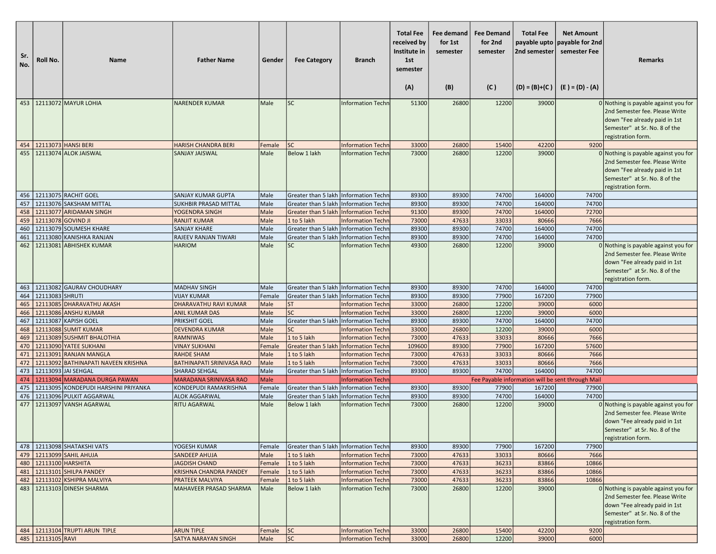| Sr.<br>No. | Roll No.                | Name                                                       | <b>Father Name</b>                                      | Gender           | <b>Fee Category</b>                                                              | <b>Branch</b>                                        | <b>Total Fee</b><br>received by<br>Institute in<br>1st<br>semester<br>(A) | Fee demand<br>for 1st<br>semester<br>(B) | <b>Fee Demand</b><br>for 2nd<br>semester<br>(C) | <b>Total Fee</b><br>2nd semester | <b>Net Amount</b><br>payable upto payable for 2nd<br>semester Fee<br>$(D) = (B)+(C)$ $(E) = (D) - (A)$ | <b>Remarks</b>                                                                                                                                                   |
|------------|-------------------------|------------------------------------------------------------|---------------------------------------------------------|------------------|----------------------------------------------------------------------------------|------------------------------------------------------|---------------------------------------------------------------------------|------------------------------------------|-------------------------------------------------|----------------------------------|--------------------------------------------------------------------------------------------------------|------------------------------------------------------------------------------------------------------------------------------------------------------------------|
|            |                         | 453   12113072 MAYUR LOHIA                                 | <b>NARENDER KUMAR</b>                                   | Male             | <b>SC</b>                                                                        | <b>Information Techn</b>                             | 51300                                                                     | 26800                                    | 12200                                           | 39000                            |                                                                                                        | 0 Nothing is payable against you for<br>2nd Semester fee. Please Write<br>down "Fee already paid in 1st<br>Semester" at Sr. No. 8 of the                         |
|            |                         |                                                            |                                                         |                  |                                                                                  |                                                      |                                                                           |                                          |                                                 |                                  |                                                                                                        | registration form.                                                                                                                                               |
|            |                         | 454   12113073   HANSI BERI<br>455   12113074 ALOK JAISWAL | <b>HARISH CHANDRA BERI</b><br>SANJAY JAISWAL            | Female<br>Male   | <b>SC</b><br>Below 1 lakh                                                        | <b>Information Techn</b><br><b>Information Techn</b> | 33000<br>73000                                                            | 26800<br>26800                           | 15400<br>12200                                  | 42200<br>39000                   | 9200                                                                                                   | 0 Nothing is payable against you for<br>2nd Semester fee. Please Write<br>down "Fee already paid in 1st<br>Semester" at Sr. No. 8 of the<br>registration form.   |
|            |                         | 456   12113075 RACHIT GOEL                                 | SANJAY KUMAR GUPTA                                      | Male             | Greater than 5 lakh   Information Techn                                          |                                                      | 89300                                                                     | 89300                                    | 74700                                           | 164000                           | 74700                                                                                                  |                                                                                                                                                                  |
| 457        |                         | 12113076 SAKSHAM MITTAL                                    | <b>SUKHBIR PRASAD MITTAL</b>                            | Male             | Greater than 5 lakh   Information Techn                                          |                                                      | 89300                                                                     | 89300                                    | 74700                                           | 164000                           | 74700                                                                                                  |                                                                                                                                                                  |
|            |                         | 458   12113077 ARIDAMAN SINGH                              | YOGENDRA SINGH                                          | Male             | Greater than 5 lakh Information Techn                                            |                                                      | 91300                                                                     | 89300                                    | 74700                                           | 164000                           | 72700                                                                                                  |                                                                                                                                                                  |
|            | 459 12113078 GOVIND JI  |                                                            | <b>RANJIT KUMAR</b>                                     | Male             | 1 to 5 lakh                                                                      | <b>Information Techn</b>                             | 73000                                                                     | 47633                                    | 33033                                           | 80666                            | 7666                                                                                                   |                                                                                                                                                                  |
| 460<br>461 |                         | 12113079 SOUMESH KHARE<br>12113080 KANISHKA RANJAN         | <b>SANJAY KHARE</b><br>RAJEEV RANJAN TIWARI             | Male<br>Male     | Greater than 5 lakh Information Techn<br>Greater than 5 lakh   Information Techn |                                                      | 89300<br>89300                                                            | 89300<br>89300                           | 74700<br>74700                                  | 164000<br>164000                 | 74700<br>74700                                                                                         |                                                                                                                                                                  |
|            |                         | 462   12113081 ABHISHEK KUMAR                              | HARIOM                                                  | Male             | <b>SC</b>                                                                        | Information Techn                                    | 49300                                                                     | 26800                                    | 12200                                           | 39000                            |                                                                                                        | 0 Nothing is payable against you for<br>2nd Semester fee. Please Write<br>down "Fee already paid in 1st<br>Semester" at Sr. No. 8 of the<br>registration form.   |
|            |                         | 463   12113082 GAURAV CHOUDHARY                            | <b>MADHAV SINGH</b>                                     | Male             | Greater than 5 lakh   Information Techn                                          |                                                      | 89300                                                                     | 89300                                    | 74700                                           | 164000                           | 74700                                                                                                  |                                                                                                                                                                  |
| 464        | 12113083 SHRUTI         |                                                            | <b>VIJAY KUMAR</b>                                      | Female           | Greater than 5 lakh                                                              | Information Techn                                    | 89300                                                                     | 89300                                    | 77900                                           | 167200                           | 77900                                                                                                  |                                                                                                                                                                  |
|            |                         | 465   12113085 DHARAVATHU AKASH                            | DHARAVATHU RAVI KUMAR                                   | Male             | <b>ST</b>                                                                        | <b>Information Techn</b>                             | 33000                                                                     | 26800                                    | 12200                                           | 39000                            | 6000                                                                                                   |                                                                                                                                                                  |
| 466        |                         | 12113086 ANSHU KUMAR                                       | <b>ANIL KUMAR DAS</b>                                   | Male             | <b>SC</b>                                                                        | <b>Information Techn</b>                             | 33000                                                                     | 26800                                    | 12200                                           | 39000                            | 6000                                                                                                   |                                                                                                                                                                  |
|            |                         | 467   12113087 KAPISH GOEL                                 | PRIKSHIT GOEL                                           | Male             | Greater than 5 lakh   Information Techn                                          |                                                      | 89300                                                                     | 89300                                    | 74700                                           | 164000                           | 74700                                                                                                  |                                                                                                                                                                  |
| 468        |                         | 12113088 SUMIT KUMAR                                       | <b>DEVENDRA KUMAR</b>                                   | Male             | <b>SC</b>                                                                        | <b>Information Techn</b>                             | 33000                                                                     | 26800                                    | 12200                                           | 39000                            | 6000                                                                                                   |                                                                                                                                                                  |
| 469        |                         | 12113089 SUSHMIT BHALOTHIA                                 | <b>RAMNIWAS</b>                                         | Male             | 1 to 5 lakh                                                                      | <b>Information Techn</b>                             | 73000                                                                     | 47633                                    | 33033                                           | 80666                            | 7666                                                                                                   |                                                                                                                                                                  |
|            |                         | 470 12113090 YATEE SUKHANI<br>471   12113091 RANJAN MANGLA | <b>VINAY SUKHANI</b><br><b>RAHDE SHAM</b>               | Female<br>Male   | Greater than 5 lakh<br>1 to 5 lakh                                               | Information Techn<br><b>Information Techn</b>        | 109600<br>73000                                                           | 89300<br>47633                           | 77900<br>33033                                  | 167200<br>80666                  | 57600<br>7666                                                                                          |                                                                                                                                                                  |
| 472        |                         | 12113092 BATHINAPATI NAVEEN KRISHNA                        | BATHINAPATI SRINIVASA RAO                               | Male             | 1 to 5 lakh                                                                      | <b>Information Techn</b>                             | 73000                                                                     | 47633                                    | 33033                                           | 80666                            | 7666                                                                                                   |                                                                                                                                                                  |
| 473        |                         | 12113093 JAI SEHGAL                                        | <b>SHARAD SEHGAL</b>                                    | Male             | Greater than 5 lakh Information Techn                                            |                                                      | 89300                                                                     | 89300                                    | 74700                                           | 164000                           | 74700                                                                                                  |                                                                                                                                                                  |
| 474        |                         | 12113094 MARADANA DURGA PAWAN                              | <b>MARADANA SRINIVASA RAO</b>                           | Male             |                                                                                  | <b>Information Techn</b>                             |                                                                           |                                          |                                                 |                                  | Fee Payable information will be sent through Mail                                                      |                                                                                                                                                                  |
| 475        |                         | 12113095 KONDEPUDI HARSHINI PRIYANKA                       | KONDEPUDI RAMAKRISHNA                                   | Female           | Greater than 5 lakh Information Techn                                            |                                                      | 89300                                                                     | 89300                                    | 77900                                           | 167200                           | 77900                                                                                                  |                                                                                                                                                                  |
| 476        |                         | 12113096 PULKIT AGGARWAL                                   | <b>ALOK AGGARWAL</b>                                    | Male             | Greater than 5 lakh                                                              | Information Techn                                    | 89300                                                                     | 89300                                    | 74700                                           | 164000                           | 74700                                                                                                  |                                                                                                                                                                  |
| 477        |                         | 12113097 VANSH AGARWAL                                     | <b>RITU AGARWAL</b>                                     | Male             | Below 1 lakh                                                                     | <b>Information Techn</b>                             | 73000                                                                     | 26800                                    | 12200                                           | 39000                            |                                                                                                        | $0$ Nothing is payable against you for<br>2nd Semester fee. Please Write<br>down "Fee already paid in 1st<br>Semester" at Sr. No. 8 of the<br>registration form. |
|            |                         | 478   12113098 SHATAKSHI VATS                              | YOGESH KUMAR                                            | Female           | Greater than 5 lakh   Information Techn                                          |                                                      | 89300                                                                     | 89300                                    | 77900                                           | 167200                           | 77900                                                                                                  |                                                                                                                                                                  |
|            |                         | 479 12113099 SAHIL AHUJA                                   | <b>SANDEEP AHUJA</b>                                    | Male             | 1 to 5 lakh                                                                      | <b>Information Techn</b>                             | 73000                                                                     | 47633                                    | 33033                                           | 80666                            | 7666                                                                                                   |                                                                                                                                                                  |
|            | 480   12113100 HARSHITA |                                                            | <b>JAGDISH CHAND</b>                                    | Female           | 1 to 5 lakh                                                                      | <b>Information Techn</b>                             | 73000                                                                     | 47633                                    | 36233                                           | 83866                            | 10866                                                                                                  |                                                                                                                                                                  |
| 482        |                         | 481   12113101 SHILPA PANDEY<br>12113102 KSHIPRA MALVIYA   | <b>KRISHNA CHANDRA PANDEY</b><br><b>PRATEEK MALVIYA</b> | Female<br>Female | 1 to 5 lakh<br>1 to 5 lakh                                                       | <b>Information Techn</b><br><b>Information Techn</b> | 73000<br>73000                                                            | 47633<br>47633                           | 36233<br>36233                                  | 83866<br>83866                   | 10866<br>10866                                                                                         |                                                                                                                                                                  |
| 483        |                         | 12113103 DINESH SHARMA                                     | MAHAVEER PRASAD SHARMA                                  | Male             | Below 1 lakh                                                                     | <b>Information Techn</b>                             | 73000                                                                     | 26800                                    | 12200                                           | 39000                            |                                                                                                        | 0 Nothing is payable against you for<br>2nd Semester fee. Please Write<br>down "Fee already paid in 1st<br>Semester" at Sr. No. 8 of the<br>registration form.   |
|            |                         | 484   12113104 TRUPTI ARUN TIPLE                           | <b>ARUN TIPLE</b>                                       | Female           | <b>SC</b>                                                                        | <b>Information Techn</b>                             | 33000                                                                     | 26800                                    | 15400                                           | 42200                            | 9200                                                                                                   |                                                                                                                                                                  |
|            | 485 12113105 RAVI       |                                                            | SATYA NARAYAN SINGH                                     | Male             | SC                                                                               | <b>Information Techn</b>                             | 33000                                                                     | 26800                                    | 12200                                           | 39000                            | 6000                                                                                                   |                                                                                                                                                                  |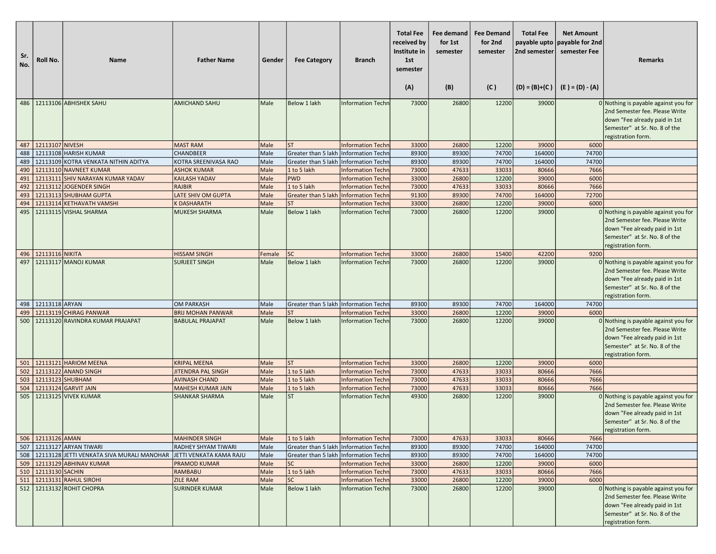| Sr.<br>No. | Roll No.              | <b>Name</b>                                      | <b>Father Name</b>         | Gender | <b>Fee Category</b>                   | <b>Branch</b>            | <b>Total Fee</b><br>received by<br>Institute in<br>1st<br>semester<br>(A) | Fee demand<br>for 1st<br>semester<br>(B) | <b>Fee Demand</b><br>for 2nd<br>semester<br>(C) | <b>Total Fee</b><br>payable upto<br>2nd semester | <b>Net Amount</b><br>payable for 2nd<br>semester Fee<br>$(D) = (B)+(C)$ $(E) = (D) - (A)$ | <b>Remarks</b>                                                                                                                                                 |
|------------|-----------------------|--------------------------------------------------|----------------------------|--------|---------------------------------------|--------------------------|---------------------------------------------------------------------------|------------------------------------------|-------------------------------------------------|--------------------------------------------------|-------------------------------------------------------------------------------------------|----------------------------------------------------------------------------------------------------------------------------------------------------------------|
|            |                       | 486   12113106 ABHISHEK SAHU                     | <b>AMICHAND SAHU</b>       | Male   | Below 1 lakh                          | <b>Information Techn</b> | 73000                                                                     | 26800                                    | 12200                                           | 39000                                            |                                                                                           | 0 Nothing is payable against you for<br>2nd Semester fee. Please Write<br>down "Fee already paid in 1st<br>Semester" at Sr. No. 8 of the<br>registration form. |
|            | 487   12113107 NIVESH |                                                  | <b>MAST RAM</b>            | Male   | lst                                   | <b>Information Techn</b> | 33000                                                                     | 26800                                    | 12200                                           | 39000                                            | 6000                                                                                      |                                                                                                                                                                |
|            |                       | 488 22113108 HARISH KUMAR                        | CHANDBEER                  | Male   | Greater than 5 lakh                   | Information Techn        | 89300                                                                     | 89300                                    | 74700                                           | 164000                                           | 74700                                                                                     |                                                                                                                                                                |
| 489        |                       | 12113109 KOTRA VENKATA NITHIN ADITYA             | KOTRA SREENIVASA RAO       | Male   | Greater than 5 lakh                   | Information Techn        | 89300                                                                     | 89300                                    | 74700                                           | 164000                                           | 74700                                                                                     |                                                                                                                                                                |
| 490        |                       | 12113110 NAVNEET KUMAR                           | <b>ASHOK KUMAR</b>         | Male   | 1 to 5 lakh                           | <b>Information Techn</b> | 73000                                                                     | 47633                                    | 33033                                           | 80666                                            | 7666                                                                                      |                                                                                                                                                                |
| 491        |                       | 12113111 SHIV NARAYAN KUMAR YADAV                | <b>KAILASH YADAV</b>       | Male   | <b>PWD</b>                            | <b>Information Techn</b> | 33000                                                                     | 26800                                    | 12200                                           | 39000                                            | 6000                                                                                      |                                                                                                                                                                |
|            |                       | 492   12113112 JOGENDER SINGH                    | <b>RAJBIR</b>              | Male   | 1 to 5 lakh                           | <b>Information Techn</b> | 73000                                                                     | 47633                                    | 33033                                           | 80666                                            | 7666                                                                                      |                                                                                                                                                                |
| 493        |                       | 12113113 SHUBHAM GUPTA                           | LATE SHIV OM GUPTA         | Male   | Greater than 5 lakh                   | Information Techn        | 91300                                                                     | 89300                                    | 74700                                           | 164000                                           | 72700                                                                                     |                                                                                                                                                                |
| 494        |                       | 12113114 KETHAVATH VAMSHI                        | <b>K DASHARATH</b>         | Male   | lst                                   | <b>Information Techn</b> | 33000                                                                     | 26800                                    | 12200                                           | 39000                                            | 6000                                                                                      |                                                                                                                                                                |
| 495        |                       | 12113115 VISHAL SHARMA                           | <b>MUKESH SHARMA</b>       | Male   | <b>Below 1 lakh</b>                   | Information Techn        | 73000                                                                     | 26800                                    | 12200                                           | 39000                                            |                                                                                           | 0 Nothing is payable against you for<br>2nd Semester fee. Please Write<br>down "Fee already paid in 1st<br>Semester" at Sr. No. 8 of the<br>registration form. |
|            | 496 12113116 NIKITA   |                                                  | <b>HISSAM SINGH</b>        | Female | lsc                                   | <b>Information Techn</b> | 33000                                                                     | 26800                                    | 15400                                           | 42200                                            | 9200                                                                                      |                                                                                                                                                                |
| 497        |                       | 12113117 MANOJ KUMAR                             | <b>SURJEET SINGH</b>       | Male   | Below 1 lakh                          | <b>Information Techn</b> | 73000                                                                     | 26800                                    | 12200                                           | 39000                                            |                                                                                           | 0 Nothing is payable against you for<br>2nd Semester fee. Please Write<br>down "Fee already paid in 1st<br>Semester" at Sr. No. 8 of the<br>registration form. |
|            | 498 22113118 ARYAN    |                                                  | <b>OM PARKASH</b>          | Male   | Greater than 5 lakh Information Techn |                          | 89300                                                                     | 89300                                    | 74700                                           | 164000                                           | 74700                                                                                     |                                                                                                                                                                |
| 499        |                       | 12113119 CHIRAG PANWAR                           | <b>BRIJ MOHAN PANWAR</b>   | Male   | <b>ST</b>                             | <b>Information Techn</b> | 33000                                                                     | 26800                                    | 12200                                           | 39000                                            | 6000                                                                                      |                                                                                                                                                                |
| 500        |                       | 12113120 RAVINDRA KUMAR PRAJAPAT                 | <b>BABULAL PRAJAPAT</b>    | Male   | Below 1 lakh                          | <b>Information Techn</b> | 73000                                                                     | 26800                                    | 12200                                           | 39000                                            |                                                                                           | 0 Nothing is payable against you for<br>2nd Semester fee. Please Write<br>down "Fee already paid in 1st<br>Semester" at Sr. No. 8 of the<br>registration form. |
|            |                       | 501   12113121   HARIOM MEENA                    | <b>KRIPAL MEENA</b>        | Male   | <b>ST</b>                             | <b>Information Techn</b> | 33000                                                                     | 26800                                    | 12200                                           | 39000                                            | 6000                                                                                      |                                                                                                                                                                |
|            |                       | 502 212113122 ANAND SINGH                        | JITENDRA PAL SINGH         | Male   | 1 to 5 lakh                           | <b>Information Techn</b> | 73000                                                                     | 47633                                    | 33033                                           | 80666                                            | 7666                                                                                      |                                                                                                                                                                |
| 503        | 12113123 SHUBHAM      |                                                  | <b>AVINASH CHAND</b>       | Male   | 1 to 5 lakh                           | <b>Information Techn</b> | 73000                                                                     | 47633                                    | 33033                                           | 80666                                            | 7666                                                                                      |                                                                                                                                                                |
| 504        |                       | 12113124 GARVIT JAIN                             | <b>MAHESH KUMAR JAIN</b>   | Male   | 1 to 5 lakh                           | <b>Information Techn</b> | 73000                                                                     | 47633                                    | 33033                                           | 80666                                            | 7666                                                                                      |                                                                                                                                                                |
| 505        |                       | 12113125 VIVEK KUMAR                             | <b>SHANKAR SHARMA</b>      | Male   | lst                                   | <b>Information Techn</b> | 49300                                                                     | 26800                                    | 12200                                           | 39000                                            |                                                                                           | 0 Nothing is payable against you for<br>2nd Semester fee. Please Write<br>down "Fee already paid in 1st<br>Semester" at Sr. No. 8 of the<br>registration form. |
|            | 506 12113126 AMAN     |                                                  | <b>MAHINDER SINGH</b>      | Male   | 1 to 5 lakh                           | <b>Information Techn</b> | 73000                                                                     | 47633                                    | 33033                                           | 80666                                            | 7666                                                                                      |                                                                                                                                                                |
|            |                       | 507   12113127 ARYAN TIWARI                      | <b>RADHEY SHYAM TIWARI</b> | Male   | Greater than 5 lakh                   | Information Techn        | 89300                                                                     | 89300                                    | 74700                                           | 164000                                           | 74700                                                                                     |                                                                                                                                                                |
|            |                       | 508   12113128 JETTI VENKATA SIVA MURALI MANOHAR | JETTI VENKATA KAMA RAJU    | Male   | Greater than 5 lakh Information Techn |                          | 89300                                                                     | 89300                                    | 74700                                           | 164000                                           | 74700                                                                                     |                                                                                                                                                                |
|            |                       | 509   12113129 ABHINAV KUMAR                     | <b>PRAMOD KUMAR</b>        | Male   | SC                                    | <b>Information Techn</b> | 33000                                                                     | 26800                                    | 12200                                           | 39000                                            | 6000                                                                                      |                                                                                                                                                                |
|            | 510 2113130 SACHIN    |                                                  | <b>RAMBABU</b>             | Male   | 1 to 5 lakh                           | <b>Information Techn</b> | 73000                                                                     | 47633                                    | 33033                                           | 80666                                            | 7666                                                                                      |                                                                                                                                                                |
|            |                       | 511 12113131 RAHUL SIROHI                        | <b>ZILE RAM</b>            | Male   | <b>SC</b>                             | <b>Information Techn</b> | 33000                                                                     | 26800                                    | 12200                                           | 39000                                            | 6000                                                                                      |                                                                                                                                                                |
|            |                       | 512   12113132 ROHIT CHOPRA                      | <b>SURINDER KUMAR</b>      | Male   | <b>Below 1 lakh</b>                   | <b>Information Techn</b> | 73000                                                                     | 26800                                    | 12200                                           | 39000                                            |                                                                                           | 0 Nothing is payable against you for<br>2nd Semester fee. Please Write<br>down "Fee already paid in 1st<br>Semester" at Sr. No. 8 of the<br>registration form. |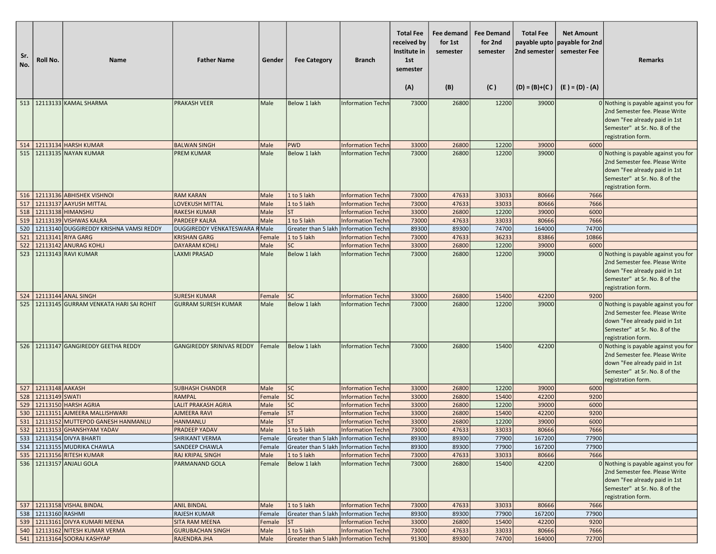| 513   12113133 KAMAL SHARMA<br><b>PRAKASH VEER</b><br>Below 1 lakh<br>73000<br>26800<br>12200<br>39000<br>Male<br><b>Information Techn</b><br>514   12113134 HARSH KUMAR<br><b>BALWAN SINGH</b><br>PWD<br>26800<br>12200<br>39000<br>6000<br>Male<br>Information Techn<br>33000<br>515   12113135 NAYAN KUMAR<br><b>Below 1 lakh</b><br>12200<br><b>PREM KUMAR</b><br>Male<br><b>Information Techn</b><br>73000<br>26800<br>39000<br>516 12113136 ABHISHEK VISHNOI<br><b>RAM KARAN</b><br>1 to 5 lakh<br>73000<br>47633<br>33033<br>80666<br>7666<br>Male<br><b>Information Techn</b><br>12113137 AAYUSH MITTAL<br>47633<br>33033<br>7666<br>517<br><b>LOVEKUSH MITTAL</b><br>Male<br>1 to 5 lakh<br><b>Information Techn</b><br>73000<br>80666 | <b>Remarks</b>                                                                                                                                                 |
|-------------------------------------------------------------------------------------------------------------------------------------------------------------------------------------------------------------------------------------------------------------------------------------------------------------------------------------------------------------------------------------------------------------------------------------------------------------------------------------------------------------------------------------------------------------------------------------------------------------------------------------------------------------------------------------------------------------------------------------------------|----------------------------------------------------------------------------------------------------------------------------------------------------------------|
|                                                                                                                                                                                                                                                                                                                                                                                                                                                                                                                                                                                                                                                                                                                                                 | 0 Nothing is payable against you for<br>2nd Semester fee. Please Write<br>down "Fee already paid in 1st<br>Semester" at Sr. No. 8 of the                       |
|                                                                                                                                                                                                                                                                                                                                                                                                                                                                                                                                                                                                                                                                                                                                                 | registration form.                                                                                                                                             |
|                                                                                                                                                                                                                                                                                                                                                                                                                                                                                                                                                                                                                                                                                                                                                 | 0 Nothing is payable against you for<br>2nd Semester fee. Please Write<br>down "Fee already paid in 1st<br>Semester" at Sr. No. 8 of the<br>registration form. |
|                                                                                                                                                                                                                                                                                                                                                                                                                                                                                                                                                                                                                                                                                                                                                 |                                                                                                                                                                |
|                                                                                                                                                                                                                                                                                                                                                                                                                                                                                                                                                                                                                                                                                                                                                 |                                                                                                                                                                |
| 33000<br>12200<br>518 22113138 HIMANSHU<br>lst<br>26800<br>39000<br>6000<br><b>RAKESH KUMAR</b><br>Male<br><b>Information Techn</b>                                                                                                                                                                                                                                                                                                                                                                                                                                                                                                                                                                                                             |                                                                                                                                                                |
| 12113139 VISHWAS KALRA<br>1 to 5 lakh<br>33033<br>80666<br>7666<br>519<br><b>PARDEEP KALRA</b><br><b>Male</b><br>Information Techr<br>73000<br>47633<br>89300<br>74700<br>74700<br>164000<br>DUGGIREDDY VENKATESWARA RMale                                                                                                                                                                                                                                                                                                                                                                                                                                                                                                                      |                                                                                                                                                                |
| 520<br>12113140 DUGGIREDDY KRISHNA VAMSI REDDY<br>Greater than 5 lakh Information Techn<br>89300<br>83866<br>12113141 RIYA GARG<br>1 to 5 lakh<br>73000<br>47633<br>36233<br>10866<br>521<br><b>KRISHAN GARG</b><br>Female<br>Information Techr                                                                                                                                                                                                                                                                                                                                                                                                                                                                                                 |                                                                                                                                                                |
| 33000<br>522<br>12113142 ANURAG KOHLI<br><b>DAYARAM KOHLI</b><br>Male<br><b>SC</b><br>26800<br>12200<br>39000<br>6000<br>Information Techr                                                                                                                                                                                                                                                                                                                                                                                                                                                                                                                                                                                                      |                                                                                                                                                                |
| 12113143 RAVI KUMAR<br>Below 1 lakh<br>12200<br>39000<br>523<br><b>LAXMI PRASAD</b><br>Male<br>73000<br>26800<br><b>Information Techn</b>                                                                                                                                                                                                                                                                                                                                                                                                                                                                                                                                                                                                       | 0 Nothing is payable against you for                                                                                                                           |
|                                                                                                                                                                                                                                                                                                                                                                                                                                                                                                                                                                                                                                                                                                                                                 | 2nd Semester fee. Please Write<br>down "Fee already paid in 1st<br>Semester" at Sr. No. 8 of the<br>registration form.                                         |
| 12113144 ANAL SINGH<br>26800<br>524<br><b>SURESH KUMAR</b><br>Female<br>lsc<br>33000<br>15400<br>42200<br>9200<br>Information Techn                                                                                                                                                                                                                                                                                                                                                                                                                                                                                                                                                                                                             |                                                                                                                                                                |
| 525   12113145 GURRAM VENKATA HARI SAI ROHIT<br><b>GURRAM SURESH KUMAR</b><br>Below 1 lakh<br>73000<br>26800<br>12200<br>39000<br>Male<br><b>Information Techn</b>                                                                                                                                                                                                                                                                                                                                                                                                                                                                                                                                                                              | 0 Nothing is payable against you for<br>2nd Semester fee. Please Write<br>down "Fee already paid in 1st<br>Semester" at Sr. No. 8 of the<br>registration form. |
| 526   12113147 GANGIREDDY GEETHA REDDY<br><b>GANGIREDDY SRINIVAS REDDY</b><br>Below 1 lakh<br>73000<br>26800<br>15400<br>42200<br>Female<br>Information Techn                                                                                                                                                                                                                                                                                                                                                                                                                                                                                                                                                                                   | 0 Nothing is payable against you for<br>2nd Semester fee. Please Write<br>down "Fee already paid in 1st<br>Semester" at Sr. No. 8 of the<br>registration form. |
| 527 12113148 AAKASH<br><b>SUBHASH CHANDER</b><br>lsc<br>33000<br>26800<br>12200<br>39000<br>6000<br>Male<br><b>Information Techn</b>                                                                                                                                                                                                                                                                                                                                                                                                                                                                                                                                                                                                            |                                                                                                                                                                |
| 528 22113149 SWATI<br><b>SC</b><br>33000<br>9200<br><b>RAMPAL</b><br>Female<br>26800<br>15400<br>42200<br><b>Information Techn</b>                                                                                                                                                                                                                                                                                                                                                                                                                                                                                                                                                                                                              |                                                                                                                                                                |
| 12113150 HARSH AGRIA<br><b>LALIT PRAKASH AGRIA</b><br><b>SC</b><br>12200<br>39000<br>6000<br>Male<br>33000<br>26800<br>529<br><b>Information Techn</b>                                                                                                                                                                                                                                                                                                                                                                                                                                                                                                                                                                                          |                                                                                                                                                                |
| <b>ST</b><br>530<br>12113151 AJMEERA MALLISHWARI<br>33000<br>26800<br>15400<br>42200<br>9200<br><b>AJMEERA RAVI</b><br>Female<br>Information Techn<br>lst<br>39000<br>531   12113152 MUTTEPOD GANESH HANMANLU<br>33000<br>26800<br>12200<br>6000<br><b>HANMANLU</b><br>Male<br>Information Techn                                                                                                                                                                                                                                                                                                                                                                                                                                                |                                                                                                                                                                |
| 532   12113153 GHANSHYAM YADAV<br><b>PRADEEP YADAV</b><br>Male<br>$1$ to 5 lakh<br>Information Techn<br>73000<br>47633<br>33033<br>80666<br>7666                                                                                                                                                                                                                                                                                                                                                                                                                                                                                                                                                                                                |                                                                                                                                                                |
| 533 12113154 DIVYA BHARTI<br>89300<br>89300<br>77900<br>167200<br>77900<br><b>SHRIKANT VERMA</b><br>Greater than 5 lakh Information Techn<br>Female                                                                                                                                                                                                                                                                                                                                                                                                                                                                                                                                                                                             |                                                                                                                                                                |
| 534 12113155 MUDRIKA CHAWLA<br>SANDEEP CHAWLA<br>Greater than 5 lakh Information Techn<br>77900<br>167200<br>77900<br>89300<br>89300<br>Female                                                                                                                                                                                                                                                                                                                                                                                                                                                                                                                                                                                                  |                                                                                                                                                                |
| 535 12113156 RITESH KUMAR<br>47633<br>80666<br>7666<br>RAJ KRIPAL SINGH<br>Male<br>1 to 5 lakh<br><b>Information Techn</b><br>73000<br>33033                                                                                                                                                                                                                                                                                                                                                                                                                                                                                                                                                                                                    |                                                                                                                                                                |
| 536   12113157 ANJALI GOLA<br>Below 1 lakh<br>42200<br>PARMANAND GOLA<br>Female<br><b>Information Techn</b><br>73000<br>26800<br>15400                                                                                                                                                                                                                                                                                                                                                                                                                                                                                                                                                                                                          | 0 Nothing is payable against you for<br>2nd Semester fee. Please Write<br>down "Fee already paid in 1st<br>Semester" at Sr. No. 8 of the<br>registration form. |
| 537 12113158 VISHAL BINDAL<br>1 to 5 lakh<br>73000<br>47633<br>33033<br>80666<br>7666<br><b>ANIL BINDAL</b><br>Male<br><b>Information Techn</b>                                                                                                                                                                                                                                                                                                                                                                                                                                                                                                                                                                                                 |                                                                                                                                                                |
| 89300<br>89300<br>538   12113160 RASHMI<br><b>RAJESH KUMAR</b><br>Greater than 5 lakh   Information Techn<br>77900<br>167200<br>77900<br>Female                                                                                                                                                                                                                                                                                                                                                                                                                                                                                                                                                                                                 |                                                                                                                                                                |
| 33000<br>539   12113161 DIVYA KUMARI MEENA<br><b>SITA RAM MEENA</b><br><b>Information Techn</b><br>26800<br>15400<br>42200<br>9200<br>Female<br><b>ST</b>                                                                                                                                                                                                                                                                                                                                                                                                                                                                                                                                                                                       |                                                                                                                                                                |
| 540   12113162 NITESH KUMAR VERMA<br>1 to 5 lakh<br>73000<br>47633<br>33033<br>80666<br>7666<br><b>GURUBACHAN SINGH</b><br>Male<br>Information Techn<br>541 12113164 SOORAJ KASHYAP<br>Male<br>Greater than 5 lakh Information Techn<br>91300<br>89300<br>72700<br><b>RAJENDRA JHA</b><br>74700<br>164000                                                                                                                                                                                                                                                                                                                                                                                                                                       |                                                                                                                                                                |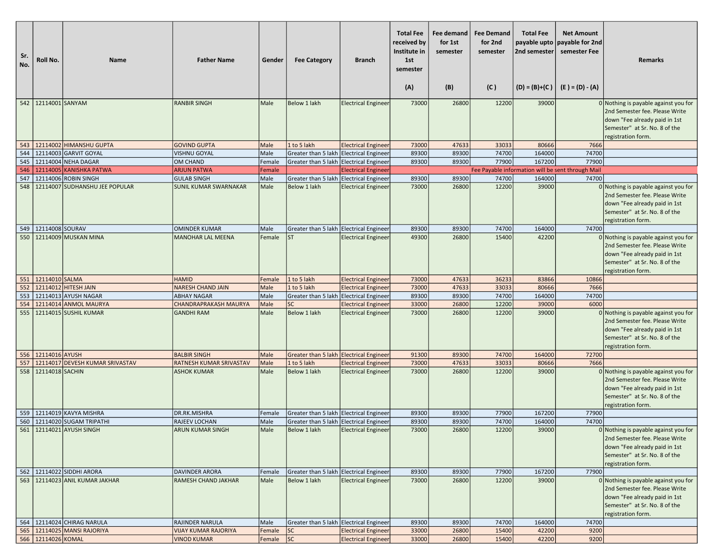| Sr.<br>No. | Roll No.               | Name                                                     | <b>Father Name</b>                    | Gender           | <b>Fee Category</b>                     | <b>Branch</b>              | <b>Total Fee</b><br>received by<br>Institute in<br>1st<br>semester<br>(A) | Fee demand<br>for 1st<br>semester<br>(B) | <b>Fee Demand</b><br>for 2nd<br>semester<br>(C) | <b>Total Fee</b><br>2nd semester<br>$(D) = (B)+(C)$ | <b>Net Amount</b><br>payable upto payable for 2nd<br>semester Fee<br>(E ) = (D) - (A) | <b>Remarks</b>                                                                                                                                                 |
|------------|------------------------|----------------------------------------------------------|---------------------------------------|------------------|-----------------------------------------|----------------------------|---------------------------------------------------------------------------|------------------------------------------|-------------------------------------------------|-----------------------------------------------------|---------------------------------------------------------------------------------------|----------------------------------------------------------------------------------------------------------------------------------------------------------------|
|            | 542 2114001 SANYAM     |                                                          | <b>RANBIR SINGH</b>                   | Male             | Below 1 lakh                            | <b>Electrical Engineer</b> | 73000                                                                     | 26800                                    | 12200                                           | 39000                                               |                                                                                       | 0 Nothing is payable against you for<br>2nd Semester fee. Please Write<br>down "Fee already paid in 1st<br>Semester" at Sr. No. 8 of the                       |
|            |                        |                                                          |                                       |                  |                                         |                            |                                                                           |                                          |                                                 |                                                     |                                                                                       | registration form.                                                                                                                                             |
|            |                        | 543   12114002   HIMANSHU GUPTA                          | <b>GOVIND GUPTA</b>                   | Male             | 1 to 5 lakh                             | <b>Electrical Engineer</b> | 73000                                                                     | 47633                                    | 33033                                           | 80666                                               | 7666                                                                                  |                                                                                                                                                                |
|            |                        | 544   12114003 GARVIT GOYAL                              | <b>VISHNU GOYAL</b>                   | Male             | Greater than 5 lakh Electrical Engineer |                            | 89300                                                                     | 89300                                    | 74700                                           | 164000                                              | 74700                                                                                 |                                                                                                                                                                |
|            |                        | 545 22114004 NEHA DAGAR<br>546   12114005 KANISHKA PATWA | <b>OM CHAND</b><br><b>ARJUN PATWA</b> | Female<br>Female | Greater than 5 lakh Electrical Engineer | <b>Electrical Engineer</b> | 89300                                                                     | 89300                                    | 77900                                           | 167200                                              | 77900<br>Fee Payable information will be sent through Mail                            |                                                                                                                                                                |
| 547        |                        | 12114006 ROBIN SINGH                                     | <b>GULAB SINGH</b>                    | Male             | Greater than 5 lakh Electrical Engineer |                            | 89300                                                                     | 89300                                    | 74700                                           | 164000                                              | 74700                                                                                 |                                                                                                                                                                |
| 548        |                        | 12114007 SUDHANSHU JEE POPULAR                           | <b>SUNIL KUMAR SWARNAKAR</b>          | Male             | <b>Below 1 lakh</b>                     | <b>Electrical Engineer</b> | 73000                                                                     | 26800                                    | 12200                                           | 39000                                               |                                                                                       | 0 Nothing is payable against you for<br>2nd Semester fee. Please Write<br>down "Fee already paid in 1st<br>Semester" at Sr. No. 8 of the<br>registration form. |
|            | 549 22114008 SOURAV    |                                                          | <b>OMINDER KUMAR</b>                  | Male             | Greater than 5 lakh Electrical Engineer |                            | 89300                                                                     | 89300                                    | 74700                                           | 164000                                              | 74700                                                                                 |                                                                                                                                                                |
|            |                        | 550   12114009 MUSKAN MINA                               | <b>MANOHAR LAL MEENA</b>              | Female           | <b>ST</b>                               | <b>Electrical Engineer</b> | 49300                                                                     | 26800                                    | 15400                                           | 42200                                               |                                                                                       | 0 Nothing is payable against you for<br>2nd Semester fee. Please Write<br>down "Fee already paid in 1st<br>Semester" at Sr. No. 8 of the<br>registration form. |
|            | 551   12114010   SALMA |                                                          | <b>HAMID</b>                          | Female           | 1 to 5 lakh                             | <b>Electrical Engineer</b> | 73000                                                                     | 47633                                    | 36233                                           | 83866                                               | 10866                                                                                 |                                                                                                                                                                |
|            |                        | 552 12114012 HITESH JAIN                                 | <b>NARESH CHAND JAIN</b>              | Male             | 1 to 5 lakh                             | <b>Electrical Engineer</b> | 73000                                                                     | 47633                                    | 33033                                           | 80666                                               | 7666                                                                                  |                                                                                                                                                                |
| 553        |                        | 12114013 AYUSH NAGAR                                     | ABHAY NAGAR                           | Male             | Greater than 5 lakh Electrical Engineer |                            | 89300                                                                     | 89300                                    | 74700                                           | 164000                                              | 74700                                                                                 |                                                                                                                                                                |
| 554        |                        | 12114014 ANMOL MAURYA                                    | CHANDRAPRAKASH MAURYA                 | Male             | <b>SC</b>                               | <b>Electrical Engineer</b> | 33000                                                                     | 26800                                    | 12200                                           | 39000                                               | 6000                                                                                  |                                                                                                                                                                |
| 555        |                        | 12114015 SUSHIL KUMAR                                    | <b>GANDHI RAM</b>                     | Male             | Below 1 lakh                            | <b>Electrical Engineer</b> | 73000                                                                     | 26800                                    | 12200                                           | 39000                                               |                                                                                       | 0 Nothing is payable against you for<br>2nd Semester fee. Please Write<br>down "Fee already paid in 1st<br>Semester" at Sr. No. 8 of the<br>registration form. |
|            | 556 22114016 AYUSH     |                                                          | <b>BALBIR SINGH</b>                   | Male             | Greater than 5 lakh Electrical Engineer |                            | 91300                                                                     | 89300                                    | 74700                                           | 164000                                              | 72700                                                                                 |                                                                                                                                                                |
| 557        |                        | 12114017 DEVESH KUMAR SRIVASTAV                          | RATNESH KUMAR SRIVASTAV               | Male             | 1 to 5 lakh                             | <b>Electrical Engineer</b> | 73000                                                                     | 47633                                    | 33033                                           | 80666                                               | 7666                                                                                  |                                                                                                                                                                |
|            | 558 22114018 SACHIN    |                                                          | <b>ASHOK KUMAR</b>                    | Male             | Below 1 lakh                            | <b>Electrical Engineer</b> | 73000                                                                     | 26800                                    | 12200                                           | 39000                                               |                                                                                       | 0 Nothing is payable against you for<br>2nd Semester fee. Please Write<br>down "Fee already paid in 1st<br>Semester" at Sr. No. 8 of the<br>registration form. |
|            |                        | 559 12114019 KAVYA MISHRA                                | DR.RK.MISHRA                          | Female           | Greater than 5 lakh Electrical Engineer |                            | 89300                                                                     | 89300                                    | 77900                                           | 167200                                              | 77900                                                                                 |                                                                                                                                                                |
|            |                        | 560   12114020 SUGAM TRIPATHI                            | RAJEEV LOCHAN                         | Male             | Greater than 5 lakh Electrical Engineer |                            | 89300                                                                     | 89300                                    | 74700                                           | 164000                                              | 74700                                                                                 |                                                                                                                                                                |
|            |                        | 561   12114021   AYUSH SINGH                             | <b>ARUN KUMAR SINGH</b>               | Male             | Below 1 lakh                            | <b>Electrical Engineer</b> | 73000                                                                     | 26800                                    | 12200                                           | 39000                                               |                                                                                       | 0 Nothing is payable against you for<br>2nd Semester fee. Please Write<br>down "Fee already paid in 1st<br>Semester" at Sr. No. 8 of the<br>registration form. |
|            |                        | 562   12114022 SIDDHI ARORA                              | DAVINDER ARORA                        | Female           | Greater than 5 lakh Electrical Engineer |                            | 89300                                                                     | 89300                                    | 77900                                           | 167200                                              | 77900                                                                                 |                                                                                                                                                                |
|            |                        | 563   12114023 ANIL KUMAR JAKHAR                         | RAMESH CHAND JAKHAR                   | Male             | Below 1 lakh                            | <b>Electrical Engineer</b> | 73000                                                                     | 26800                                    | 12200                                           | 39000                                               |                                                                                       | 0 Nothing is payable against you for<br>2nd Semester fee. Please Write<br>down "Fee already paid in 1st<br>Semester" at Sr. No. 8 of the<br>registration form. |
|            |                        | 564   12114024 CHIRAG NARULA                             | RAJINDER NARULA                       | Male             | Greater than 5 lakh Electrical Engineer |                            | 89300                                                                     | 89300                                    | 74700                                           | 164000                                              | 74700                                                                                 |                                                                                                                                                                |
|            |                        | 565   12114025 MANSI RAJORIYA                            | <b>VIJAY KUMAR RAJORIYA</b>           | Female           | <b>SC</b>                               | <b>Electrical Engineer</b> | 33000                                                                     | 26800                                    | 15400                                           | 42200                                               | 9200                                                                                  |                                                                                                                                                                |
|            | 566 12114026 KOMAL     |                                                          | <b>VINOD KUMAR</b>                    | Female           | sc                                      | <b>Electrical Engineer</b> | 33000                                                                     | 26800                                    | 15400                                           | 42200                                               | 9200                                                                                  |                                                                                                                                                                |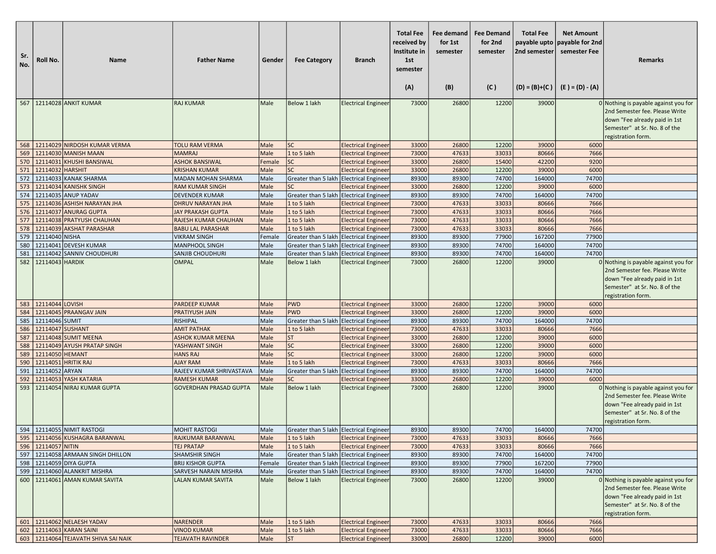| Sr.<br>No. | Roll No.           | <b>Name</b>                                        | <b>Father Name</b>                                      | Gender       | <b>Fee Category</b>                     | <b>Branch</b>                                            | <b>Total Fee</b><br>received by<br>Institute in<br>1st<br>semester<br>(A) | Fee demand<br>for 1st<br>semester<br>(B) | <b>Fee Demand</b><br>for 2nd<br>semester<br>(C) | <b>Total Fee</b><br>payable upto<br>2nd semester | <b>Net Amount</b><br>payable for 2nd<br>semester Fee<br>$(D) = (B)+(C)$ $(E) = (D) - (A)$ | <b>Remarks</b>                                                                                                                                                   |
|------------|--------------------|----------------------------------------------------|---------------------------------------------------------|--------------|-----------------------------------------|----------------------------------------------------------|---------------------------------------------------------------------------|------------------------------------------|-------------------------------------------------|--------------------------------------------------|-------------------------------------------------------------------------------------------|------------------------------------------------------------------------------------------------------------------------------------------------------------------|
|            |                    | 567   12114028 ANKIT KUMAR                         | <b>RAJ KUMAR</b>                                        | Male         | Below 1 lakh                            | <b>Electrical Engineer</b>                               | 73000                                                                     | 26800                                    | 12200                                           | 39000                                            |                                                                                           | 0 Nothing is payable against you for                                                                                                                             |
|            |                    |                                                    |                                                         |              |                                         |                                                          |                                                                           |                                          |                                                 |                                                  |                                                                                           | 2nd Semester fee. Please Write<br>down "Fee already paid in 1st<br>Semester" at Sr. No. 8 of the<br>registration form.                                           |
|            |                    | 568   12114029 NIRDOSH KUMAR VERMA                 | <b>TOLU RAM VERMA</b>                                   | Male         | <b>SC</b>                               | <b>Electrical Engineer</b>                               | 33000                                                                     | 26800                                    | 12200                                           | 39000                                            | 6000                                                                                      |                                                                                                                                                                  |
| 569        |                    | 12114030 MANISH MAAN                               | <b>MAMRAJ</b>                                           | Male         | 1 to 5 lakh                             | <b>Electrical Engineer</b>                               | 73000                                                                     | 47633                                    | 33033                                           | 80666                                            | 7666                                                                                      |                                                                                                                                                                  |
| 570        |                    | 12114031 KHUSHI BANSIWAL                           | <b>ASHOK BANSIWAL</b>                                   | Female       | <b>SC</b>                               | <b>Electrical Engineer</b>                               | 33000                                                                     | 26800                                    | 15400                                           | 42200                                            | 9200                                                                                      |                                                                                                                                                                  |
| 571        | 12114032 HARSHIT   |                                                    | <b>KRISHAN KUMAR</b>                                    | Male         | <b>SC</b>                               | <b>Electrical Engineer</b>                               | 33000                                                                     | 26800                                    | 12200                                           | 39000                                            | 6000                                                                                      |                                                                                                                                                                  |
| 572        |                    | 12114033 KANAK SHARMA                              | <b>MADAN MOHAN SHARMA</b>                               | Male         | Greater than 5 lakh Electrical Engineer |                                                          | 89300                                                                     | 89300                                    | 74700                                           | 164000                                           | 74700                                                                                     |                                                                                                                                                                  |
| 573        |                    | 12114034 KANISHK SINGH                             | <b>RAM KUMAR SINGH</b>                                  | Male         | <b>SC</b>                               | <b>Electrical Engineer</b>                               | 33000                                                                     | 26800                                    | 12200                                           | 39000                                            | 6000                                                                                      |                                                                                                                                                                  |
| 574        |                    | 12114035 ANUP YADAV                                | <b>DEVENDER KUMAR</b>                                   | Male         | Greater than 5 lakh Electrical Engineer |                                                          | 89300                                                                     | 89300                                    | 74700                                           | 164000                                           | 74700                                                                                     |                                                                                                                                                                  |
| 575        |                    | 12114036 ASHISH NARAYAN JHA                        | <b>DHRUV NARAYAN JHA</b>                                | Male         | 1 to 5 lakh                             | <b>Electrical Engineer</b>                               | 73000                                                                     | 47633                                    | 33033                                           | 80666                                            | 7666                                                                                      |                                                                                                                                                                  |
| 576<br>577 |                    | 12114037 ANURAG GUPTA<br>12114038 PRATYUSH CHAUHAN | <b>JAY PRAKASH GUPTA</b>                                | Male<br>Male | 1 to 5 lakh<br>1 to 5 lakh              | <b>Electrical Engineer</b>                               | 73000<br>73000                                                            | 47633<br>47633                           | 33033<br>33033                                  | 80666<br>80666                                   | 7666<br>7666                                                                              |                                                                                                                                                                  |
| 578        |                    | 12114039 AKSHAT PARASHAR                           | <b>RAJESH KUMAR CHAUHAN</b><br><b>BABU LAL PARASHAR</b> | Male         | 1 to 5 lakh                             | <b>Electrical Engineer</b><br><b>Electrical Engineer</b> | 73000                                                                     | 47633                                    | 33033                                           | 80666                                            | 7666                                                                                      |                                                                                                                                                                  |
| 579        | 12114040 NISHA     |                                                    | <b>VIKRAM SINGH</b>                                     | Female       | Greater than 5 lakh Electrical Engineer |                                                          | 89300                                                                     | 89300                                    | 77900                                           | 167200                                           | 77900                                                                                     |                                                                                                                                                                  |
| 580        |                    | 12114041 DEVESH KUMAR                              | <b>MANPHOOL SINGH</b>                                   | Male         | Greater than 5 lakh Electrical Engineer |                                                          | 89300                                                                     | 89300                                    | 74700                                           | 164000                                           | 74700                                                                                     |                                                                                                                                                                  |
| 581        |                    | 12114042 SANNIV CHOUDHURI                          | <b>SANJIB CHOUDHURI</b>                                 | Male         | Greater than 5 lakh Electrical Engineer |                                                          | 89300                                                                     | 89300                                    | 74700                                           | 164000                                           | 74700                                                                                     |                                                                                                                                                                  |
| 582        | 12114043 HARDIK    |                                                    | <b>OMPAL</b>                                            | Male         | Below 1 lakh                            | <b>Electrical Engineer</b>                               | 73000                                                                     | 26800                                    | 12200                                           | 39000                                            |                                                                                           | 0 Nothing is payable against you for<br>2nd Semester fee. Please Write<br>down "Fee already paid in 1st<br>Semester" at Sr. No. 8 of the<br>registration form.   |
| 583        | 12114044 LOVISH    |                                                    | <b>PARDEEP KUMAR</b>                                    | Male         | <b>PWD</b>                              | <b>Electrical Engineer</b>                               | 33000                                                                     | 26800                                    | 12200                                           | 39000                                            | 6000                                                                                      |                                                                                                                                                                  |
| 584        |                    | 12114045 PRAANGAV JAIN                             | <b>PRATIYUSH JAIN</b>                                   | Male         | <b>PWD</b>                              | <b>Electrical Engineer</b>                               | 33000                                                                     | 26800                                    | 12200                                           | 39000                                            | 6000                                                                                      |                                                                                                                                                                  |
| 585        | 12114046 SUMIT     |                                                    | <b>RISHIPAL</b>                                         | Male         | Greater than 5 lakh Electrical Engineer |                                                          | 89300                                                                     | 89300                                    | 74700                                           | 164000                                           | 74700                                                                                     |                                                                                                                                                                  |
| 586<br>587 | 12114047 SUSHANT   | 12114048 SUMIT MEENA                               | <b>AMIT PATHAK</b>                                      | Male         | 1 to 5 lakh                             | <b>Electrical Engineer</b>                               | 73000<br>33000                                                            | 47633                                    | 33033<br>12200                                  | 80666<br>39000                                   | 7666<br>6000                                                                              |                                                                                                                                                                  |
| 588        |                    | 12114049 AYUSH PRATAP SINGH                        | <b>ASHOK KUMAR MEENA</b><br>YASHWANT SINGH              | Male<br>Male | <b>ST</b><br><b>SC</b>                  | <b>Electrical Engineer</b><br><b>Electrical Engineer</b> | 33000                                                                     | 26800<br>26800                           | 12200                                           | 39000                                            | 6000                                                                                      |                                                                                                                                                                  |
| 589        | 12114050 HEMANT    |                                                    | <b>HANS RAJ</b>                                         | Male         | <b>SC</b>                               | <b>Electrical Engineer</b>                               | 33000                                                                     | 26800                                    | 12200                                           | 39000                                            | 6000                                                                                      |                                                                                                                                                                  |
| 590        |                    | 12114051 HRITIK RAJ                                | <b>AJAY RAM</b>                                         | Male         | 1 to 5 lakh                             | <b>Electrical Engineer</b>                               | 73000                                                                     | 47633                                    | 33033                                           | 80666                                            | 7666                                                                                      |                                                                                                                                                                  |
| 591        | 12114052 ARYAN     |                                                    | RAJEEV KUMAR SHRIVASTAVA                                | Male         | Greater than 5 lakh Electrical Engineer |                                                          | 89300                                                                     | 89300                                    | 74700                                           | 164000                                           | 74700                                                                                     |                                                                                                                                                                  |
| 592        |                    | 12114053 YASH KATARIA                              | <b>RAMESH KUMAR</b>                                     | Male         | <b>SC</b>                               | <b>Electrical Engineer</b>                               | 33000                                                                     | 26800                                    | 12200                                           | 39000                                            | 6000                                                                                      |                                                                                                                                                                  |
| 593        |                    | 12114054 NIRAJ KUMAR GUPTA                         | <b>GOVERDHAN PRASAD GUPTA</b>                           | Male         | <b>Below 1 lakh</b>                     | <b>Electrical Engineer</b>                               | 73000                                                                     | 26800                                    | 12200                                           | 39000                                            |                                                                                           | $0$ Nothing is payable against you for<br>2nd Semester fee. Please Write<br>down "Fee already paid in 1st<br>Semester" at Sr. No. 8 of the<br>registration form. |
|            |                    | 594   12114055   NIMIT RASTOGI                     | MOHIT RASTOGI                                           | Male         | Greater than 5 lakh Electrical Engineer |                                                          | 89300                                                                     | 89300                                    | 74700                                           | 164000                                           | 74700                                                                                     |                                                                                                                                                                  |
|            |                    | 595   12114056 KUSHAGRA BARANWAL                   | RAJKUMAR BARANWAL                                       | Male         | 1 to 5 lakh                             | <b>Electrical Engineer</b>                               | 73000                                                                     | 47633                                    | 33033                                           | 80666                                            | 7666                                                                                      |                                                                                                                                                                  |
|            | 596 22114057 NITIN |                                                    | <b>TEJ PRATAP</b>                                       | Male         | 1 to 5 lakh                             | <b>Electrical Engineer</b>                               | 73000                                                                     | 47633                                    | 33033                                           | 80666                                            | 7666                                                                                      |                                                                                                                                                                  |
| 597        |                    | 12114058 ARMAAN SINGH DHILLON                      | <b>SHAMSHIR SINGH</b>                                   | Male         | Greater than 5 lakh Electrical Engineer |                                                          | 89300                                                                     | 89300                                    | 74700                                           | 164000                                           | 74700                                                                                     |                                                                                                                                                                  |
| 598        |                    | 12114059 DIYA GUPTA                                | <b>BRIJ KISHOR GUPTA</b>                                | Female       | Greater than 5 lakh Electrical Engineer |                                                          | 89300                                                                     | 89300                                    | 77900                                           | 167200                                           | 77900                                                                                     |                                                                                                                                                                  |
| 599        |                    | 12114060 ALANKRIT MISHRA                           | <b>SARVESH NARAIN MISHRA</b>                            | Male         | Greater than 5 lakh Electrical Engineer |                                                          | 89300                                                                     | 89300                                    | 74700                                           | 164000                                           | 74700                                                                                     |                                                                                                                                                                  |
| 600        |                    | 12114061 AMAN KUMAR SAVITA                         | <b>LALAN KUMAR SAVITA</b>                               | Male         | Below 1 lakh                            | <b>Electrical Engineer</b>                               | 73000                                                                     | 26800                                    | 12200                                           | 39000                                            |                                                                                           | 0 Nothing is payable against you for<br>2nd Semester fee. Please Write<br>down "Fee already paid in 1st<br>Semester" at Sr. No. 8 of the<br>registration form.   |
|            |                    | 601   12114062 NELAESH YADAV                       | <b>NARENDER</b>                                         | Male         | 1 to 5 lakh                             | <b>Electrical Engineer</b>                               | 73000                                                                     | 47633                                    | 33033                                           | 80666                                            | 7666                                                                                      |                                                                                                                                                                  |
|            |                    | 602   12114063 KARAN SAINI                         | <b>VINOD KUMAR</b>                                      | Male         | 1 to 5 lakh                             | <b>Electrical Engineer</b>                               | 73000                                                                     | 47633                                    | 33033                                           | 80666                                            | 7666                                                                                      |                                                                                                                                                                  |
|            |                    | 603 12114064 TEJAVATH SHIVA SAI NAIK               | <b>TEJAVATH RAVINDER</b>                                | Male         | <b>ST</b>                               | <b>Electrical Engineer</b>                               | 33000                                                                     | 26800                                    | 12200                                           | 39000                                            | 6000                                                                                      |                                                                                                                                                                  |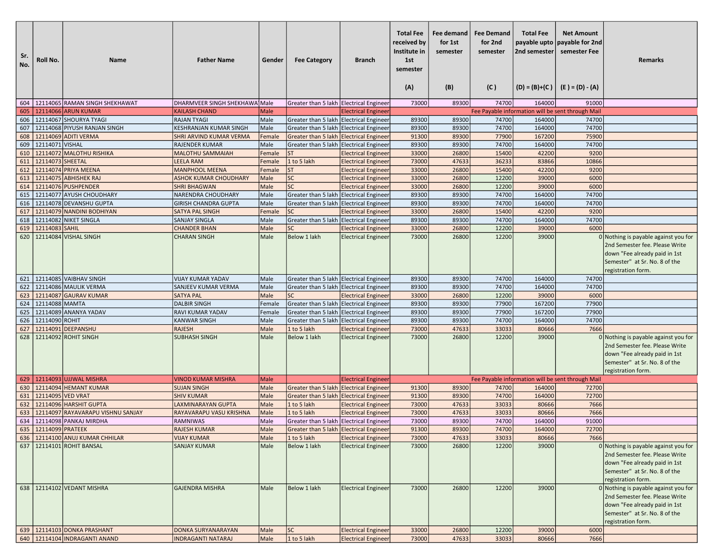| Sr.<br>No. | Roll No.                 | <b>Name</b>                                                    | <b>Father Name</b>                              | Gender       | <b>Fee Category</b>                       | <b>Branch</b>              | <b>Total Fee</b><br>received by<br>Institute in<br>1st<br>semester<br>(A) | Fee demand<br>for 1st<br>semester<br>(B) | <b>Fee Demand</b><br>for 2nd<br>semester<br>(C) | <b>Total Fee</b><br>2nd semester | <b>Net Amount</b><br>payable upto   payable for 2nd<br>semester Fee<br>$(D) = (B)+(C)$ $(E) = (D) - (A)$ | <b>Remarks</b>                                                                                                                                                   |
|------------|--------------------------|----------------------------------------------------------------|-------------------------------------------------|--------------|-------------------------------------------|----------------------------|---------------------------------------------------------------------------|------------------------------------------|-------------------------------------------------|----------------------------------|----------------------------------------------------------------------------------------------------------|------------------------------------------------------------------------------------------------------------------------------------------------------------------|
|            |                          | 604   12114065 RAMAN SINGH SHEKHAWAT                           | DHARMVEER SINGH SHEKHAWA Male                   |              | Greater than 5 lakh Electrical Engineer   |                            | 73000                                                                     | 89300                                    | 74700                                           | 164000                           | 91000                                                                                                    |                                                                                                                                                                  |
|            |                          | 605   12114066 ARUN KUMAR                                      | <b>KAILASH CHAND</b>                            | Male         |                                           | <b>Electrical Engineer</b> |                                                                           |                                          |                                                 |                                  | Fee Payable information will be sent through Mail                                                        |                                                                                                                                                                  |
|            |                          | 606   12114067 SHOURYA TYAGI                                   | <b>RAJAN TYAGI</b>                              | Male         | Greater than 5 lakh Electrical Engineer   |                            | 89300                                                                     | 89300                                    | 74700                                           | 164000                           | 74700                                                                                                    |                                                                                                                                                                  |
| 607        |                          | 12114068 PIYUSH RANJAN SINGH                                   | KESHRANJAN KUMAR SINGH                          | Male         | Greater than 5 lakh Electrical Engineer   |                            | 89300                                                                     | 89300                                    | 74700                                           | 164000                           | 74700                                                                                                    |                                                                                                                                                                  |
| 608        |                          | 12114069 ADITI VERMA                                           | SHRI ARVIND KUMAR VERMA                         | Female       | Greater than 5 lakh Electrical Engineer   |                            | 91300                                                                     | 89300                                    | 77900                                           | 167200                           | 75900                                                                                                    |                                                                                                                                                                  |
| 609        | 12114071 VISHAL          |                                                                | <b>RAJENDER KUMAR</b>                           | Male         | Greater than 5 lakh   Electrical Engineer |                            | 89300                                                                     | 89300                                    | 74700                                           | 164000                           | 74700                                                                                                    |                                                                                                                                                                  |
|            |                          | 610   12114072 MALOTHU RISHIKA                                 | <b>MALOTHU SAMMAIAH</b>                         | Female       | <b>ST</b>                                 | <b>Electrical Engineer</b> | 33000                                                                     | 26800                                    | 15400                                           | 42200                            | 9200                                                                                                     |                                                                                                                                                                  |
| 611        | 12114073 SHEETAL         |                                                                | <b>LEELA RAM</b>                                | Female       | 1 to 5 lakh                               | <b>Electrical Engineer</b> | 73000                                                                     | 47633                                    | 36233                                           | 83866                            | 10866                                                                                                    |                                                                                                                                                                  |
| 612        |                          | 12114074 PRIYA MEENA                                           | <b>MANPHOOL MEENA</b>                           | Female       | <b>ST</b>                                 | <b>Electrical Engineer</b> | 33000                                                                     | 26800                                    | 15400                                           | 42200                            | 9200                                                                                                     |                                                                                                                                                                  |
| 613        |                          | 12114075 ABHISHEK RAJ                                          | <b>ASHOK KUMAR CHOUDHARY</b>                    | Male         | <b>SC</b>                                 | <b>Electrical Engineer</b> | 33000                                                                     | 26800                                    | 12200                                           | 39000                            | 6000                                                                                                     |                                                                                                                                                                  |
| 614        |                          | 12114076 PUSHPENDER                                            | <b>SHRI BHAGWAN</b>                             | Male         | SC                                        | <b>Electrical Engineer</b> | 33000                                                                     | 26800                                    | 12200                                           | 39000                            | 6000                                                                                                     |                                                                                                                                                                  |
| 615        |                          | 12114077 AYUSH CHOUDHARY                                       | NARENDRA CHOUDHARY                              | Male         | Greater than 5 lakh Electrical Engineer   |                            | 89300                                                                     | 89300                                    | 74700                                           | 164000                           | 74700                                                                                                    |                                                                                                                                                                  |
|            |                          | 616   12114078 DEVANSHU GUPTA                                  | <b>GIRISH CHANDRA GUPTA</b>                     | Male         | Greater than 5 lakh Electrical Engineer   |                            | 89300                                                                     | 89300                                    | 74700                                           | 164000                           | 74700                                                                                                    |                                                                                                                                                                  |
|            |                          | 617   12114079 NANDINI BODHIYAN                                | SATYA PAL SINGH                                 | Female       | <b>SC</b>                                 | <b>Electrical Engineer</b> | 33000                                                                     | 26800                                    | 15400                                           | 42200                            | 9200                                                                                                     |                                                                                                                                                                  |
| 618        |                          | 12114082 NIKET SINGLA                                          | SANJAY SINGLA                                   | Male         | Greater than 5 lakh Electrical Engineer   |                            | 89300                                                                     | 89300                                    | 74700                                           | 164000                           | 74700                                                                                                    |                                                                                                                                                                  |
|            | 619 2114083 SAHIL        |                                                                | <b>CHANDER BHAN</b>                             | Male         | <b>SC</b>                                 | <b>Electrical Engineer</b> | 33000                                                                     | 26800                                    | 12200                                           | 39000                            | 6000                                                                                                     |                                                                                                                                                                  |
| 620        |                          | 12114084 VISHAL SINGH                                          | <b>CHARAN SINGH</b>                             | Male         | Below 1 lakh                              | <b>Electrical Engineer</b> | 73000                                                                     | 26800                                    | 12200                                           | 39000                            |                                                                                                          | $0$ Nothing is payable against you for<br>2nd Semester fee. Please Write<br>down "Fee already paid in 1st<br>Semester" at Sr. No. 8 of the<br>registration form. |
|            |                          | 621   12114085 VAIBHAV SINGH                                   | <b>VIJAY KUMAR YADAV</b>                        | Male         | Greater than 5 lakh Electrical Engineer   |                            | 89300                                                                     | 89300                                    | 74700                                           | 164000                           | 74700                                                                                                    |                                                                                                                                                                  |
|            |                          | 622   12114086 MAULIK VERMA                                    | SANJEEV KUMAR VERMA                             | Male         | Greater than 5 lakh Electrical Engineer   |                            | 89300                                                                     | 89300                                    | 74700                                           | 164000                           | 74700                                                                                                    |                                                                                                                                                                  |
| 623        |                          | 12114087 GAURAV KUMAR                                          | <b>SATYA PAL</b>                                | Male         | <b>SC</b>                                 | <b>Electrical Engineer</b> | 33000                                                                     | 26800                                    | 12200                                           | 39000                            | 6000                                                                                                     |                                                                                                                                                                  |
|            | 624   12114088   MAMTA   |                                                                | <b>DALBIR SINGH</b>                             | Female       | Greater than 5 lakh Electrical Engineer   |                            | 89300                                                                     | 89300                                    | 77900                                           | 167200                           | 77900                                                                                                    |                                                                                                                                                                  |
| 625        |                          | 12114089 ANANYA YADAV                                          | RAVI KUMAR YADAV                                | Female       | Greater than 5 lakh Electrical Engineer   |                            | 89300                                                                     | 89300                                    | 77900                                           | 167200                           | 77900                                                                                                    |                                                                                                                                                                  |
|            | 626 22114090 ROHIT       |                                                                | <b>KANWAR SINGH</b>                             | Male         | Greater than 5 lakh Electrical Engineer   |                            | 89300                                                                     | 89300                                    | 74700                                           | 164000                           | 74700                                                                                                    |                                                                                                                                                                  |
| 627        |                          | 12114091 DEEPANSHU                                             | <b>RAJESH</b>                                   | Male         | 1 to 5 lakh                               | <b>Electrical Engineer</b> | 73000                                                                     | 47633                                    | 33033                                           | 80666                            | 7666                                                                                                     |                                                                                                                                                                  |
|            |                          | 628   12114092 ROHIT SINGH                                     | <b>SUBHASH SINGH</b>                            | Male         | Below 1 lakh                              | <b>Electrical Engineer</b> | 73000                                                                     | 26800                                    | 12200                                           | 39000                            |                                                                                                          | 0 Nothing is payable against you for<br>2nd Semester fee. Please Write<br>down "Fee already paid in 1st<br>Semester" at Sr. No. 8 of the<br>registration form.   |
|            |                          | 629   12114093 UJJWAL MISHRA                                   | <b>VINOD KUMAR MISHRA</b>                       | Male         |                                           | <b>Electrical Engineer</b> |                                                                           |                                          |                                                 |                                  | Fee Payable information will be sent through Mail                                                        |                                                                                                                                                                  |
| 630        |                          | 12114094 HEMANT KUMAR                                          | <b>SUJAN SINGH</b>                              | Male         | Greater than 5 lakh Electrical Engineer   |                            | 91300                                                                     | 89300                                    | 74700                                           | 164000                           | 72700                                                                                                    |                                                                                                                                                                  |
|            | 631 2114095 VED VRAT     |                                                                | <b>SHIV KUMAR</b>                               | Male         | Greater than 5 lakh Electrical Engineer   |                            | 91300                                                                     | 89300                                    | 74700                                           | 164000                           | 72700                                                                                                    |                                                                                                                                                                  |
| 632        |                          | 12114096 HARSHIT GUPTA                                         | <b>LAXMINARAYAN GUPTA</b>                       | Male         | 1 to 5 lakh                               | <b>Electrical Engineer</b> | 73000                                                                     | 47633                                    | 33033                                           | 80666                            | 7666                                                                                                     |                                                                                                                                                                  |
| 633        |                          | 12114097 RAYAVARAPU VISHNU SANJAY                              | RAYAVARAPU VASU KRISHNA                         | Male         | 1 to 5 lakh                               | <b>Electrical Engineer</b> | 73000                                                                     | 47633                                    | 33033                                           | 80666                            | 7666                                                                                                     |                                                                                                                                                                  |
|            |                          | 634 21114098 PANKAJ MIRDHA                                     | <b>RAMNIWAS</b>                                 | Male         | Greater than 5 lakh Electrical Engineer   |                            | 73000                                                                     | 89300                                    | 74700                                           | 164000                           | 91000                                                                                                    |                                                                                                                                                                  |
|            | 635   12114099   PRATEEK |                                                                | RAJESH KUMAR                                    | Male         | Greater than 5 lakh Electrical Engineer   |                            | 91300                                                                     | 89300                                    | 74700                                           | 164000                           | 72700                                                                                                    |                                                                                                                                                                  |
|            |                          | 636   12114100 ANUJ KUMAR CHHILAR                              | <b>VIJAY KUMAR</b>                              | Male         | 1 to 5 lakh                               | <b>Electrical Engineer</b> | 73000                                                                     | 47633                                    | 33033                                           | 80666                            | 7666                                                                                                     |                                                                                                                                                                  |
|            |                          | 637   12114101 ROHIT BANSAL                                    | <b>SANJAY KUMAR</b>                             | Male         | Below 1 lakh                              | <b>Electrical Engineer</b> | 73000                                                                     | 26800                                    | 12200                                           | 39000                            |                                                                                                          | 0 Nothing is payable against you for<br>2nd Semester fee. Please Write<br>down "Fee already paid in 1st<br>Semester" at Sr. No. 8 of the<br>registration form.   |
|            |                          | 638   12114102 VEDANT MISHRA                                   | <b>GAJENDRA MISHRA</b>                          | Male         | Below 1 lakh                              | <b>Electrical Engineer</b> | 73000                                                                     | 26800                                    | 12200                                           | 39000                            |                                                                                                          | 0 Nothing is payable against you for<br>2nd Semester fee. Please Write<br>down "Fee already paid in 1st<br>Semester" at Sr. No. 8 of the<br>registration form.   |
|            |                          | 639   12114103 DONKA PRASHANT<br>640 12114104 INDRAGANTI ANAND | DONKA SURYANARAYAN<br><b>INDRAGANTI NATARAJ</b> | Male<br>Male | <b>SC</b><br>$1$ to 5 lakh                | <b>Electrical Engineer</b> | 33000<br>73000                                                            | 26800<br>47633                           | 12200<br>33033                                  | 39000<br>80666                   | 6000<br>7666                                                                                             |                                                                                                                                                                  |
|            |                          |                                                                |                                                 |              |                                           | <b>Electrical Engineer</b> |                                                                           |                                          |                                                 |                                  |                                                                                                          |                                                                                                                                                                  |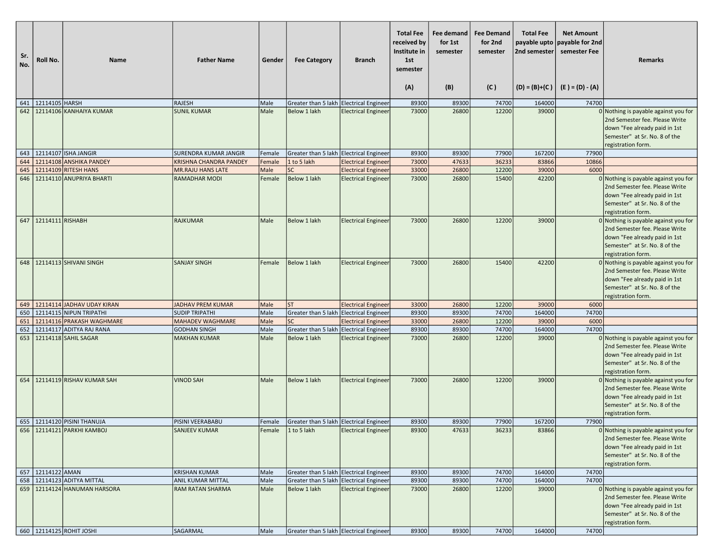| Sr.<br>No. | Roll No.              | <b>Name</b>                                                  | <b>Father Name</b>                           | Gender       | <b>Fee Category</b>                                     | <b>Branch</b>              | <b>Total Fee</b><br>received by<br>Institute in<br>1st<br>semester<br>(A) | Fee demand<br>for 1st<br>semester<br>(B) | <b>Fee Demand</b><br>for 2nd<br>semester<br>(C) | <b>Total Fee</b><br>payable upto<br>2nd semester | <b>Net Amount</b><br>payable for 2nd<br>semester Fee<br>$(D) = (B)+(C)$ $(E) = (D) - (A)$ | <b>Remarks</b>                                                                                                                                                 |
|------------|-----------------------|--------------------------------------------------------------|----------------------------------------------|--------------|---------------------------------------------------------|----------------------------|---------------------------------------------------------------------------|------------------------------------------|-------------------------------------------------|--------------------------------------------------|-------------------------------------------------------------------------------------------|----------------------------------------------------------------------------------------------------------------------------------------------------------------|
|            | 641 2114105 HARSH     |                                                              | <b>RAJESH</b>                                | Male         | Greater than 5 lakh Electrical Engineer                 |                            | 89300                                                                     | 89300                                    | 74700                                           | 164000                                           | 74700                                                                                     |                                                                                                                                                                |
| 642        |                       | 12114106 KANHAIYA KUMAR                                      | <b>SUNIL KUMAR</b>                           | Male         | <b>Below 1 lakh</b>                                     | <b>Electrical Engineer</b> | 73000                                                                     | 26800                                    | 12200                                           | 39000                                            |                                                                                           | 0 Nothing is payable against you for<br>2nd Semester fee. Please Write<br>down "Fee already paid in 1st<br>Semester" at Sr. No. 8 of the<br>registration form. |
| 643        |                       | 12114107 ISHA JANGIR                                         | <b>SURENDRA KUMAR JANGIR</b>                 | Female       | Greater than 5 lakh Electrical Engineer                 |                            | 89300                                                                     | 89300                                    | 77900                                           | 167200                                           | 77900                                                                                     |                                                                                                                                                                |
| 644        |                       | 12114108 ANSHIKA PANDEY                                      | <b>KRISHNA CHANDRA PANDEY</b>                | Female       | 1 to 5 lakh                                             | <b>Electrical Engineer</b> | 73000                                                                     | 47633                                    | 36233                                           | 83866                                            | 10866                                                                                     |                                                                                                                                                                |
| 645        |                       | 12114109 RITESH HANS                                         | <b>MR.RAJU HANS LATE</b>                     | Male         | <b>SC</b>                                               | <b>Electrical Engineer</b> | 33000                                                                     | 26800                                    | 12200                                           | 39000                                            | 6000                                                                                      |                                                                                                                                                                |
| 646        |                       | 12114110 ANUPRIYA BHARTI                                     | <b>RAMADHAR MODI</b>                         | Female       | Below 1 lakh                                            | <b>Electrical Engineer</b> | 73000                                                                     | 26800                                    | 15400                                           | 42200                                            |                                                                                           | 0 Nothing is payable against you for<br>2nd Semester fee. Please Write<br>down "Fee already paid in 1st<br>Semester" at Sr. No. 8 of the<br>registration form. |
| 647        | 12114111 RISHABH      |                                                              | <b>RAJKUMAR</b>                              | Male         | Below 1 lakh                                            | <b>Electrical Engineer</b> | 73000                                                                     | 26800                                    | 12200                                           | 39000                                            |                                                                                           | 0 Nothing is payable against you for<br>2nd Semester fee. Please Write<br>down "Fee already paid in 1st<br>Semester" at Sr. No. 8 of the<br>registration form. |
| 648        |                       | 12114113 SHIVANI SINGH                                       | <b>SANJAY SINGH</b>                          | Female       | Below 1 lakh                                            | <b>Electrical Engineer</b> | 73000                                                                     | 26800                                    | 15400                                           | 42200                                            |                                                                                           | 0 Nothing is payable against you for<br>2nd Semester fee. Please Write<br>down "Fee already paid in 1st<br>Semester" at Sr. No. 8 of the<br>registration form. |
| 649        |                       | 12114114 JADHAV UDAY KIRAN                                   | <b>JADHAV PREM KUMAR</b>                     | Male         | <b>ST</b>                                               | <b>Electrical Engineer</b> | 33000                                                                     | 26800                                    | 12200                                           | 39000                                            | 6000                                                                                      |                                                                                                                                                                |
| 650        |                       | 12114115 NIPUN TRIPATHI                                      | <b>SUDIP TRIPATHI</b>                        | Male         | Greater than 5 lakh Electrical Engineer                 |                            | 89300                                                                     | 89300                                    | 74700                                           | 164000                                           | 74700                                                                                     |                                                                                                                                                                |
| 651<br>652 |                       | 12114116 PRAKASH WAGHMARE<br>12114117 ADITYA RAJ RANA        | <b>MAHADEV WAGHMARE</b>                      | Male<br>Male | <b>SC</b>                                               | <b>Electrical Engineer</b> | 33000                                                                     | 26800<br>89300                           | 12200<br>74700                                  | 39000<br>164000                                  | 6000<br>74700                                                                             |                                                                                                                                                                |
| 653        |                       | 12114118 SAHIL SAGAR                                         | <b>GODHAN SINGH</b><br><b>MAKHAN KUMAR</b>   | Male         | Greater than 5 lakh Electrical Engineer<br>Below 1 lakh | <b>Electrical Engineer</b> | 89300<br>73000                                                            | 26800                                    | 12200                                           | 39000                                            |                                                                                           | 0 Nothing is payable against you for                                                                                                                           |
|            |                       |                                                              |                                              |              |                                                         |                            |                                                                           |                                          |                                                 |                                                  |                                                                                           | 2nd Semester fee. Please Write<br>down "Fee already paid in 1st<br>Semester" at Sr. No. 8 of the<br>registration form.                                         |
| 654        |                       | 12114119 RISHAV KUMAR SAH                                    | <b>VINOD SAH</b>                             | Male         | Below 1 lakh                                            | <b>Electrical Engineer</b> | 73000                                                                     | 26800                                    | 12200                                           | 39000                                            |                                                                                           | 0 Nothing is payable against you for<br>2nd Semester fee. Please Write<br>down "Fee already paid in 1st<br>Semester" at Sr. No. 8 of the<br>registration form. |
|            |                       | 655   12114120 PISINI THANUJA                                | PISINI VEERABABU                             | Female       | Greater than 5 lakh Electrical Engineer                 |                            | 89300                                                                     | 89300                                    | 77900                                           | 167200                                           | 77900                                                                                     |                                                                                                                                                                |
|            |                       | 656   12114121   PARKHI KAMBOJ                               | <b>SANJEEV KUMAR</b>                         |              | Female $ 1$ to 5 lakh                                   | <b>Electrical Engineer</b> | 89300                                                                     | 47633                                    | 36233                                           | 83866                                            |                                                                                           | 0 Nothing is payable against you for<br>2nd Semester fee. Please Write<br>down "Fee already paid in 1st<br>Semester" at Sr. No. 8 of the<br>registration form. |
|            | 657   12114122   AMAN |                                                              | <b>KRISHAN KUMAR</b>                         | Male         | Greater than 5 lakh Electrical Engineer                 |                            | 89300                                                                     | 89300                                    | 74700                                           | 164000                                           | 74700                                                                                     |                                                                                                                                                                |
|            |                       | 658 22114123 ADITYA MITTAL<br>659   12114124 HANUMAN HARSORA | ANIL KUMAR MITTAL<br><b>RAM RATAN SHARMA</b> | Male<br>Male | Greater than 5 lakh Electrical Engineer<br>Below 1 lakh | <b>Electrical Engineer</b> | 89300<br>73000                                                            | 89300<br>26800                           | 74700<br>12200                                  | 164000<br>39000                                  | 74700                                                                                     | 0 Nothing is payable against you for<br>2nd Semester fee. Please Write<br>down "Fee already paid in 1st<br>Semester" at Sr. No. 8 of the                       |
|            |                       | 660   12114125 ROHIT JOSHI                                   | SAGARMAL                                     | Male         | Greater than 5 lakh Electrical Engineer                 |                            | 89300                                                                     | 89300                                    | 74700                                           | 164000                                           | 74700                                                                                     | registration form.                                                                                                                                             |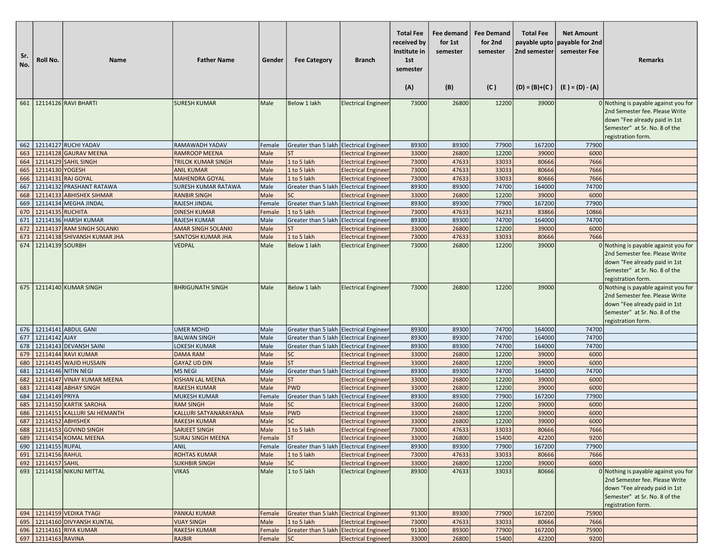| Sr.<br>No. | Roll No.               | Name                                           | <b>Father Name</b>                         | Gender           | <b>Fee Category</b>                                  | <b>Branch</b>                                            | <b>Total Fee</b><br>received by<br>Institute in<br>1st<br>semester<br>(A) | Fee demand<br>for 1st<br>semester<br>(B) | <b>Fee Demand</b><br>for 2nd<br>semester<br>(C) | <b>Total Fee</b><br>payable upto<br>2nd semester | <b>Net Amount</b><br>payable for 2nd<br>semester Fee<br>$(D) = (B)+(C)$ $(E) = (D) - (A)$ | <b>Remarks</b>                                                                                                                                                 |
|------------|------------------------|------------------------------------------------|--------------------------------------------|------------------|------------------------------------------------------|----------------------------------------------------------|---------------------------------------------------------------------------|------------------------------------------|-------------------------------------------------|--------------------------------------------------|-------------------------------------------------------------------------------------------|----------------------------------------------------------------------------------------------------------------------------------------------------------------|
|            |                        | 661 2114126 RAVI BHARTI                        | <b>SURESH KUMAR</b>                        | Male             | Below 1 lakh                                         | <b>Electrical Engineer</b>                               | 73000                                                                     | 26800                                    | 12200                                           | 39000                                            |                                                                                           | 0 Nothing is payable against you for                                                                                                                           |
|            |                        |                                                |                                            |                  |                                                      |                                                          |                                                                           |                                          |                                                 |                                                  |                                                                                           | 2nd Semester fee. Please Write<br>down "Fee already paid in 1st<br>Semester" at Sr. No. 8 of the<br>registration form.                                         |
| 662        |                        | 12114127 RUCHI YADAV                           | RAMAWADH YADAV                             | Female           | Greater than 5 lakh Ellectrical Engineer             |                                                          | 89300                                                                     | 89300                                    | 77900                                           | 167200                                           | 77900                                                                                     |                                                                                                                                                                |
| 663        |                        | 12114128 GAURAV MEENA                          | <b>RAMROOP MEENA</b>                       | Male             | ST                                                   | <b>Electrical Engineer</b>                               | 33000                                                                     | 26800                                    | 12200                                           | 39000                                            | 6000                                                                                      |                                                                                                                                                                |
| 664        |                        | 12114129 SAHIL SINGH                           | <b>TRILOK KUMAR SINGH</b>                  | Male             | 1 to 5 lakh                                          | <b>Electrical Engineer</b>                               | 73000                                                                     | 47633                                    | 33033                                           | 80666                                            | 7666                                                                                      |                                                                                                                                                                |
| 665        | 12114130 YOGESH        |                                                | <b>ANIL KUMAR</b>                          | Male             | 1 to 5 lakh                                          | <b>Electrical Engineer</b>                               | 73000                                                                     | 47633                                    | 33033                                           | 80666                                            | 7666                                                                                      |                                                                                                                                                                |
| 666        |                        | 12114131 RAJ GOYAL<br>12114132 PRASHANT RATAWA | <b>MAHENDRA GOYAL</b>                      | Male             | 1 to 5 lakh                                          | <b>Electrical Engineer</b>                               | 73000                                                                     | 47633                                    | 33033<br>74700                                  | 80666<br>164000                                  | 7666<br>74700                                                                             |                                                                                                                                                                |
| 667<br>668 |                        | 12114133 ABHISHEK SIHMAR                       | SURESH KUMAR RATAWA<br><b>RANBIR SINGH</b> | Male<br>Male     | Greater than 5 lakh Ellectrical Engineer<br>SC       |                                                          | 89300<br>33000                                                            | 89300<br>26800                           | 12200                                           | 39000                                            | 6000                                                                                      |                                                                                                                                                                |
| 669        |                        | 12114134 MEGHA JINDAL                          | RAJESH JINDAL                              | Female           | Greater than 5 lakh Ellectrical Engineer             | <b>Electrical Engineer</b>                               | 89300                                                                     | 89300                                    | 77900                                           | 167200                                           | 77900                                                                                     |                                                                                                                                                                |
| 670        | 12114135 RUCHITA       |                                                | <b>DINESH KUMAR</b>                        | Female           | 1 to 5 lakh                                          | <b>Electrical Engineer</b>                               | 73000                                                                     | 47633                                    | 36233                                           | 83866                                            | 10866                                                                                     |                                                                                                                                                                |
| 671        |                        | 12114136 HARSH KUMAR                           | <b>RAJESH KUMAR</b>                        | Male             | Greater than 5 lakh Electrical Engineer              |                                                          | 89300                                                                     | 89300                                    | 74700                                           | 164000                                           | 74700                                                                                     |                                                                                                                                                                |
| 672        |                        | 12114137 RAM SINGH SOLANKI                     | <b>AMAR SINGH SOLANKI</b>                  | Male             | ST                                                   | <b>Electrical Engineer</b>                               | 33000                                                                     | 26800                                    | 12200                                           | 39000                                            | 6000                                                                                      |                                                                                                                                                                |
| 673        |                        | 12114138 SHIVANSH KUMAR JHA                    | <b>SANTOSH KUMAR JHA</b>                   | Male             | 1 to 5 lakh                                          | <b>Electrical Engineer</b>                               | 73000                                                                     | 47633                                    | 33033                                           | 80666                                            | 7666                                                                                      |                                                                                                                                                                |
| 674        | 12114139 SOURBH        |                                                | <b>VEDPAL</b>                              | Male             | Below 1 lakh                                         | <b>Electrical Engineer</b>                               | 73000                                                                     | 26800                                    | 12200                                           | 39000                                            |                                                                                           | 0 Nothing is payable against you for<br>2nd Semester fee. Please Write<br>down "Fee already paid in 1st<br>Semester" at Sr. No. 8 of the<br>registration form. |
|            |                        | 675 12114140 KUMAR SINGH                       | <b>BHRIGUNATH SINGH</b>                    | Male             | Below 1 lakh                                         | <b>Electrical Engineer</b>                               | 73000                                                                     | 26800                                    | 12200                                           | 39000                                            |                                                                                           | 0 Nothing is payable against you for<br>2nd Semester fee. Please Write<br>down "Fee already paid in 1st<br>Semester" at Sr. No. 8 of the<br>registration form. |
|            |                        | 676   12114141 ABDUL GANI                      | <b>UMER MOHD</b>                           | Male             | Greater than 5 lakh Electrical Engineer              |                                                          | 89300                                                                     | 89300                                    | 74700                                           | 164000                                           | 74700                                                                                     |                                                                                                                                                                |
| 677        | 12114142 AJAY          |                                                | <b>BALWAN SINGH</b>                        | Male             | Greater than 5 lakh Ellectrical Engineer             |                                                          | 89300                                                                     | 89300                                    | 74700                                           | 164000                                           | 74700                                                                                     |                                                                                                                                                                |
| 678        |                        | 12114143 DEVANSH SAINI                         | <b>LOKESH KUMAR</b>                        | Male             | Greater than 5 lakh Electrical Engineer              |                                                          | 89300                                                                     | 89300                                    | 74700                                           | 164000                                           | 74700                                                                                     |                                                                                                                                                                |
| 679        |                        | 12114144 RAVI KUMAR                            | <b>DAMA RAM</b>                            | Male             | <b>SC</b><br>ST                                      | <b>Electrical Engineer</b>                               | 33000                                                                     | 26800                                    | 12200                                           | 39000                                            | 6000                                                                                      |                                                                                                                                                                |
| 680<br>681 |                        | 12114145 WAJID HUSSAIN<br>12114146 NITIN NEGI  | <b>GAYAZ UD DIN</b><br><b>MS NEGI</b>      | Male<br>Male     | Greater than 5 lakh Electrical Engineer              | <b>Electrical Engineer</b>                               | 33000<br>89300                                                            | 26800<br>89300                           | 12200<br>74700                                  | 39000<br>164000                                  | 6000<br>74700                                                                             |                                                                                                                                                                |
| 682        |                        | 12114147 VINAY KUMAR MEENA                     | <b>KISHAN LAL MEENA</b>                    | Male             | ST                                                   | <b>Electrical Engineer</b>                               | 33000                                                                     | 26800                                    | 12200                                           | 39000                                            | 6000                                                                                      |                                                                                                                                                                |
| 683        |                        | 12114148 ABHAY SINGH                           | <b>RAKESH KUMAR</b>                        | Male             | <b>PWD</b>                                           | <b>Electrical Engineer</b>                               | 33000                                                                     | 26800                                    | 12200                                           | 39000                                            | 6000                                                                                      |                                                                                                                                                                |
| 684        | 12114149 PRIYA         |                                                | <b>MUKESH KUMAR</b>                        | Female           | Greater than 5 lakh Ellectrical Engineer             |                                                          | 89300                                                                     | 89300                                    | 77900                                           | 167200                                           | 77900                                                                                     |                                                                                                                                                                |
| 685        |                        | 12114150 KARTIK SAROHA                         | <b>RAM SINGH</b>                           | Male             | <b>SC</b>                                            | <b>Electrical Engineer</b>                               | 33000                                                                     | 26800                                    | 12200                                           | 39000                                            | 6000                                                                                      |                                                                                                                                                                |
| 686        |                        | 12114151 KALLURI SAI HEMANTH                   | KALLURI SATYANARAYANA                      | Male             | <b>PWD</b>                                           | <b>Electrical Engineer</b>                               | 33000                                                                     | 26800                                    | 12200                                           | 39000                                            | 6000                                                                                      |                                                                                                                                                                |
| 687        | 12114152 ABHISHEK      |                                                | <b>RAKESH KUMAR</b>                        | Male             | <b>SC</b>                                            | <b>Electrical Engineer</b>                               | 33000                                                                     | 26800                                    | 12200                                           | 39000                                            | 6000                                                                                      |                                                                                                                                                                |
|            |                        | 688   12114153   GOVIND SINGH                  | SARJEET SINGH                              | Male             | 1 to 5 lakh                                          | <b>Electrical Engineer</b>                               | 73000                                                                     | 47633                                    | 33033                                           | 80666                                            | 7666                                                                                      |                                                                                                                                                                |
|            |                        | 689   12114154 KOMAL MEENA                     | <b>SURAJ SINGH MEENA</b>                   | Female           | ST                                                   | <b>Electrical Engineer</b>                               | 33000                                                                     | 26800                                    | 15400                                           | 42200                                            | 9200                                                                                      |                                                                                                                                                                |
|            | 690   12114155   RUPAL |                                                | <b>ANIL</b>                                | Female           | Greater than 5 lakh Electrical Engineer              |                                                          | 89300                                                                     | 89300                                    | 77900                                           | 167200                                           | 77900                                                                                     |                                                                                                                                                                |
|            | 691 2114156 RAHUL      |                                                | <b>ROHTAS KUMAR</b>                        | Male             | 1 to 5 lakh                                          | <b>Electrical Engineer</b>                               | 73000                                                                     | 47633                                    | 33033                                           | 80666                                            | 7666                                                                                      |                                                                                                                                                                |
|            | 692 12114157 SAHIL     | 693 12114158 NIKUNJ MITTAL                     | <b>SUKHBIR SINGH</b><br><b>VIKAS</b>       | Male<br>Male     | <b>SC</b><br>1 to 5 lakh                             | <b>Electrical Engineer</b><br><b>Electrical Engineer</b> | 33000<br>89300                                                            | 26800<br>47633                           | 12200<br>33033                                  | 39000<br>80666                                   | 6000                                                                                      | $0$ Nothing is payable against you for                                                                                                                         |
|            |                        |                                                |                                            |                  |                                                      |                                                          |                                                                           |                                          |                                                 |                                                  |                                                                                           | 2nd Semester fee. Please Write<br>down "Fee already paid in 1st<br>Semester" at Sr. No. 8 of the<br>registration form.                                         |
|            |                        | 694 12114159 VEDIKA TYAGI                      | PANKAJ KUMAR                               | Female           | Greater than 5 lakh Electrical Engineer              |                                                          | 91300                                                                     | 89300                                    | 77900                                           | 167200                                           | 75900                                                                                     |                                                                                                                                                                |
|            |                        | 695   12114160 DIVYANSH KUNTAL                 | <b>VIJAY SINGH</b>                         | Male             | 1 to 5 lakh                                          | <b>Electrical Engineer</b>                               | 73000                                                                     | 47633                                    | 33033                                           | 80666                                            | 7666                                                                                      |                                                                                                                                                                |
|            | 697 2114163 RAVINA     | 696   12114161 RIYA KUMAR                      | <b>RAKESH KUMAR</b><br>RAJBIR              | Female<br>Female | Greater than 5 lakh Electrical Engineer<br><b>SC</b> | <b>Electrical Engineer</b>                               | 91300<br>33000                                                            | 89300<br>26800                           | 77900<br>15400                                  | 167200<br>42200                                  | 75900<br>9200                                                                             |                                                                                                                                                                |
|            |                        |                                                |                                            |                  |                                                      |                                                          |                                                                           |                                          |                                                 |                                                  |                                                                                           |                                                                                                                                                                |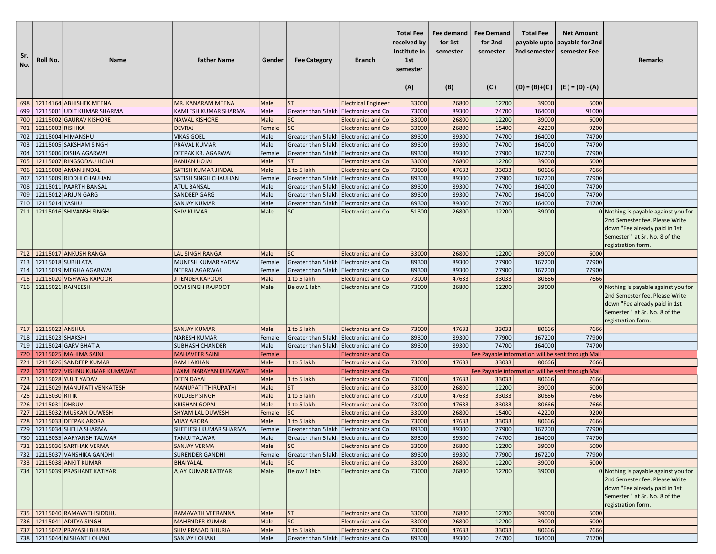| Sr.<br>No. | Roll No.                         | <b>Name</b>                                         | <b>Father Name</b>                           | Gender       | <b>Fee Category</b>                    | <b>Branch</b>                                          | <b>Total Fee</b><br>received by<br>Institute in<br>1st<br>semester<br>(A) | Fee demand<br>for 1st<br>semester<br>(B) | <b>Fee Demand</b><br>for 2nd<br>semester<br>(C) | <b>Total Fee</b><br>2nd semester | <b>Net Amount</b><br>payable upto payable for 2nd<br>semester Fee<br>$(D) = (B)+(C)$ $(E) = (D) - (A)$ | Remarks                                                                                                                                                        |
|------------|----------------------------------|-----------------------------------------------------|----------------------------------------------|--------------|----------------------------------------|--------------------------------------------------------|---------------------------------------------------------------------------|------------------------------------------|-------------------------------------------------|----------------------------------|--------------------------------------------------------------------------------------------------------|----------------------------------------------------------------------------------------------------------------------------------------------------------------|
| 698        |                                  | 12114164 ABHISHEK MEENA                             | MR. KANARAM MEENA                            | Male         | <b>ST</b>                              | <b>Electrical Engineer</b>                             | 33000                                                                     | 26800                                    | 12200                                           | 39000                            | 6000                                                                                                   |                                                                                                                                                                |
| 699        |                                  | 12115001 UDIT KUMAR SHARMA                          | <b>KAMLESH KUMAR SHARMA</b>                  | Male         | Greater than 5 lakh                    | <b>Electronics and Co</b>                              | 73000                                                                     | 89300                                    | 74700                                           | 164000                           | 91000                                                                                                  |                                                                                                                                                                |
| 700        |                                  | 12115002 GAURAV KISHORE                             | <b>NAWAL KISHORE</b>                         | Male         | <b>SC</b>                              | <b>Electronics and Co</b>                              | 33000                                                                     | 26800                                    | 12200                                           | 39000                            | 6000                                                                                                   |                                                                                                                                                                |
| 701        | 12115003 RISHIKA                 |                                                     | <b>DEVRAJ</b>                                | Female       | <b>SC</b>                              | <b>Electronics and Co</b>                              | 33000                                                                     | 26800                                    | 15400                                           | 42200                            | 9200                                                                                                   |                                                                                                                                                                |
| 702        |                                  | 12115004 HIMANSHU                                   | <b>VIKAS GOEL</b>                            | Male         | Greater than 5 lakh Electronics and Co |                                                        | 89300                                                                     | 89300                                    | 74700                                           | 164000                           | 74700                                                                                                  |                                                                                                                                                                |
| 703        |                                  | 12115005 SAKSHAM SINGH                              | PRAVAL KUMAR                                 | Male         | Greater than 5 lakh Electronics and Co |                                                        | 89300                                                                     | 89300                                    | 74700                                           | 164000                           | 74700                                                                                                  |                                                                                                                                                                |
| 704        |                                  | 12115006 DISHA AGARWAL                              | DEEPAK KR. AGARWAL                           | Female       | Greater than 5 lakh                    | <b>Electronics and Co</b>                              | 89300                                                                     | 89300                                    | 77900                                           | 167200                           | 77900                                                                                                  |                                                                                                                                                                |
| 705        |                                  | 12115007 RINGSODAU HOJAI                            | <b>RANJAN HOJAI</b>                          | Male         | <b>ST</b>                              | <b>Electronics and Co</b>                              | 33000                                                                     | 26800                                    | 12200                                           | 39000                            | 6000                                                                                                   |                                                                                                                                                                |
| 706        |                                  | 12115008 AMAN JINDAL                                | <b>SATISH KUMAR JINDAL</b>                   | Male         | 1 to 5 lakh                            | <b>Electronics and Co</b>                              | 73000                                                                     | 47633                                    | 33033                                           | 80666                            | 7666                                                                                                   |                                                                                                                                                                |
| 707        |                                  | 12115009 RIDDHI CHAUHAN                             | SATISH SINGH CHAUHAN                         | Female       | Greater than 5 lakh Electronics and Co |                                                        | 89300                                                                     | 89300                                    | 77900                                           | 167200                           | 77900                                                                                                  |                                                                                                                                                                |
| 708        |                                  | 12115011 PAARTH BANSAL                              | <b>ATUL BANSAL</b>                           | Male         | Greater than 5 lakh Electronics and Co |                                                        | 89300                                                                     | 89300                                    | 74700                                           | 164000                           | 74700                                                                                                  |                                                                                                                                                                |
| 709        |                                  | 12115012 ARJUN GARG                                 | SANDEEP GARG                                 | Male         | Greater than 5 lakh Electronics and Co |                                                        | 89300                                                                     | 89300                                    | 74700                                           | 164000                           | 74700                                                                                                  |                                                                                                                                                                |
| 710        | 12115014 YASHU                   |                                                     | <b>SANJAY KUMAR</b>                          | Male         | Greater than 5 lakh                    | <b>Electronics and Co</b>                              | 89300                                                                     | 89300                                    | 74700                                           | 164000                           | 74700                                                                                                  |                                                                                                                                                                |
|            |                                  | 711   12115016 SHIVANSH SINGH                       | <b>SHIV KUMAR</b>                            | Male         | <b>SC</b>                              | <b>Electronics and Co</b>                              | 51300                                                                     | 26800                                    | 12200                                           | 39000                            |                                                                                                        | 0 Nothing is payable against you for<br>2nd Semester fee. Please Write<br>down "Fee already paid in 1st<br>Semester" at Sr. No. 8 of the<br>registration form. |
|            |                                  | 712 12115017 ANKUSH RANGA                           | <b>LAL SINGH RANGA</b>                       | Male         | <b>SC</b>                              | <b>Electronics and Co</b>                              | 33000                                                                     | 26800                                    | 12200                                           | 39000                            | 6000                                                                                                   |                                                                                                                                                                |
| 713        |                                  | 12115018 SUBHLATA                                   | MUNESH KUMAR YADAV                           | Female       | Greater than 5 lakh Electronics and Co |                                                        | 89300                                                                     | 89300                                    | 77900                                           | 167200                           | 77900                                                                                                  |                                                                                                                                                                |
| 714        |                                  | 12115019 MEGHA AGARWAL                              | <b>NEERAJ AGARWAL</b>                        | Female       | Greater than 5 lakh Electronics and Co |                                                        | 89300                                                                     | 89300                                    | 77900                                           | 167200                           | 77900                                                                                                  |                                                                                                                                                                |
| 715        |                                  | 12115020 VISHWAS KAPOOR                             | <b>JITENDER KAPOOR</b>                       | Male         | 1 to 5 lakh                            | <b>Electronics and Co</b>                              | 73000                                                                     | 47633                                    | 33033                                           | 80666                            | 7666                                                                                                   |                                                                                                                                                                |
| 716        | 12115021 RAJNEESH                |                                                     | <b>DEVI SINGH RAJPOOT</b>                    | Male         | <b>Below 1 lakh</b>                    | <b>Electronics and Co</b>                              | 73000                                                                     | 26800                                    | 12200                                           | 39000                            |                                                                                                        | 0 Nothing is payable against you for<br>2nd Semester fee. Please Write<br>down "Fee already paid in 1st<br>Semester" at Sr. No. 8 of the<br>registration form. |
|            | 717 12115022 ANSHUL              |                                                     | <b>SANJAY KUMAR</b>                          | Male         | 1 to 5 lakh                            | <b>Electronics and Co</b>                              | 73000                                                                     | 47633                                    | 33033                                           | 80666                            | 7666                                                                                                   |                                                                                                                                                                |
| 718        | 12115023 SHAKSHI                 |                                                     | <b>NARESH KUMAR</b>                          | Female       | Greater than 5 lakh Electronics and Co |                                                        | 89300                                                                     | 89300                                    | 77900                                           | 167200                           | 77900                                                                                                  |                                                                                                                                                                |
| 719        |                                  | 12115024 GARV BHATIA                                | <b>SUBHASH CHANDER</b>                       | Male         | Greater than 5 lakh Electronics and Co |                                                        | 89300                                                                     | 89300                                    | 74700                                           | 164000                           | 74700                                                                                                  |                                                                                                                                                                |
| 720        |                                  | 12115025 MAHIMA SAINI                               | <b>MAHAVEER SAINI</b>                        | Female       |                                        | <b>Electronics and Co</b>                              |                                                                           |                                          |                                                 |                                  | Fee Payable information will be sent through Mail                                                      |                                                                                                                                                                |
| 721        |                                  | 12115026 SANDEEP KUMAR                              | <b>RAM LAKHAN</b>                            | Male         | 1 to 5 lakh                            | <b>Electronics and Co</b>                              | 73000                                                                     | 47633                                    | 33033                                           | 80666                            | 7666                                                                                                   |                                                                                                                                                                |
| 722        |                                  | 12115027 VISHNU KUMAR KUMAWAT                       | LAXMI NARAYAN KUMAWAT                        | Male         |                                        | <b>Electronics and Co</b>                              |                                                                           |                                          |                                                 |                                  | Fee Payable information will be sent through Mail                                                      |                                                                                                                                                                |
| 723<br>724 |                                  | 12115028 YUJIT YADAV<br>12115029 MANUPATI VENKATESH | <b>DEEN DAYAL</b>                            | Male         | 1 to 5 lakh<br><b>ST</b>               | <b>Electronics and Co</b><br><b>Electronics and Co</b> | 73000                                                                     | 47633                                    | 33033<br>12200                                  | 80666<br>39000                   | 7666                                                                                                   |                                                                                                                                                                |
|            |                                  |                                                     | <b>MANUPATI THIRUPATHI</b>                   | Male         |                                        |                                                        | 33000                                                                     | 26800                                    |                                                 |                                  | 6000                                                                                                   |                                                                                                                                                                |
| 725<br>726 | 12115030 RITIK<br>12115031 DHRUV |                                                     | <b>KULDEEP SINGH</b><br><b>KRISHAN GOPAL</b> | Male<br>Male | 1 to 5 lakh<br>1 to 5 lakh             | <b>Electronics and Co</b><br><b>Electronics and Co</b> | 73000<br>73000                                                            | 47633<br>47633                           | 33033<br>33033                                  | 80666<br>80666                   | 7666<br>7666                                                                                           |                                                                                                                                                                |
| 727        |                                  | 12115032 MUSKAN DUWESH                              | <b>SHYAM LAL DUWESH</b>                      | Female       | <b>SC</b>                              | <b>Electronics and Co</b>                              | 33000                                                                     | 26800                                    | 15400                                           | 42200                            | 9200                                                                                                   |                                                                                                                                                                |
| 728        |                                  | 12115033 DEEPAK ARORA                               | <b>VIJAY ARORA</b>                           | Male         | 1 to 5 lakh                            | <b>Electronics and Co</b>                              | 73000                                                                     | 47633                                    | 33033                                           | 80666                            | 7666                                                                                                   |                                                                                                                                                                |
|            |                                  | 729   12115034   SHELJA SHARMA                      | SHEELESH KUMAR SHARMA                        | Female       | Greater than 5 lakh Electronics and Co |                                                        | 89300                                                                     | 89300                                    | 77900                                           | 167200                           | 77900                                                                                                  |                                                                                                                                                                |
|            |                                  | 730   12115035 AARYANSH TALWAR                      | <b>TANUJ TALWAR</b>                          | Male         | Greater than 5 lakh Electronics and Co |                                                        | 89300                                                                     | 89300                                    | 74700                                           | 164000                           | 74700                                                                                                  |                                                                                                                                                                |
|            |                                  | 731 12115036 SARTHAK VERMA                          | <b>SANJAY VERMA</b>                          | Male         | <b>SC</b>                              | <b>Electronics and Co</b>                              | 33000                                                                     | 26800                                    | 12200                                           | 39000                            | 6000                                                                                                   |                                                                                                                                                                |
|            |                                  | 732 12115037 VANSHIKA GANDHI                        | <b>SURENDER GANDHI</b>                       | Female       | Greater than 5 lakh Electronics and Co |                                                        | 89300                                                                     | 89300                                    | 77900                                           | 167200                           | 77900                                                                                                  |                                                                                                                                                                |
| 733        |                                  | 12115038 ANKIT KUMAR                                | <b>BHAIYALAL</b>                             | Male         | <b>SC</b>                              | <b>Electronics and Co</b>                              | 33000                                                                     | 26800                                    | 12200                                           | 39000                            | 6000                                                                                                   |                                                                                                                                                                |
|            |                                  | 734 12115039 PRASHANT KATIYAR                       | AJAY KUMAR KATIYAR                           | Male         | Below 1 lakh                           | <b>Electronics and Col</b>                             | 73000                                                                     | 26800                                    | 12200                                           | 39000                            |                                                                                                        | 0 Nothing is payable against you for<br>2nd Semester fee. Please Write<br>down "Fee already paid in 1st<br>Semester" at Sr. No. 8 of the<br>registration form. |
|            |                                  | 735   12115040 RAMAVATH SIDDHU                      | RAMAVATH VEERANNA                            | Male         | <b>ST</b>                              | <b>Electronics and Col</b>                             | 33000                                                                     | 26800                                    | 12200                                           | 39000                            | 6000                                                                                                   |                                                                                                                                                                |
|            |                                  | 736   12115041 ADITYA SINGH                         | <b>MAHENDER KUMAR</b>                        | Male         | SC                                     | <b>Electronics and Co</b>                              | 33000                                                                     | 26800                                    | 12200                                           | 39000                            | 6000                                                                                                   |                                                                                                                                                                |
|            |                                  | 737   12115042 PRAYASH BHURIA                       | <b>SHIV PRASAD BHURIA</b>                    | Male         | 1 to 5 lakh                            | <b>Electronics and Co</b>                              | 73000                                                                     | 47633                                    | 33033                                           | 80666                            | 7666                                                                                                   |                                                                                                                                                                |
|            |                                  | 738   12115044 NISHANT LOHANI                       | <b>SANJAY LOHANI</b>                         | Male         | Greater than 5 lakh Electronics and Co |                                                        | 89300                                                                     | 89300                                    | 74700                                           | 164000                           | 74700                                                                                                  |                                                                                                                                                                |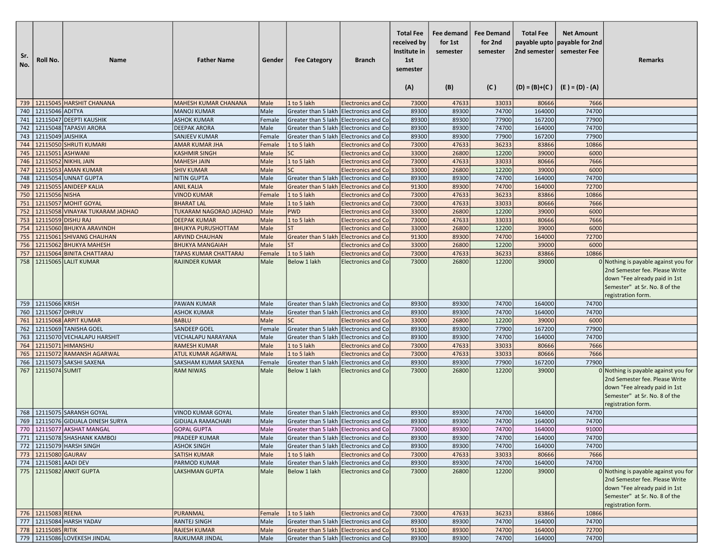| Sr.<br>No. | Roll No.              | <b>Name</b>                                           | <b>Father Name</b>                              | Gender       | <b>Fee Category</b>                                 | <b>Branch</b>                                          | <b>Total Fee</b><br>received by<br>Institute in<br>1st<br>semester<br>(A) | Fee demand<br>for 1st<br>semester<br>(B) | <b>Fee Demand</b><br>for 2nd<br>semester<br>(C) | <b>Total Fee</b><br>payable upto<br>2nd semester | <b>Net Amount</b><br>payable for 2nd<br>semester Fee<br>$(D) = (B)+(C)$ $(E) = (D) - (A)$ | Remarks                                                                                                                                                        |
|------------|-----------------------|-------------------------------------------------------|-------------------------------------------------|--------------|-----------------------------------------------------|--------------------------------------------------------|---------------------------------------------------------------------------|------------------------------------------|-------------------------------------------------|--------------------------------------------------|-------------------------------------------------------------------------------------------|----------------------------------------------------------------------------------------------------------------------------------------------------------------|
| 739        |                       | 12115045 HARSHIT CHANANA                              | <b>MAHESH KUMAR CHANANA</b>                     | Male         | 1 to 5 lakh                                         | <b>Electronics and Co</b>                              | 73000                                                                     | 47633                                    | 33033                                           | 80666                                            | 7666                                                                                      |                                                                                                                                                                |
| 740        | 12115046 ADITYA       |                                                       | <b>MANOJ KUMAR</b>                              | Male         | Greater than 5 lakh Electronics and Co              |                                                        | 89300                                                                     | 89300                                    | 74700                                           | 164000                                           | 74700                                                                                     |                                                                                                                                                                |
| 741        |                       | 12115047 DEEPTI KAUSHIK                               | <b>ASHOK KUMAR</b>                              | Female       | Greater than 5 lakh Electronics and Co              |                                                        | 89300                                                                     | 89300                                    | 77900                                           | 167200                                           | 77900                                                                                     |                                                                                                                                                                |
|            |                       | 12115048 TAPASVI ARORA                                |                                                 | Male         | Greater than 5 lakh Electronics and Co              |                                                        |                                                                           | 89300                                    | 74700                                           | 164000                                           | 74700                                                                                     |                                                                                                                                                                |
| 742        |                       |                                                       | <b>DEEPAK ARORA</b>                             |              | Greater than 5 lakh Electronics and Co              |                                                        | 89300                                                                     |                                          |                                                 |                                                  |                                                                                           |                                                                                                                                                                |
| 743        | 12115049 JAISHIKA     | 12115050 SHRUTI KUMARI                                | <b>SANJEEV KUMAR</b>                            | Female       | 1 to 5 lakh                                         |                                                        | 89300                                                                     | 89300                                    | 77900<br>36233                                  | 167200                                           | 77900<br>10866                                                                            |                                                                                                                                                                |
| 744        | 12115051 ASHWANI      |                                                       | <b>AMAR KUMAR JHA</b>                           | Female       | <b>SC</b>                                           | <b>Electronics and Co</b>                              | 73000<br>33000                                                            | 47633                                    | 12200                                           | 83866                                            | 6000                                                                                      |                                                                                                                                                                |
| 745        |                       |                                                       | <b>KASHMIR SINGH</b>                            | Male         |                                                     | <b>Electronics and Co</b>                              |                                                                           | 26800                                    |                                                 | 39000                                            |                                                                                           |                                                                                                                                                                |
| 746        |                       | 12115052 NIKHIL JAIN                                  | <b>MAHESH JAIN</b>                              | Male         | 1 to 5 lakh<br><b>SC</b>                            | <b>Electronics and Co</b>                              | 73000                                                                     | 47633                                    | 33033                                           | 80666                                            | 7666                                                                                      |                                                                                                                                                                |
| 747        |                       | 12115053 AMAN KUMAR                                   | <b>SHIV KUMAR</b>                               | Male         |                                                     | <b>Electronics and Co</b>                              | 33000                                                                     | 26800                                    | 12200                                           | 39000                                            | 6000                                                                                      |                                                                                                                                                                |
| 748<br>749 |                       | 12115054 UNNAT GUPTA                                  | <b>NITIN GUPTA</b>                              | Male         | Greater than 5 lakh Electronics and Co              |                                                        | 89300                                                                     | 89300                                    | 74700                                           | 164000                                           | 74700                                                                                     |                                                                                                                                                                |
|            |                       | 12115055 ANIDEEP KALIA                                | <b>ANIL KALIA</b>                               | Male         | Greater than 5 lakh Electronics and Co              |                                                        | 91300                                                                     | 89300                                    | 74700                                           | 164000                                           | 72700                                                                                     |                                                                                                                                                                |
| 750        | 12115056 NISHA        | 12115057 MOHIT GOYAL                                  | <b>VINOD KUMAR</b>                              | Female       | 1 to 5 lakh                                         | <b>Electronics and Co</b>                              | 73000                                                                     | 47633                                    | 36233<br>33033                                  | 83866                                            | 10866<br>7666                                                                             |                                                                                                                                                                |
| 751        |                       |                                                       | <b>BHARAT LAL</b>                               | Male         | 1 to 5 lakh                                         | <b>Electronics and Co</b>                              | 73000                                                                     | 47633                                    | 12200                                           | 80666                                            | 6000                                                                                      |                                                                                                                                                                |
| 752        |                       | 12115058 VINAYAK TUKARAM JADHAO<br>12115059 DISHU RAJ | TUKARAM NAGORAO JADHAO                          | Male         | <b>PWD</b><br>1 to 5 lakh                           | <b>Electronics and Co</b>                              | 33000                                                                     | 26800<br>47633                           | 33033                                           | 39000<br>80666                                   | 7666                                                                                      |                                                                                                                                                                |
| 753        |                       |                                                       | <b>DEEPAK KUMAR</b>                             | Male         | <b>ST</b>                                           | <b>Electronics and Co</b>                              | 73000                                                                     |                                          | 12200                                           |                                                  | 6000                                                                                      |                                                                                                                                                                |
| 754        |                       | 12115060 BHUKYA ARAVINDH                              | <b>BHUKYA PURUSHOTTAM</b>                       | Male         |                                                     | <b>Electronics and Co</b>                              | 33000<br>91300                                                            | 26800<br>89300                           | 74700                                           | 39000                                            | 72700                                                                                     |                                                                                                                                                                |
| 755<br>756 |                       | 12115061 SHIVANG CHAUHAN                              | <b>ARVIND CHAUHAN</b><br><b>BHUKYA MANGAIAH</b> | Male<br>Male | Greater than 5 lakh Electronics and Co<br><b>ST</b> |                                                        |                                                                           |                                          | 12200                                           | 164000                                           | 6000                                                                                      |                                                                                                                                                                |
| 757        |                       | 12115062 BHUKYA MAHESH<br>12115064 BINITA CHATTARAJ   | <b>TAPAS KUMAR CHATTARAJ</b>                    | Female       | 1 to 5 lakh                                         | <b>Electronics and Co</b><br><b>Electronics and Co</b> | 33000<br>73000                                                            | 26800<br>47633                           | 36233                                           | 39000<br>83866                                   | 10866                                                                                     |                                                                                                                                                                |
| 758        |                       | 12115065 LALIT KUMAR                                  | <b>RAJINDER KUMAR</b>                           | Male         | Below 1 lakh                                        | <b>Electronics and Co</b>                              | 73000                                                                     | 26800                                    | 12200                                           | 39000                                            |                                                                                           | 0 Nothing is payable against you for                                                                                                                           |
|            |                       |                                                       |                                                 |              |                                                     |                                                        |                                                                           |                                          |                                                 |                                                  |                                                                                           | 2nd Semester fee. Please Write<br>down "Fee already paid in 1st<br>Semester" at Sr. No. 8 of the<br>registration form.                                         |
|            | 759   12115066 KRISH  |                                                       | <b>PAWAN KUMAR</b>                              | Male         | Greater than 5 lakh Electronics and Co              |                                                        | 89300                                                                     | 89300                                    | 74700                                           | 164000                                           | 74700                                                                                     |                                                                                                                                                                |
| 760        | 12115067 DHRUV        |                                                       | <b>ASHOK KUMAR</b>                              | Male         | Greater than 5 lakh Electronics and Co              |                                                        | 89300                                                                     | 89300                                    | 74700                                           | 164000                                           | 74700                                                                                     |                                                                                                                                                                |
| 761        |                       | 12115068 ARPIT KUMAR                                  | <b>BABLU</b>                                    | Male         | <b>SC</b>                                           | <b>Electronics and Co</b>                              | 33000                                                                     | 26800                                    | 12200                                           | 39000                                            | 6000                                                                                      |                                                                                                                                                                |
| 762        |                       | 12115069 TANISHA GOEL                                 | <b>SANDEEP GOEL</b>                             | Female       | Greater than 5 lakh Electronics and Co              |                                                        | 89300                                                                     | 89300                                    | 77900                                           | 167200                                           | 77900                                                                                     |                                                                                                                                                                |
| 763        |                       | 12115070 VECHALAPU HARSHIT                            | <b>VECHALAPU NARAYANA</b>                       | Male         | Greater than 5 lakh Electronics and Co              |                                                        | 89300                                                                     | 89300                                    | 74700                                           | 164000                                           | 74700                                                                                     |                                                                                                                                                                |
| 764        |                       | 12115071 HIMANSHU                                     | <b>RAMESH KUMAR</b>                             | Male         | 1 to 5 lakh                                         | <b>Electronics and Co</b>                              | 73000                                                                     | 47633                                    | 33033                                           | 80666                                            | 7666                                                                                      |                                                                                                                                                                |
| 765        |                       | 12115072 RAMANSH AGARWAL                              | <b>ATUL KUMAR AGARWAL</b>                       | Male         | 1 to 5 lakh                                         | <b>Electronics and Co</b>                              | 73000                                                                     | 47633                                    | 33033                                           | 80666                                            | 7666                                                                                      |                                                                                                                                                                |
| 766        |                       | 12115073 SAKSHI SAXENA                                | <b>SAKSHAM KUMAR SAXENA</b>                     | Female       | Greater than 5 lakh Electronics and Co              |                                                        | 89300                                                                     | 89300                                    | 77900                                           | 167200                                           | 77900                                                                                     |                                                                                                                                                                |
| 767        | 12115074 SUMIT        |                                                       | <b>RAM NIWAS</b>                                | Male         | <b>Below 1 lakh</b>                                 | <b>Electronics and Co</b>                              | 73000                                                                     | 26800                                    | 12200                                           | 39000                                            |                                                                                           | 0 Nothing is payable against you for<br>2nd Semester fee. Please Write<br>down "Fee already paid in 1st<br>Semester" at Sr. No. 8 of the<br>registration form. |
|            |                       | 768   12115075 SARANSH GOYAL                          | <b>VINOD KUMAR GOYAL</b>                        | Male         | Greater than 5 lakh Electronics and Co              |                                                        | 89300                                                                     | 89300                                    | 74700                                           | 164000                                           | 74700                                                                                     |                                                                                                                                                                |
|            |                       | 769   12115076 GIDIJALA DINESH SURYA                  | <b>GIDIJALA RAMACHARI</b>                       | Male         | Greater than 5 lakh Electronics and Co              |                                                        | 89300                                                                     | 89300                                    | 74700                                           | 164000                                           | 74700                                                                                     |                                                                                                                                                                |
|            |                       | 770   12115077 AKSHAT MANGAL                          | <b>GOPAL GUPTA</b>                              | Male         | Greater than 5 lakh Electronics and Co              |                                                        | 73000                                                                     | 89300                                    | 74700                                           | 164000                                           | 91000                                                                                     |                                                                                                                                                                |
|            |                       | 771   12115078 SHASHANK KAMBOJ                        | PRADEEP KUMAR                                   | Male         | Greater than 5 lakh Electronics and Co              |                                                        | 89300                                                                     | 89300                                    | 74700                                           | 164000                                           | 74700                                                                                     |                                                                                                                                                                |
|            |                       | 772 12115079 HARSH SINGH                              | <b>ASHOK SINGH</b>                              | Male         | Greater than 5 lakh Electronics and Co              |                                                        | 89300                                                                     | 89300                                    | 74700                                           | 164000                                           | 74700                                                                                     |                                                                                                                                                                |
|            | 773 12115080 GAURAV   |                                                       | <b>SATISH KUMAR</b>                             | Male         | 1 to 5 lakh                                         | <b>Electronics and Co</b>                              | 73000                                                                     | 47633                                    | 33033                                           | 80666                                            | 7666                                                                                      |                                                                                                                                                                |
|            | 774 12115081 AADI DEV |                                                       | PARMOD KUMAR                                    | Male         | Greater than 5 lakh Electronics and Co              |                                                        | 89300                                                                     | 89300                                    | 74700                                           | 164000                                           | 74700                                                                                     |                                                                                                                                                                |
|            |                       | 775   12115082 ANKIT GUPTA                            | <b>LAKSHMAN GUPTA</b>                           | Male         | Below 1 lakh                                        | <b>Electronics and Col</b>                             | 73000                                                                     | 26800                                    | 12200                                           | 39000                                            |                                                                                           | 0 Nothing is payable against you for<br>2nd Semester fee. Please Write<br>down "Fee already paid in 1st<br>Semester" at Sr. No. 8 of the<br>registration form. |
|            | 776 22115083 REENA    |                                                       | <b>PURANMAL</b>                                 | Female       | 1 to 5 lakh                                         | <b>Electronics and Co</b>                              | 73000                                                                     | 47633                                    | 36233                                           | 83866                                            | 10866                                                                                     |                                                                                                                                                                |
|            |                       | 777   12115084 HARSH YADAV                            | RANTEJ SINGH                                    | Male         | Greater than 5 lakh Electronics and Co              |                                                        | 89300                                                                     | 89300                                    | 74700                                           | 164000                                           | 74700                                                                                     |                                                                                                                                                                |
|            | 778 12115085 RITIK    |                                                       | <b>RAJESH KUMAR</b>                             | Male         | Greater than 5 lakh Electronics and Co              |                                                        | 91300                                                                     | 89300                                    | 74700                                           | 164000                                           | 72700                                                                                     |                                                                                                                                                                |
|            |                       | 779 12115086 LOVEKESH JINDAL                          | RAJKUMAR JINDAL                                 | Male         | Greater than 5 lakh Electronics and Co              |                                                        | 89300                                                                     | 89300                                    | 74700                                           | 164000                                           | 74700                                                                                     |                                                                                                                                                                |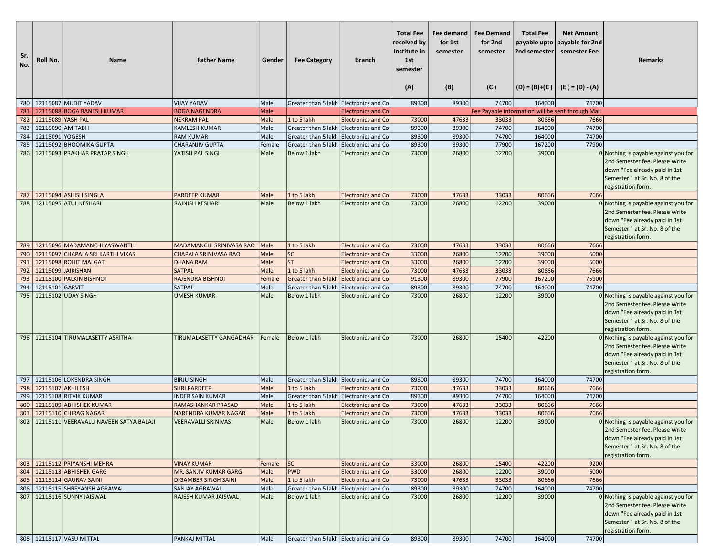| Sr.<br>No. | Roll No.          | <b>Name</b>                                                      | <b>Father Name</b>                                 | Gender       | <b>Fee Category</b>                    | <b>Branch</b>                                          | <b>Total Fee</b><br>received by<br>Institute in<br>1st<br>semester<br>(A) | Fee demand<br>for 1st<br>semester<br>(B) | <b>Fee Demand</b><br>for 2nd<br>semester<br>(C) | <b>Total Fee</b><br>2nd semester | <b>Net Amount</b><br>payable upto   payable for 2nd<br>semester Fee<br>$(D) = (B)+(C)$ $(E) = (D) - (A)$ | <b>Remarks</b>                                                                                                                                                 |
|------------|-------------------|------------------------------------------------------------------|----------------------------------------------------|--------------|----------------------------------------|--------------------------------------------------------|---------------------------------------------------------------------------|------------------------------------------|-------------------------------------------------|----------------------------------|----------------------------------------------------------------------------------------------------------|----------------------------------------------------------------------------------------------------------------------------------------------------------------|
|            |                   | 780   12115087 MUDIT YADAV                                       | <b>VIJAY YADAV</b>                                 | Male         | Greater than 5 lakh Electronics and Co |                                                        | 89300                                                                     | 89300                                    | 74700                                           | 164000                           | 74700                                                                                                    |                                                                                                                                                                |
| 781        |                   | 12115088 BOGA RANESH KUMAR                                       | <b>BOGA NAGENDRA</b>                               | Male         |                                        | <b>Electronics and Co</b>                              |                                                                           |                                          |                                                 |                                  | Fee Payable information will be sent through Mail                                                        |                                                                                                                                                                |
| 782        | 12115089 YASH PAL |                                                                  | <b>NEKRAM PAL</b>                                  | Male         | 1 to 5 lakh                            | <b>Electronics and Co</b>                              | 73000                                                                     | 47633                                    | 33033                                           | 80666                            | 7666                                                                                                     |                                                                                                                                                                |
| 783        | 12115090 AMITABH  |                                                                  | <b>KAMLESH KUMAR</b>                               | Male         | Greater than 5 lakh Electronics and Co |                                                        | 89300                                                                     | 89300                                    | 74700                                           | 164000                           | 74700                                                                                                    |                                                                                                                                                                |
| 784        | 12115091 YOGESH   |                                                                  | <b>RAM KUMAR</b>                                   | Male         | Greater than 5 lakh                    | <b>Electronics and Co</b>                              | 89300                                                                     | 89300                                    | 74700                                           | 164000                           | 74700                                                                                                    |                                                                                                                                                                |
| 785        |                   | 12115092 BHOOMIKA GUPTA                                          | <b>CHARANJIV GUPTA</b>                             | Female       | Greater than 5 lakh                    | Electronics and Co                                     | 89300                                                                     | 89300                                    | 77900                                           | 167200                           | 77900                                                                                                    |                                                                                                                                                                |
| 786        |                   | 12115093 PRAKHAR PRATAP SINGH                                    | YATISH PAL SINGH                                   | Male         | Below 1 lakh                           | <b>Electronics and Co</b>                              | 73000                                                                     | 26800                                    | 12200                                           | 39000                            |                                                                                                          | 0 Nothing is payable against you for<br>2nd Semester fee. Please Write<br>down "Fee already paid in 1st<br>Semester" at Sr. No. 8 of the<br>registration form. |
| 787        |                   | 12115094 ASHISH SINGLA                                           | <b>PARDEEP KUMAR</b>                               | Male         | 1 to 5 lakh                            | <b>Electronics and Co</b>                              | 73000                                                                     | 47633                                    | 33033                                           | 80666                            | 7666                                                                                                     |                                                                                                                                                                |
| 788        |                   | 12115095 ATUL KESHARI                                            | <b>RAJNISH KESHARI</b>                             | Male         | Below 1 lakh                           | <b>Electronics and Col</b>                             | 73000                                                                     | 26800                                    | 12200                                           | 39000                            |                                                                                                          | 0 Nothing is payable against you for<br>2nd Semester fee. Please Write<br>down "Fee already paid in 1st<br>Semester" at Sr. No. 8 of the<br>registration form. |
| 789        |                   | 12115096 MADAMANCHI YASWANTH                                     | MADAMANCHI SRINIVASA RAO                           | Male         | 1 to 5 lakh                            | <b>Electronics and Co</b>                              | 73000                                                                     | 47633                                    | 33033                                           | 80666                            | 7666                                                                                                     |                                                                                                                                                                |
| 790        |                   | 12115097 CHAPALA SRI KARTHI VIKAS                                | <b>CHAPALA SRINIVASA RAO</b>                       | Male         | <b>SC</b>                              | <b>Electronics and Co</b>                              | 33000                                                                     | 26800                                    | 12200                                           | 39000                            | 6000                                                                                                     |                                                                                                                                                                |
| 791        |                   | 12115098 ROHIT MALGAT                                            | <b>DHANA RAM</b>                                   | Male         | <b>ST</b>                              | <b>Electronics and Co</b>                              | 33000                                                                     | 26800                                    | 12200                                           | 39000                            | 6000                                                                                                     |                                                                                                                                                                |
| 792        |                   | 12115099 JAIKISHAN                                               | <b>SATPAL</b>                                      | Male         | 1 to 5 lakh                            | <b>Electronics and Co</b>                              | 73000                                                                     | 47633                                    | 33033                                           | 80666                            | 7666                                                                                                     |                                                                                                                                                                |
| 793        |                   | 12115100 PALKIN BISHNOI                                          | <b>RAJENDRA BISHNOI</b>                            | Female       | Greater than 5 lakh                    | <b>Electronics and Co</b>                              | 91300                                                                     | 89300                                    | 77900                                           | 167200                           | 75900                                                                                                    |                                                                                                                                                                |
| 794        | 12115101 GARVIT   |                                                                  | SATPAL                                             | Male         | Greater than 5 lakh Electronics and Co |                                                        | 89300                                                                     | 89300                                    | 74700                                           | 164000                           | 74700                                                                                                    |                                                                                                                                                                |
| 795        |                   | 12115102 UDAY SINGH                                              | <b>UMESH KUMAR</b>                                 | Male         | Below 1 lakh                           | <b>Electronics and Co</b>                              | 73000                                                                     | 26800                                    | 12200                                           | 39000                            |                                                                                                          | 0 Nothing is payable against you for<br>2nd Semester fee. Please Write<br>down "Fee already paid in 1st<br>Semester" at Sr. No. 8 of the<br>registration form. |
|            |                   | 796   12115104 TIRUMALASETTY ASRITHA                             | <b>TIRUMALASETTY GANGADHAR</b>                     | Female       | Below 1 lakh                           | <b>Electronics and Co</b>                              | 73000                                                                     | 26800                                    | 15400                                           | 42200                            |                                                                                                          | 0 Nothing is payable against you for<br>2nd Semester fee. Please Write<br>down "Fee already paid in 1st<br>Semester" at Sr. No. 8 of the<br>registration form. |
|            |                   | 797 12115106 LOKENDRA SINGH                                      | <b>BIRJU SINGH</b>                                 | Male         | Greater than 5 lakh Electronics and Co |                                                        | 89300                                                                     | 89300                                    | 74700                                           | 164000                           | 74700                                                                                                    |                                                                                                                                                                |
| 798        | 12115107 AKHILESH |                                                                  | <b>SHRI PARDEEP</b>                                | Male         | 1 to 5 lakh                            | <b>Electronics and Col</b>                             | 73000                                                                     | 47633                                    | 33033                                           | 80666                            | 7666                                                                                                     |                                                                                                                                                                |
| 799        |                   | 12115108 RITVIK KUMAR                                            | <b>INDER SAIN KUMAR</b>                            | Male         | Greater than 5 lakh Electronics and Co |                                                        | 89300                                                                     | 89300                                    | 74700                                           | 164000                           | 74700                                                                                                    |                                                                                                                                                                |
| 800        |                   | 12115109 ABHISHEK KUMAR                                          | <b>RAMASHANKAR PRASAD</b>                          | Male         | 1 to 5 lakh                            | <b>Electronics and Co</b>                              | 73000                                                                     | 47633                                    | 33033                                           | 80666                            | 7666                                                                                                     |                                                                                                                                                                |
| 801<br>802 |                   | 12115110 CHIRAG NAGAR<br>12115111 VEERAVALLI NAVEEN SATYA BALAJI | <b>NARENDRA KUMAR NAGAR</b><br>VEERAVALLI SRINIVAS | Male<br>Male | 1 to 5 lakh<br>Below 1 lakh            | <b>Electronics and Co</b><br><b>Electronics and Co</b> | 73000<br>73000                                                            | 47633<br>26800                           | 33033<br>12200                                  | 80666<br>39000                   | 7666                                                                                                     | 0 Nothing is payable against you for<br>2nd Semester fee. Please Write<br>down "Fee already paid in 1st<br>Semester" at Sr. No. 8 of the<br>registration form. |
| 803        |                   | 12115112 PRIYANSHI MEHRA                                         | <b>VINAY KUMAR</b>                                 | Female       | SC                                     | <b>Electronics and Col</b>                             | 33000                                                                     | 26800                                    | 15400                                           | 42200                            | 9200                                                                                                     |                                                                                                                                                                |
|            |                   | 804   12115113 ABHISHEK GARG                                     | MR. SANJIV KUMAR GARG                              | Male         | <b>PWD</b>                             | <b>Electronics and Co</b>                              | 33000                                                                     | 26800                                    | 12200                                           | 39000                            | 6000                                                                                                     |                                                                                                                                                                |
| 805        |                   | 12115114 GAURAV SAINI                                            | <b>DIGAMBER SINGH SAINI</b>                        | Male         | 1 to 5 lakh                            | <b>Electronics and Co</b>                              | 73000                                                                     | 47633                                    | 33033                                           | 80666                            | 7666                                                                                                     |                                                                                                                                                                |
| 806        |                   | 12115115 SHREYANSH AGRAWAL                                       | SANJAY AGRAWAL                                     | Male         | Greater than 5 lakh Electronics and Co |                                                        | 89300                                                                     | 89300                                    | 74700                                           | 164000                           | 74700                                                                                                    |                                                                                                                                                                |
| 807        |                   | 12115116 SUNNY JAISWAL                                           | RAJESH KUMAR JAISWAL                               | Male         | Below 1 lakh                           | <b>Electronics and Col</b>                             | 73000                                                                     | 26800                                    | 12200                                           | 39000                            |                                                                                                          | 0 Nothing is payable against you for<br>2nd Semester fee. Please Write<br>down "Fee already paid in 1st<br>Semester" at Sr. No. 8 of the<br>registration form. |
|            |                   | 808   12115117 VASU MITTAL                                       | PANKAJ MITTAL                                      | Male         | Greater than 5 lakh Electronics and Co |                                                        | 89300                                                                     | 89300                                    | 74700                                           | 164000                           | 74700                                                                                                    |                                                                                                                                                                |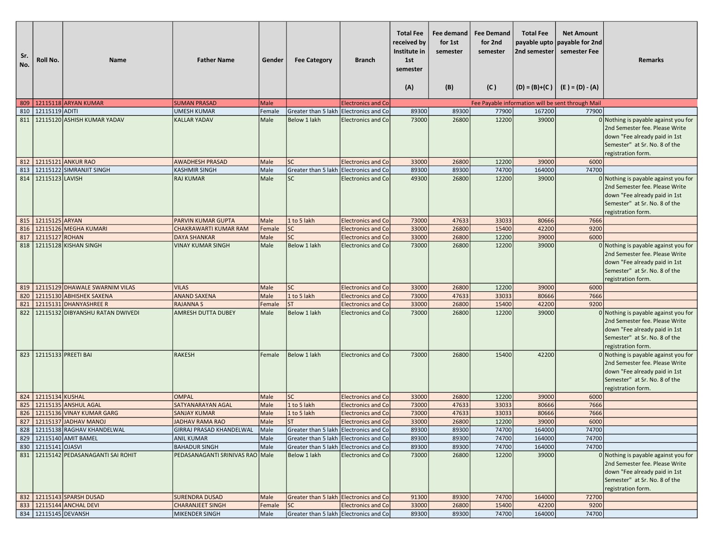| Sr.<br>No. | Roll No.                    | Name                                   | <b>Father Name</b>                        | Gender       | <b>Fee Category</b>                                                              | <b>Branch</b>             | <b>Total Fee</b><br>received by<br>Institute in<br>1st<br>semester<br>(A) | Fee demand<br>for 1st<br>semester<br>(B) | <b>Fee Demand</b><br>for 2nd<br>semester<br>(C) | <b>Total Fee</b><br>2nd semester | <b>Net Amount</b><br>payable upto   payable for 2nd<br>semester Fee<br>$  (D) = (B)+(C)   (E) = (D) - (A)$ | Remarks                                                                                                                                                          |
|------------|-----------------------------|----------------------------------------|-------------------------------------------|--------------|----------------------------------------------------------------------------------|---------------------------|---------------------------------------------------------------------------|------------------------------------------|-------------------------------------------------|----------------------------------|------------------------------------------------------------------------------------------------------------|------------------------------------------------------------------------------------------------------------------------------------------------------------------|
|            |                             | 809   12115118 ARYAN KUMAR             | <b>SUMAN PRASAD</b>                       | Male         |                                                                                  | <b>Electronics and Co</b> |                                                                           |                                          |                                                 |                                  | Fee Payable information will be sent through Mail                                                          |                                                                                                                                                                  |
| 810        | 12115119 ADITI              |                                        | <b>UMESH KUMAR</b>                        | Female       | Greater than 5 lakh Electronics and Co                                           |                           | 89300                                                                     | 89300                                    | 77900                                           | 167200                           | 77900                                                                                                      |                                                                                                                                                                  |
| 811        |                             | 12115120 ASHISH KUMAR YADAV            | <b>KALLAR YADAV</b>                       | Male         | Below 1 lakh                                                                     | <b>Electronics and Co</b> | 73000                                                                     | 26800                                    | 12200                                           | 39000                            |                                                                                                            | 0 Nothing is payable against you for                                                                                                                             |
|            |                             |                                        |                                           |              |                                                                                  |                           |                                                                           |                                          |                                                 |                                  |                                                                                                            | 2nd Semester fee. Please Write<br>down "Fee already paid in 1st<br>Semester" at Sr. No. 8 of the<br>registration form.                                           |
|            |                             | 812 12115121 ANKUR RAO                 | <b>AWADHESH PRASAD</b>                    | Male         | <b>SC</b>                                                                        | <b>Electronics and Co</b> | 33000                                                                     | 26800                                    | 12200                                           | 39000                            | 6000                                                                                                       |                                                                                                                                                                  |
| 813        |                             | 12115122 SIMRANJIT SINGH               | <b>KASHMIR SINGH</b>                      | Male         | Greater than 5 lakh Electronics and Co                                           |                           | 89300                                                                     | 89300                                    | 74700                                           | 164000                           | 74700                                                                                                      |                                                                                                                                                                  |
|            | 814 2115123 LAVISH          |                                        | <b>RAJ KUMAR</b>                          | Male         | <b>SC</b>                                                                        | <b>Electronics and Co</b> | 49300                                                                     | 26800                                    | 12200                                           | 39000                            |                                                                                                            | 0 Nothing is payable against you for<br>2nd Semester fee. Please Write<br>down "Fee already paid in 1st<br>Semester" at Sr. No. 8 of the<br>registration form.   |
|            | 815 22115125 ARYAN          |                                        | <b>PARVIN KUMAR GUPTA</b>                 | Male         | 1 to 5 lakh                                                                      | <b>Electronics and Co</b> | 73000                                                                     | 47633                                    | 33033                                           | 80666                            | 7666                                                                                                       |                                                                                                                                                                  |
|            |                             | 816   12115126 MEGHA KUMARI            | <b>CHAKRAWARTI KUMAR RAM</b>              | Female       | <b>SC</b>                                                                        | <b>Electronics and Co</b> | 33000                                                                     | 26800                                    | 15400                                           | 42200                            | 9200                                                                                                       |                                                                                                                                                                  |
| 817        | 12115127 ROHAN              |                                        | <b>DAYA SHANKAR</b>                       | Male         | <b>SC</b>                                                                        | <b>Electronics and Co</b> | 33000                                                                     | 26800                                    | 12200                                           | 39000                            | 6000                                                                                                       |                                                                                                                                                                  |
|            |                             | 818 2115128 KISHAN SINGH               | <b>VINAY KUMAR SINGH</b>                  | Male         | Below 1 lakh                                                                     | <b>Electronics and Co</b> | 73000                                                                     | 26800                                    | 12200                                           | 39000                            |                                                                                                            | $0$ Nothing is payable against you for<br>2nd Semester fee. Please Write<br>down "Fee already paid in 1st<br>Semester" at Sr. No. 8 of the<br>registration form. |
|            |                             | 819   12115129 DHAWALE SWARNIM VILAS   | <b>VILAS</b>                              | Male         | <b>SC</b>                                                                        | <b>Electronics and Co</b> | 33000                                                                     | 26800                                    | 12200                                           | 39000                            | 6000                                                                                                       |                                                                                                                                                                  |
| 820        |                             | 12115130 ABHISHEK SAXENA               | <b>ANAND SAXENA</b>                       | Male         | 1 to 5 lakh                                                                      | <b>Electronics and Co</b> | 73000                                                                     | 47633                                    | 33033                                           | 80666                            | 7666                                                                                                       |                                                                                                                                                                  |
| 821        |                             | 12115131 DHANYASHREE R                 | <b>RAJANNAS</b>                           | Female       | <b>ST</b>                                                                        | <b>Electronics and Co</b> | 33000                                                                     | 26800                                    | 15400                                           | 42200                            | 9200                                                                                                       |                                                                                                                                                                  |
| 822        |                             | 12115132 DIBYANSHU RATAN DWIVEDI       | <b>AMRESH DUTTA DUBEY</b>                 | Male         | Below 1 lakh                                                                     | <b>Electronics and Co</b> | 73000                                                                     | 26800                                    | 12200                                           | 39000                            |                                                                                                            | 0 Nothing is payable against you for<br>2nd Semester fee. Please Write<br>down "Fee already paid in 1st<br>Semester" at Sr. No. 8 of the<br>registration form.   |
|            | 823   12115133   PREETI BAI |                                        | <b>RAKESH</b>                             | Female       | Below 1 lakh                                                                     | <b>Electronics and Co</b> | 73000                                                                     | 26800                                    | 15400                                           | 42200                            |                                                                                                            | 0 Nothing is payable against you for<br>2nd Semester fee. Please Write<br>down "Fee already paid in 1st<br>Semester" at Sr. No. 8 of the<br>registration form.   |
|            | 824 2115134 KUSHAL          |                                        | <b>OMPAL</b>                              | Male         | <b>SC</b>                                                                        | <b>Electronics and Co</b> | 33000                                                                     | 26800                                    | 12200                                           | 39000                            | 6000                                                                                                       |                                                                                                                                                                  |
| 825        |                             | 12115135 ANSHUL AGAL                   | SATYANARAYAN AGAL                         | Male         | 1 to 5 lakh                                                                      | <b>Electronics and Co</b> | 73000                                                                     | 47633                                    | 33033                                           | 80666                            | 7666                                                                                                       |                                                                                                                                                                  |
| 826        |                             | 12115136 VINAY KUMAR GARG              | <b>SANJAY KUMAR</b>                       | Male         | 1 to 5 lakh                                                                      | <b>Electronics and Co</b> | 73000                                                                     | 47633                                    | 33033                                           | 80666                            | 7666                                                                                                       |                                                                                                                                                                  |
|            |                             | 827   12115137 JADHAV MANOJ            | <b>JADHAV RAMA RAO</b>                    | Male         | <b>ST</b>                                                                        | <b>Electronics and Co</b> | 33000                                                                     | 26800                                    | 12200                                           | 39000                            | 6000                                                                                                       |                                                                                                                                                                  |
|            |                             | 828   12115138 RAGHAV KHANDELWAL       | GIRRAJ PRASAD KHANDELWAL                  | Male         | Greater than 5 lakh   Electronics and Co                                         |                           | 89300                                                                     | 89300                                    | 74700                                           | 164000                           | 74700                                                                                                      |                                                                                                                                                                  |
|            | 830   12115141 OJASVI       | 829 12115140 AMIT BAMEL                | <b>ANIL KUMAR</b><br><b>BAHADUR SINGH</b> | Male<br>Male | Greater than 5 lakh Electronics and Co<br>Greater than 5 lakh Electronics and Co |                           | 89300<br>89300                                                            | 89300<br>89300                           | 74700<br>74700                                  | 164000<br>164000                 | 74700<br>74700                                                                                             |                                                                                                                                                                  |
|            |                             | 831   12115142 PEDASANAGANTI SAI ROHIT | PEDASANAGANTI SRINIVAS RAO Male           |              | Below 1 lakh                                                                     | Electronics and Co        | 73000                                                                     | 26800                                    | 12200                                           | 39000                            |                                                                                                            | 0 Nothing is payable against you for<br>2nd Semester fee. Please Write<br>down "Fee already paid in 1st<br>Semester" at Sr. No. 8 of the<br>registration form.   |
|            |                             | 832 12115143 SPARSH DUSAD              | <b>SURENDRA DUSAD</b>                     | Male         | Greater than 5 lakh Electronics and Co                                           |                           | 91300                                                                     | 89300                                    | 74700                                           | 164000                           | 72700                                                                                                      |                                                                                                                                                                  |
|            |                             | 833 2115144 ANCHAL DEVI                | <b>CHARANJEET SINGH</b>                   | Female       | <b>SC</b>                                                                        | <b>Electronics and Co</b> | 33000                                                                     | 26800                                    | 15400                                           | 42200                            | 9200                                                                                                       |                                                                                                                                                                  |
|            | 834 12115145 DEVANSH        |                                        | MIKENDER SINGH                            | Male         | Greater than 5 lakh Electronics and Co                                           |                           | 89300                                                                     | 89300                                    | 74700                                           | 164000                           | 74700                                                                                                      |                                                                                                                                                                  |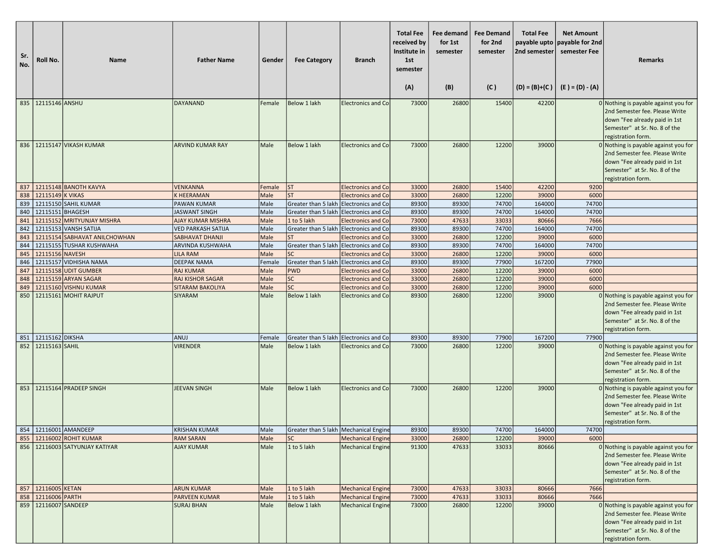| Sr.<br>No. | Roll No.               | <b>Name</b>                                    | <b>Father Name</b>                     | Gender         | <b>Fee Category</b>                                  | <b>Branch</b>             | <b>Total Fee</b><br>received by<br>Institute in<br>1st<br>semester<br>(A) | Fee demand<br>for 1st<br>semester<br>(B) | <b>Fee Demand</b><br>for 2nd<br>semester<br>(C) | <b>Total Fee</b><br>2nd semester<br>$(D) = (B)+(C)$ | <b>Net Amount</b><br>payable upto payable for 2nd<br>semester Fee<br>$(E) = (D) - (A)$ | <b>Remarks</b>                                                                                                                                                                                                                    |
|------------|------------------------|------------------------------------------------|----------------------------------------|----------------|------------------------------------------------------|---------------------------|---------------------------------------------------------------------------|------------------------------------------|-------------------------------------------------|-----------------------------------------------------|----------------------------------------------------------------------------------------|-----------------------------------------------------------------------------------------------------------------------------------------------------------------------------------------------------------------------------------|
|            | 835 22115146 ANSHU     |                                                | DAYANAND                               | Female         | Below 1 lakh                                         | Electronics and Co        | 73000                                                                     | 26800                                    | 15400                                           | 42200                                               |                                                                                        | 0 Nothing is payable against you for                                                                                                                                                                                              |
|            |                        | 836   12115147 VIKASH KUMAR                    | <b>ARVIND KUMAR RAY</b>                | Male           | Below 1 lakh                                         | <b>Electronics and Co</b> | 73000                                                                     | 26800                                    | 12200                                           | 39000                                               |                                                                                        | 2nd Semester fee. Please Write<br>down "Fee already paid in 1st<br>Semester" at Sr. No. 8 of the<br>registration form.<br>0 Nothing is payable against you for<br>2nd Semester fee. Please Write<br>down "Fee already paid in 1st |
|            |                        |                                                |                                        |                |                                                      |                           |                                                                           |                                          |                                                 |                                                     |                                                                                        | Semester" at Sr. No. 8 of the<br>registration form.                                                                                                                                                                               |
| 837        |                        | 12115148 BANOTH KAVYA                          | <b>VENKANNA</b>                        | Female         | <b>ST</b>                                            | <b>Electronics and Co</b> | 33000                                                                     | 26800                                    | 15400                                           | 42200                                               | 9200                                                                                   |                                                                                                                                                                                                                                   |
| 838        | 12115149 K VIKAS       |                                                | <b>K HEERAMAN</b>                      | Male           | lst                                                  | <b>Electronics and Co</b> | 33000                                                                     | 26800                                    | 12200                                           | 39000                                               | 6000                                                                                   |                                                                                                                                                                                                                                   |
| 839        |                        | 12115150 SAHIL KUMAR                           | <b>PAWAN KUMAR</b>                     | Male           | Greater than 5 lakh Electronics and Co               |                           | 89300                                                                     | 89300                                    | 74700                                           | 164000                                              | 74700                                                                                  |                                                                                                                                                                                                                                   |
| 840        | 12115151 BHAGESH       |                                                | <b>JASWANT SINGH</b>                   | Male           | Greater than 5 lakh Electronics and Co               |                           | 89300                                                                     | 89300                                    | 74700                                           | 164000                                              | 74700                                                                                  |                                                                                                                                                                                                                                   |
| 841        |                        | 12115152 MRITYUNJAY MISHRA                     | <b>AJAY KUMAR MISHRA</b>               | Male           | 1 to 5 lakh                                          | <b>Electronics and Co</b> | 73000                                                                     | 47633                                    | 33033                                           | 80666                                               | 7666                                                                                   |                                                                                                                                                                                                                                   |
| 842        |                        | 12115153 VANSH SATIJA                          | <b>VED PARKASH SATIJA</b>              | Male           | Greater than 5 lakh Electronics and Co               |                           | 89300                                                                     | 89300                                    | 74700                                           | 164000                                              | 74700                                                                                  |                                                                                                                                                                                                                                   |
| 843        |                        | 12115154 SABHAVAT ANILCHOWHAN                  | <b>SABHAVAT DHANJI</b>                 | Male           | lst                                                  | <b>Electronics and Co</b> | 33000                                                                     | 26800                                    | 12200                                           | 39000                                               | 6000                                                                                   |                                                                                                                                                                                                                                   |
| 844        |                        | 12115155 TUSHAR KUSHWAHA                       | <b>ARVINDA KUSHWAHA</b>                | Male           | Greater than 5 lakh Electronics and Co               |                           | 89300                                                                     | 89300                                    | 74700                                           | 164000                                              | 74700                                                                                  |                                                                                                                                                                                                                                   |
| 845        | 12115156 NAVESH        |                                                | <b>LILA RAM</b>                        | Male           | <b>SC</b>                                            | <b>Electronics and Co</b> | 33000                                                                     | 26800                                    | 12200                                           | 39000                                               | 6000                                                                                   |                                                                                                                                                                                                                                   |
| 846<br>847 |                        | 12115157 VIDHISHA NAMA<br>12115158 UDIT GUMBER | <b>DEEPAK NAMA</b><br><b>RAJ KUMAR</b> | Female<br>Male | Greater than 5 lakh Electronics and Co<br><b>PWD</b> | <b>Electronics and Co</b> | 89300<br>33000                                                            | 89300<br>26800                           | 77900<br>12200                                  | 167200<br>39000                                     | 77900<br>6000                                                                          |                                                                                                                                                                                                                                   |
| 848        |                        | 12115159 ARYAN SAGAR                           | <b>RAJ KISHOR SAGAR</b>                | Male           | <b>SC</b>                                            | <b>Electronics and Co</b> | 33000                                                                     | 26800                                    | 12200                                           | 39000                                               | 6000                                                                                   |                                                                                                                                                                                                                                   |
| 849        |                        | 12115160 VISHNU KUMAR                          | <b>SITARAM BAKOLIYA</b>                | Male           | <b>SC</b>                                            | <b>Electronics and Co</b> | 33000                                                                     | 26800                                    | 12200                                           | 39000                                               | 6000                                                                                   |                                                                                                                                                                                                                                   |
| 850        |                        | 12115161 MOHIT RAJPUT                          | <b>SIYARAM</b>                         | Male           | Below 1 lakh                                         | <b>Electronics and Co</b> | 89300                                                                     | 26800                                    | 12200                                           | 39000                                               |                                                                                        | 0 Nothing is payable against you for<br>2nd Semester fee. Please Write<br>down "Fee already paid in 1st<br>Semester" at Sr. No. 8 of the<br>registration form.                                                                    |
| 851        | 12115162 DIKSHA        |                                                | ANUJ                                   | Female         | Greater than 5 lakh Electronics and Co               |                           | 89300                                                                     | 89300                                    | 77900                                           | 167200                                              | 77900                                                                                  |                                                                                                                                                                                                                                   |
| 852        | 12115163 SAHIL         |                                                | <b>VIRENDER</b>                        | Male           | Below 1 lakh                                         | <b>Electronics and Co</b> | 73000                                                                     | 26800                                    | 12200                                           | 39000                                               |                                                                                        | 0 Nothing is payable against you for<br>2nd Semester fee. Please Write<br>down "Fee already paid in 1st<br>Semester" at Sr. No. 8 of the<br>registration form.                                                                    |
|            |                        | 853 22115164 PRADEEP SINGH                     | JEEVAN SINGH                           | Male           | Below 1 lakh                                         | <b>Electronics and Co</b> | 73000                                                                     | 26800                                    | 12200                                           | 39000                                               |                                                                                        | $0$ Nothing is payable against you for<br>2nd Semester fee. Please Write<br>down "Fee already paid in 1st<br>Semester" at Sr. No. 8 of the<br>registration form.                                                                  |
|            |                        | 854   12116001   AMANDEEP                      | <b>KRISHAN KUMAR</b>                   | Male           | Greater than 5 lakh   Mechanical Engine              |                           | 89300                                                                     | 89300                                    | 74700                                           | 164000                                              | 74700                                                                                  |                                                                                                                                                                                                                                   |
| 855        |                        | 12116002 ROHIT KUMAR                           | <b>RAM SARAN</b>                       | Male           | <b>SC</b>                                            | <b>Mechanical Engine</b>  | 33000                                                                     | 26800                                    | 12200                                           | 39000                                               | 6000                                                                                   |                                                                                                                                                                                                                                   |
|            |                        | 856   12116003 SATYUNJAY KATIYAR               | <b>AJAY KUMAR</b>                      | Male           | 1 to 5 lakh                                          | <b>Mechanical Engine</b>  | 91300                                                                     | 47633                                    | 33033                                           | 80666                                               |                                                                                        | 0 Nothing is payable against you for<br>2nd Semester fee. Please Write<br>down "Fee already paid in 1st<br>Semester" at Sr. No. 8 of the<br>registration form.                                                                    |
|            | 857 12116005 KETAN     |                                                | <b>ARUN KUMAR</b>                      | Male           | 1 to 5 lakh                                          | <b>Mechanical Engine</b>  | 73000                                                                     | 47633                                    | 33033                                           | 80666                                               | 7666                                                                                   |                                                                                                                                                                                                                                   |
| 858        | 12116006 PARTH         |                                                | <b>PARVEEN KUMAR</b>                   | Male           | 1 to 5 lakh                                          | <b>Mechanical Engine</b>  | 73000                                                                     | 47633                                    | 33033                                           | 80666                                               | 7666                                                                                   |                                                                                                                                                                                                                                   |
|            | 859   12116007 SANDEEP |                                                | <b>SURAJ BHAN</b>                      | Male           | Below 1 lakh                                         | <b>Mechanical Engine</b>  | 73000                                                                     | 26800                                    | 12200                                           | 39000                                               |                                                                                        | 0 Nothing is payable against you for<br>2nd Semester fee. Please Write<br>down "Fee already paid in 1st<br>Semester" at Sr. No. 8 of the<br>registration form.                                                                    |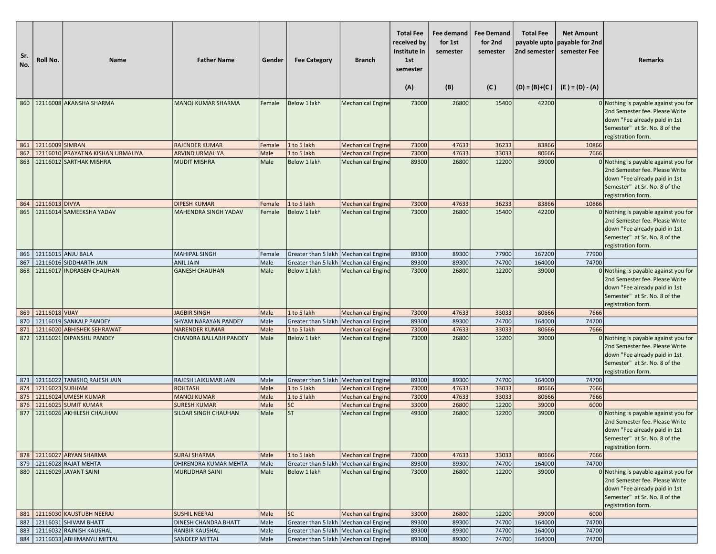| Sr.<br>No. | Roll No.           | <b>Name</b>                                       | <b>Father Name</b>                          | Gender       | <b>Fee Category</b>                     | <b>Branch</b>                                        | <b>Total Fee</b><br>received by<br>Institute in<br>1st<br>semester<br>(A) | Fee demand<br>for 1st<br>semester<br>(B) | <b>Fee Demand</b><br>for 2nd<br>semester<br>(C) | <b>Total Fee</b><br>2nd semester<br>$(D) = (B)+(C)$ | <b>Net Amount</b><br>payable upto payable for 2nd<br>semester Fee<br>$(E) = (D) - (A)$ | <b>Remarks</b>                                                                                                                                                   |
|------------|--------------------|---------------------------------------------------|---------------------------------------------|--------------|-----------------------------------------|------------------------------------------------------|---------------------------------------------------------------------------|------------------------------------------|-------------------------------------------------|-----------------------------------------------------|----------------------------------------------------------------------------------------|------------------------------------------------------------------------------------------------------------------------------------------------------------------|
|            |                    | 860   12116008 AKANSHA SHARMA                     | <b>MANOJ KUMAR SHARMA</b>                   | Female       | Below 1 lakh                            | <b>Mechanical Engine</b>                             | 73000                                                                     | 26800                                    | 15400                                           | 42200                                               |                                                                                        | 0 Nothing is payable against you for                                                                                                                             |
|            |                    |                                                   |                                             |              |                                         |                                                      |                                                                           |                                          |                                                 |                                                     |                                                                                        | 2nd Semester fee. Please Write<br>down "Fee already paid in 1st<br>Semester" at Sr. No. 8 of the<br>registration form.                                           |
|            | 861 2116009 SIMRAN |                                                   | <b>RAJENDER KUMAR</b>                       | Female       | 1 to 5 lakh                             | <b>Mechanical Engine</b>                             | 73000                                                                     | 47633                                    | 36233                                           | 83866                                               | 10866                                                                                  |                                                                                                                                                                  |
| 862        |                    | 12116010 PRAYATNA KISHAN URMALIYA                 | <b>ARVIND URMALIYA</b>                      | Male         | 1 to 5 lakh                             | <b>Mechanical Engine</b>                             | 73000                                                                     | 47633                                    | 33033                                           | 80666                                               | 7666                                                                                   |                                                                                                                                                                  |
| 863        |                    | 12116012 SARTHAK MISHRA                           | <b>MUDIT MISHRA</b>                         | Male         | Below 1 lakh                            | <b>Mechanical Engine</b>                             | 89300                                                                     | 26800                                    | 12200                                           | 39000                                               |                                                                                        | 0 Nothing is payable against you for<br>2nd Semester fee. Please Write<br>down "Fee already paid in 1st<br>Semester" at Sr. No. 8 of the<br>registration form.   |
| 864        | 12116013 DIVYA     |                                                   | <b>DIPESH KUMAR</b>                         | Female       | 1 to 5 lakh                             | <b>Mechanical Engine</b>                             | 73000                                                                     | 47633                                    | 36233                                           | 83866                                               | 10866                                                                                  |                                                                                                                                                                  |
| 865        |                    | 12116014 SAMEEKSHA YADAV                          | MAHENDRA SINGH YADAV                        | Female       | Below 1 lakh                            | <b>Mechanical Engine</b>                             | 73000                                                                     | 26800                                    | 15400                                           | 42200                                               |                                                                                        | 0 Nothing is payable against you for<br>2nd Semester fee. Please Write<br>down "Fee already paid in 1st<br>Semester" at Sr. No. 8 of the<br>registration form.   |
| 866        | 12116015 ANJU BALA |                                                   | <b>MAHIPAL SINGH</b>                        | Female       | Greater than 5 lakh   Mechanical Engine |                                                      | 89300                                                                     | 89300                                    | 77900                                           | 167200                                              | 77900                                                                                  |                                                                                                                                                                  |
| 867        |                    | 12116016 SIDDHARTH JAIN                           | <b>ANIL JAIN</b>                            | Male         | Greater than 5 lakh   Mechanical Engine |                                                      | 89300                                                                     | 89300                                    | 74700                                           | 164000                                              | 74700                                                                                  |                                                                                                                                                                  |
| 868        | 12116017           | <b>INDRASEN CHAUHAN</b>                           | <b>GANESH CHAUHAN</b>                       | Male         | Below 1 lakh                            | <b>Mechanical Engine</b>                             | 73000                                                                     | 26800                                    | 12200                                           | 39000                                               |                                                                                        | 0 Nothing is payable against you for<br>2nd Semester fee. Please Write<br>down "Fee already paid in 1st<br>Semester" at Sr. No. 8 of the<br>registration form.   |
| 869        | 12116018 VIJAY     |                                                   | <b>JAGBIR SINGH</b>                         | Male         | 1 to 5 lakh                             | <b>Mechanical Engine</b>                             | 73000                                                                     | 47633                                    | 33033                                           | 80666                                               | 7666                                                                                   |                                                                                                                                                                  |
| 870        |                    | 12116019 SANKALP PANDEY                           | <b>SHYAM NARAYAN PANDEY</b>                 | Male         | Greater than 5 lakh   Mechanical Engine |                                                      | 89300                                                                     | 89300                                    | 74700                                           | 164000                                              | 74700                                                                                  |                                                                                                                                                                  |
| 871        |                    | 12116020 ABHISHEK SEHRAWAT                        | <b>NARENDER KUMAR</b>                       | Male         | 1 to 5 lakh                             | <b>Mechanical Engine</b>                             | 73000                                                                     | 47633                                    | 33033                                           | 80666                                               | 7666                                                                                   |                                                                                                                                                                  |
| 872        |                    | 12116021 DIPANSHU PANDEY                          | <b>CHANDRA BALLABH PANDEY</b>               | Male         | Below 1 lakh                            | <b>Mechanical Engine</b>                             | 73000                                                                     | 26800                                    | 12200                                           | 39000                                               |                                                                                        | 0 Nothing is payable against you for<br>2nd Semester fee. Please Write<br>down "Fee already paid in 1st<br>Semester" at Sr. No. 8 of the<br>registration form.   |
|            |                    | 873   12116022 TANISHQ RAJESH JAIN                | RAJESH JAIKUMAR JAIN                        | Male         | Greater than 5 lakh   Mechanical Engine |                                                      | 89300                                                                     | 89300                                    | 74700                                           | 164000                                              | 74700                                                                                  |                                                                                                                                                                  |
| 874        | 12116023 SUBHAM    |                                                   | <b>ROHTASH</b>                              | Male         | 1 to 5 lakh                             | <b>Mechanical Engine</b>                             | 73000                                                                     | 47633                                    | 33033                                           | 80666                                               | 7666                                                                                   |                                                                                                                                                                  |
| 875        |                    | 12116024 UMESH KUMAR                              | <b>MANOJ KUMAR</b>                          | Male         | 1 to 5 lakh                             | <b>Mechanical Engine</b>                             | 73000                                                                     | 47633                                    | 33033                                           | 80666                                               | 7666                                                                                   |                                                                                                                                                                  |
| 876<br>877 |                    | 12116025 SUMIT KUMAR<br>12116026 AKHILESH CHAUHAN | <b>SURESH KUMAR</b><br>SILDAR SINGH CHAUHAN | Male<br>Male | <b>SC</b><br><b>ST</b>                  | <b>Mechanical Engine</b><br><b>Mechanical Engine</b> | 33000<br>49300                                                            | 26800<br>26800                           | 12200<br>12200                                  | 39000<br>39000                                      | 6000                                                                                   | 0 Nothing is payable against you for<br>2nd Semester fee. Please Write<br>down "Fee already paid in 1st<br>Semester" at Sr. No. 8 of the<br>registration form.   |
|            |                    | 878 12116027 ARYAN SHARMA                         | <b>SURAJ SHARMA</b>                         | Male         | 1 to 5 lakh                             | <b>Mechanical Engine</b>                             | 73000                                                                     | 47633                                    | 33033                                           | 80666                                               | 7666                                                                                   |                                                                                                                                                                  |
| 879        |                    | 12116028 RAJAT MEHTA                              | DHIRENDRA KUMAR MEHTA                       | Male         | Greater than 5 lakh   Mechanical Engine |                                                      | 89300                                                                     | 89300                                    | 74700                                           | 164000                                              | 74700                                                                                  |                                                                                                                                                                  |
|            |                    | 880   12116029 JAYANT SAINI                       | <b>MURLIDHAR SAINI</b>                      | Male         | Below 1 lakh                            | <b>Mechanical Engine</b>                             | 73000                                                                     | 26800                                    | 12200                                           | 39000                                               |                                                                                        | $0$ Nothing is payable against you for<br>2nd Semester fee. Please Write<br>down "Fee already paid in 1st<br>Semester" at Sr. No. 8 of the<br>registration form. |
|            |                    | 881 12116030 KAUSTUBH NEERAJ                      | <b>SUSHIL NEERAJ</b>                        | Male         | lsc                                     | <b>Mechanical Engine</b>                             | 33000                                                                     | 26800                                    | 12200                                           | 39000                                               | 6000                                                                                   |                                                                                                                                                                  |
| 882        |                    | 12116031 SHIVAM BHATT                             | <b>DINESH CHANDRA BHATT</b>                 | Male         | Greater than 5 lakh   Mechanical Engine |                                                      | 89300                                                                     | 89300                                    | 74700                                           | 164000                                              | 74700                                                                                  |                                                                                                                                                                  |
| 883        |                    | 12116032 RAJNISH KAUSHAL                          | <b>RANBIR KAUSHAL</b>                       | Male         | Greater than 5 lakh   Mechanical Engine |                                                      | 89300                                                                     | 89300                                    | 74700                                           | 164000                                              | 74700                                                                                  |                                                                                                                                                                  |
|            |                    | 884   12116033 ABHIMANYU MITTAL                   | <b>SANDEEP MITTAL</b>                       | Male         | Greater than 5 lakh Mechanical Engine   |                                                      | 89300                                                                     | 89300                                    | 74700                                           | 164000                                              | 74700                                                                                  |                                                                                                                                                                  |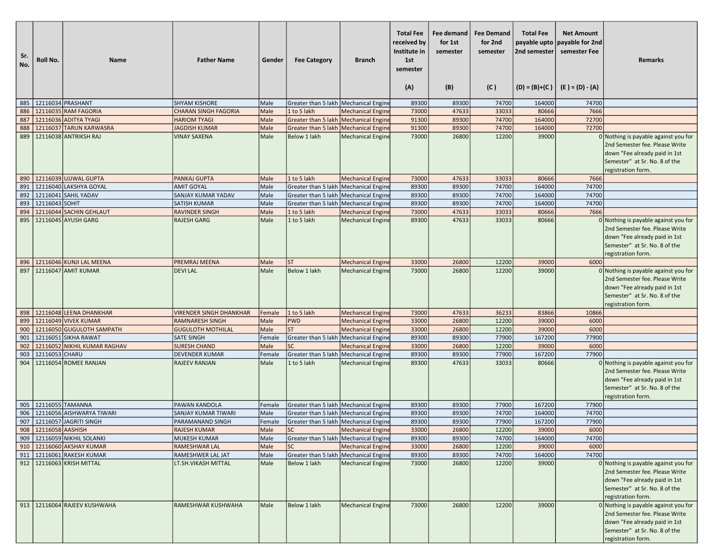| Sr.<br>No. | Roll No.                | <b>Name</b>                                                | <b>Father Name</b>             | Gender       | <b>Fee Category</b>                                  | <b>Branch</b>            | <b>Total Fee</b><br>received by<br>Institute in<br>1st<br>semester<br>(A) | Fee demand<br>for 1st<br>semester<br>(B) | <b>Fee Demand</b><br>for 2nd<br>semester<br>(C) | <b>Total Fee</b><br>payable upto<br>2nd semester | <b>Net Amount</b><br>payable for 2nd<br>semester Fee<br>$(D) = (B)+(C)$ $(E) = (D) - (A)$ | <b>Remarks</b>                                                                                                                                                 |
|------------|-------------------------|------------------------------------------------------------|--------------------------------|--------------|------------------------------------------------------|--------------------------|---------------------------------------------------------------------------|------------------------------------------|-------------------------------------------------|--------------------------------------------------|-------------------------------------------------------------------------------------------|----------------------------------------------------------------------------------------------------------------------------------------------------------------|
|            | 885   12116034 PRASHANT |                                                            | <b>SHYAM KISHORE</b>           | Male         | Greater than 5 lakh   Mechanical Engine              |                          | 89300                                                                     | 89300                                    | 74700                                           | 164000                                           | 74700                                                                                     |                                                                                                                                                                |
| 886        |                         | 12116035 RAM FAGORIA                                       | <b>CHARAN SINGH FAGORIA</b>    | Male         | 1 to 5 lakh                                          | <b>Mechanical Engine</b> | 73000                                                                     | 47633                                    | 33033                                           | 80666                                            | 7666                                                                                      |                                                                                                                                                                |
| 887        |                         | 12116036 ADITYA TYAGI                                      | <b>HARIOM TYAGI</b>            | Male         | Greater than 5 lakh   Mechanical Engine              |                          | 91300                                                                     | 89300                                    | 74700                                           | 164000                                           | 72700                                                                                     |                                                                                                                                                                |
| 888        |                         | 12116037 TARUN KARWASRA                                    | <b>JAGDISH KUMAR</b>           | Male         | Greater than 5 lakh   Mechanical Engine              |                          | 91300                                                                     | 89300                                    | 74700                                           | 164000                                           | 72700                                                                                     |                                                                                                                                                                |
| 889        |                         | 12116038 ANTRIKSH RAJ                                      | <b>VINAY SAXENA</b>            | Male         | Below 1 lakh                                         | <b>Mechanical Engine</b> | 73000                                                                     | 26800                                    | 12200                                           | 39000                                            |                                                                                           | 0 Nothing is payable against you for<br>2nd Semester fee. Please Write<br>down "Fee already paid in 1st<br>Semester" at Sr. No. 8 of the<br>registration form. |
|            |                         | 890   12116039 UJJWAL GUPTA                                | <b>PANKAJ GUPTA</b>            | Male         | 1 to 5 lakh                                          | <b>Mechanical Engine</b> | 73000                                                                     | 47633                                    | 33033                                           | 80666                                            | 7666                                                                                      |                                                                                                                                                                |
|            |                         | 891   12116040 LAKSHYA GOYAL                               | <b>AMIT GOYAL</b>              | Male         | Greater than 5 lakh   Mechanical Engine              |                          | 89300                                                                     | 89300                                    | 74700                                           | 164000                                           | 74700                                                                                     |                                                                                                                                                                |
|            |                         | 892   12116041 SAHIL YADAV                                 | SANJAY KUMAR YADAV             | Male         | Greater than 5 lakh   Mechanical Engine              |                          | 89300                                                                     | 89300                                    | 74700                                           | 164000                                           | 74700                                                                                     |                                                                                                                                                                |
| 893        | 12116043 SOHIT          |                                                            | <b>SATISH KUMAR</b>            | Male         | Greater than 5 lakh Mechanical Engine                |                          | 89300                                                                     | 89300                                    | 74700                                           | 164000                                           | 74700                                                                                     |                                                                                                                                                                |
| 894        |                         | 12116044 SACHIN GEHLAUT                                    | <b>RAVINDER SINGH</b>          | Male         | 1 to 5 lakh                                          | <b>Mechanical Engine</b> | 73000                                                                     | 47633                                    | 33033                                           | 80666                                            | 7666                                                                                      |                                                                                                                                                                |
| 895        |                         | 12116045 AYUSH GARG                                        | <b>RAJESH GARG</b>             | Male         | 1 to 5 lakh                                          | <b>Mechanical Engine</b> | 89300                                                                     | 47633                                    | 33033                                           | 80666                                            |                                                                                           | 0 Nothing is payable against you for<br>2nd Semester fee. Please Write<br>down "Fee already paid in 1st<br>Semester" at Sr. No. 8 of the<br>registration form. |
| 896        |                         | 12116046 KUNJI LAL MEENA                                   | PREMRAJ MEENA                  | Male         | <b>ST</b>                                            | <b>Mechanical Engine</b> | 33000                                                                     | 26800                                    | 12200                                           | 39000                                            | 6000                                                                                      |                                                                                                                                                                |
| 897        |                         | 12116047 AMIT KUMAR                                        | <b>DEVILAL</b>                 | Male         | Below 1 lakh                                         | <b>Mechanical Engine</b> | 73000                                                                     | 26800                                    | 12200                                           | 39000                                            |                                                                                           | 0 Nothing is payable against you for<br>2nd Semester fee. Please Write<br>down "Fee already paid in 1st<br>Semester" at Sr. No. 8 of the<br>registration form. |
|            |                         | 898   12116048 LEENA DHANKHAR                              | <b>VIRENDER SINGH DHANKHAR</b> | Female       | 1 to 5 lakh                                          | <b>Mechanical Engine</b> | 73000                                                                     | 47633                                    | 36233                                           | 83866                                            | 10866                                                                                     |                                                                                                                                                                |
| 899        |                         | 12116049 VIVEK KUMAR                                       | <b>RAMNARESH SINGH</b>         | Male         | <b>PWD</b>                                           | <b>Mechanical Engine</b> | 33000                                                                     | 26800                                    | 12200                                           | 39000                                            | 6000                                                                                      |                                                                                                                                                                |
| 900        |                         | 12116050 GUGULOTH SAMPATH                                  | <b>GUGULOTH MOTHILAL</b>       | Male         | <b>ST</b>                                            | <b>Mechanical Engine</b> | 33000                                                                     | 26800                                    | 12200                                           | 39000                                            | 6000                                                                                      |                                                                                                                                                                |
| 901        |                         | 12116051 SIKHA RAWAT                                       | <b>SATE SINGH</b>              | Female       | Greater than 5 lakh   Mechanical Engine              |                          | 89300                                                                     | 89300                                    | 77900                                           | 167200                                           | 77900                                                                                     |                                                                                                                                                                |
| 902        |                         | 12116052 NIKHIL KUMAR RAGHAV                               | <b>SURESH CHAND</b>            | Male         | <b>SC</b>                                            | <b>Mechanical Engine</b> | 33000                                                                     | 26800                                    | 12200                                           | 39000                                            | 6000                                                                                      |                                                                                                                                                                |
| 903        | 12116053 CHARU          |                                                            | <b>DEVENDER KUMAR</b>          | Female       | Greater than 5 lakh   Mechanical Engine              |                          | 89300                                                                     | 89300                                    | 77900                                           | 167200                                           | 77900                                                                                     |                                                                                                                                                                |
| 904        |                         | 12116054 ROMEE RANJAN                                      | <b>RAJEEV RANJAN</b>           | Male         | 1 to 5 lakh                                          | <b>Mechanical Engine</b> | 89300                                                                     | 47633                                    | 33033                                           | 80666                                            |                                                                                           | 0 Nothing is payable against you for<br>2nd Semester fee. Please Write<br>down "Fee already paid in 1st<br>Semester" at Sr. No. 8 of the<br>registration form. |
|            | 905   12116055 TAMANNA  |                                                            | <b>PAWAN KANDOLA</b>           | Female       | Greater than 5 lakh   Mechanical Engine              |                          | 89300                                                                     | 89300                                    | 77900                                           | 167200                                           | 77900                                                                                     |                                                                                                                                                                |
| 906        |                         | 12116056 AISHWARYA TIWARI                                  | SANJAY KUMAR TIWARI            | Male         | Greater than 5 lakh   Mechanical Engine              |                          | 89300                                                                     | 89300                                    | 74700                                           | 164000                                           | 74700                                                                                     |                                                                                                                                                                |
|            |                         | 907   12116057 JAGRITI SINGH                               | PARAMANAND SINGH               | Female       | Greater than 5 lakh   Mechanical Engine              |                          | 89300                                                                     | 89300                                    | 77900                                           | 167200                                           | 77900                                                                                     |                                                                                                                                                                |
|            | 908 22116058 AASHISH    |                                                            | <b>RAJESH KUMAR</b>            | Male         | <b>SC</b>                                            | Mechanical Engine        | 33000                                                                     | 26800                                    | 12200                                           | 39000                                            | 6000                                                                                      |                                                                                                                                                                |
|            |                         | 909   12116059 NIKHIL SOLANKI<br>910 12116060 AKSHAY KUMAR | MUKESH KUMAR<br>RAMESHWAR LAL  | Male<br>Male | Greater than 5 lakh   Mechanical Engine<br><b>SC</b> | <b>Mechanical Engine</b> | 89300<br>33000                                                            | 89300<br>26800                           | 74700<br>12200                                  | 164000<br>39000                                  | 74700<br>6000                                                                             |                                                                                                                                                                |
|            |                         | 911   12116061 RAKESH KUMAR                                | RAMESHWER LAL JAT              | Male         | Greater than 5 lakh   Mechanical Engine              |                          | 89300                                                                     | 89300                                    | 74700                                           | 164000                                           | 74700                                                                                     |                                                                                                                                                                |
|            |                         | 912 12116063 KRISH MITTAL                                  | LT.SH.VIKASH MITTAL            | Male         | Below 1 lakh                                         | <b>Mechanical Engine</b> | 73000                                                                     | 26800                                    | 12200                                           | 39000                                            |                                                                                           | 0 Nothing is payable against you for<br>2nd Semester fee. Please Write<br>down "Fee already paid in 1st<br>Semester" at Sr. No. 8 of the<br>registration form. |
|            |                         | 913   12116064 RAJEEV KUSHWAHA                             | RAMESHWAR KUSHWAHA             | Male         | Below 1 lakh                                         | <b>Mechanical Engine</b> | 73000                                                                     | 26800                                    | 12200                                           | 39000                                            |                                                                                           | 0 Nothing is payable against you for<br>2nd Semester fee. Please Write<br>down "Fee already paid in 1st<br>Semester" at Sr. No. 8 of the<br>registration form. |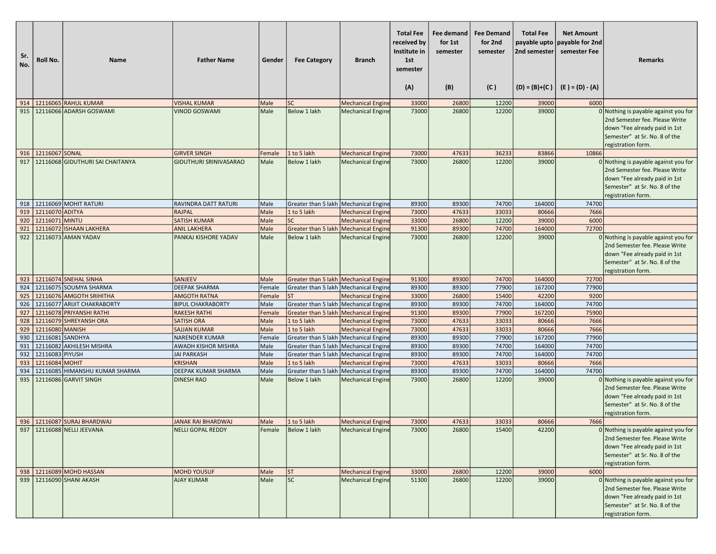| Sr.<br>No. | Roll No.         | <b>Name</b>                                             | <b>Father Name</b>                              | Gender         | <b>Fee Category</b>                                                                | <b>Branch</b>                                        | <b>Total Fee</b><br>received by<br>Institute in<br>1st<br>semester<br>(A) | Fee demand<br>for 1st<br>semester<br>(B) | <b>Fee Demand</b><br>for 2nd<br>semester<br>(C) | <b>Total Fee</b><br>payable upto<br>2nd semester | <b>Net Amount</b><br>payable for 2nd<br>semester Fee<br>$(D) = (B)+(C)$ $(E) = (D) - (A)$ | <b>Remarks</b>                                                                                                                                                   |
|------------|------------------|---------------------------------------------------------|-------------------------------------------------|----------------|------------------------------------------------------------------------------------|------------------------------------------------------|---------------------------------------------------------------------------|------------------------------------------|-------------------------------------------------|--------------------------------------------------|-------------------------------------------------------------------------------------------|------------------------------------------------------------------------------------------------------------------------------------------------------------------|
|            |                  |                                                         |                                                 |                |                                                                                    |                                                      |                                                                           |                                          |                                                 |                                                  |                                                                                           |                                                                                                                                                                  |
| 914<br>915 |                  | 12116065 RAHUL KUMAR<br>12116066 ADARSH GOSWAMI         | <b>VISHAL KUMAR</b><br><b>VINOD GOSWAMI</b>     | Male<br>Male   | <b>SC</b><br><b>Below 1 lakh</b>                                                   | <b>Mechanical Engine</b><br><b>Mechanical Engine</b> | 33000<br>73000                                                            | 26800<br>26800                           | 12200<br>12200                                  | 39000<br>39000                                   | 6000                                                                                      | 0 Nothing is payable against you for                                                                                                                             |
|            |                  |                                                         |                                                 |                |                                                                                    |                                                      |                                                                           |                                          |                                                 |                                                  |                                                                                           | 2nd Semester fee. Please Write<br>down "Fee already paid in 1st<br>Semester" at Sr. No. 8 of the<br>registration form.                                           |
| 916        | 12116067 SONAL   |                                                         | <b>GIRVER SINGH</b>                             | Female         | 1 to 5 lakh                                                                        | <b>Mechanical Engine</b>                             | 73000                                                                     | 47633                                    | 36233                                           | 83866                                            | 10866                                                                                     |                                                                                                                                                                  |
| 917        |                  | 12116068 GIDUTHURI SAI CHAITANYA                        | GIDUTHURI SRINIVASARAO                          | Male           | Below 1 lakh                                                                       | <b>Mechanical Engine</b>                             | 73000                                                                     | 26800                                    | 12200                                           | 39000                                            |                                                                                           | 0 Nothing is payable against you for<br>2nd Semester fee. Please Write<br>down "Fee already paid in 1st<br>Semester" at Sr. No. 8 of the<br>registration form.   |
| 918        |                  | 12116069 MOHIT RATURI                                   | RAVINDRA DATT RATURI                            | Male           | Greater than 5 lakh   Mechanical Engine                                            |                                                      | 89300                                                                     | 89300                                    | 74700                                           | 164000                                           | 74700                                                                                     |                                                                                                                                                                  |
| 919        | 12116070 ADITYA  |                                                         | <b>RAJPAL</b>                                   | Male           | 1 to 5 lakh                                                                        | <b>Mechanical Engine</b>                             | 73000                                                                     | 47633                                    | 33033                                           | 80666                                            | 7666                                                                                      |                                                                                                                                                                  |
| 920        | 12116071 MINTU   |                                                         | <b>SATISH KUMAR</b>                             | Male           | <b>SC</b>                                                                          | <b>Mechanical Engine</b>                             | 33000                                                                     | 26800                                    | 12200                                           | 39000                                            | 6000                                                                                      |                                                                                                                                                                  |
| 921        |                  | 12116072 ISHAAN LAKHERA                                 | <b>ANIL LAKHERA</b>                             | Male           | Greater than 5 lakh   Mechanical Engine                                            |                                                      | 91300                                                                     | 89300                                    | 74700                                           | 164000                                           | 72700                                                                                     |                                                                                                                                                                  |
| 922        |                  | 12116073 AMAN YADAV                                     | PANKAJ KISHORE YADAV                            | Male           | <b>Below 1 lakh</b>                                                                | <b>Mechanical Engine</b>                             | 73000                                                                     | 26800                                    | 12200                                           | 39000                                            |                                                                                           | 0 Nothing is payable against you for<br>2nd Semester fee. Please Write<br>down "Fee already paid in 1st<br>Semester" at Sr. No. 8 of the<br>registration form.   |
| 923        |                  | 12116074 SNEHAL SINHA                                   | <b>SANJEEV</b>                                  | Male           | Greater than 5 lakh   Mechanical Engine                                            |                                                      | 91300                                                                     | 89300                                    | 74700                                           | 164000                                           | 72700                                                                                     |                                                                                                                                                                  |
| 924        |                  | 12116075 SOUMYA SHARMA                                  | <b>DEEPAK SHARMA</b>                            | Female         | Greater than 5 lakh   Mechanical Engine                                            |                                                      | 89300                                                                     | 89300                                    | 77900                                           | 167200                                           | 77900                                                                                     |                                                                                                                                                                  |
| 925        |                  | 12116076 AMGOTH SRIHITHA                                | <b>AMGOTH RATNA</b>                             | Female         | <b>ST</b>                                                                          | <b>Mechanical Engine</b>                             | 33000                                                                     | 26800                                    | 15400                                           | 42200                                            | 9200                                                                                      |                                                                                                                                                                  |
| 926<br>927 |                  | 12116077 ARIJIT CHAKRABORTY<br>12116078 PRIYANSHI RATHI | <b>BIPUL CHAKRABORTY</b><br><b>RAKESH RATHI</b> | Male<br>Female | Greater than 5 lakh   Mechanical Engine<br>Greater than 5 lakh   Mechanical Engine |                                                      | 89300<br>91300                                                            | 89300<br>89300                           | 74700<br>77900                                  | 164000<br>167200                                 | 74700<br>75900                                                                            |                                                                                                                                                                  |
| 928        |                  | 12116079 SHREYANSH ORA                                  | <b>SATISH ORA</b>                               | Male           | 1 to 5 lakh                                                                        | <b>Mechanical Engine</b>                             | 73000                                                                     | 47633                                    | 33033                                           | 80666                                            | 7666                                                                                      |                                                                                                                                                                  |
| 929        | 12116080 MANISH  |                                                         | <b>SAJJAN KUMAR</b>                             | Male           | 1 to 5 lakh                                                                        | <b>Mechanical Engine</b>                             | 73000                                                                     | 47633                                    | 33033                                           | 80666                                            | 7666                                                                                      |                                                                                                                                                                  |
| 930        | 12116081 SANDHYA |                                                         | <b>NARENDER KUMAR</b>                           | Female         | Greater than 5 lakh   Mechanical Engine                                            |                                                      | 89300                                                                     | 89300                                    | 77900                                           | 167200                                           | 77900                                                                                     |                                                                                                                                                                  |
| 931        |                  | 12116082 AKHILESH MISHRA                                | <b>AWADH KISHOR MISHRA</b>                      | Male           | Greater than 5 lakh   Mechanical Engine                                            |                                                      | 89300                                                                     | 89300                                    | 74700                                           | 164000                                           | 74700                                                                                     |                                                                                                                                                                  |
| 932        | 12116083 PIYUSH  |                                                         | <b>JAI PARKASH</b>                              | Male           | Greater than 5 lakh   Mechanical Engine                                            |                                                      | 89300                                                                     | 89300                                    | 74700                                           | 164000                                           | 74700                                                                                     |                                                                                                                                                                  |
| 933        | 12116084 MOHIT   |                                                         | <b>KRISHAN</b>                                  | Male           | 1 to 5 lakh                                                                        | <b>Mechanical Engine</b>                             | 73000                                                                     | 47633                                    | 33033                                           | 80666                                            | 7666                                                                                      |                                                                                                                                                                  |
| 934        |                  | 12116085 HIMANSHU KUMAR SHARMA                          | <b>DEEPAK KUMAR SHARMA</b>                      | Male           | Greater than 5 lakh   Mechanical Engine                                            |                                                      | 89300                                                                     | 89300                                    | 74700                                           | 164000                                           | 74700                                                                                     |                                                                                                                                                                  |
| 935        |                  | 12116086 GARVIT SINGH                                   | <b>DINESH RAO</b>                               | Male           | Below 1 lakh                                                                       | <b>Mechanical Engine</b>                             | 73000                                                                     | 26800                                    | 12200                                           | 39000                                            |                                                                                           | $0$ Nothing is payable against you for<br>2nd Semester fee. Please Write<br>down "Fee already paid in 1st<br>Semester" at Sr. No. 8 of the<br>registration form. |
| 936        |                  | 12116087 SURAJ BHARDWAJ                                 | JANAK RAI BHARDWAJ                              | Male           | 1 to 5 lakh                                                                        | <b>Mechanical Engine</b>                             | 73000                                                                     | 47633                                    | 33033                                           | 80666                                            | 7666                                                                                      |                                                                                                                                                                  |
|            |                  | 937   12116088 NELLI JEEVANA                            | NELLI GOPAL REDDY                               |                | Female Below 1 lakh                                                                | <b>Mechanical Engine</b>                             | 73000                                                                     | 26800                                    | 15400                                           | 42200                                            |                                                                                           | 0 Nothing is payable against you for<br>2nd Semester fee. Please Write<br>down "Fee already paid in 1st<br>Semester" at Sr. No. 8 of the<br>registration form.   |
|            |                  | 938   12116089 MOHD HASSAN                              | <b>MOHD YOUSUF</b>                              | Male           | <b>ST</b>                                                                          | <b>Mechanical Engine</b>                             | 33000                                                                     | 26800                                    | 12200                                           | 39000                                            | 6000                                                                                      |                                                                                                                                                                  |
|            |                  | 939   12116090 SHANI AKASH                              | <b>AJAY KUMAR</b>                               | Male           | sc                                                                                 | <b>Mechanical Engine</b>                             | 51300                                                                     | 26800                                    | 12200                                           | 39000                                            |                                                                                           | $0$ Nothing is payable against you for<br>2nd Semester fee. Please Write<br>down "Fee already paid in 1st<br>Semester" at Sr. No. 8 of the<br>registration form. |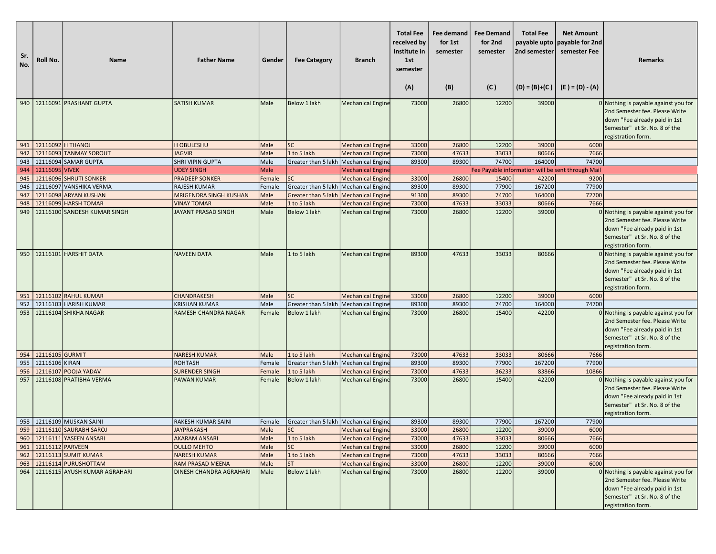| Sr.<br>No. | Roll No.              | <b>Name</b>                         | <b>Father Name</b>             | Gender      | <b>Fee Category</b>                     | <b>Branch</b>            | <b>Total Fee</b><br>received by<br>Institute in<br>1st<br>semester<br>(A) | Fee demand<br>for 1st<br>semester<br>(B) | <b>Fee Demand</b><br>for 2nd<br>semester<br>(C) | <b>Total Fee</b><br>payable upto<br>2nd semester | <b>Net Amount</b><br>payable for 2nd<br>semester Fee<br>$(D) = (B)+(C)$ $(E) = (D) - (A)$ | <b>Remarks</b>                                                                                                                                                 |
|------------|-----------------------|-------------------------------------|--------------------------------|-------------|-----------------------------------------|--------------------------|---------------------------------------------------------------------------|------------------------------------------|-------------------------------------------------|--------------------------------------------------|-------------------------------------------------------------------------------------------|----------------------------------------------------------------------------------------------------------------------------------------------------------------|
|            |                       | 940   12116091 PRASHANT GUPTA       | <b>SATISH KUMAR</b>            | Male        | Below 1 lakh                            | <b>Mechanical Engine</b> | 73000                                                                     | 26800                                    | 12200                                           | 39000                                            |                                                                                           | 0 Nothing is payable against you for<br>2nd Semester fee. Please Write<br>down "Fee already paid in 1st<br>Semester" at Sr. No. 8 of the<br>registration form. |
|            | 941 12116092 H THANOJ |                                     | H OBULESHU                     | Male        | <b>SC</b>                               | <b>Mechanical Engine</b> | 33000                                                                     | 26800                                    | 12200                                           | 39000                                            | 6000                                                                                      |                                                                                                                                                                |
|            |                       | 942 12116093 TANMAY SOROUT          | <b>JAGVIR</b>                  | Male        | 1 to 5 lakh                             | <b>Mechanical Engine</b> | 73000                                                                     | 47633                                    | 33033                                           | 80666                                            | 7666                                                                                      |                                                                                                                                                                |
| 943        |                       | 12116094 SAMAR GUPTA                | SHRI VIPIN GUPTA               | Male        | Greater than 5 lakh                     | Mechanical Engine        | 89300                                                                     | 89300                                    | 74700                                           | 164000                                           | 74700                                                                                     |                                                                                                                                                                |
|            | 944 2116095 VIVEK     |                                     | <b>UDEY SINGH</b>              | <b>Male</b> |                                         | <b>Mechanical Engine</b> |                                                                           |                                          |                                                 |                                                  | Fee Payable information will be sent through Mail                                         |                                                                                                                                                                |
| 945        |                       | 12116096 SHRUTI SONKER              | <b>PRADEEP SONKER</b>          | Female      | <b>SC</b>                               | <b>Mechanical Engine</b> | 33000                                                                     | 26800                                    | 15400                                           | 42200                                            | 9200                                                                                      |                                                                                                                                                                |
| 946        |                       | 12116097 VANSHIKA VERMA             | <b>RAJESH KUMAR</b>            | Female      | Greater than 5 lakh   Mechanical Engine |                          | 89300                                                                     | 89300                                    | 77900                                           | 167200                                           | 77900                                                                                     |                                                                                                                                                                |
| 947        |                       | 12116098 ARYAN KUSHAN               | MRIGENDRA SINGH KUSHAN         | Male        | Greater than 5 lakh                     | <b>Mechanical Engine</b> | 91300                                                                     | 89300                                    | 74700                                           | 164000                                           | 72700                                                                                     |                                                                                                                                                                |
| 948        |                       | 12116099 HARSH TOMAR                | <b>VINAY TOMAR</b>             | Male        | 1 to 5 lakh                             | <b>Mechanical Engine</b> | 73000                                                                     | 47633                                    | 33033                                           | 80666                                            | 7666                                                                                      |                                                                                                                                                                |
| 949        |                       | 12116100 SANDESH KUMAR SINGH        | <b>JAYANT PRASAD SINGH</b>     | Male        | Below 1 lakh                            | <b>Mechanical Engine</b> | 73000                                                                     | 26800                                    | 12200                                           | 39000                                            |                                                                                           | 0 Nothing is payable against you for<br>2nd Semester fee. Please Write<br>down "Fee already paid in 1st<br>Semester" at Sr. No. 8 of the<br>registration form. |
| 950        |                       | 12116101 HARSHIT DATA               | <b>NAVEEN DATA</b>             | Male        | 1 to 5 lakh                             | <b>Mechanical Engine</b> | 89300                                                                     | 47633                                    | 33033                                           | 80666                                            |                                                                                           | 0 Nothing is payable against you for<br>2nd Semester fee. Please Write<br>down "Fee already paid in 1st<br>Semester" at Sr. No. 8 of the<br>registration form. |
| 951        |                       | 12116102 RAHUL KUMAR                | CHANDRAKESH                    | Male        | <b>SC</b>                               | <b>Mechanical Engine</b> | 33000                                                                     | 26800                                    | 12200                                           | 39000                                            | 6000                                                                                      |                                                                                                                                                                |
| 952        |                       | 12116103 HARISH KUMAR               | <b>KRISHAN KUMAR</b>           | Male        | Greater than 5 lakh   Mechanical Engine |                          | 89300                                                                     | 89300                                    | 74700                                           | 164000                                           | 74700                                                                                     |                                                                                                                                                                |
| 953        |                       | 12116104 SHIKHA NAGAR               | RAMESH CHANDRA NAGAR           | Female      | Below 1 lakh                            | <b>Mechanical Engine</b> | 73000                                                                     | 26800                                    | 15400                                           | 42200                                            |                                                                                           | 0 Nothing is payable against you for<br>2nd Semester fee. Please Write<br>down "Fee already paid in 1st<br>Semester" at Sr. No. 8 of the<br>registration form. |
|            | 954 12116105 GURMIT   |                                     | <b>NARESH KUMAR</b>            | Male        | 1 to 5 lakh                             | <b>Mechanical Engine</b> | 73000                                                                     | 47633                                    | 33033                                           | 80666                                            | 7666                                                                                      |                                                                                                                                                                |
| 955        | 12116106 KIRAN        |                                     | <b>ROHTASH</b>                 | Female      | Greater than 5 lakh   Mechanical Engine |                          | 89300                                                                     | 89300                                    | 77900                                           | 167200                                           | 77900                                                                                     |                                                                                                                                                                |
| 956        |                       | 12116107 POOJA YADAV                | <b>SURENDER SINGH</b>          | Female      | 1 to 5 lakh                             | <b>Mechanical Engine</b> | 73000                                                                     | 47633                                    | 36233                                           | 83866                                            | 10866                                                                                     |                                                                                                                                                                |
| 957        |                       | 12116108 PRATIBHA VERMA             | <b>PAWAN KUMAR</b>             | Female      | Below 1 lakh                            | <b>Mechanical Engine</b> | 73000                                                                     | 26800                                    | 15400                                           | 42200                                            |                                                                                           | 0 Nothing is payable against you for<br>2nd Semester fee. Please Write<br>down "Fee already paid in 1st<br>Semester" at Sr. No. 8 of the<br>registration form. |
|            |                       | 958   12116109 MUSKAN SAINI         | RAKESH KUMAR SAINI             | Female      | Greater than 5 lakh   Mechanical Engine |                          | 89300                                                                     | 89300                                    | 77900                                           | 167200                                           | 77900                                                                                     |                                                                                                                                                                |
|            |                       | 959 12116110 SAURABH SAROJ          | JAYPRAKASH                     | Male        | JSC.                                    | Mechanical Engine        | 33000                                                                     | 26800                                    | 12200                                           | 39000                                            | 6000                                                                                      |                                                                                                                                                                |
|            |                       | 960 12116111 YASEEN ANSARI          | <b>AKARAM ANSARI</b>           | Male        | 1 to 5 lakh                             | <b>Mechanical Engine</b> | 73000                                                                     | 47633                                    | 33033                                           | 80666                                            | 7666                                                                                      |                                                                                                                                                                |
|            | 961 12116112 PARVEEN  |                                     | <b>DULLO MEHTO</b>             | Male        | <b>SC</b>                               | <b>Mechanical Engine</b> | 33000                                                                     | 26800                                    | 12200                                           | 39000                                            | 6000                                                                                      |                                                                                                                                                                |
|            |                       | 962 12116113 SUMIT KUMAR            | <b>NARESH KUMAR</b>            | Male        | 1 to 5 lakh                             | Mechanical Engine        | 73000                                                                     | 47633                                    | 33033                                           | 80666                                            | 7666                                                                                      |                                                                                                                                                                |
|            |                       | 963   12116114 PURUSHOTTAM          | RAM PRASAD MEENA               | Male        | <b>ST</b>                               | <b>Mechanical Engine</b> | 33000                                                                     | 26800                                    | 12200                                           | 39000                                            | 6000                                                                                      |                                                                                                                                                                |
|            |                       | 964   12116115 AYUSH KUMAR AGRAHARI | <b>DINESH CHANDRA AGRAHARI</b> | Male        | Below 1 lakh                            | <b>Mechanical Engine</b> | 73000                                                                     | 26800                                    | 12200                                           | 39000                                            |                                                                                           | 0 Nothing is payable against you for<br>2nd Semester fee. Please Write<br>down "Fee already paid in 1st<br>Semester" at Sr. No. 8 of the<br>registration form. |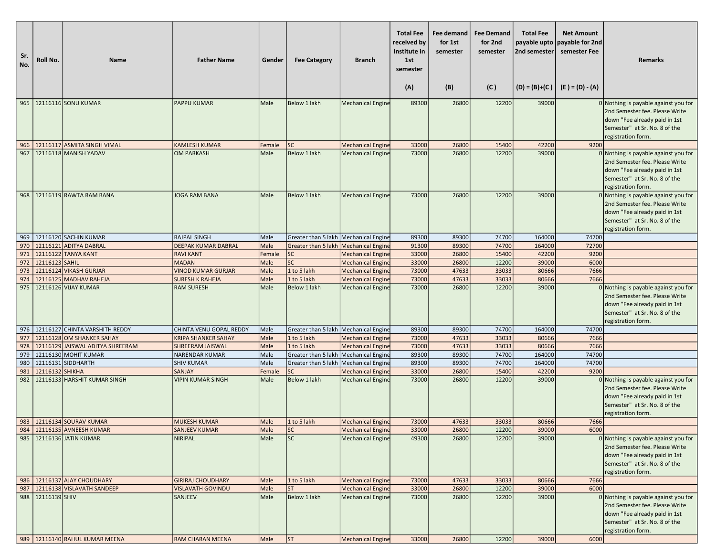| Sr.<br>No. | Roll No.          | <b>Name</b>                          | <b>Father Name</b>         | Gender | <b>Fee Category</b>                     | <b>Branch</b>            | <b>Total Fee</b><br>received by<br>Institute in<br>1st<br>semester<br>(A) | <b>Fee demand</b><br>for 1st<br>semester<br>(B) | <b>Fee Demand</b><br>for 2nd<br>semester<br>(C) | <b>Total Fee</b><br>payable upto<br>2nd semester<br>$(D) = (B)+(C)$ | <b>Net Amount</b><br>payable for 2nd<br>semester Fee<br>$(E) = (D) - (A)$ | <b>Remarks</b>                                                                                                                                                 |
|------------|-------------------|--------------------------------------|----------------------------|--------|-----------------------------------------|--------------------------|---------------------------------------------------------------------------|-------------------------------------------------|-------------------------------------------------|---------------------------------------------------------------------|---------------------------------------------------------------------------|----------------------------------------------------------------------------------------------------------------------------------------------------------------|
|            |                   | 965   12116116 SONU KUMAR            | <b>PAPPU KUMAR</b>         | Male   | Below 1 lakh                            | <b>Mechanical Engine</b> | 89300                                                                     | 26800                                           | 12200                                           | 39000                                                               |                                                                           | 0 Nothing is payable against you for                                                                                                                           |
|            |                   |                                      |                            |        |                                         |                          |                                                                           |                                                 |                                                 |                                                                     |                                                                           | 2nd Semester fee. Please Write<br>down "Fee already paid in 1st<br>Semester" at Sr. No. 8 of the<br>registration form.                                         |
|            |                   | 966   12116117 ASMITA SINGH VIMAL    | <b>KAMLESH KUMAR</b>       | Female | <b>SC</b>                               | <b>Mechanical Engine</b> | 33000                                                                     | 26800                                           | 15400                                           | 42200                                                               | 9200                                                                      |                                                                                                                                                                |
| 967        |                   | 12116118 MANISH YADAV                | <b>OM PARKASH</b>          | Male   | <b>Below 1 lakh</b>                     | <b>Mechanical Engine</b> | 73000                                                                     | 26800                                           | 12200                                           | 39000                                                               |                                                                           | 0 Nothing is payable against you for<br>2nd Semester fee. Please Write<br>down "Fee already paid in 1st<br>Semester" at Sr. No. 8 of the<br>registration form. |
|            |                   | 968   12116119 RAWTA RAM BANA        | <b>JOGA RAM BANA</b>       | Male   | Below 1 lakh                            | <b>Mechanical Engine</b> | 73000                                                                     | 26800                                           | 12200                                           | 39000                                                               |                                                                           | 0 Nothing is payable against you for<br>2nd Semester fee. Please Write<br>down "Fee already paid in 1st<br>Semester" at Sr. No. 8 of the<br>registration form. |
|            |                   | 969   12116120 SACHIN KUMAR          | <b>RAJPAL SINGH</b>        | Male   | Greater than 5 lakh   Mechanical Engine |                          | 89300                                                                     | 89300                                           | 74700                                           | 164000                                                              | 74700                                                                     |                                                                                                                                                                |
| 970        |                   | 12116121 ADITYA DABRAL               | <b>DEEPAK KUMAR DABRAL</b> | Male   | Greater than 5 lakh   Mechanical Engine |                          | 91300                                                                     | 89300                                           | 74700                                           | 164000                                                              | 72700                                                                     |                                                                                                                                                                |
| 971        |                   | 12116122 TANYA KANT                  | <b>RAVI KANT</b>           | Female | <b>SC</b>                               | <b>Mechanical Engine</b> | 33000                                                                     | 26800                                           | 15400                                           | 42200                                                               | 9200                                                                      |                                                                                                                                                                |
| 972        | 12116123 SAHIL    |                                      | <b>MADAN</b>               | Male   | SC                                      | <b>Mechanical Engine</b> | 33000                                                                     | 26800                                           | 12200                                           | 39000                                                               | 6000                                                                      |                                                                                                                                                                |
| 973        |                   | 12116124 VIKASH GURJAR               | <b>VINOD KUMAR GURJAR</b>  | Male   | 1 to 5 lakh                             | <b>Mechanical Engine</b> | 73000                                                                     | 47633                                           | 33033                                           | 80666                                                               | 7666                                                                      |                                                                                                                                                                |
| 974        |                   | 12116125 MADHAV RAHEJA               | <b>SURESH K RAHEJA</b>     | Male   | 1 to 5 lakh                             | <b>Mechanical Engine</b> | 73000                                                                     | 47633                                           | 33033                                           | 80666                                                               | 7666                                                                      |                                                                                                                                                                |
| 975        |                   | 12116126 VIJAY KUMAR                 | <b>RAM SURESH</b>          | Male   | Below 1 lakh                            | <b>Mechanical Engine</b> | 73000                                                                     | 26800                                           | 12200                                           | 39000                                                               |                                                                           | 0 Nothing is payable against you for<br>2nd Semester fee. Please Write<br>down "Fee already paid in 1st<br>Semester" at Sr. No. 8 of the<br>registration form. |
|            |                   | 976   12116127 CHINTA VARSHITH REDDY | CHINTA VENU GOPAL REDDY    | Male   | Greater than 5 lakh Mechanical Engine   |                          | 89300                                                                     | 89300                                           | 74700                                           | 164000                                                              | 74700                                                                     |                                                                                                                                                                |
| 977        |                   | 12116128 OM SHANKER SAHAY            | <b>KRIPA SHANKER SAHAY</b> | Male   | 1 to 5 lakh                             | <b>Mechanical Engine</b> | 73000                                                                     | 47633                                           | 33033                                           | 80666                                                               | 7666                                                                      |                                                                                                                                                                |
| 978        |                   | 12116129 JAISWAL ADITYA SHREERAM     | <b>SHREERAM JAISWAL</b>    | Male   | 1 to 5 lakh                             | <b>Mechanical Engine</b> | 73000                                                                     | 47633                                           | 33033                                           | 80666                                                               | 7666                                                                      |                                                                                                                                                                |
| 979        |                   | 12116130 MOHIT KUMAR                 | <b>NARENDAR KUMAR</b>      | Male   | Greater than 5 lakh   Mechanical Engine |                          | 89300                                                                     | 89300                                           | 74700                                           | 164000                                                              | 74700                                                                     |                                                                                                                                                                |
| 980        |                   | 12116131 SIDDHARTH                   | <b>SHIV KUMAR</b>          | Male   | Greater than 5 lakh   Mechanical Engine |                          | 89300                                                                     | 89300                                           | 74700                                           | 164000                                                              | 74700                                                                     |                                                                                                                                                                |
| 981        | 12116132 SHIKHA   |                                      | SANJAY                     | Female | SC                                      | <b>Mechanical Engine</b> | 33000                                                                     | 26800                                           | 15400                                           | 42200                                                               | 9200                                                                      |                                                                                                                                                                |
| 982        |                   | 12116133 HARSHIT KUMAR SINGH         | <b>VIPIN KUMAR SINGH</b>   | Male   | Below 1 lakh                            | <b>Mechanical Engine</b> | 73000                                                                     | 26800                                           | 12200                                           | 39000                                                               |                                                                           | 0 Nothing is payable against you for<br>2nd Semester fee. Please Write<br>down "Fee already paid in 1st<br>Semester" at Sr. No. 8 of the<br>registration form. |
|            |                   | 983 12116134 SOURAV KUMAR            | <b>MUKESH KUMAR</b>        | Male   | 1 to 5 lakh                             | <b>Mechanical Engine</b> | 73000                                                                     | 47633                                           | 33033                                           | 80666                                                               | 7666                                                                      |                                                                                                                                                                |
|            |                   | 984   12116135 AVNEESH KUMAR         | <b>SANJEEV KUMAR</b>       | Male   | <b>SC</b>                               | <b>Mechanical Engine</b> | 33000                                                                     | 26800                                           | 12200                                           | 39000                                                               | 6000                                                                      |                                                                                                                                                                |
|            |                   | 985   12116136 JATIN KUMAR           | <b>NIRIPAL</b>             | Male   | lsc                                     | <b>Mechanical Engine</b> | 49300                                                                     | 26800                                           | 12200                                           | 39000                                                               |                                                                           | 0 Nothing is payable against you for<br>2nd Semester fee. Please Write<br>down "Fee already paid in 1st<br>Semester" at Sr. No. 8 of the<br>registration form. |
|            |                   | 986   12116137 AJAY CHOUDHARY        | <b>GIRIRAJ CHOUDHARY</b>   | Male   | 1 to 5 lakh                             | <b>Mechanical Engine</b> | 73000                                                                     | 47633                                           | 33033                                           | 80666                                                               | 7666                                                                      |                                                                                                                                                                |
| 987        |                   | 12116138 VISLAVATH SANDEEP           | <b>VISLAVATH GOVINDU</b>   | Male   | ST                                      | <b>Mechanical Engine</b> | 33000                                                                     | 26800                                           | 12200                                           | 39000                                                               | 6000                                                                      |                                                                                                                                                                |
|            | 988 22116139 SHIV |                                      | SANJEEV                    | Male   | Below 1 lakh                            | <b>Mechanical Engine</b> | 73000                                                                     | 26800                                           | 12200                                           | 39000                                                               |                                                                           | 0 Nothing is payable against you for<br>2nd Semester fee. Please Write<br>down "Fee already paid in 1st<br>Semester" at Sr. No. 8 of the<br>registration form. |
|            |                   | 989 12116140 RAHUL KUMAR MEENA       | RAM CHARAN MEENA           | Male   | ST                                      | Mechanical Engine        | 33000                                                                     | 26800                                           | 12200                                           | 39000                                                               | 6000                                                                      |                                                                                                                                                                |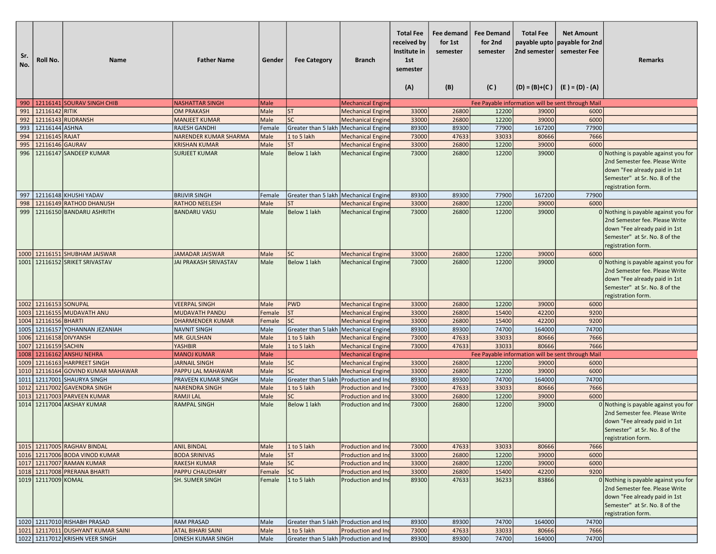| Sr.<br>No. | Roll No.               | <b>Name</b>                                                 | <b>Father Name</b>                           | Gender       | <b>Fee Category</b>                                   | Branch                    | <b>Total Fee</b><br>received by<br>Institute in<br>1st<br>semester<br>(A) | Fee demand<br>for 1st<br>semester<br>(B) | <b>Fee Demand</b><br>for 2nd<br>semester<br>(C) | <b>Total Fee</b><br>payable upto<br>2nd semester | <b>Net Amount</b><br>payable for 2nd<br>semester Fee<br>$(D) = (B)+(C)$ $(E) = (D) - (A)$ | Remarks                                                                                                                                                        |
|------------|------------------------|-------------------------------------------------------------|----------------------------------------------|--------------|-------------------------------------------------------|---------------------------|---------------------------------------------------------------------------|------------------------------------------|-------------------------------------------------|--------------------------------------------------|-------------------------------------------------------------------------------------------|----------------------------------------------------------------------------------------------------------------------------------------------------------------|
|            |                        | 990   12116141 SOURAV SINGH CHIB                            | <b>NASHATTAR SINGH</b>                       | Male         |                                                       | <b>Mechanical Engine</b>  |                                                                           |                                          |                                                 |                                                  | Fee Payable information will be sent through Mail                                         |                                                                                                                                                                |
|            | 991 12116142 RITIK     |                                                             | <b>OM PRAKASH</b>                            | Male         | <b>ST</b>                                             | <b>Mechanical Engine</b>  | 33000                                                                     | 26800                                    | 12200                                           | 39000                                            | 6000                                                                                      |                                                                                                                                                                |
|            |                        | 992 12116143 RUDRANSH                                       | <b>MANJEET KUMAR</b>                         | Male         | <b>SC</b>                                             | <b>Mechanical Engine</b>  | 33000                                                                     | 26800                                    | 12200                                           | 39000                                            | 6000                                                                                      |                                                                                                                                                                |
| 993        | 12116144 ASHNA         |                                                             | RAJESH GANDHI                                | Female       | Greater than 5 lakh Mechanical Engine                 |                           | 89300                                                                     | 89300                                    | 77900                                           | 167200                                           | 77900                                                                                     |                                                                                                                                                                |
|            | 994   12116145 RAJAT   |                                                             | <b>NARENDER KUMAR SHARMA</b>                 | Male         | 1 to 5 lakh                                           | <b>Mechanical Engine</b>  | 73000                                                                     | 47633                                    | 33033                                           | 80666                                            | 7666                                                                                      |                                                                                                                                                                |
| 995        | 12116146 GAURAV        |                                                             | <b>KRISHAN KUMAR</b>                         | Male         | <b>ST</b>                                             | <b>Mechanical Engine</b>  | 33000                                                                     | 26800                                    | 12200                                           | 39000                                            | 6000                                                                                      |                                                                                                                                                                |
| 996        |                        | 12116147 SANDEEP KUMAR                                      | <b>SURJEET KUMAR</b>                         | Male         | Below 1 lakh                                          | <b>Mechanical Engine</b>  | 73000                                                                     | 26800                                    | 12200                                           | 39000                                            |                                                                                           | 0 Nothing is payable against you for<br>2nd Semester fee. Please Write<br>down "Fee already paid in 1st<br>Semester" at Sr. No. 8 of the<br>registration form. |
|            |                        | 997   12116148 KHUSHI YADAV                                 | <b>BRIJVIR SINGH</b>                         | Female       | Greater than 5 lakh   Mechanical Engine               |                           | 89300                                                                     | 89300                                    | 77900                                           | 167200                                           | 77900                                                                                     |                                                                                                                                                                |
| 998        |                        | 12116149 RATHOD DHANUSH                                     | <b>RATHOD NEELESH</b>                        | Male         | <b>ST</b>                                             | <b>Mechanical Engine</b>  | 33000                                                                     | 26800                                    | 12200                                           | 39000                                            | 6000                                                                                      |                                                                                                                                                                |
| 999        |                        | 12116150 BANDARU ASHRITH                                    | <b>BANDARU VASU</b>                          | Male         | Below 1 lakh                                          | <b>Mechanical Engine</b>  | 73000                                                                     | 26800                                    | 12200                                           | 39000                                            |                                                                                           | 0 Nothing is payable against you for<br>2nd Semester fee. Please Write<br>down "Fee already paid in 1st<br>Semester" at Sr. No. 8 of the<br>registration form. |
|            |                        | 1000 12116151 SHUBHAM JAISWAR                               | <b>JAMADAR JAISWAR</b>                       | Male         | <b>SC</b>                                             | <b>Mechanical Engine</b>  | 33000                                                                     | 26800                                    | 12200                                           | 39000                                            | 6000                                                                                      |                                                                                                                                                                |
| 1001       |                        | 12116152 SRIKET SRIVASTAV                                   | JAI PRAKASH SRIVASTAV                        | Male         | Below 1 lakh                                          | <b>Mechanical Engine</b>  | 73000                                                                     | 26800                                    | 12200                                           | 39000                                            |                                                                                           | 0 Nothing is payable against you for<br>2nd Semester fee. Please Write<br>down "Fee already paid in 1st<br>Semester" at Sr. No. 8 of the<br>registration form. |
|            | 1002 12116153 SONUPAL  |                                                             | <b>VEERPAL SINGH</b>                         | Male         | <b>PWD</b>                                            | <b>Mechanical Engine</b>  | 33000                                                                     | 26800                                    | 12200                                           | 39000                                            | 6000                                                                                      |                                                                                                                                                                |
| 1003       |                        | 12116155 MUDAVATH ANU                                       | <b>MUDAVATH PANDU</b>                        | Female       | <b>ST</b>                                             | <b>Mechanical Engine</b>  | 33000                                                                     | 26800                                    | 15400                                           | 42200                                            | 9200                                                                                      |                                                                                                                                                                |
|            | 1004 12116156 BHARTI   |                                                             | <b>DHARMENDER KUMAR</b>                      | Female       | <b>SC</b>                                             | <b>Mechanical Engine</b>  | 33000                                                                     | 26800                                    | 15400                                           | 42200                                            | 9200                                                                                      |                                                                                                                                                                |
|            |                        | 1005 12116157 YOHANNAN JEZANIAH                             | <b>NAVNIT SINGH</b>                          | Male         | Greater than 5 lakh                                   | Mechanical Engine         | 89300                                                                     | 89300                                    | 74700                                           | 164000                                           | 74700                                                                                     |                                                                                                                                                                |
|            | 1006 12116158 DIVYANSH |                                                             | MR. GULSHAN                                  | Male         | 1 to 5 lakh                                           | <b>Mechanical Engine</b>  | 73000                                                                     | 47633                                    | 33033                                           | 80666                                            | 7666                                                                                      |                                                                                                                                                                |
|            | 1007 12116159 SACHIN   |                                                             | <b>YASHBIR</b>                               | Male         | 1 to 5 lakh                                           | <b>Mechanical Engine</b>  | 73000                                                                     | 47633                                    | 33033                                           | 80666                                            | 7666                                                                                      |                                                                                                                                                                |
| 1008       |                        | 12116162 ANSHU NEHRA                                        | <b>MANOJ KUMAR</b>                           | <b>Male</b>  |                                                       | <b>Mechanical Engine</b>  |                                                                           |                                          |                                                 |                                                  | Fee Payable information will be sent through Mail                                         |                                                                                                                                                                |
|            |                        | 1009 12116163 HARPREET SINGH                                | <b>JARNAIL SINGH</b>                         | Male         | <b>SC</b>                                             | <b>Mechanical Engine</b>  | 33000                                                                     | 26800                                    | 12200                                           | 39000                                            | 6000                                                                                      |                                                                                                                                                                |
|            |                        | 1010 12116164 GOVIND KUMAR MAHAWAR                          | PAPPU LAL MAHAWAR                            | Male         | <b>SC</b>                                             | <b>Mechanical Engine</b>  | 33000                                                                     | 26800                                    | 12200                                           | 39000                                            | 6000                                                                                      |                                                                                                                                                                |
|            |                        | 1011 12117001 SHAURYA SINGH<br>1012 12117002 GAVENDRA SINGH | PRAVEEN KUMAR SINGH<br><b>NARENDRA SINGH</b> | Male<br>Male | Greater than 5 lakh Production and Ind<br>1 to 5 lakh | Production and Ind        | 89300<br>73000                                                            | 89300<br>47633                           | 74700<br>33033                                  | 164000<br>80666                                  | 74700<br>7666                                                                             |                                                                                                                                                                |
|            |                        | 1013 12117003 PARVEEN KUMAR                                 | <b>RAMJI LAL</b>                             | Male         | <b>SC</b>                                             | Production and Ind        | 33000                                                                     | 26800                                    | 12200                                           | 39000                                            | 6000                                                                                      |                                                                                                                                                                |
|            |                        | 1014 12117004 AKSHAY KUMAR                                  | <b>RAMPAL SINGH</b>                          | Male         | Below 1 lakh                                          | Production and Ind        | 73000                                                                     | 26800                                    | 12200                                           | 39000                                            |                                                                                           | 0 Nothing is payable against you for<br>2nd Semester fee. Please Write<br>down "Fee already paid in 1st<br>Semester" at Sr. No. 8 of the<br>registration form. |
|            |                        | 1015 12117005 RAGHAV BINDAL                                 | <b>ANIL BINDAL</b>                           | Male         | 1 to 5 lakh                                           | Production and Ind        | 73000                                                                     | 47633                                    | 33033                                           | 80666                                            | 7666                                                                                      |                                                                                                                                                                |
|            |                        | 1016 12117006 BODA VINOD KUMAR                              | <b>BODA SRINIVAS</b>                         | Male         | <b>ST</b>                                             | Production and Ind        | 33000                                                                     | 26800                                    | 12200                                           | 39000                                            | 6000                                                                                      |                                                                                                                                                                |
|            |                        | 1017 12117007 RAMAN KUMAR                                   | <b>RAKESH KUMAR</b>                          | Male         | <b>SC</b>                                             | Production and Ind        | 33000                                                                     | 26800                                    | 12200                                           | 39000                                            | 6000                                                                                      |                                                                                                                                                                |
|            |                        | 1018 12117008 PRERANA BHARTI                                | PAPPU CHAUDHARY                              | Female       | <b>SC</b>                                             | <b>Production and Ind</b> | 33000                                                                     | 26800                                    | 15400                                           | 42200                                            | 9200                                                                                      |                                                                                                                                                                |
|            | 1019 12117009 KOMAL    |                                                             | SH. SUMER SINGH                              | Female       | 1 to 5 lakh                                           | Production and Ind        | 89300                                                                     | 47633                                    | 36233                                           | 83866                                            |                                                                                           | 0 Nothing is payable against you for<br>2nd Semester fee. Please Write<br>down "Fee already paid in 1st<br>Semester" at Sr. No. 8 of the<br>registration form. |
|            |                        | 1020 12117010 RISHABH PRASAD                                | <b>RAM PRASAD</b>                            | Male         | Greater than 5 lakh Production and Ind                |                           | 89300                                                                     | 89300                                    | 74700                                           | 164000                                           | 74700                                                                                     |                                                                                                                                                                |
|            |                        | 1021 12117011 DUSHYANT KUMAR SAINI                          | <b>ATAL BIHARI SAINI</b>                     | Male         | 1 to 5 lakh                                           | Production and Ind        | 73000                                                                     | 47633                                    | 33033                                           | 80666                                            | 7666                                                                                      |                                                                                                                                                                |
|            |                        | 1022 12117012 KRISHN VEER SINGH                             | <b>DINESH KUMAR SINGH</b>                    | Male         | Greater than 5 lakh Production and Ind                |                           | 89300                                                                     | 89300                                    | 74700                                           | 164000                                           | 74700                                                                                     |                                                                                                                                                                |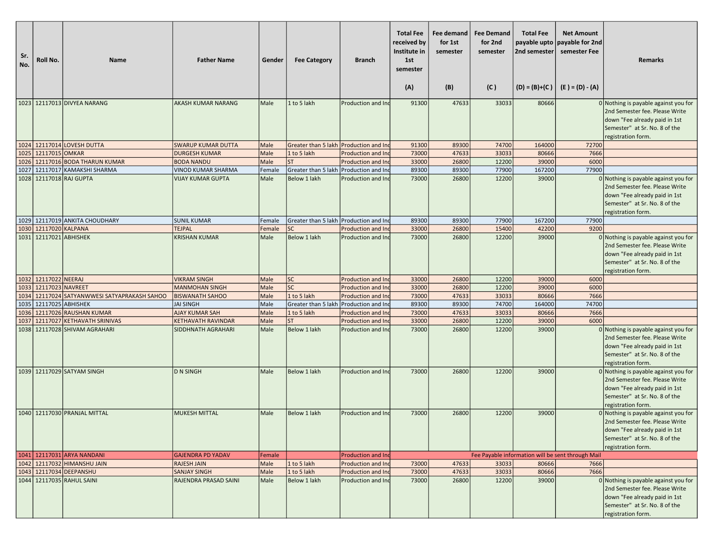| Sr.<br>No. | Roll No.          | <b>Name</b>                             | <b>Father Name</b>        | Gender | <b>Fee Category</b>                    | <b>Branch</b>             | <b>Total Fee</b><br>received by<br>Institute in<br>1st<br>semester<br>(A) | Fee demand<br>for 1st<br>semester<br>(B) | <b>Fee Demand</b><br>for 2nd<br>semester<br>(C) | <b>Total Fee</b><br>payable upto<br>2nd semester | <b>Net Amount</b><br>payable for 2nd<br>semester Fee<br>$(D) = (B)+(C)$ $(E) = (D) - (A)$ | <b>Remarks</b>                                                                                                                                                   |
|------------|-------------------|-----------------------------------------|---------------------------|--------|----------------------------------------|---------------------------|---------------------------------------------------------------------------|------------------------------------------|-------------------------------------------------|--------------------------------------------------|-------------------------------------------------------------------------------------------|------------------------------------------------------------------------------------------------------------------------------------------------------------------|
|            |                   |                                         |                           |        |                                        |                           |                                                                           |                                          |                                                 |                                                  |                                                                                           |                                                                                                                                                                  |
|            |                   | 1023 12117013 DIVYEA NARANG             | <b>AKASH KUMAR NARANG</b> | Male   | 1 to 5 lakh                            | Production and Inc        | 91300                                                                     | 47633                                    | 33033                                           | 80666                                            |                                                                                           | $0$ Nothing is payable against you for<br>2nd Semester fee. Please Write<br>down "Fee already paid in 1st<br>Semester" at Sr. No. 8 of the<br>registration form. |
|            |                   | 1024 12117014 LOVESH DUTTA              | <b>SWARUP KUMAR DUTTA</b> | Male   | Greater than 5 lakh Production and Ind |                           | 91300                                                                     | 89300                                    | 74700                                           | 164000                                           | 72700                                                                                     |                                                                                                                                                                  |
| 1025       | 12117015 OMKAR    |                                         | <b>DURGESH KUMAR</b>      | Male   | 1 to 5 lakh                            | Production and Ind        | 73000                                                                     | 47633                                    | 33033                                           | 80666                                            | 7666                                                                                      |                                                                                                                                                                  |
| 1026       |                   | 12117016 BODA THARUN KUMAR              | <b>BODA NANDU</b>         | Male   | <b>ST</b>                              | Production and Ind        | 33000                                                                     | 26800                                    | 12200                                           | 39000                                            | 6000                                                                                      |                                                                                                                                                                  |
| 1027       |                   | 12117017 KAMAKSHI SHARMA                | <b>VINOD KUMAR SHARMA</b> | Female | Greater than 5 lakh Production and Ind |                           | 89300                                                                     | 89300                                    | 77900                                           | 167200                                           | 77900                                                                                     |                                                                                                                                                                  |
|            |                   | 1028 12117018 RAJ GUPTA                 | <b>VIJAY KUMAR GUPTA</b>  | Male   | Below 1 lakh                           | Production and Inc        | 73000                                                                     | 26800                                    | 12200                                           | 39000                                            |                                                                                           | 0 Nothing is payable against you for<br>2nd Semester fee. Please Write<br>down "Fee already paid in 1st<br>Semester" at Sr. No. 8 of the<br>registration form.   |
|            |                   | 1029 12117019 ANKITA CHOUDHARY          | <b>SUNIL KUMAR</b>        | Female | Greater than 5 lakh Production and Ind |                           | 89300                                                                     | 89300                                    | 77900                                           | 167200                                           | 77900                                                                                     |                                                                                                                                                                  |
| 1030       | 12117020 KALPANA  |                                         | <b>TEJPAL</b>             | Female | <b>SC</b>                              | Production and Ind        | 33000                                                                     | 26800                                    | 15400                                           | 42200                                            | 9200                                                                                      |                                                                                                                                                                  |
| 1031       |                   | 12117021 ABHISHEK                       | <b>KRISHAN KUMAR</b>      | Male   | Below 1 lakh                           | Production and Inc        | 73000                                                                     | 26800                                    | 12200                                           | 39000                                            |                                                                                           | 0 Nothing is payable against you for<br>2nd Semester fee. Please Write<br>down "Fee already paid in 1st<br>Semester" at Sr. No. 8 of the<br>registration form.   |
| 1032       | 12117022 NEERAJ   |                                         | <b>VIKRAM SINGH</b>       | Male   | <b>SC</b>                              | Production and Ind        | 33000                                                                     | 26800                                    | 12200                                           | 39000                                            | 6000                                                                                      |                                                                                                                                                                  |
| 1033       | 12117023 NAVREET  |                                         | <b>MANMOHAN SINGH</b>     | Male   | <b>SC</b>                              | Production and Inc        | 33000                                                                     | 26800                                    | 12200                                           | 39000                                            | 6000                                                                                      |                                                                                                                                                                  |
| 1034       |                   | 12117024 SATYANWWESI SATYAPRAKASH SAHOO | <b>BISWANATH SAHOO</b>    | Male   | 1 to 5 lakh                            | Production and Ind        | 73000                                                                     | 47633                                    | 33033                                           | 80666                                            | 7666                                                                                      |                                                                                                                                                                  |
| 1035       | 12117025 ABHISHEK |                                         | <b>JAI SINGH</b>          | Male   | Greater than 5 lakh                    | Production and Ind        | 89300                                                                     | 89300                                    | 74700                                           | 164000                                           | 74700                                                                                     |                                                                                                                                                                  |
| 1036       |                   | 12117026 RAUSHAN KUMAR                  | <b>AJAY KUMAR SAH</b>     | Male   | 1 to 5 lakh                            | Production and Inc        | 73000                                                                     | 47633                                    | 33033                                           | 80666                                            | 7666                                                                                      |                                                                                                                                                                  |
| 1037       |                   | 12117027 KETHAVATH SRINIVAS             | <b>KETHAVATH RAVINDAR</b> | Male   | <b>ST</b>                              | <b>Production and Ind</b> | 33000                                                                     | 26800                                    | 12200                                           | 39000                                            | 6000                                                                                      |                                                                                                                                                                  |
| 1038       |                   | 12117028 SHIVAM AGRAHARI                | SIDDHNATH AGRAHARI        | Male   | Below 1 lakh                           | Production and Inc        | 73000                                                                     | 26800                                    | 12200                                           | 39000                                            |                                                                                           | 0 Nothing is payable against you for<br>2nd Semester fee. Please Write<br>down "Fee already paid in 1st<br>Semester" at Sr. No. 8 of the<br>registration form.   |
|            |                   | 1039 12117029 SATYAM SINGH              | <b>D N SINGH</b>          | Male   | Below 1 lakh                           | Production and Inc        | 73000                                                                     | 26800                                    | 12200                                           | 39000                                            |                                                                                           | $0$ Nothing is payable against you for<br>2nd Semester fee. Please Write<br>down "Fee already paid in 1st<br>Semester" at Sr. No. 8 of the<br>registration form. |
|            |                   | 1040 12117030 PRANJAL MITTAL            | <b>MUKESH MITTAL</b>      | Male   | Below 1 lakh                           | Production and Inc        | 73000                                                                     | 26800                                    | 12200                                           | 39000                                            |                                                                                           | 0 Nothing is payable against you for<br>2nd Semester fee. Please Write<br>down "Fee already paid in 1st<br>Semester" at Sr. No. 8 of the<br>registration form.   |
|            |                   | 1041 12117031 ARYA NANDANI              | <b>GAJENDRA PD YADAV</b>  | Female |                                        | <b>Production and Ind</b> |                                                                           |                                          |                                                 |                                                  | Fee Payable information will be sent through Mail                                         |                                                                                                                                                                  |
|            |                   | 1042 12117032 HIMANSHU JAIN             | <b>RAJESH JAIN</b>        | Male   | 1 to 5 lakh                            | Production and Ind        | 73000                                                                     | 47633                                    | 33033                                           | 80666                                            | 7666                                                                                      |                                                                                                                                                                  |
|            |                   | 1043 12117034 DEEPANSHU                 | <b>SANJAY SINGH</b>       | Male   | 1 to 5 lakh                            | Production and Inc        | 73000                                                                     | 47633                                    | 33033                                           | 80666                                            | 7666                                                                                      |                                                                                                                                                                  |
|            |                   | 1044 12117035 RAHUL SAINI               | RAJENDRA PRASAD SAINI     | Male   | <b>Below 1 lakh</b>                    | Production and Ind        | 73000                                                                     | 26800                                    | 12200                                           | 39000                                            |                                                                                           | 0 Nothing is payable against you for<br>2nd Semester fee. Please Write<br>down "Fee already paid in 1st<br>Semester" at Sr. No. 8 of the<br>registration form.   |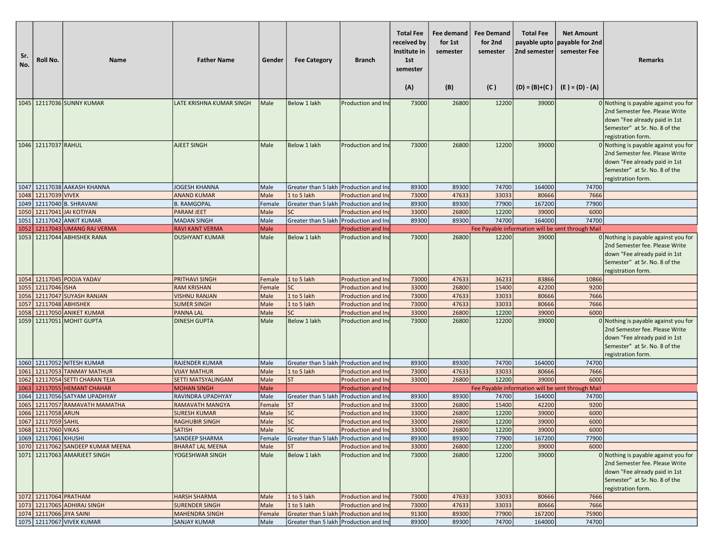| Sr.<br>No. | Roll No.                 | <b>Name</b>                                                    | <b>Father Name</b>                           | Gender         | <b>Fee Category</b>                                                              | <b>Branch</b>                            | <b>Total Fee</b><br>received by<br>Institute in<br>1st<br>semester<br>(A) | Fee demand<br>for 1st<br>semester<br>(B) | <b>Fee Demand</b><br>for 2nd<br>semester<br>(C) | <b>Total Fee</b><br>payable upto<br>2nd semester | <b>Net Amount</b><br>payable for 2nd<br>semester Fee<br>$(D) = (B)+(C)$ $(E) = (D) - (A)$ | <b>Remarks</b>                                                                                                                                                   |
|------------|--------------------------|----------------------------------------------------------------|----------------------------------------------|----------------|----------------------------------------------------------------------------------|------------------------------------------|---------------------------------------------------------------------------|------------------------------------------|-------------------------------------------------|--------------------------------------------------|-------------------------------------------------------------------------------------------|------------------------------------------------------------------------------------------------------------------------------------------------------------------|
|            |                          | 1045 12117036 SUNNY KUMAR                                      | LATE KRISHNA KUMAR SINGH                     | Male           | Below 1 lakh                                                                     | Production and Ind                       | 73000                                                                     | 26800                                    | 12200                                           | 39000                                            |                                                                                           | 0 Nothing is payable against you for<br>2nd Semester fee. Please Write<br>down "Fee already paid in 1st<br>Semester" at Sr. No. 8 of the<br>registration form.   |
|            | 1046 12117037 RAHUL      |                                                                | <b>AJEET SINGH</b>                           | Male           | Below 1 lakh                                                                     | Production and Ind                       | 73000                                                                     | 26800                                    | 12200                                           | 39000                                            |                                                                                           | 0 Nothing is payable against you for<br>2nd Semester fee. Please Write<br>down "Fee already paid in 1st<br>Semester" at Sr. No. 8 of the<br>registration form.   |
|            |                          | 1047 12117038 AAKASH KHANNA                                    | <b>JOGESH KHANNA</b>                         | Male           | Greater than 5 lakh Production and Ind                                           |                                          | 89300                                                                     | 89300                                    | 74700                                           | 164000                                           | 74700                                                                                     |                                                                                                                                                                  |
|            | 1048 12117039 VIVEK      |                                                                | <b>ANAND KUMAR</b>                           | Male           | 1 to 5 lakh                                                                      | Production and In                        | 73000                                                                     | 47633                                    | 33033                                           | 80666                                            | 7666                                                                                      |                                                                                                                                                                  |
|            |                          | 1049 12117040 B. SHRAVANI                                      | <b>B. RAMGOPAL</b>                           | Female         | Greater than 5 lakh Production and In                                            |                                          | 89300                                                                     | 89300                                    | 77900                                           | 167200                                           | 77900                                                                                     |                                                                                                                                                                  |
|            |                          | 1050 12117041 JAI KOTIYAN                                      | <b>PARAM JEET</b>                            | Male           | <b>SC</b>                                                                        | Production and In                        | 33000                                                                     | 26800                                    | 12200                                           | 39000                                            | 6000                                                                                      |                                                                                                                                                                  |
|            |                          | 1051 12117042 ANKIT KUMAR<br>1052 12117043 UMANG RAJ VERMA     | <b>MADAN SINGH</b><br><b>RAVI KANT VERMA</b> | Male<br>Male   | Greater than 5 lakh Production and Ind                                           | Production and In                        | 89300                                                                     | 89300                                    | 74700                                           | 164000                                           | 74700                                                                                     |                                                                                                                                                                  |
|            |                          | 1053 12117044 ABHISHEK RANA                                    | <b>DUSHYANT KUMAR</b>                        | Male           | Below 1 lakh                                                                     | Production and Ind                       | 73000                                                                     | 26800                                    | 12200                                           | 39000                                            | Fee Payable information will be sent through Mail                                         | 0 Nothing is payable against you for<br>2nd Semester fee. Please Write<br>down "Fee already paid in 1st<br>Semester" at Sr. No. 8 of the<br>registration form.   |
|            |                          | 1054 12117045 POOJA YADAV                                      | <b>PRITHAVI SINGH</b>                        | Female         | 1 to 5 lakh                                                                      | Production and Ind                       | 73000                                                                     | 47633                                    | 36233                                           | 83866                                            | 10866                                                                                     |                                                                                                                                                                  |
|            | 1055 12117046 ISHA       |                                                                | <b>RAM KRISHAN</b>                           | Female         | <b>SC</b>                                                                        | Production and Ind                       | 33000                                                                     | 26800                                    | 15400                                           | 42200                                            | 9200                                                                                      |                                                                                                                                                                  |
|            |                          | 1056 12117047 SUYASH RANJAN                                    | <b>VISHNU RANJAN</b>                         | Male           | 1 to 5 lakh                                                                      | Production and Ind                       | 73000                                                                     | 47633                                    | 33033                                           | 80666                                            | 7666                                                                                      |                                                                                                                                                                  |
|            | 1057 12117048 ABHISHEK   |                                                                | <b>SUMER SINGH</b>                           | Male           | 1 to 5 lakh                                                                      | Production and In                        | 73000                                                                     | 47633                                    | 33033                                           | 80666                                            | 7666                                                                                      |                                                                                                                                                                  |
| 1058       |                          | 12117050 ANIKET KUMAR<br>1059 12117051 MOHIT GUPTA             | <b>PANNA LAL</b><br><b>DINESH GUPTA</b>      | Male<br>Male   | <b>SC</b><br>Below 1 lakh                                                        | Production and Ind<br>Production and Ind | 33000<br>73000                                                            | 26800<br>26800                           | 12200<br>12200                                  | 39000<br>39000                                   | 6000                                                                                      | 0 Nothing is payable against you for<br>2nd Semester fee. Please Write<br>down "Fee already paid in 1st<br>Semester" at Sr. No. 8 of the<br>registration form.   |
|            |                          | 1060 12117052 NITESH KUMAR                                     | <b>RAJENDER KUMAR</b>                        | Male           | Greater than 5 lakh Production and In                                            |                                          | 89300                                                                     | 89300                                    | 74700                                           | 164000                                           | 74700                                                                                     |                                                                                                                                                                  |
|            |                          | 1061 12117053 TANMAY MATHUR                                    | <b>VIJAY MATHUR</b>                          | Male           | 1 to 5 lakh                                                                      | Production and In                        | 73000                                                                     | 47633                                    | 33033                                           | 80666                                            | 7666                                                                                      |                                                                                                                                                                  |
|            |                          | 1062 12117054 SETTI CHARAN TEJA<br>1063 12117055 HEMANT CHAHAR | SETTI MATSYALINGAM                           | Male           | <b>ST</b>                                                                        | Production and Ind                       | 33000                                                                     | 26800                                    | 12200                                           | 39000                                            | 6000                                                                                      |                                                                                                                                                                  |
|            |                          | 1064 12117056 SATYAM UPADHYAY                                  | <b>MOHAN SINGH</b><br>RAVINDRA UPADHYAY      | Male<br>Male   | Greater than 5 lakh Production and Ind                                           | <b>Production and Ind</b>                | 89300                                                                     | 89300                                    | 74700                                           | 164000                                           | Fee Payable information will be sent through Mail<br>74700                                |                                                                                                                                                                  |
|            |                          | 1065 12117057 RAMAVATH MAMATHA                                 | <b>RAMAVATH MANGYA</b>                       | Female         | <b>ST</b>                                                                        | Production and Ind                       | 33000                                                                     | 26800                                    | 15400                                           | 42200                                            | 9200                                                                                      |                                                                                                                                                                  |
|            | 1066 12117058 ARUN       |                                                                | <b>SURESH KUMAR</b>                          | Male           | <b>SC</b>                                                                        | Production and In                        | 33000                                                                     | 26800                                    | 12200                                           | 39000                                            | 6000                                                                                      |                                                                                                                                                                  |
|            | 1067 12117059 SAHIL      |                                                                | <b>RAGHUBIR SINGH</b>                        | Male           | <b>SC</b>                                                                        | Production and Ind                       | 33000                                                                     | 26800                                    | 12200                                           | 39000                                            | 6000                                                                                      |                                                                                                                                                                  |
|            | 1068 12117060 VIKAS      |                                                                | SAIISH                                       | Male           | sc                                                                               | <b>Production and Ind</b>                | 33000                                                                     | 26800                                    | 12200                                           | 39000                                            | 6000                                                                                      |                                                                                                                                                                  |
|            | 1069 12117061 KHUSHI     |                                                                | <b>SANDEEP SHARMA</b>                        | Female         | Greater than 5 lakh Production and Inc                                           |                                          | 89300                                                                     | 89300                                    | 77900                                           | 167200                                           | 77900                                                                                     |                                                                                                                                                                  |
|            |                          | 1070 12117062 SANDEEP KUMAR MEENA                              | <b>BHARAT LAL MEENA</b>                      | Male           | <b>ST</b>                                                                        | Production and In                        | 33000                                                                     | 26800                                    | 12200                                           | 39000                                            | 6000                                                                                      |                                                                                                                                                                  |
|            |                          | 1071 12117063 AMARJEET SINGH                                   | YOGESHWAR SINGH                              | Male           | Below 1 lakh                                                                     | Production and Ind                       | 73000                                                                     | 26800                                    | 12200                                           | 39000                                            |                                                                                           | $0$ Nothing is payable against you for<br>2nd Semester fee. Please Write<br>down "Fee already paid in 1st<br>Semester" at Sr. No. 8 of the<br>registration form. |
|            | 1072 12117064 PRATHAM    |                                                                | <b>HARSH SHARMA</b>                          | Male           | 1 to 5 lakh                                                                      | Production and Ind                       | 73000                                                                     | 47633                                    | 33033                                           | 80666                                            | 7666                                                                                      |                                                                                                                                                                  |
|            |                          | 1073 12117065 ADHIRAJ SINGH                                    | <b>SURENDER SINGH</b>                        | Male           | 1 to 5 lakh                                                                      | Production and Inc                       | 73000                                                                     | 47633                                    | 33033                                           | 80666                                            | 7666                                                                                      |                                                                                                                                                                  |
|            | 1074 12117066 JIYA SAINI | 1075 12117067 VIVEK KUMAR                                      | <b>MAHENDRA SINGH</b>                        | Female<br>Male | Greater than 5 lakh Production and Inc<br>Greater than 5 lakh Production and Inc |                                          | 91300<br>89300                                                            | 89300<br>89300                           | 77900<br>74700                                  | 167200<br>164000                                 | 75900<br>74700                                                                            |                                                                                                                                                                  |
|            |                          |                                                                | SANJAY KUMAR                                 |                |                                                                                  |                                          |                                                                           |                                          |                                                 |                                                  |                                                                                           |                                                                                                                                                                  |